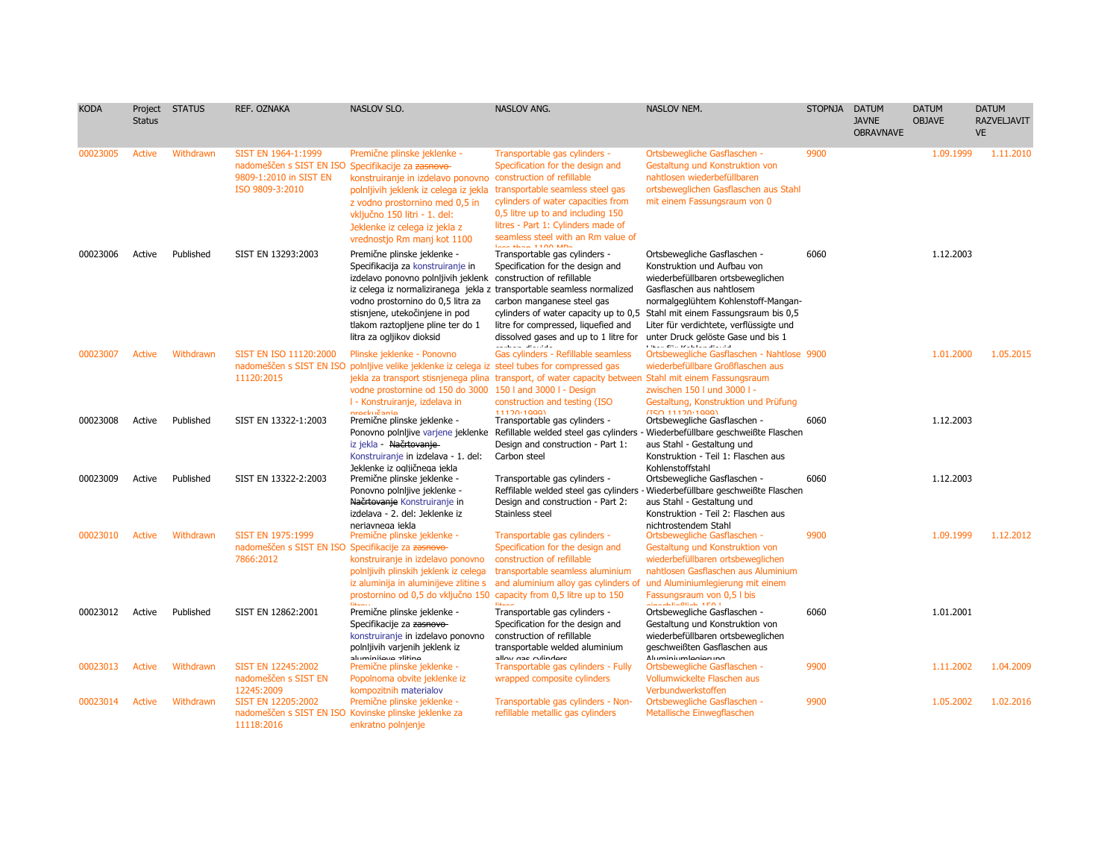| <b>KODA</b> | Project<br><b>Status</b> | <b>STATUS</b> | REF. OZNAKA                                                                                                            | NASLOV SLO.                                                                                                                                                                                                                                                                 | <b>NASLOV ANG.</b>                                                                                                                                                                                                                                                                                                        | NASLOV NEM.                                                                                                                                                                                                                                                                                                                                                                 | <b>STOPNJA</b> | <b>DATUM</b><br><b>JAVNE</b><br><b>OBRAVNAVE</b> | <b>DATUM</b><br><b>OBJAVE</b> | <b>DATUM</b><br><b>RAZVELJAVIT</b><br><b>VE</b> |
|-------------|--------------------------|---------------|------------------------------------------------------------------------------------------------------------------------|-----------------------------------------------------------------------------------------------------------------------------------------------------------------------------------------------------------------------------------------------------------------------------|---------------------------------------------------------------------------------------------------------------------------------------------------------------------------------------------------------------------------------------------------------------------------------------------------------------------------|-----------------------------------------------------------------------------------------------------------------------------------------------------------------------------------------------------------------------------------------------------------------------------------------------------------------------------------------------------------------------------|----------------|--------------------------------------------------|-------------------------------|-------------------------------------------------|
| 00023005    | Active                   | Withdrawn     | SIST EN 1964-1:1999<br>nadomeščen s SIST EN ISO Specifikacije za zasnovo-<br>9809-1:2010 in SIST EN<br>ISO 9809-3:2010 | Premične plinske jeklenke -<br>konstruiranje in izdelavo ponovno<br>polnljivih jeklenk iz celega iz jekla<br>z vodno prostornino med 0,5 in<br>vključno 150 litri - 1. del:<br>Jeklenke iz celega iz jekla z<br>vrednostjo Rm manj kot 1100                                 | Transportable gas cylinders -<br>Specification for the design and<br>construction of refillable<br>transportable seamless steel gas<br>cylinders of water capacities from<br>0,5 litre up to and including 150<br>litres - Part 1: Cylinders made of<br>seamless steel with an Rm value of<br><b>Lease March 1100 MMD</b> | Ortsbewegliche Gasflaschen -<br>Gestaltung und Konstruktion von<br>nahtlosen wiederbefüllbaren<br>ortsbeweglichen Gasflaschen aus Stahl<br>mit einem Fassungsraum von 0                                                                                                                                                                                                     | 9900           |                                                  | 1.09.1999                     | 1.11.2010                                       |
| 00023006    | Active                   | Published     | SIST EN 13293:2003                                                                                                     | Premične plinske jeklenke -<br>Specifikacija za konstruiranje in<br>izdelavo ponovno polnijivih jeklenk construction of refillable<br>vodno prostornino do 0,5 litra za<br>stisnjene, utekočinjene in pod<br>tlakom raztopljene pline ter do 1<br>litra za ogljikov dioksid | Transportable gas cylinders -<br>Specification for the design and<br>iz celega iz normaliziranega jekla z transportable seamless normalized<br>carbon manganese steel gas<br>litre for compressed, liquefied and<br>dissolved gases and up to 1 litre for<br>$\alpha$ is a collection of the field of $\alpha$            | Ortsbewegliche Gasflaschen -<br>Konstruktion und Aufbau von<br>wiederbefüllbaren ortsbeweglichen<br>Gasflaschen aus nahtlosem<br>normalgeglühtem Kohlenstoff-Mangan-<br>cylinders of water capacity up to 0.5 Stahl mit einem Fassungsraum bis 0.5<br>Liter für verdichtete, verflüssigte und<br>unter Druck gelöste Gase und bis 1<br>the complete and called a decomplete | 6060           |                                                  | 1.12.2003                     |                                                 |
| 00023007    | Active                   | Withdrawn     | SIST EN ISO 11120:2000<br>11120:2015                                                                                   | Plinske jeklenke - Ponovno<br>nadomeščen s SIST EN ISO polnIjive velike jeklenke iz celega iz steel tubes for compressed gas<br>vodne prostornine od 150 do 3000 150 l and 3000 l - Design<br>I - Konstruiranje, izdelava in<br><b>nrockučanio</b>                          | Gas cylinders - Refillable seamless<br>jekla za transport stisnjenega plina transport, of water capacity between<br>construction and testing (ISO)<br>11120-10001                                                                                                                                                         | Ortsbewegliche Gasflaschen - Nahtlose 9900<br>wiederbefüllbare Großflaschen aus<br>Stahl mit einem Fassungsraum<br>zwischen 150 l und 3000 l -<br>Gestaltung, Konstruktion und Prüfung<br>(TCA 11120.1000)                                                                                                                                                                  |                |                                                  | 1.01.2000                     | 1.05.2015                                       |
| 00023008    | Active                   | Published     | SIST EN 13322-1:2003                                                                                                   | Premične plinske jeklenke -<br>iz jekla - Načrtovanje-<br>Konstruiranje in izdelava - 1. del:                                                                                                                                                                               | Transportable gas cylinders -<br>Ponovno polnijive varjene jeklenke Refillable welded steel gas cylinders<br>Design and construction - Part 1:<br>Carbon steel                                                                                                                                                            | Ortsbewegliche Gasflaschen -<br>- Wiederbefüllbare geschweißte Flaschen<br>aus Stahl - Gestaltung und<br>Konstruktion - Teil 1: Flaschen aus                                                                                                                                                                                                                                | 6060           |                                                  | 1.12.2003                     |                                                 |
| 00023009    | Active                   | Published     | SIST EN 13322-2:2003                                                                                                   | Jeklenke iz ogliičnega jekla<br>Premične plinske jeklenke -<br>Ponovno polnljive jeklenke -<br>Načrtovanje Konstruiranje in<br>izdelava - 2. del: Jeklenke iz                                                                                                               | Transportable gas cylinders -<br>Reffilable welded steel gas cylinders<br>Design and construction - Part 2:<br>Stainless steel                                                                                                                                                                                            | Kohlenstoffstahl<br>Ortsbewegliche Gasflaschen -<br>Wiederbefüllbare geschweißte Flaschen<br>aus Stahl - Gestaltung und<br>Konstruktion - Teil 2: Flaschen aus                                                                                                                                                                                                              | 6060           |                                                  | 1.12.2003                     |                                                 |
| 00023010    | <b>Active</b>            | Withdrawn     | <b>SIST EN 1975:1999</b><br>nadomeščen s SIST EN ISO Specifikacije za zasnovo-<br>7866:2012                            | neriavnega jekla<br>Premične plinske jeklenke -<br>konstruiranje in izdelavo ponovno<br>polnljivih plinskih jeklenk iz celega<br>iz aluminija in aluminijeve zlitine s<br>prostornino od 0,5 do vključno 150 capacity from 0,5 litre up to 150                              | Transportable gas cylinders -<br>Specification for the design and<br>construction of refillable<br>transportable seamless aluminium<br>and aluminium alloy gas cylinders of                                                                                                                                               | nichtrostendem Stahl<br>Ortsbewegliche Gasflaschen -<br>Gestaltung und Konstruktion von<br>wiederbefüllbaren ortsbeweglichen<br>nahtlosen Gasflaschen aus Aluminium<br>und Aluminiumlegierung mit einem<br>Fassungsraum von 0,5 l bis                                                                                                                                       | 9900           |                                                  | 1.09.1999                     | 1.12.2012                                       |
| 00023012    | Active                   | Published     | SIST EN 12862:2001                                                                                                     | Premične plinske jeklenke -<br>Specifikacije za zasnovo-<br>konstruiranje in izdelavo ponovno<br>polnljivih varjenih jeklenk iz                                                                                                                                             | Transportable gas cylinders -<br>Specification for the design and<br>construction of refillable<br>transportable welded aluminium                                                                                                                                                                                         | <b>Security Attack and</b><br>Ortsbewegliche Gasflaschen -<br>Gestaltung und Konstruktion von<br>wiederbefüllbaren ortsbeweglichen<br>geschweißten Gasflaschen aus                                                                                                                                                                                                          | 6060           |                                                  | 1.01.2001                     |                                                 |
| 00023013    | <b>Active</b>            | Withdrawn     | SIST EN 12245:2002<br>nadomeščen s SIST EN<br>12245:2009                                                               | aluminijovo alitino<br>Premične plinske jeklenke -<br>Popolnoma obvite jeklenke iz<br>kompozitnih materialov                                                                                                                                                                | allow and oulindore<br>Transportable gas cylinders - Fully<br>wrapped composite cylinders                                                                                                                                                                                                                                 | <b>AluminiumIngiorung</b><br>Ortsbewegliche Gasflaschen -<br>Vollumwickelte Flaschen aus<br>Verbundwerkstoffen                                                                                                                                                                                                                                                              | 9900           |                                                  | 1.11.2002                     | 1.04.2009                                       |
| 00023014    | <b>Active</b>            | Withdrawn     | SIST EN 12205:2002<br>11118:2016                                                                                       | Premične plinske jeklenke -<br>nadomeščen s SIST EN ISO Kovinske plinske jeklenke za<br>enkratno polnjenje                                                                                                                                                                  | Transportable gas cylinders - Non-<br>refillable metallic gas cylinders                                                                                                                                                                                                                                                   | Ortsbewegliche Gasflaschen -<br>Metallische Einwegflaschen                                                                                                                                                                                                                                                                                                                  | 9900           |                                                  | 1.05.2002                     | 1.02.2016                                       |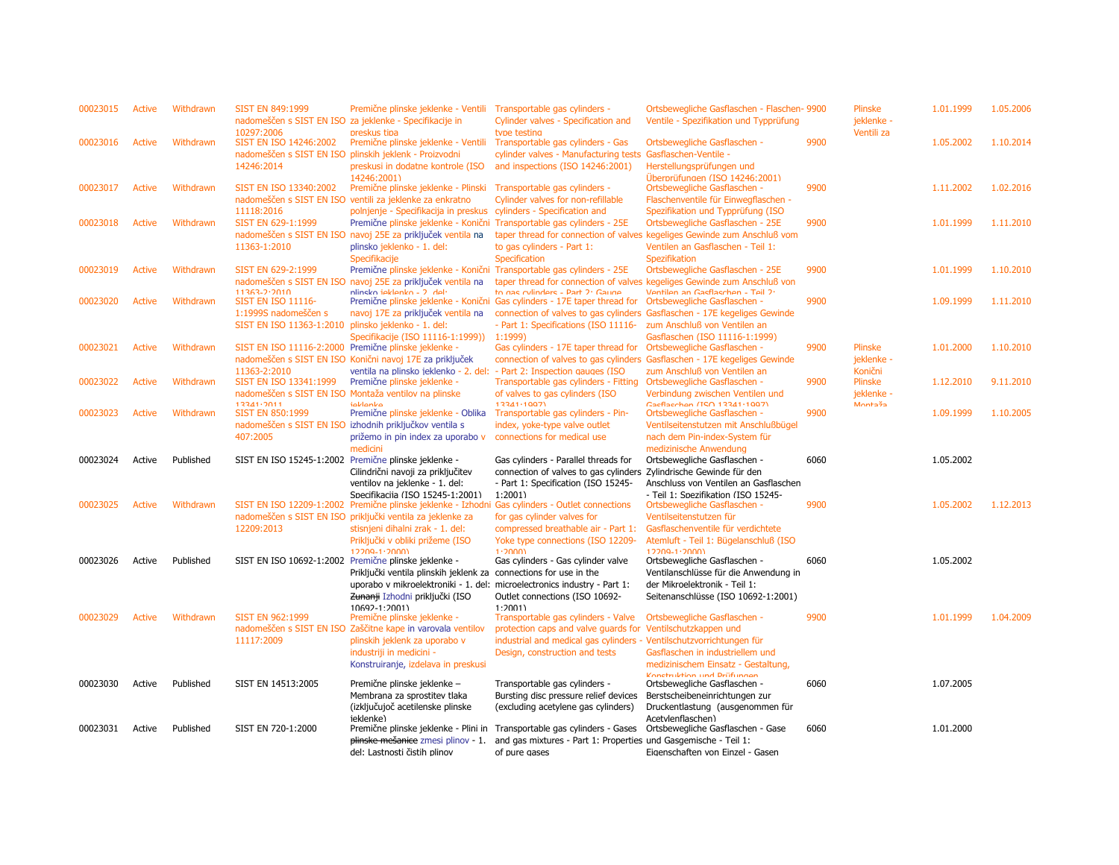| 00023015 | Active        | Withdrawn | <b>SIST EN 849:1999</b><br>10297:2006                                                          | Premične plinske jeklenke - Ventili<br>nadomeščen s SIST EN ISO za jeklenke - Specifikacije in<br>preskus tipa                                                                                                                                         | Transportable gas cylinders -<br>Cylinder valves - Specification and<br>type testing                                                                                                              | Ortsbewegliche Gasflaschen - Flaschen- 9900<br>Ventile - Spezifikation und Typprüfung                                                                              |      | Plinske<br>jeklenke -<br>Ventili za     | 1.01.1999 | 1.05.2006 |
|----------|---------------|-----------|------------------------------------------------------------------------------------------------|--------------------------------------------------------------------------------------------------------------------------------------------------------------------------------------------------------------------------------------------------------|---------------------------------------------------------------------------------------------------------------------------------------------------------------------------------------------------|--------------------------------------------------------------------------------------------------------------------------------------------------------------------|------|-----------------------------------------|-----------|-----------|
| 00023016 | <b>Active</b> | Withdrawn | SIST EN ISO 14246:2002<br>nadomeščen s SIST EN ISO plinskih jeklenk - Proizvodni<br>14246:2014 | Premične plinske jeklenke - Ventili<br>preskusi in dodatne kontrole (ISO<br>14246:2001)                                                                                                                                                                | Transportable gas cylinders - Gas<br>cylinder valves - Manufacturing tests<br>and inspections (ISO 14246:2001)                                                                                    | Ortsbewegliche Gasflaschen -<br>Gasflaschen-Ventile -<br>Herstellungsprüfungen und<br>Überprüfungen (ISO 14246:2001)                                               | 9900 |                                         | 1.05.2002 | 1.10.2014 |
| 00023017 | <b>Active</b> | Withdrawn | SIST EN ISO 13340:2002<br>11118:2016                                                           | Premične plinske jeklenke - Plinski<br>nadomeščen s SIST EN ISO ventili za jeklenke za enkratno<br>polnjenje - Specifikacija in preskus cylinders - Specification and                                                                                  | Transportable gas cylinders -<br>Cylinder valves for non-refillable                                                                                                                               | Ortsbewegliche Gasflaschen -<br>Flaschenventile für Einwegflaschen -<br>Spezifikation und Typprüfung (ISO                                                          | 9900 |                                         | 1.11.2002 | 1.02.2016 |
| 00023018 | <b>Active</b> | Withdrawn | SIST EN 629-1:1999<br>11363-1:2010                                                             | Premične plinske jeklenke - Konični Transportable gas cylinders - 25E<br>nadomeščen s SIST EN ISO navoj 25E za priključek ventila na<br>plinsko jeklenko - 1. del:<br>Specifikacije                                                                    | to gas cylinders - Part 1:<br>Specification                                                                                                                                                       | Ortsbewegliche Gasflaschen - 25E<br>taper thread for connection of valves kegeliges Gewinde zum Anschluß vom<br>Ventilen an Gasflaschen - Teil 1:<br>Spezifikation | 9900 |                                         | 1.01.1999 | 1.11.2010 |
| 00023019 | <b>Active</b> | Withdrawn | SIST EN 629-2:1999<br>$11363 - 2.2010$                                                         | Premične plinske jeklenke - Konični Transportable gas cylinders - 25E<br>nadomeščen s SIST EN ISO navoj 25E za priključek ventila na<br>nlineko jaklanko - 7 dal-                                                                                      | to nac cylindere - Part 7: Gaune                                                                                                                                                                  | Ortsbewegliche Gasflaschen - 25E<br>taper thread for connection of valves kegeliges Gewinde zum Anschluß von<br>Ventilen an Gaeflacchen - Teil 7:                  | 9900 |                                         | 1.01.1999 | 1.10.2010 |
| 00023020 | <b>Active</b> | Withdrawn | <b>SIST EN ISO 11116-</b><br>1:1999S nadomeščen s<br>SIST EN ISO 11363-1:2010                  | navoj 17E za priključek ventila na<br>plinsko jeklenko - 1. del:<br>Specifikacije (ISO 11116-1:1999))                                                                                                                                                  | Premične plinske jeklenke - Konični Gas cylinders - 17E taper thread for<br>connection of valves to gas cylinders<br>- Part 1: Specifications (ISO 11116- zum Anschluß von Ventilen an<br>1:1999) | Ortsbewegliche Gasflaschen -<br>Gasflaschen - 17E kegeliges Gewinde<br>Gasflaschen (ISO 11116-1:1999)                                                              | 9900 |                                         | 1.09.1999 | 1.11.2010 |
| 00023021 | <b>Active</b> | Withdrawn | SIST EN ISO 11116-2:2000 Premične plinske jeklenke -<br>11363-2:2010                           | nadomeščen s SIST EN ISO Konični navoj 17E za priključek<br>ventila na plinsko ieklenko - 2. del: - Part 2: Inspection gauges (ISO                                                                                                                     | Gas cylinders - 17E taper thread for                                                                                                                                                              | Ortsbewegliche Gasflaschen -<br>connection of valves to gas cylinders Gasflaschen - 17E kegeliges Gewinde<br>zum Anschluß von Ventilen an                          | 9900 | <b>Plinske</b><br>jeklenke -<br>Konični | 1.01.2000 | 1.10.2010 |
| 00023022 | <b>Active</b> | Withdrawn | SIST EN ISO 13341:1999<br>13341.2011                                                           | Premične plinske jeklenke -<br>nadomeščen s SIST EN ISO Montaža ventilov na plinske<br>ioklonko                                                                                                                                                        | Transportable gas cylinders - Fitting<br>of valves to gas cylinders (ISO<br>13341-1007)                                                                                                           | Ortsbewegliche Gasflaschen -<br>Verbindung zwischen Ventilen und<br>Gaeflacchen (ISO 13341·1007)                                                                   | 9900 | Plinske<br>jeklenke -<br>Montaža        | 1.12.2010 | 9.11.2010 |
| 00023023 | <b>Active</b> | Withdrawn | <b>SIST EN 850:1999</b><br>407:2005                                                            | Premične plinske jeklenke - Oblika<br>nadomeščen s SIST EN ISO izhodnih priključkov ventila s<br>prižemo in pin index za uporabo v<br>medicini                                                                                                         | Transportable gas cylinders - Pin-<br>index, yoke-type valve outlet<br>connections for medical use                                                                                                | Ortsbewegliche Gasflaschen -<br>Ventilseitenstutzen mit Anschlußbügel<br>nach dem Pin-index-System für<br>medizinische Anwendung                                   | 9900 |                                         | 1.09.1999 | 1.10.2005 |
| 00023024 | Active        | Published | SIST EN ISO 15245-1:2002 Premične plinske jeklenke -                                           | Cilindrični navoji za priključitev<br>ventilov na jeklenke - 1. del:<br>Specifikacija (ISO 15245-1:2001)                                                                                                                                               | Gas cylinders - Parallel threads for<br>connection of valves to gas cylinders<br>- Part 1: Specification (ISO 15245-<br>1:2001                                                                    | Ortsbewegliche Gasflaschen -<br>Zylindrische Gewinde für den<br>Anschluss von Ventilen an Gasflaschen<br>- Teil 1: Snezifikation (ISO 15245-                       | 6060 |                                         | 1.05.2002 |           |
| 00023025 | <b>Active</b> | Withdrawn | 12209:2013                                                                                     | SIST EN ISO 12209-1:2002 Premične plinske jeklenke - Izhodni Gas cylinders - Outlet connections<br>nadomeščen s SIST EN ISO priključki ventila za jeklenke za<br>stisnjeni dihalni zrak - 1. del:<br>Priključki v obliki prižeme (ISO<br>12209-1:2000) | for gas cylinder valves for<br>compressed breathable air - Part 1:<br>Yoke type connections (ISO 12209-<br>1:20001                                                                                | Ortsbewegliche Gasflaschen -<br>Ventilseitenstutzen für<br>Gasflaschenventile für verdichtete<br>Atemluft - Teil 1: Bügelanschluß (ISO<br>12209-1:2000)            | 9900 |                                         | 1.05.2002 | 1.12.2013 |
| 00023026 | Active        | Published | SIST EN ISO 10692-1:2002 Premične plinske jeklenke -                                           | Priključki ventila plinskih jeklenk za connections for use in the<br>uporabo v mikroelektroniki - 1. del: microelectronics industry - Part 1:<br>Zunanji Izhodni priključki (ISO<br>10692-1-2001)                                                      | Gas cylinders - Gas cylinder valve<br>Outlet connections (ISO 10692-<br>1.20011                                                                                                                   | Ortsbewegliche Gasflaschen -<br>Ventilanschlüsse für die Anwendung in<br>der Mikroelektronik - Teil 1:<br>Seitenanschlüsse (ISO 10692-1:2001)                      | 6060 |                                         | 1.05.2002 |           |
| 00023029 | <b>Active</b> | Withdrawn | <b>SIST EN 962:1999</b><br>11117:2009                                                          | Premične plinske jeklenke -<br>nadomeščen s SIST EN ISO Zaščitne kape in varovala ventilov<br>plinskih jeklenk za uporabo v<br>industriji in medicini -<br>Konstruiranje, izdelava in preskusi                                                         | Transportable gas cylinders - Valve<br>protection caps and valve quards for<br>industrial and medical gas cylinders - Ventilschutzvorrichtungen für<br>Design, construction and tests             | Ortsbewegliche Gasflaschen -<br>Ventilschutzkappen und<br>Gasflaschen in industriellem und<br>medizinischem Einsatz - Gestaltung,<br>Konetruktion und Drüfungen    | 9900 |                                         | 1.01.1999 | 1.04.2009 |
| 00023030 | Active        | Published | SIST EN 14513:2005                                                                             | Premične plinske jeklenke -<br>Membrana za sprostitev tlaka<br>(izključujoč acetilenske plinske<br>ieklenke)                                                                                                                                           | Transportable gas cylinders -<br>Bursting disc pressure relief devices<br>(excluding acetylene gas cylinders)                                                                                     | Ortsbewegliche Gasflaschen -<br>Berstscheibeneinrichtungen zur<br>Druckentlastung (ausgenommen für<br>Acetvlenflaschen)                                            | 6060 |                                         | 1.07.2005 |           |
| 00023031 | Active        | Published | SIST EN 720-1:2000                                                                             | Premične plinske jeklenke - Plini in<br>plinske mešanice zmesi plinov - 1.<br>del: Lastnosti čistih plinov                                                                                                                                             | Transportable gas cylinders - Gases<br>and gas mixtures - Part 1: Properties und Gasgemische - Teil 1:<br>of pure gases                                                                           | Ortsbewegliche Gasflaschen - Gase<br>Eigenschaften von Einzel - Gasen                                                                                              | 6060 |                                         | 1.01.2000 |           |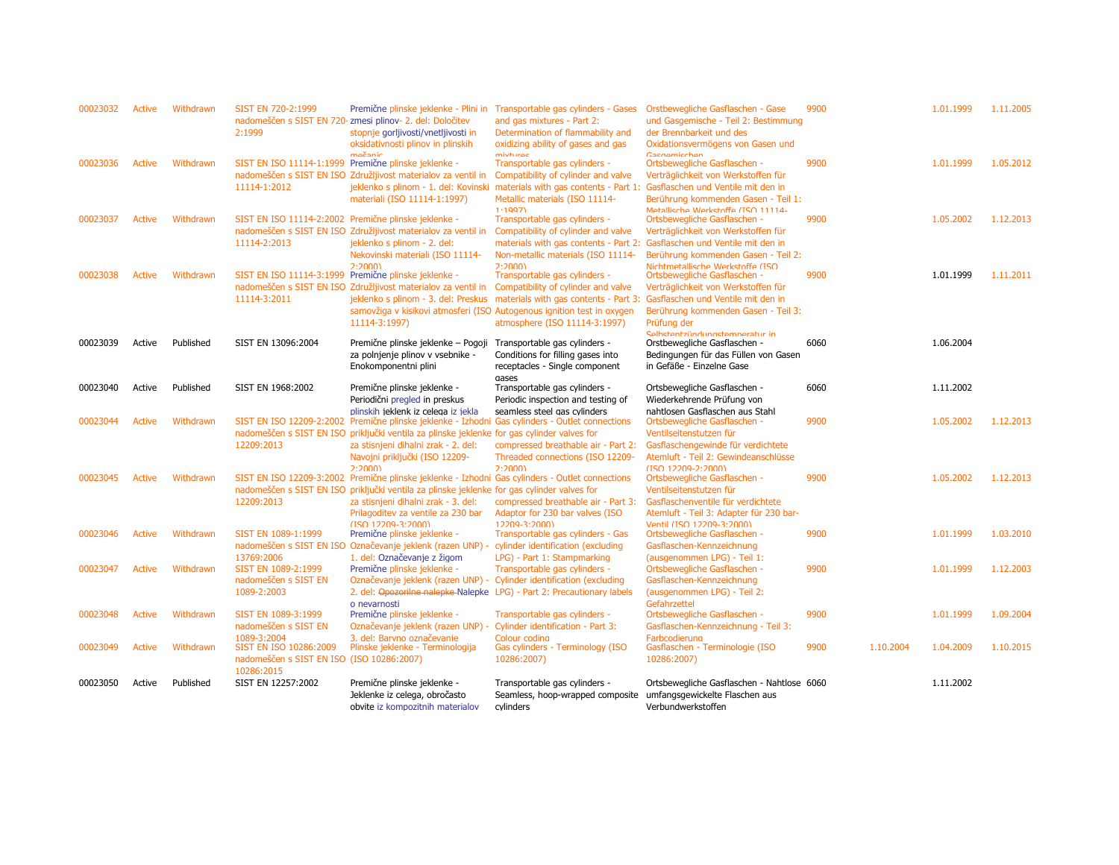| 00023032 | <b>Active</b> | Withdrawn | SIST EN 720-2:1999<br>2:1999                                                      | Premične plinske jeklenke - Plini in<br>nadomeščen s SIST EN 720- zmesi plinov- 2. del: Določitev<br>stopnje gorljivosti/vnetljivosti in<br>oksidativnosti plinov in plinskih<br>močanic                                                                                                              | Transportable gas cylinders - Gases<br>and gas mixtures - Part 2:<br>Determination of flammability and<br>oxidizing ability of gases and gas<br>mivturae                                                                 | Orstbewegliche Gasflaschen - Gase<br>und Gasgemische - Teil 2: Bestimmung<br>der Brennbarkeit und des<br>Oxidationsvermögens von Gasen und<br>Cacnamicchan                                        | 9900 |           | 1.01.1999 | 1.11.2005 |
|----------|---------------|-----------|-----------------------------------------------------------------------------------|-------------------------------------------------------------------------------------------------------------------------------------------------------------------------------------------------------------------------------------------------------------------------------------------------------|--------------------------------------------------------------------------------------------------------------------------------------------------------------------------------------------------------------------------|---------------------------------------------------------------------------------------------------------------------------------------------------------------------------------------------------|------|-----------|-----------|-----------|
| 00023036 | <b>Active</b> | Withdrawn | SIST EN ISO 11114-1:1999 Premične plinske jeklenke -<br>11114-1:2012              | nadomeščen s SIST EN ISO Združljivost materialov za ventil in<br>jeklenko s plinom - 1. del: Kovinski<br>materiali (ISO 11114-1:1997)                                                                                                                                                                 | Transportable gas cylinders -<br>Compatibility of cylinder and valve<br>materials with gas contents - Part 1: Gasflaschen und Ventile mit den in<br>Metallic materials (ISO 11114-<br>1.1997                             | Ortsbewegliche Gasflaschen -<br>Verträglichkeit von Werkstoffen für<br>Berührung kommenden Gasen - Teil 1:<br>Metallische Werkstoffe (ISO 11114-                                                  | 9900 |           | 1.01.1999 | 1.05.2012 |
| 00023037 | <b>Active</b> | Withdrawn | SIST EN ISO 11114-2:2002 Premične plinske jeklenke -<br>11114-2:2013              | nadomeščen s SIST EN ISO Združljivost materialov za ventil in<br>jeklenko s plinom - 2. del:<br>Nekovinski materiali (ISO 11114-<br>2.20001                                                                                                                                                           | Transportable gas cylinders -<br>Compatibility of cylinder and valve<br>materials with gas contents - Part 2:<br>Non-metallic materials (ISO 11114-<br>2.20001                                                           | Ortsbewegliche Gasflaschen -<br>Verträglichkeit von Werkstoffen für<br>Gasflaschen und Ventile mit den in<br>Berührung kommenden Gasen - Teil 2:<br>Nichtmetallische Werkstoffe (ISO              | 9900 |           | 1.05.2002 | 1.12.2013 |
| 00023038 | <b>Active</b> | Withdrawn | SIST EN ISO 11114-3:1999 Premične plinske jeklenke -<br>11114-3:2011              | nadomeščen s SIST EN ISO Združljivost materialov za ventil in<br>jeklenko s plinom - 3. del: Preskus<br>11114-3:1997)                                                                                                                                                                                 | Transportable gas cylinders -<br>Compatibility of cylinder and valve<br>materials with gas contents - Part 3:<br>samovžiga v kisikovi atmosferi (ISO Autogenous ignition test in oxygen<br>atmosphere (ISO 11114-3:1997) | Ortsbewegliche Gasflaschen -<br>Verträglichkeit von Werkstoffen für<br>Gasflaschen und Ventile mit den in<br>Berührung kommenden Gasen - Teil 3:<br>Prüfung der<br>Salhetantzündungetamnaratur in | 9900 |           | 1.01.1999 | 1.11.2011 |
| 00023039 | Active        | Published | SIST EN 13096:2004                                                                | Premične plinske jeklenke - Pogoji<br>za polnjenje plinov v vsebnike -<br>Enokomponentni plini                                                                                                                                                                                                        | Transportable gas cylinders -<br>Conditions for filling gases into<br>receptacles - Single component<br>gases                                                                                                            | Orstbewegliche Gasflaschen -<br>Bedingungen für das Füllen von Gasen<br>in Gefäße - Einzelne Gase                                                                                                 | 6060 |           | 1.06.2004 |           |
| 00023040 | Active        | Published | SIST EN 1968:2002                                                                 | Premične plinske jeklenke -<br>Periodični pregled in preskus<br>plinskih jeklenk iz celega iz jekla                                                                                                                                                                                                   | Transportable gas cylinders -<br>Periodic inspection and testing of<br>seamless steel gas cylinders                                                                                                                      | Ortsbewegliche Gasflaschen -<br>Wiederkehrende Prüfung von<br>nahtlosen Gasflaschen aus Stahl                                                                                                     | 6060 |           | 1.11.2002 |           |
| 00023044 | <b>Active</b> | Withdrawn | 12209:2013                                                                        | SIST EN ISO 12209-2:2002 Premične plinske jeklenke - Izhodni Gas cylinders - Outlet connections<br>nadomeščen s SIST EN ISO priključki ventila za plinske jeklenke for gas cylinder valves for<br>za stisnjeni dihalni zrak - 2. del:<br>Navojni priključki (ISO 12209-<br>2.20001                    | compressed breathable air - Part 2:<br>Threaded connections (ISO 12209-<br>2.20001                                                                                                                                       | Ortsbewegliche Gasflaschen -<br>Ventilseitenstutzen für<br>Gasflaschengewinde für verdichtete<br>Atemluft - Teil 2: Gewindeanschlüsse<br>$(150, 12209 - 2.2000)$                                  | 9900 |           | 1.05.2002 | 1.12.2013 |
| 00023045 | <b>Active</b> | Withdrawn | 12209:2013                                                                        | SIST EN ISO 12209-3:2002 Premične plinske jeklenke - Izhodni Gas cylinders - Outlet connections<br>nadomeščen s SIST EN ISO priključki ventila za plinske jeklenke for gas cylinder valves for<br>za stisnjeni dihalni zrak - 3. del:<br>Prilagoditev za ventile za 230 bar<br>$(150.12209 - 3.2000)$ | compressed breathable air - Part 3:<br>Adaptor for 230 bar valves (ISO<br>$12209 - 3.20001$                                                                                                                              | Ortsbewegliche Gasflaschen -<br>Ventilseitenstutzen für<br>Gasflaschenventile für verdichtete<br>Atemluft - Teil 3: Adapter für 230 bar-<br>Ventil (ISO 12209-3:2000)                             | 9900 |           | 1.05.2002 | 1.12.2013 |
| 00023046 | <b>Active</b> | Withdrawn | SIST EN 1089-1:1999<br>13769:2006                                                 | Premične plinske jeklenke -<br>nadomeščen s SIST EN ISO Označevanje jeklenk (razen UNP) -<br>1. del: Označevanje z žigom                                                                                                                                                                              | Transportable gas cylinders - Gas<br>cylinder identification (excluding<br>LPG) - Part 1: Stampmarking                                                                                                                   | Ortsbewegliche Gasflaschen -<br>Gasflaschen-Kennzeichnung<br>(ausgenommen LPG) - Teil 1:                                                                                                          | 9900 |           | 1.01.1999 | 1.03.2010 |
| 00023047 | <b>Active</b> | Withdrawn | SIST EN 1089-2:1999<br>nadomeščen s SIST EN<br>1089-2:2003                        | Premične plinske jeklenke -<br>Označevanje jeklenk (razen UNP) - Cylinder identification (excluding<br>o nevarnosti                                                                                                                                                                                   | Transportable gas cylinders -<br>2. del: Opozorilne nalepke-Nalepke LPG) - Part 2: Precautionary labels                                                                                                                  | Ortsbewegliche Gasflaschen -<br>Gasflaschen-Kennzeichnung<br>(ausgenommen LPG) - Teil 2:<br>Gefahrzettel                                                                                          | 9900 |           | 1.01.1999 | 1.12.2003 |
| 00023048 | <b>Active</b> | Withdrawn | SIST EN 1089-3:1999<br>nadomeščen s SIST EN<br>1089-3:2004                        | Premične plinske jeklenke -<br>Označevanje jeklenk (razen UNP) -<br>3. del: Barvno označevanie                                                                                                                                                                                                        | Transportable gas cylinders -<br>Cylinder identification - Part 3:<br>Colour coding                                                                                                                                      | Ortsbewegliche Gasflaschen -<br>Gasflaschen-Kennzeichnung - Teil 3:<br>Farbcodierung                                                                                                              | 9900 |           | 1.01.1999 | 1.09.2004 |
| 00023049 | <b>Active</b> | Withdrawn | SIST EN ISO 10286:2009<br>nadomeščen s SIST EN ISO (ISO 10286:2007)<br>10286:2015 | Plinske jeklenke - Terminologija                                                                                                                                                                                                                                                                      | Gas cylinders - Terminology (ISO<br>10286:2007)                                                                                                                                                                          | Gasflaschen - Terminologie (ISO<br>10286:2007)                                                                                                                                                    | 9900 | 1.10.2004 | 1.04.2009 | 1.10.2015 |
| 00023050 | Active        | Published | SIST EN 12257:2002                                                                | Premične plinske jeklenke -<br>Jeklenke iz celega, obročasto<br>obvite iz kompozitnih materialov                                                                                                                                                                                                      | Transportable gas cylinders -<br>Seamless, hoop-wrapped composite<br>cvlinders                                                                                                                                           | Ortsbewegliche Gasflaschen - Nahtlose 6060<br>umfangsgewickelte Flaschen aus<br>Verbundwerkstoffen                                                                                                |      |           | 1.11.2002 |           |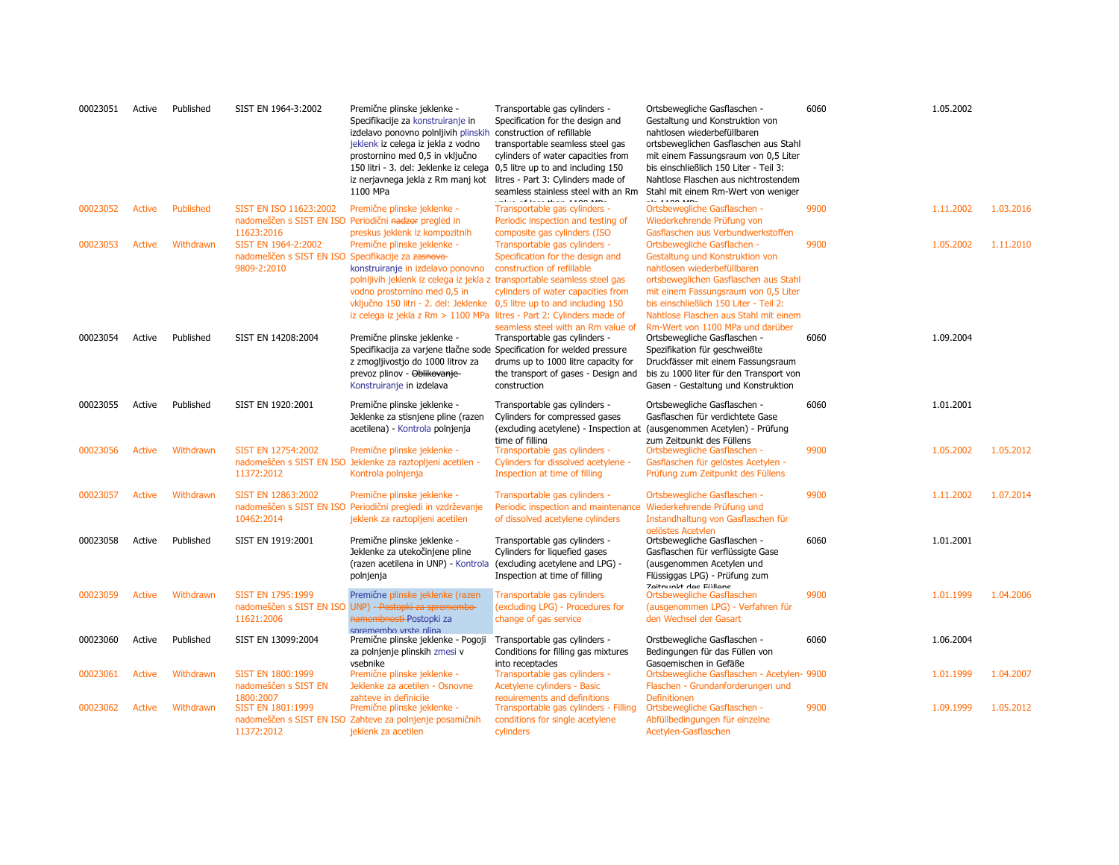| 00023051 | Active        | Published | SIST EN 1964-3:2002                                                                      | Premične plinske jeklenke -<br>Specifikacije za konstruiranje in<br>izdelavo ponovno polnijivih plinskih<br>jeklenk iz celega iz jekla z vodno<br>prostornino med 0,5 in vključno<br>150 litri - 3. del: Jeklenke iz celega 0,5 litre up to and including 150<br>iz nerjavnega jekla z Rm manj kot<br>1100 MPa                                                     | Transportable gas cylinders -<br>Specification for the design and<br>construction of refillable<br>transportable seamless steel gas<br>cylinders of water capacities from<br>litres - Part 3: Cylinders made of<br>seamless stainless steel with an Rm | Ortsbewegliche Gasflaschen -<br>Gestaltung und Konstruktion von<br>nahtlosen wiederbefüllbaren<br>ortsbeweglichen Gasflaschen aus Stahl<br>mit einem Fassungsraum von 0,5 Liter<br>bis einschließlich 150 Liter - Teil 3:<br>Nahtlose Flaschen aus nichtrostendem<br>Stahl mit einem Rm-Wert von weniger                                    | 6060 | 1.05.2002 |           |
|----------|---------------|-----------|------------------------------------------------------------------------------------------|--------------------------------------------------------------------------------------------------------------------------------------------------------------------------------------------------------------------------------------------------------------------------------------------------------------------------------------------------------------------|--------------------------------------------------------------------------------------------------------------------------------------------------------------------------------------------------------------------------------------------------------|---------------------------------------------------------------------------------------------------------------------------------------------------------------------------------------------------------------------------------------------------------------------------------------------------------------------------------------------|------|-----------|-----------|
| 00023052 | <b>Active</b> | Published | SIST EN ISO 11623:2002<br>11623:2016                                                     | Premične plinske jeklenke -<br>nadomeščen s SIST EN ISO Periodični nadzor pregled in                                                                                                                                                                                                                                                                               | tail of the state and all the same<br>Transportable gas cylinders -<br>Periodic inspection and testing of                                                                                                                                              | $-1 - 4 + 00$ MP<br>Ortsbewegliche Gasflaschen -<br>Wiederkehrende Prüfung von                                                                                                                                                                                                                                                              | 9900 | 1.11.2002 | 1.03.2016 |
| 00023053 | <b>Active</b> | Withdrawn | SIST EN 1964-2:2002<br>nadomeščen s SIST EN ISO Specifikacije za zasnovo-<br>9809-2:2010 | preskus jeklenk iz kompozitnih<br>Premične plinske jeklenke -<br>konstruiranje in izdelavo ponovno<br>polnljivih jeklenk iz celega iz jekla z transportable seamless steel gas<br>vodno prostornino med 0,5 in<br>vključno 150 litri - 2. del: Jeklenke 0,5 litre up to and including 150<br>iz celega iz jekla z Rm > 1100 MPa litres - Part 2: Cylinders made of | composite gas cylinders (ISO<br>Transportable gas cylinders -<br>Specification for the design and<br>construction of refillable<br>cylinders of water capacities from<br>seamless steel with an Rm value of                                            | Gasflaschen aus Verbundwerkstoffen<br>Ortsbewegliche Gasflachen -<br>Gestaltung und Konstruktion von<br>nahtlosen wiederbefüllbaren<br>ortsbeweglichen Gasflaschen aus Stahl<br>mit einem Fassungsraum von 0,5 Liter<br>bis einschließlich 150 Liter - Teil 2:<br>Nahtlose Flaschen aus Stahl mit einem<br>Rm-Wert von 1100 MPa und darüber | 9900 | 1.05.2002 | 1.11.2010 |
| 00023054 | Active        | Published | SIST EN 14208:2004                                                                       | Premične plinske jeklenke -<br>Specifikacija za varjene tlačne sode Specification for welded pressure<br>z zmogljivostjo do 1000 litrov za<br>prevoz plinov - Oblikovanje<br>Konstruiranje in izdelava                                                                                                                                                             | Transportable gas cylinders -<br>drums up to 1000 litre capacity for<br>the transport of gases - Design and<br>construction                                                                                                                            | Ortsbewegliche Gasflaschen -<br>Spezifikation für geschweißte<br>Druckfässer mit einem Fassungsraum<br>bis zu 1000 liter für den Transport von<br>Gasen - Gestaltung und Konstruktion                                                                                                                                                       | 6060 | 1.09.2004 |           |
| 00023055 | Active        | Published | SIST EN 1920:2001                                                                        | Premične plinske jeklenke -<br>Jeklenke za stisnjene pline (razen<br>acetilena) - Kontrola polnjenja                                                                                                                                                                                                                                                               | Transportable gas cylinders -<br>Cylinders for compressed gases<br>time of filling                                                                                                                                                                     | Ortsbewegliche Gasflaschen -<br>Gasflaschen für verdichtete Gase<br>(excluding acetylene) - Inspection at (ausgenommen Acetylen) - Prüfung<br>zum Zeitnunkt des Füllens                                                                                                                                                                     | 6060 | 1.01.2001 |           |
| 00023056 | Active        | Withdrawn | SIST EN 12754:2002<br>11372:2012                                                         | Premične plinske jeklenke -<br>nadomeščen s SIST EN ISO Jeklenke za raztopljeni acetilen -<br>Kontrola polnjenja                                                                                                                                                                                                                                                   | Transportable gas cylinders -<br>Cylinders for dissolved acetylene -<br>Inspection at time of filling                                                                                                                                                  | Ortsbewegliche Gasflaschen -<br>Gasflaschen für gelöstes Acetylen -<br>Prüfung zum Zeitpunkt des Füllens                                                                                                                                                                                                                                    | 9900 | 1.05.2002 | 1.05.2012 |
| 00023057 | <b>Active</b> | Withdrawn | SIST EN 12863:2002<br>10462:2014                                                         | Premične plinske jeklenke -<br>nadomeščen s SIST EN ISO Periodični pregledi in vzdrževanje<br>jeklenk za raztopljeni acetilen                                                                                                                                                                                                                                      | Transportable gas cylinders -<br>Periodic inspection and maintenance<br>of dissolved acetylene cylinders                                                                                                                                               | Ortsbewegliche Gasflaschen -<br>Wiederkehrende Prüfung und<br>Instandhaltung von Gasflaschen für                                                                                                                                                                                                                                            | 9900 | 1.11.2002 | 1.07.2014 |
| 00023058 | Active        | Published | SIST EN 1919:2001                                                                        | Premične plinske jeklenke -<br>Jeklenke za utekočinjene pline<br>(razen acetilena in UNP) - Kontrola<br>polnjenja                                                                                                                                                                                                                                                  | Transportable gas cylinders -<br>Cylinders for liquefied gases<br>(excluding acetylene and LPG) -<br>Inspection at time of filling                                                                                                                     | gelöstes Acetylen<br>Ortsbewegliche Gasflaschen -<br>Gasflaschen für verflüssigte Gase<br>(ausgenommen Acetylen und<br>Flüssiggas LPG) - Prüfung zum<br><b>Zaitminkt das Füllans</b>                                                                                                                                                        | 6060 | 1.01.2001 |           |
| 00023059 | <b>Active</b> | Withdrawn | SIST EN 1795:1999<br>11621:2006                                                          | Premične plinske jeklenke (razen<br>nadomeščen s SIST EN ISO UNP) - Postopki za spremembo-<br>namembnosti Postopki za                                                                                                                                                                                                                                              | Transportable gas cylinders<br>(excluding LPG) - Procedures for<br>change of gas service                                                                                                                                                               | Ortsbewegliche Gasflaschen<br>(ausgenommen LPG) - Verfahren für<br>den Wechsel der Gasart                                                                                                                                                                                                                                                   | 9900 | 1.01.1999 | 1.04.2006 |
| 00023060 | Active        | Published | SIST EN 13099:2004                                                                       | spremembo vrste plina<br>Premične plinske jeklenke - Pogoji<br>za polnjenje plinskih zmesi v<br>vsebnike                                                                                                                                                                                                                                                           | Transportable gas cylinders -<br>Conditions for filling gas mixtures<br>into receptacles                                                                                                                                                               | Orstbewegliche Gasflaschen -<br>Bedingungen für das Füllen von<br>Gasgemischen in Gefäße                                                                                                                                                                                                                                                    | 6060 | 1.06.2004 |           |
| 00023061 | Active        | Withdrawn | <b>SIST EN 1800:1999</b><br>nadomeščen s SIST EN                                         | Premične plinske jeklenke -<br>Jeklenke za acetilen - Osnovne                                                                                                                                                                                                                                                                                                      | Transportable gas cylinders -<br>Acetylene cylinders - Basic                                                                                                                                                                                           | Ortsbewegliche Gasflaschen - Acetylen- 9900<br>Flaschen - Grundanforderungen und                                                                                                                                                                                                                                                            |      | 1.01.1999 | 1.04.2007 |
| 00023062 | <b>Active</b> | Withdrawn | 1800:2007<br>SIST EN 1801:1999<br>11372:2012                                             | zahteve in definicije<br>Premične plinske jeklenke -<br>nadomeščen s SIST EN ISO Zahteve za polnjenje posamičnih<br>jeklenk za acetilen                                                                                                                                                                                                                            | requirements and definitions<br>Transportable gas cylinders - Filling<br>conditions for single acetylene<br>cylinders                                                                                                                                  | <b>Definitionen</b><br>Ortsbewegliche Gasflaschen -<br>Abfüllbedingungen für einzelne<br>Acetylen-Gasflaschen                                                                                                                                                                                                                               | 9900 | 1.09.1999 | 1.05.2012 |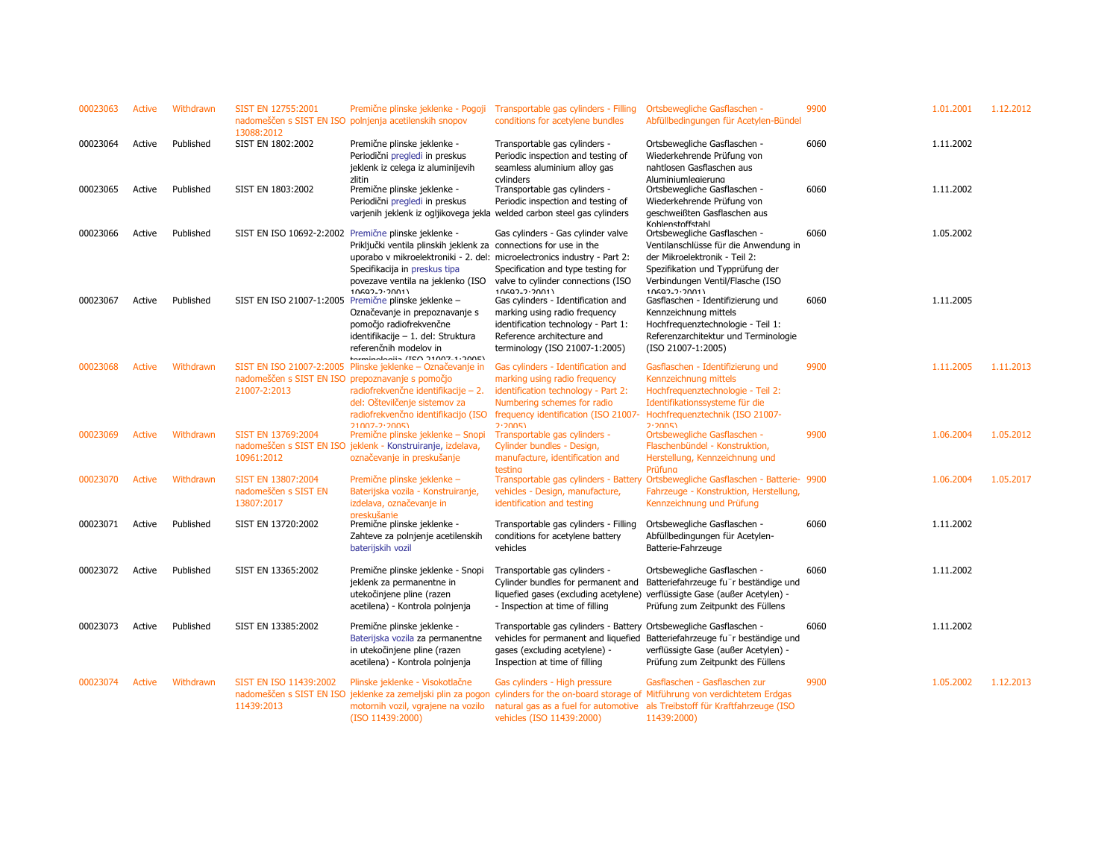| 00023063 | Active | Withdrawn | SIST EN 12755:2001<br>13088:2012                                 | Premične plinske jeklenke - Pogoji<br>nadomeščen s SIST EN ISO polnjenja acetilenskih snopov                                                                                                                                         | Transportable gas cylinders - Filling<br>conditions for acetylene bundles                                                                                                                   | Ortsbewegliche Gasflaschen -<br>Abfüllbedingungen für Acetylen-Bündel                                                                                                                                   | 9900 | 1.01.2001 | 1.12.2012 |
|----------|--------|-----------|------------------------------------------------------------------|--------------------------------------------------------------------------------------------------------------------------------------------------------------------------------------------------------------------------------------|---------------------------------------------------------------------------------------------------------------------------------------------------------------------------------------------|---------------------------------------------------------------------------------------------------------------------------------------------------------------------------------------------------------|------|-----------|-----------|
| 00023064 | Active | Published | SIST EN 1802:2002                                                | Premične plinske jeklenke -<br>Periodični pregledi in preskus<br>jeklenk iz celega iz aluminijevih<br>zlitin                                                                                                                         | Transportable gas cylinders -<br>Periodic inspection and testing of<br>seamless aluminium alloy gas<br>cylinders                                                                            | Ortsbewegliche Gasflaschen -<br>Wiederkehrende Prüfung von<br>nahtlosen Gasflaschen aus<br>Aluminiumlegierung                                                                                           | 6060 | 1.11.2002 |           |
| 00023065 | Active | Published | SIST EN 1803:2002                                                | Premične plinske jeklenke -<br>Periodični pregledi in preskus<br>varjenih jeklenk iz ogljikovega jekla welded carbon steel gas cylinders                                                                                             | Transportable gas cylinders -<br>Periodic inspection and testing of                                                                                                                         | Ortsbewegliche Gasflaschen -<br>Wiederkehrende Prüfung von<br>geschweißten Gasflaschen aus<br>Kohlenstoffstahl                                                                                          | 6060 | 1.11.2002 |           |
| 00023066 | Active | Published | SIST EN ISO 10692-2:2002 Premične plinske jeklenke -             | Priključki ventila plinskih jeklenk za connections for use in the<br>uporabo v mikroelektroniki - 2. del: microelectronics industry - Part 2:<br>Specifikacija in preskus tipa<br>povezave ventila na jeklenko (ISO<br>10692-2:2001) | Gas cylinders - Gas cylinder valve<br>Specification and type testing for<br>valve to cylinder connections (ISO<br>$10692 - 2.20011$                                                         | Ortsbewegliche Gasflaschen -<br>Ventilanschlüsse für die Anwendung in<br>der Mikroelektronik - Teil 2:<br>Spezifikation und Typprüfung der<br>Verbindungen Ventil/Flasche (ISO<br>10692-2:2001)         | 6060 | 1.05.2002 |           |
| 00023067 | Active | Published |                                                                  | SIST EN ISO 21007-1:2005 Premične plinske jeklenke -<br>Označevanje in prepoznavanje s<br>pomočjo radiofrekvenčne<br>identifikacije - 1. del: Struktura<br>referenčnih modelov in<br>torminologiin (TCO 71007-1+200E)                | Gas cylinders - Identification and<br>marking using radio frequency<br>identification technology - Part 1:<br>Reference architecture and<br>terminology (ISO 21007-1:2005)                  | Gasflaschen - Identifizierung und<br>Kennzeichnung mittels<br>Hochfrequenztechnologie - Teil 1:<br>Referenzarchitektur und Terminologie<br>(ISO 21007-1:2005)                                           | 6060 | 1.11.2005 |           |
| 00023068 | Active | Withdrawn | nadomeščen s SIST EN ISO prepoznavanje s pomočjo<br>21007-2:2013 | SIST EN ISO 21007-2:2005 Plinske jeklenke – Označevanje in<br>radiofrekvenčne identifikacije - 2.<br>del: Oštevilčenje sistemov za<br>radiofrekvenčno identifikacijo (ISO<br>$21007 - 22005$                                         | Gas cylinders - Identification and<br>marking using radio frequency<br>identification technology - Part 2:<br>Numbering schemes for radio<br>frequency identification (ISO 21007-<br>7.7005 | Gasflaschen - Identifizierung und<br>Kennzeichnung mittels<br>Hochfrequenztechnologie - Teil 2:<br>Identifikationssysteme für die<br>Hochfrequenztechnik (ISO 21007-<br>2.2005                          | 9900 | 1.11.2005 | 1.11.2013 |
| 00023069 | Active | Withdrawn | SIST EN 13769:2004<br>10961:2012                                 | Premične plinske jeklenke – Snopi<br>nadomeščen s SIST EN ISO jeklenk - Konstruiranje, izdelava,<br>označevanje in preskušanje                                                                                                       | Transportable gas cylinders -<br>Cylinder bundles - Design,<br>manufacture, identification and<br>testing                                                                                   | Ortsbewegliche Gasflaschen -<br>Flaschenbündel - Konstruktion,<br>Herstellung, Kennzeichnung und<br>Prüfung                                                                                             | 9900 | 1.06.2004 | 1.05.2012 |
| 00023070 | Active | Withdrawn | SIST EN 13807:2004<br>nadomeščen s SIST EN<br>13807:2017         | Premične plinske jeklenke –<br>Baterijska vozila - Konstruiranje,<br>izdelava, označevanje in<br>preskušanie                                                                                                                         | Transportable gas cylinders - Battery<br>vehicles - Design, manufacture,<br>identification and testing                                                                                      | Ortsbewegliche Gasflaschen - Batterie- 9900<br>Fahrzeuge - Konstruktion, Herstellung,<br>Kennzeichnung und Prüfung                                                                                      |      | 1.06.2004 | 1.05.2017 |
| 00023071 | Active | Published | SIST EN 13720:2002                                               | Premične plinske jeklenke -<br>Zahteve za polnjenje acetilenskih<br>baterijskih vozil                                                                                                                                                | Transportable gas cylinders - Filling<br>conditions for acetylene battery<br>vehicles                                                                                                       | Ortsbewegliche Gasflaschen -<br>Abfüllbedingungen für Acetylen-<br>Batterie-Fahrzeuge                                                                                                                   | 6060 | 1.11.2002 |           |
| 00023072 | Active | Published | SIST EN 13365:2002                                               | Premične plinske jeklenke - Snopi<br>jeklenk za permanentne in<br>utekočinjene pline (razen<br>acetilena) - Kontrola polnjenja                                                                                                       | Transportable gas cylinders -<br>Cylinder bundles for permanent and<br>liquefied gases (excluding acetylene)<br>- Inspection at time of filling                                             | Ortsbewegliche Gasflaschen -<br>Batteriefahrzeuge fu r beständige und<br>verflüssigte Gase (außer Acetylen) -<br>Prüfung zum Zeitpunkt des Füllens                                                      | 6060 | 1.11.2002 |           |
| 00023073 | Active | Published | SIST EN 13385:2002                                               | Premične plinske jeklenke -<br>Baterijska vozila za permanentne<br>in utekočinjene pline (razen<br>acetilena) - Kontrola polnjenja                                                                                                   | Transportable gas cylinders - Battery Ortsbewegliche Gasflaschen -<br>vehicles for permanent and liquefied<br>gases (excluding acetylene) -<br>Inspection at time of filling                | Batteriefahrzeuge fu r beständige und<br>verflüssigte Gase (außer Acetylen) -<br>Prüfung zum Zeitpunkt des Füllens                                                                                      | 6060 | 1.11.2002 |           |
| 00023074 | Active | Withdrawn | SIST EN ISO 11439:2002<br>nadomeščen s SIST EN ISO<br>11439:2013 | Plinske jeklenke - Visokotlačne<br>jeklenke za zemeljski plin za pogon<br>motornih vozil, vgrajene na vozilo<br>(ISO 11439:2000)                                                                                                     | Gas cylinders - High pressure<br>vehicles (ISO 11439:2000)                                                                                                                                  | Gasflaschen - Gasflaschen zur<br>cylinders for the on-board storage of Mitführung von verdichtetem Erdgas<br>natural gas as a fuel for automotive als Treibstoff für Kraftfahrzeuge (ISO<br>11439:2000) | 9900 | 1.05.2002 | 1.12.2013 |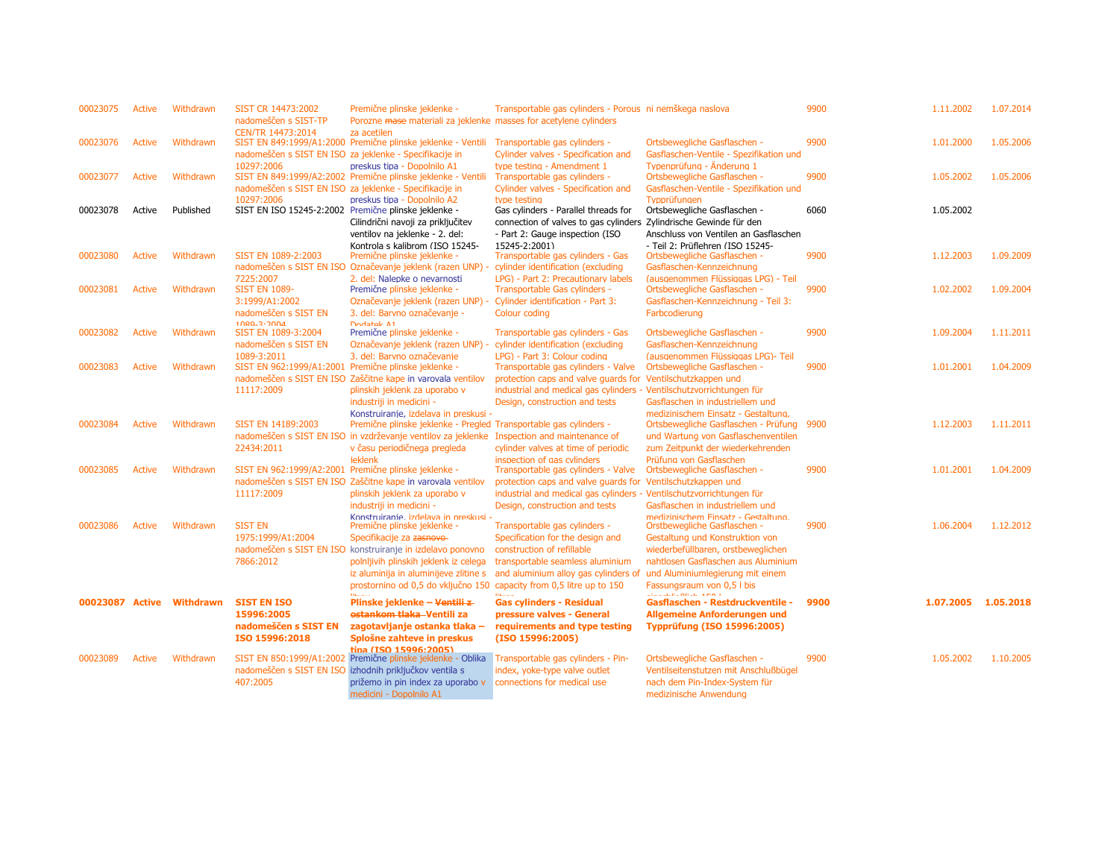| 00023075 | <b>Active</b> | Withdrawn                 | SIST CR 14473:2002<br>nadomeščen s SIST-TP<br>CEN/TR 14473:2014                   | Premične plinske jeklenke -<br>Porozne mase materiali za jeklenke masses for acetylene cylinders<br>za acetilen                                                                                                                                                                                                           | Transportable gas cylinders - Porous ni nemškega naslova                                                                                                                                                     |                                                                                                                                                                                                                                       | 9900 | 1.11.2002           | 1.07.2014 |
|----------|---------------|---------------------------|-----------------------------------------------------------------------------------|---------------------------------------------------------------------------------------------------------------------------------------------------------------------------------------------------------------------------------------------------------------------------------------------------------------------------|--------------------------------------------------------------------------------------------------------------------------------------------------------------------------------------------------------------|---------------------------------------------------------------------------------------------------------------------------------------------------------------------------------------------------------------------------------------|------|---------------------|-----------|
| 00023076 | <b>Active</b> | Withdrawn                 | 10297:2006                                                                        | SIST EN 849:1999/A1:2000 Premične plinske jeklenke - Ventili<br>nadomeščen s SIST EN ISO za jeklenke - Specifikacije in<br>preskus tipa - Dopolnilo A1                                                                                                                                                                    | Transportable gas cylinders -<br>Cylinder valves - Specification and<br>type testing - Amendment 1                                                                                                           | Ortsbewegliche Gasflaschen -<br>Gasflaschen-Ventile - Spezifikation und<br>Tvpenprüfuna - Änderuna 1                                                                                                                                  | 9900 | 1.01.2000           | 1.05.2006 |
| 00023077 | <b>Active</b> | Withdrawn                 | 10297:2006                                                                        | SIST EN 849:1999/A2:2002 Premične plinske jeklenke - Ventili<br>nadomeščen s SIST EN ISO za jeklenke - Specifikacije in<br>preskus tipa - Dopolnilo A2                                                                                                                                                                    | Transportable gas cylinders -<br>Cylinder valves - Specification and<br>type testing                                                                                                                         | Ortsbewegliche Gasflaschen -<br>Gasflaschen-Ventile - Spezifikation und<br><b>Typprüfungen</b>                                                                                                                                        | 9900 | 1.05.2002           | 1.05.2006 |
| 00023078 | Active        | Published                 | SIST EN ISO 15245-2:2002 Premične plinske jeklenke -                              | Cilindrični navoji za priključitev<br>ventilov na jeklenke - 2. del:                                                                                                                                                                                                                                                      | Gas cylinders - Parallel threads for<br>connection of valves to gas cylinders<br>- Part 2: Gauge inspection (ISO                                                                                             | Ortsbewegliche Gasflaschen -<br>Zylindrische Gewinde für den<br>Anschluss von Ventilen an Gasflaschen                                                                                                                                 | 6060 | 1.05.2002           |           |
| 00023080 | <b>Active</b> | Withdrawn                 | SIST EN 1089-2:2003<br>7225:2007                                                  | Kontrola s kalibrom (ISO 15245-<br>Premične plinske jeklenke -<br>nadomeščen s SIST EN ISO Označevanje jeklenk (razen UNP)<br>2. del: Nalepke o nevarnosti                                                                                                                                                                | 15245-2:2001)<br>Transportable gas cylinders - Gas<br>cylinder identification (excluding<br>LPG) - Part 2: Precautionary labels                                                                              | - Teil 2: Prüflehren (ISO 15245-<br>Ortsbewegliche Gasflaschen -<br>Gasflaschen-Kennzeichnung<br>(ausgenommen Flüssiggas LPG) - Teil                                                                                                  | 9900 | 1.12.2003           | 1.09.2009 |
| 00023081 | <b>Active</b> | Withdrawn                 | <b>SIST EN 1089-</b><br>3:1999/A1:2002<br>nadomeščen s SIST EN<br>$1080 - 3.2004$ | Premične plinske jeklenke -<br>Označevanje jeklenk (razen UNP) -<br>3. del: Barvno označevanje -<br>Dodatek A1                                                                                                                                                                                                            | Transportable Gas cylinders -<br>Cylinder identification - Part 3:<br>Colour coding                                                                                                                          | Ortsbewegliche Gasflaschen -<br>Gasflaschen-Kennzeichnung - Teil 3:<br>Farbcodierung                                                                                                                                                  | 9900 | 1.02.2002           | 1.09.2004 |
| 00023082 | <b>Active</b> | Withdrawn                 | SIST EN 1089-3:2004<br>nadomeščen s SIST EN<br>1089-3:2011                        | Premične plinske jeklenke -<br>Označevanje jeklenk (razen UNP) -<br>3. del: Barvno označevanje                                                                                                                                                                                                                            | Transportable gas cylinders - Gas<br>cylinder identification (excluding<br>LPG) - Part 3: Colour coding                                                                                                      | Ortsbewegliche Gasflaschen -<br>Gasflaschen-Kennzeichnung<br>(ausgenommen Flüssiggas LPG)- Teil                                                                                                                                       | 9900 | 1.09.2004           | 1.11.2011 |
| 00023083 | Active        | Withdrawn                 | SIST EN 962:1999/A1:2001 Premične plinske jeklenke -<br>11117:2009                | nadomeščen s SIST EN ISO Zaščitne kape in varovala ventilov<br>plinskih jeklenk za uporabo v<br>industriji in medicini -<br>Konstruiranie, izdelava in preskusi -                                                                                                                                                         | Transportable gas cylinders - Valve<br>protection caps and valve guards for Ventilschutzkappen und<br>industrial and medical gas cylinders - Ventilschutzvorrichtungen für<br>Design, construction and tests | Ortsbewegliche Gasflaschen -<br>Gasflaschen in industriellem und<br>medizinischem Einsatz - Gestaltung,                                                                                                                               | 9900 | 1.01.2001           | 1.04.2009 |
| 00023084 | <b>Active</b> | Withdrawn                 | SIST EN 14189:2003<br>22434:2011                                                  | Premične plinske jeklenke - Pregled Transportable gas cylinders -<br>nadomeščen s SIST EN ISO in vzdrževanje ventilov za jeklenke<br>v času periodičnega pregleda<br><b>ieklenk</b>                                                                                                                                       | Inspection and maintenance of<br>cylinder valves at time of periodic<br>inspection of gas cylinders                                                                                                          | Ortsbewegliche Gasflaschen - Prüfung 9900<br>und Wartung von Gasflaschenventilen<br>zum Zeitpunkt der wiederkehrenden<br>Prüfung von Gasflaschen                                                                                      |      | 1.12.2003           | 1.11.2011 |
| 00023085 | Active        | Withdrawn                 | SIST EN 962:1999/A2:2001 Premične plinske jeklenke -<br>11117:2009                | nadomeščen s SIST EN ISO Zaščitne kape in varovala ventilov<br>plinskih jeklenk za uporabo v<br>industriji in medicini -                                                                                                                                                                                                  | Transportable gas cylinders - Valve<br>protection caps and valve guards for<br>industrial and medical gas cylinders - Ventilschutzvorrichtungen für<br>Design, construction and tests                        | Ortsbewegliche Gasflaschen -<br>Ventilschutzkappen und<br>Gasflaschen in industriellem und<br>medizinischem Finsatz - Gestaltung.                                                                                                     | 9900 | 1.01.2001           | 1.04.2009 |
| 00023086 | Active        | Withdrawn                 | <b>SIST EN</b><br>1975:1999/A1:2004<br>7866:2012                                  | Konstruiranie, izdelava in preskusi -<br>Premične plinske jeklenke -<br>Specifikacije za zasnovo-<br>nadomeščen s SIST EN ISO konstruiranje in izdelavo ponovno<br>polnljivih plinskih jeklenk iz celega<br>iz aluminija in aluminijeve zlitine s<br>prostornino od 0,5 do vključno 150 capacity from 0,5 litre up to 150 | Transportable gas cylinders -<br>Specification for the design and<br>construction of refillable<br>transportable seamless aluminium<br>and aluminium alloy gas cylinders of                                  | Orstbewegliche Gasflaschen -<br>Gestaltung und Konstruktion von<br>wiederbefüllbaren, orstbeweglichen<br>nahtlosen Gasflaschen aus Aluminium<br>und Aluminiumlegierung mit einem<br>Fassungsraum von 0,5 l bis<br>as can consumers in | 9900 | 1.06.2004           | 1.12.2012 |
|          |               | 00023087 Active Withdrawn | <b>SIST EN ISO</b><br>15996:2005<br>nadomeščen s SIST EN<br>ISO 15996:2018        | Plinske jeklenke – <del>Ventili z</del><br>estankom tlaka-Ventili za<br>zagotavljanje ostanka tlaka –<br>Splošne zahteve in preskus<br>tina (TSO 15996:2005)                                                                                                                                                              | <b>Gas cylinders - Residual</b><br>pressure valves - General<br>requirements and type testing<br>(ISO 15996:2005)                                                                                            | Gasflaschen - Restdruckventile -<br><b>Allgemeine Anforderungen und</b><br>Typprüfung (ISO 15996:2005)                                                                                                                                | 9900 | 1.07.2005 1.05.2018 |           |
| 00023089 | Active        | Withdrawn                 | nadomeščen s SIST EN ISO<br>407:2005                                              | SIST EN 850:1999/A1:2002 Premične plinske jeklenke - Oblika<br>izhodnih priključkov ventila s<br>prižemo in pin index za uporabo v<br>medicini - Dopolnilo A1                                                                                                                                                             | Transportable gas cylinders - Pin-<br>index, yoke-type valve outlet<br>connections for medical use                                                                                                           | Ortsbewegliche Gasflaschen -<br>Ventilseitenstutzen mit Anschlußbügel<br>nach dem Pin-Index-System für<br>medizinische Anwendung                                                                                                      | 9900 | 1.05.2002           | 1.10.2005 |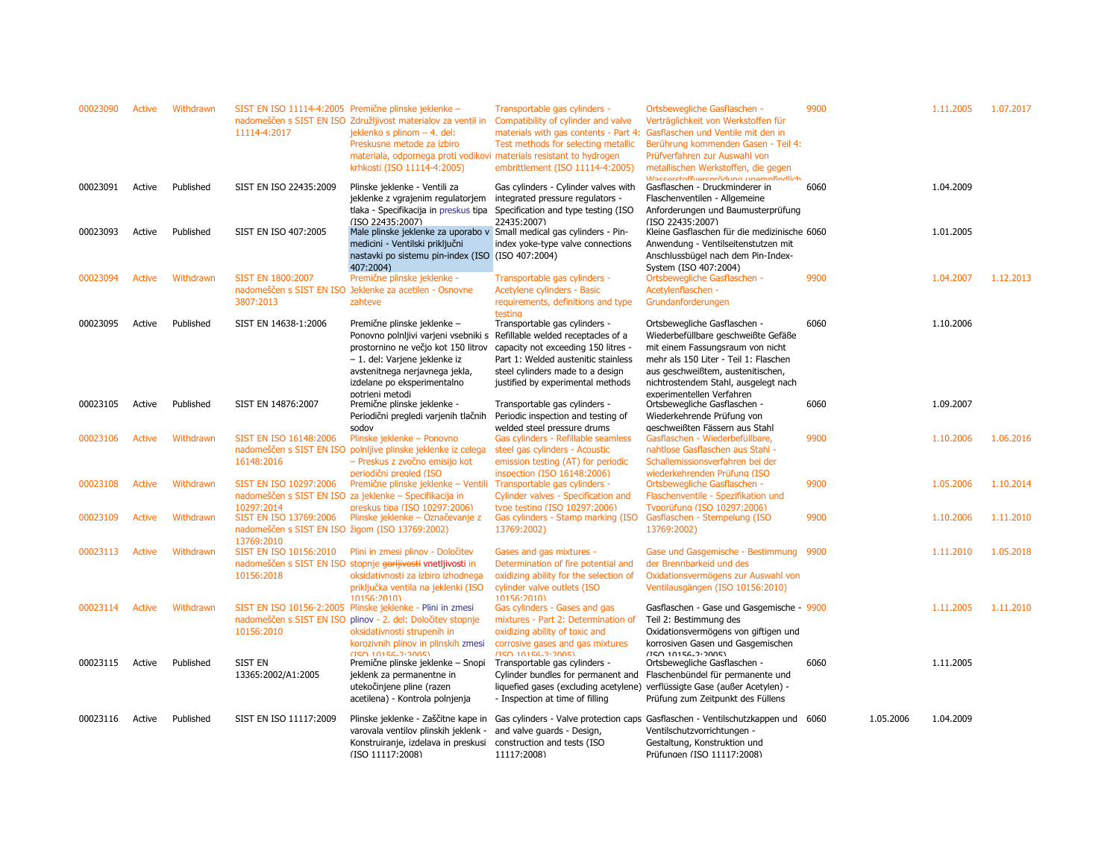| 00023090 | Active | Withdrawn | 11114-4:2017                                                              | SIST EN ISO 11114-4:2005 Premične plinske jeklenke -<br>nadomeščen s SIST EN ISO Združljivost materialov za ventil in<br>jeklenko s plinom - 4. del:<br>Preskusne metode za izbiro<br>materiala, odpornega proti vodikovi materials resistant to hydrogen<br>krhkosti (ISO 11114-4:2005) | Transportable gas cylinders -<br>Compatibility of cylinder and valve<br>materials with gas contents - Part 4:<br>Test methods for selecting metallic<br>embrittlement (ISO 11114-4:2005) | Ortsbewegliche Gasflaschen -<br>Verträglichkeit von Werkstoffen für<br>Gasflaschen und Ventile mit den in<br>Berührung kommenden Gasen - Teil 4:<br>Prüfverfahren zur Auswahl von<br>metallischen Werkstoffen, die gegen | 9900 |           | 1.11.2005 | 1.07.2017 |
|----------|--------|-----------|---------------------------------------------------------------------------|------------------------------------------------------------------------------------------------------------------------------------------------------------------------------------------------------------------------------------------------------------------------------------------|------------------------------------------------------------------------------------------------------------------------------------------------------------------------------------------|--------------------------------------------------------------------------------------------------------------------------------------------------------------------------------------------------------------------------|------|-----------|-----------|-----------|
| 00023091 | Active | Published | SIST EN ISO 22435:2009                                                    | Plinske jeklenke - Ventili za<br>jeklenke z vgrajenim regulatorjem<br>tlaka - Specifikacija in preskus tipa<br>(ISO 22435:2007)                                                                                                                                                          | Gas cylinders - Cylinder valves with<br>integrated pressure regulators -<br>Specification and type testing (ISO<br>22435:2007)                                                           | Waccordoffuorenrödung unomnfindlich<br>Gasflaschen - Druckminderer in<br>Flaschenventilen - Allgemeine<br>Anforderungen und Baumusterprüfung<br>(ISO 22435:2007)                                                         | 6060 |           | 1.04.2009 |           |
| 00023093 | Active | Published | SIST EN ISO 407:2005                                                      | Male plinske jeklenke za uporabo v Small medical gas cylinders - Pin-<br>medicini - Ventilski priključni<br>nastavki po sistemu pin-index (ISO (ISO 407:2004)<br>407:2004)                                                                                                               | index yoke-type valve connections                                                                                                                                                        | Kleine Gasflaschen für die medizinische 6060<br>Anwendung - Ventilseitenstutzen mit<br>Anschlussbügel nach dem Pin-Index-<br>System (ISO 407:2004)                                                                       |      |           | 1.01.2005 |           |
| 00023094 | Active | Withdrawn | <b>SIST EN 1800:2007</b>                                                  | Premične plinske jeklenke -                                                                                                                                                                                                                                                              | Transportable gas cylinders -                                                                                                                                                            | Ortsbewegliche Gasflaschen -                                                                                                                                                                                             | 9900 |           | 1.04.2007 | 1.12.2013 |
|          |        |           |                                                                           | nadomeščen s SIST EN ISO Jeklenke za acetilen - Osnovne                                                                                                                                                                                                                                  | Acetylene cylinders - Basic                                                                                                                                                              | Acetylenflaschen -                                                                                                                                                                                                       |      |           |           |           |
|          |        |           | 3807:2013                                                                 | zahteve                                                                                                                                                                                                                                                                                  | requirements, definitions and type<br>testina                                                                                                                                            | Grundanforderungen                                                                                                                                                                                                       |      |           |           |           |
| 00023095 | Active | Published | SIST EN 14638-1:2006                                                      | Premične plinske jeklenke -                                                                                                                                                                                                                                                              | Transportable gas cylinders -                                                                                                                                                            | Ortsbewegliche Gasflaschen -                                                                                                                                                                                             | 6060 |           | 1.10.2006 |           |
|          |        |           |                                                                           | Ponovno polnijivi varjeni vsebniki s Refillable welded receptacles of a<br>prostornino ne večjo kot 150 litrov                                                                                                                                                                           | capacity not exceeding 150 litres -                                                                                                                                                      | Wiederbefüllbare geschweißte Gefäße<br>mit einem Fassungsraum von nicht                                                                                                                                                  |      |           |           |           |
|          |        |           |                                                                           | - 1. del: Varjene jeklenke iz                                                                                                                                                                                                                                                            | Part 1: Welded austenitic stainless                                                                                                                                                      | mehr als 150 Liter - Teil 1: Flaschen                                                                                                                                                                                    |      |           |           |           |
|          |        |           |                                                                           | avstenitnega nerjavnega jekla,                                                                                                                                                                                                                                                           | steel cylinders made to a design                                                                                                                                                         | aus geschweißtem, austenitischen,                                                                                                                                                                                        |      |           |           |           |
|          |        |           |                                                                           | izdelane po eksperimentalno                                                                                                                                                                                                                                                              | justified by experimental methods                                                                                                                                                        | nichtrostendem Stahl, ausgelegt nach                                                                                                                                                                                     |      |           |           |           |
|          |        |           |                                                                           | notrieni metodi                                                                                                                                                                                                                                                                          |                                                                                                                                                                                          | experimentellen Verfahren                                                                                                                                                                                                |      |           |           |           |
| 00023105 | Active | Published | SIST EN 14876:2007                                                        | Premične plinske jeklenke -                                                                                                                                                                                                                                                              | Transportable gas cylinders -                                                                                                                                                            | Ortsbewegliche Gasflaschen -                                                                                                                                                                                             | 6060 |           | 1.09.2007 |           |
|          |        |           |                                                                           | Periodični pregledi varjenih tlačnih<br>sodov                                                                                                                                                                                                                                            | Periodic inspection and testing of<br>welded steel pressure drums                                                                                                                        | Wiederkehrende Prüfung von<br>geschweißten Fässern aus Stahl                                                                                                                                                             |      |           |           |           |
| 00023106 | Active | Withdrawn | SIST EN ISO 16148:2006                                                    | Plinske jeklenke – Ponovno                                                                                                                                                                                                                                                               | Gas cylinders - Refillable seamless                                                                                                                                                      | Gasflaschen - Wiederbefüllbare,                                                                                                                                                                                          | 9900 |           | 1.10.2006 | 1.06.2016 |
|          |        |           | nadomeščen s SIST EN ISO                                                  | polnijive plinske jeklenke iz celega                                                                                                                                                                                                                                                     | steel gas cylinders - Acoustic                                                                                                                                                           | nahtlose Gasflaschen aus Stahl -                                                                                                                                                                                         |      |           |           |           |
|          |        |           | 16148:2016                                                                | - Preskus z zvočno emisijo kot                                                                                                                                                                                                                                                           | emission testing (AT) for periodic                                                                                                                                                       | Schallemissionsverfahren bei der                                                                                                                                                                                         |      |           |           |           |
|          |        |           |                                                                           | periodični prealed (ISO                                                                                                                                                                                                                                                                  | inspection (ISO 16148:2006)                                                                                                                                                              | wiederkehrenden Prüfung (ISO                                                                                                                                                                                             |      |           |           |           |
| 00023108 | Active | Withdrawn | SIST EN ISO 10297:2006                                                    | Premične plinske jeklenke – Ventili                                                                                                                                                                                                                                                      | Transportable gas cylinders -                                                                                                                                                            | Ortsbewegliche Gasflaschen -                                                                                                                                                                                             | 9900 |           | 1.05.2006 | 1.10.2014 |
|          |        |           | 10297:2014                                                                | nadomeščen s SIST EN ISO za jeklenke - Specifikacija in                                                                                                                                                                                                                                  | Cylinder valves - Specification and                                                                                                                                                      | Flaschenventile - Spezifikation und                                                                                                                                                                                      |      |           |           |           |
| 00023109 | Active | Withdrawn | SIST EN ISO 13769:2006<br>nadomeščen s SIST EN ISO žigom (ISO 13769:2002) | preskus tipa (ISO 10297:2006)<br>Plinske jeklenke – Označevanje z                                                                                                                                                                                                                        | type testing (ISO 10297:2006)<br>Gas cylinders - Stamp marking (ISO<br>13769:2002)                                                                                                       | Tvpprüfung (ISO 10297:2006)<br>Gasflaschen - Stempelung (ISO<br>13769:2002)                                                                                                                                              | 9900 |           | 1.10.2006 | 1.11.2010 |
| 00023113 | Active | Withdrawn | 13769:2010<br>SIST EN ISO 10156:2010                                      | Plini in zmesi plinov - Določitev                                                                                                                                                                                                                                                        | Gases and gas mixtures -                                                                                                                                                                 | Gase und Gasgemische - Bestimmung 9900                                                                                                                                                                                   |      |           | 1.11.2010 | 1.05.2018 |
|          |        |           |                                                                           | nadomeščen s SIST EN ISO stopnje gorljivosti vnetljivosti in                                                                                                                                                                                                                             | Determination of fire potential and                                                                                                                                                      | der Brennbarkeid und des                                                                                                                                                                                                 |      |           |           |           |
|          |        |           | 10156:2018                                                                | oksidativnosti za izbiro izhodnega                                                                                                                                                                                                                                                       | oxidizing ability for the selection of                                                                                                                                                   | Oxidationsvermögens zur Auswahl von                                                                                                                                                                                      |      |           |           |           |
|          |        |           |                                                                           | priključka ventila na jeklenki (ISO                                                                                                                                                                                                                                                      | cylinder valve outlets (ISO                                                                                                                                                              | Ventilausgängen (ISO 10156:2010)                                                                                                                                                                                         |      |           |           |           |
|          |        |           |                                                                           | 10156:2010                                                                                                                                                                                                                                                                               | 10156:2010                                                                                                                                                                               |                                                                                                                                                                                                                          |      |           |           |           |
| 00023114 | Active | Withdrawn |                                                                           | SIST EN ISO 10156-2:2005 Plinske jeklenke - Plini in zmesi<br>nadomeščen s SIST EN ISO plinov - 2. del: Določitev stopnje                                                                                                                                                                | Gas cylinders - Gases and gas<br>mixtures - Part 2: Determination of                                                                                                                     | Gasflaschen - Gase und Gasgemische - 9900<br>Teil 2: Bestimmung des                                                                                                                                                      |      |           | 1.11.2005 | 1.11.2010 |
|          |        |           | 10156:2010                                                                | oksidativnosti strupenih in                                                                                                                                                                                                                                                              | oxidizing ability of toxic and                                                                                                                                                           | Oxidationsvermögens von giftigen und                                                                                                                                                                                     |      |           |           |           |
|          |        |           |                                                                           | korozivnih plinov in plinskih zmesi                                                                                                                                                                                                                                                      | corrosive gases and gas mixtures                                                                                                                                                         | korrosiven Gasen und Gasgemischen                                                                                                                                                                                        |      |           |           |           |
|          |        |           |                                                                           | $(150.10156.2)$ $(2005)$                                                                                                                                                                                                                                                                 | (150.10156, 2.2005)                                                                                                                                                                      | /TCO 10156-2-2005)                                                                                                                                                                                                       |      |           |           |           |
| 00023115 | Active | Published | <b>SIST EN</b>                                                            | Premične plinske jeklenke - Snopi                                                                                                                                                                                                                                                        | Transportable gas cylinders -                                                                                                                                                            | Ortsbewegliche Gasflaschen -                                                                                                                                                                                             | 6060 |           | 1.11.2005 |           |
|          |        |           | 13365:2002/A1:2005                                                        | jeklenk za permanentne in<br>utekočinjene pline (razen                                                                                                                                                                                                                                   | Cylinder bundles for permanent and<br>liquefied gases (excluding acetylene)                                                                                                              | Flaschenbündel für permanente und<br>verflüssigte Gase (außer Acetylen) -                                                                                                                                                |      |           |           |           |
|          |        |           |                                                                           | acetilena) - Kontrola polnjenja                                                                                                                                                                                                                                                          | - Inspection at time of filling                                                                                                                                                          | Prüfung zum Zeitpunkt des Füllens                                                                                                                                                                                        |      |           |           |           |
|          |        |           |                                                                           |                                                                                                                                                                                                                                                                                          |                                                                                                                                                                                          |                                                                                                                                                                                                                          |      |           |           |           |
| 00023116 | Active | Published | SIST EN ISO 11117:2009                                                    | Plinske jeklenke - Zaščitne kape in                                                                                                                                                                                                                                                      |                                                                                                                                                                                          | Gas cylinders - Valve protection caps Gasflaschen - Ventilschutzkappen und 6060                                                                                                                                          |      | 1.05.2006 | 1.04.2009 |           |
|          |        |           |                                                                           | varovala ventilov plinskih jeklenk -                                                                                                                                                                                                                                                     | and valve guards - Design,                                                                                                                                                               | Ventilschutzvorrichtungen -                                                                                                                                                                                              |      |           |           |           |
|          |        |           |                                                                           | Konstruiranje, izdelava in preskusi<br>(ISO 11117:2008)                                                                                                                                                                                                                                  | construction and tests (ISO<br>11117:2008)                                                                                                                                               | Gestaltung, Konstruktion und<br>Prüfungen (ISO 11117:2008)                                                                                                                                                               |      |           |           |           |
|          |        |           |                                                                           |                                                                                                                                                                                                                                                                                          |                                                                                                                                                                                          |                                                                                                                                                                                                                          |      |           |           |           |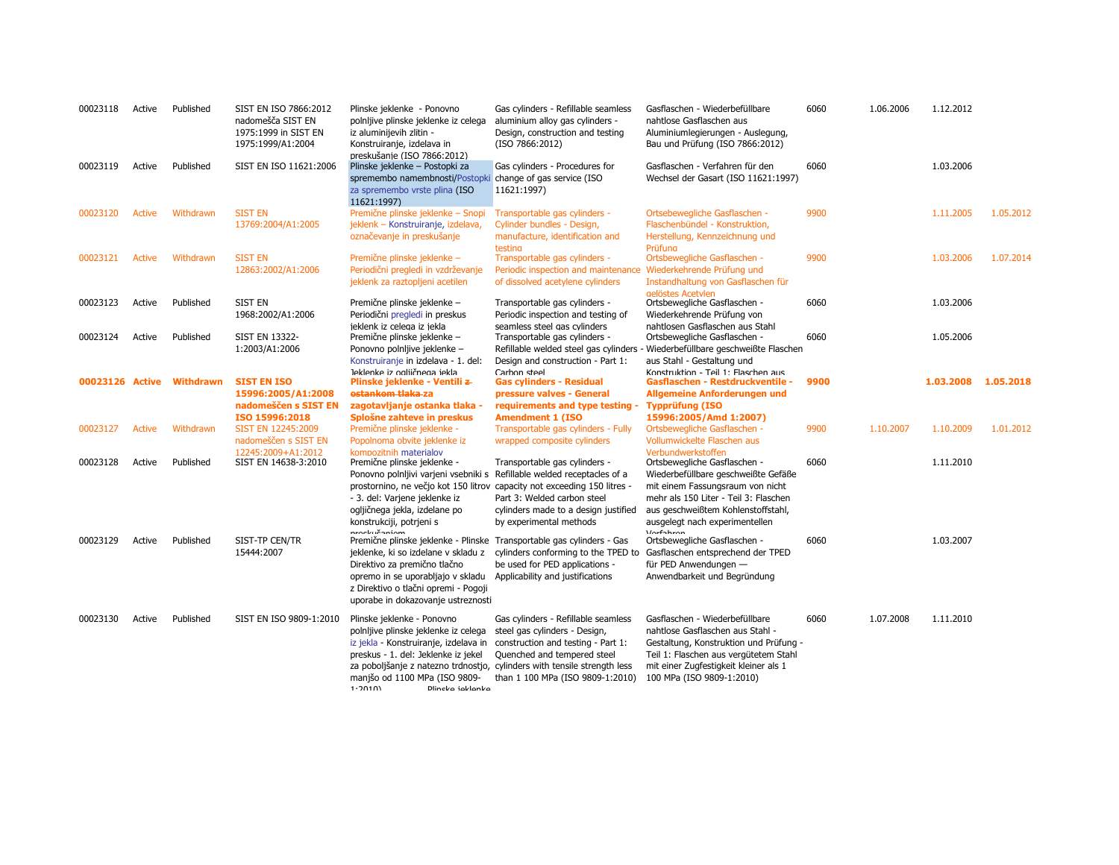| 00023118 | Active        | Published                 | SIST EN ISO 7866:2012<br>nadomešča SIST EN<br>1975:1999 in SIST EN<br>1975:1999/A1:2004 | Plinske jeklenke - Ponovno<br>polnljive plinske jeklenke iz celega<br>iz aluminijevih zlitin -<br>Konstruiranje, izdelava in<br>preskušanie (ISO 7866:2012)                                                                                                     | Gas cylinders - Refillable seamless<br>aluminium alloy gas cylinders -<br>Design, construction and testing<br>(ISO 7866:2012)                                                                                                                             | Gasflaschen - Wiederbefüllbare<br>nahtlose Gasflaschen aus<br>Aluminiumlegierungen - Auslegung,<br>Bau und Prüfung (ISO 7866:2012)                                                                                          | 6060 | 1.06.2006 | 1.12.2012           |           |
|----------|---------------|---------------------------|-----------------------------------------------------------------------------------------|-----------------------------------------------------------------------------------------------------------------------------------------------------------------------------------------------------------------------------------------------------------------|-----------------------------------------------------------------------------------------------------------------------------------------------------------------------------------------------------------------------------------------------------------|-----------------------------------------------------------------------------------------------------------------------------------------------------------------------------------------------------------------------------|------|-----------|---------------------|-----------|
| 00023119 | Active        | Published                 | SIST EN ISO 11621:2006                                                                  | Plinske jeklenke - Postopki za<br>spremembo namembnosti/Postopki change of gas service (ISO<br>za spremembo vrste plina (ISO<br>11621:1997)                                                                                                                     | Gas cylinders - Procedures for<br>11621:1997)                                                                                                                                                                                                             | Gasflaschen - Verfahren für den<br>Wechsel der Gasart (ISO 11621:1997)                                                                                                                                                      | 6060 |           | 1.03.2006           |           |
| 00023120 | <b>Active</b> | Withdrawn                 | <b>SIST EN</b><br>13769:2004/A1:2005                                                    | Premične plinske jeklenke - Snopi<br>jeklenk – Konstruiranje, izdelava,                                                                                                                                                                                         | Transportable gas cylinders -<br>Cylinder bundles - Design,                                                                                                                                                                                               | Ortsebewegliche Gasflaschen -<br>Flaschenbündel - Konstruktion,                                                                                                                                                             | 9900 |           | 1.11.2005           | 1.05.2012 |
|          |               |                           |                                                                                         | označevanje in preskušanje                                                                                                                                                                                                                                      | manufacture, identification and<br>testing                                                                                                                                                                                                                | Herstellung, Kennzeichnung und<br>Priifiina                                                                                                                                                                                 |      |           |                     |           |
| 00023121 | <b>Active</b> | Withdrawn                 | <b>SIST EN</b><br>12863:2002/A1:2006                                                    | Premične plinske jeklenke -<br>Periodični pregledi in vzdrževanje                                                                                                                                                                                               | Transportable gas cylinders -<br>Periodic inspection and maintenance                                                                                                                                                                                      | Ortsbewegliche Gasflaschen -<br>Wiederkehrende Prüfung und                                                                                                                                                                  | 9900 |           | 1.03.2006           | 1.07.2014 |
| 00023123 | Active        | Published                 | SIST EN                                                                                 | jeklenk za raztopljeni acetilen<br>Premične plinske jeklenke -                                                                                                                                                                                                  | of dissolved acetylene cylinders<br>Transportable gas cylinders -                                                                                                                                                                                         | Instandhaltung von Gasflaschen für<br>gelöstes Acetylen<br>Ortsbewegliche Gasflaschen -                                                                                                                                     | 6060 |           | 1.03.2006           |           |
|          |               |                           | 1968:2002/A1:2006                                                                       | Periodični pregledi in preskus<br>jeklenk iz celega iz jekla                                                                                                                                                                                                    | Periodic inspection and testing of<br>seamless steel gas cylinders                                                                                                                                                                                        | Wiederkehrende Prüfung von<br>nahtlosen Gasflaschen aus Stahl                                                                                                                                                               |      |           |                     |           |
| 00023124 | Active        | Published                 | <b>SIST EN 13322-</b><br>1:2003/A1:2006                                                 | Premične plinske jeklenke -<br>Ponovno polnljive jeklenke -<br>Konstruiranje in izdelava - 1. del:                                                                                                                                                              | Transportable gas cylinders -<br>Refillable welded steel gas cylinders<br>Design and construction - Part 1:                                                                                                                                               | Ortsbewegliche Gasflaschen -<br>Wiederbefüllbare geschweißte Flaschen<br>aus Stahl - Gestaltung und                                                                                                                         | 6060 |           | 1.05.2006           |           |
|          |               | 00023126 Active Withdrawn | <b>SIST EN ISO</b><br>15996:2005/A1:2008                                                | Jeklenke iz ogliičnega jekla<br>Plinske jeklenke - Ventili z-<br><del>ostankom tlaka</del> -za                                                                                                                                                                  | Carbon steel<br><b>Gas cylinders - Residual</b><br>pressure valves - General                                                                                                                                                                              | Konstruktion - Teil 1: Flaschen aus<br>Gasflaschen - Restdruckventile -<br>Allgemeine Anforderungen und                                                                                                                     | 9900 |           | 1.03.2008 1.05.2018 |           |
|          |               |                           | nadomeščen s SIST EN<br>ISO 15996:2018                                                  | zagotavljanje ostanka tlaka -<br>Splošne zahteve in preskus                                                                                                                                                                                                     | requirements and type testing -<br><b>Amendment 1 (ISO</b>                                                                                                                                                                                                | <b>Typprüfung (ISO</b><br>15996:2005/Amd 1:2007)                                                                                                                                                                            |      |           |                     |           |
| 00023127 | <b>Active</b> | Withdrawn                 | SIST EN 12245:2009<br>nadomeščen s SIST EN                                              | Premične plinske jeklenke -<br>Popolnoma obvite jeklenke iz                                                                                                                                                                                                     | Transportable gas cylinders - Fully<br>wrapped composite cylinders                                                                                                                                                                                        | Ortsbewegliche Gasflaschen -<br>Vollumwickelte Flaschen aus                                                                                                                                                                 | 9900 | 1.10.2007 | 1.10.2009           | 1.01.2012 |
| 00023128 | Active        | Published                 | 12245:2009+A1:2012<br>SIST EN 14638-3:2010                                              | kompozitnih materialov<br>Premične plinske jeklenke -<br>Ponovno polnijivi varjeni vsebniki s Refillable welded receptacles of a                                                                                                                                | Transportable gas cylinders -<br>prostornino, ne večjo kot 150 litrov capacity not exceeding 150 litres -                                                                                                                                                 | Verbundwerkstoffen<br>Ortsbewegliche Gasflaschen -<br>Wiederbefüllbare geschweißte Gefäße<br>mit einem Fassungsraum von nicht                                                                                               | 6060 |           | 1.11.2010           |           |
|          |               |                           |                                                                                         | - 3. del: Varjene jeklenke iz<br>ogljičnega jekla, izdelane po                                                                                                                                                                                                  | Part 3: Welded carbon steel<br>cylinders made to a design justified                                                                                                                                                                                       | mehr als 150 Liter - Teil 3: Flaschen<br>aus geschweißtem Kohlenstoffstahl,                                                                                                                                                 |      |           |                     |           |
| 00023129 | Active        | Published                 | SIST-TP CEN/TR                                                                          | konstrukciji, potrjeni s<br>nrockušaniam                                                                                                                                                                                                                        | by experimental methods                                                                                                                                                                                                                                   | ausgelegt nach experimentellen<br><i><b>Morfohron</b></i>                                                                                                                                                                   | 6060 |           | 1.03.2007           |           |
|          |               |                           | 15444:2007                                                                              | Premične plinske jeklenke - Plinske Transportable gas cylinders - Gas<br>jeklenke, ki so izdelane v skladu z<br>Direktivo za premično tlačno<br>opremo in se uporabljajo v skladu<br>z Direktivo o tlačni opremi - Pogoji<br>uporabe in dokazovanje ustreznosti | cylinders conforming to the TPED to<br>be used for PED applications -<br>Applicability and justifications                                                                                                                                                 | Ortsbewegliche Gasflaschen -<br>Gasflaschen entsprechend der TPED<br>für PED Anwendungen -<br>Anwendbarkeit und Begründung                                                                                                  |      |           |                     |           |
| 00023130 | Active        | Published                 | SIST EN ISO 9809-1:2010                                                                 | Plinske jeklenke - Ponovno<br>polnljive plinske jeklenke iz celega<br>iz jekla - Konstruiranje, izdelava in<br>preskus - 1. del: Jeklenke iz jekel<br>manjšo od 1100 MPa (ISO 9809-<br>1.20101<br>Dlineko ioklanko                                              | Gas cylinders - Refillable seamless<br>steel gas cylinders - Design,<br>construction and testing - Part 1:<br>Quenched and tempered steel<br>za poboljšanje z natezno trdnostjo, cylinders with tensile strength less<br>than 1 100 MPa (ISO 9809-1:2010) | Gasflaschen - Wiederbefüllbare<br>nahtlose Gasflaschen aus Stahl -<br>Gestaltung, Konstruktion und Prüfung -<br>Teil 1: Flaschen aus vergütetem Stahl<br>mit einer Zugfestigkeit kleiner als 1<br>100 MPa (ISO 9809-1:2010) | 6060 | 1.07.2008 | 1.11.2010           |           |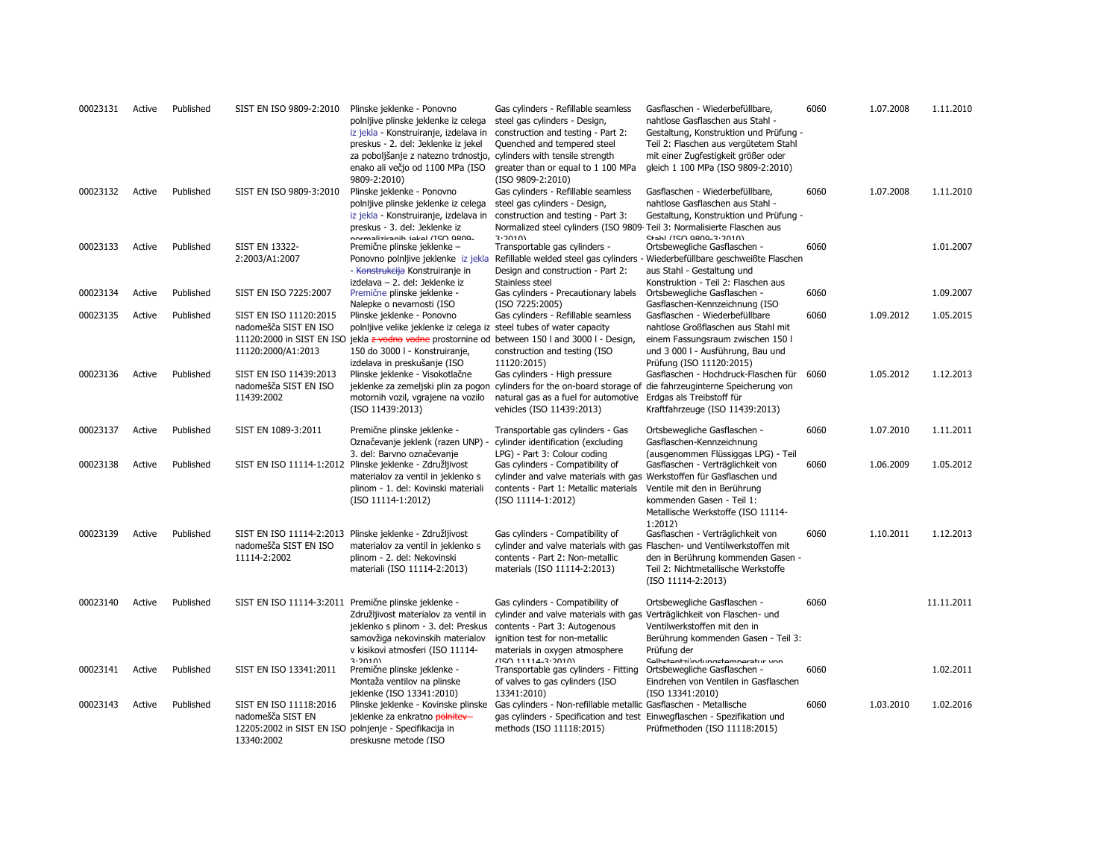| 00023131 | Active | Published | SIST EN ISO 9809-2:2010                                                                                             | Plinske jeklenke - Ponovno<br>polnijive plinske jeklenke iz celega<br>iz jekla - Konstruiranje, izdelava in<br>preskus - 2. del: Jeklenke iz jekel<br>za poboljšanje z natezno trdnostjo,<br>enako ali večjo od 1100 MPa (ISO<br>9809-2:2010) | Gas cylinders - Refillable seamless<br>steel gas cylinders - Design,<br>construction and testing - Part 2:<br>Quenched and tempered steel<br>cylinders with tensile strength<br>greater than or equal to 1 100 MPa<br>(ISO 9809-2:2010) | Gasflaschen - Wiederbefüllbare,<br>nahtlose Gasflaschen aus Stahl -<br>Gestaltung, Konstruktion und Prüfung -<br>Teil 2: Flaschen aus vergütetem Stahl<br>mit einer Zugfestigkeit größer oder<br>gleich 1 100 MPa (ISO 9809-2:2010) | 6060 | 1.07.2008 | 1.11.2010  |
|----------|--------|-----------|---------------------------------------------------------------------------------------------------------------------|-----------------------------------------------------------------------------------------------------------------------------------------------------------------------------------------------------------------------------------------------|-----------------------------------------------------------------------------------------------------------------------------------------------------------------------------------------------------------------------------------------|-------------------------------------------------------------------------------------------------------------------------------------------------------------------------------------------------------------------------------------|------|-----------|------------|
| 00023132 | Active | Published | SIST EN ISO 9809-3:2010                                                                                             | Plinske jeklenke - Ponovno<br>polnijive plinske jeklenke iz celega<br>iz jekla - Konstruiranje, izdelava in                                                                                                                                   | Gas cylinders - Refillable seamless<br>steel gas cylinders - Design,<br>construction and testing - Part 3:                                                                                                                              | Gasflaschen - Wiederbefüllbare,<br>nahtlose Gasflaschen aus Stahl -<br>Gestaltung, Konstruktion und Prüfung -                                                                                                                       | 6060 | 1.07.2008 | 1.11.2010  |
| 00023133 | Active | Published | <b>SIST EN 13322-</b><br>2:2003/A1:2007                                                                             | preskus - 3. del: Jeklenke iz<br>normaliziranih iekel (ISO 9809-<br>Premične plinske jeklenke -<br>Ponovno polnijive jeklenke iz jekla<br>- Konstrukcija Konstruiranje in                                                                     | Normalized steel cylinders (ISO 9809 Teil 3: Normalisierte Flaschen aus<br>3.2010<br>Transportable gas cylinders -<br>Design and construction - Part 2:                                                                                 | Stahl /TSO 0800-3-2010)<br>Ortsbewegliche Gasflaschen -<br>Refillable welded steel gas cylinders - Wiederbefüllbare geschweißte Flaschen<br>aus Stahl - Gestaltung und                                                              | 6060 |           | 1.01.2007  |
| 00023134 | Active | Published | SIST EN ISO 7225:2007                                                                                               | izdelava - 2. del: Jeklenke iz<br>Premične plinske jeklenke -                                                                                                                                                                                 | Stainless steel<br>Gas cylinders - Precautionary labels                                                                                                                                                                                 | Konstruktion - Teil 2: Flaschen aus<br>Ortsbewegliche Gasflaschen -                                                                                                                                                                 | 6060 |           | 1.09.2007  |
| 00023135 | Active | Published | SIST EN ISO 11120:2015                                                                                              | Nalepke o nevarnosti (ISO<br>Plinske jeklenke - Ponovno                                                                                                                                                                                       | (ISO 7225:2005)<br>Gas cylinders - Refillable seamless                                                                                                                                                                                  | Gasflaschen-Kennzeichnung (ISO<br>Gasflaschen - Wiederbefüllbare                                                                                                                                                                    | 6060 | 1.09.2012 | 1.05.2015  |
|          |        |           | nadomešča SIST EN ISO<br>11120:2000/A1:2013                                                                         | polnljive velike jeklenke iz celega iz steel tubes of water capacity<br>150 do 3000 l - Konstruiranje,<br>izdelava in preskušanje (ISO                                                                                                        | 11120:2000 in SIST EN ISO jekla z vodno vodne prostornine od between 150 l and 3000 l - Design,<br>construction and testing (ISO<br>11120:2015)                                                                                         | nahtlose Großflaschen aus Stahl mit<br>einem Fassungsraum zwischen 150 l<br>und 3 000 l - Ausführung, Bau und<br>Prüfung (ISO 11120:2015)                                                                                           |      |           |            |
| 00023136 | Active | Published | SIST EN ISO 11439:2013<br>nadomešča SIST EN ISO<br>11439:2002                                                       | Plinske jeklenke - Visokotlačne<br>motornih vozil, vgrajene na vozilo<br>(ISO 11439:2013)                                                                                                                                                     | Gas cylinders - High pressure<br>natural gas as a fuel for automotive Erdgas als Treibstoff für<br>vehicles (ISO 11439:2013)                                                                                                            | Gasflaschen - Hochdruck-Flaschen für<br>jeklenke za zemeljski plin za pogon cylinders for the on-board storage of die fahrzeuginterne Speicherung von<br>Kraftfahrzeuge (ISO 11439:2013)                                            | 6060 | 1.05.2012 | 1.12.2013  |
| 00023137 | Active | Published | SIST EN 1089-3:2011                                                                                                 | Premične plinske jeklenke -<br>Označevanje jeklenk (razen UNP) -<br>3. del: Barvno označevanje                                                                                                                                                | Transportable gas cylinders - Gas<br>cylinder identification (excluding<br>LPG) - Part 3: Colour coding                                                                                                                                 | Ortsbewegliche Gasflaschen -<br>Gasflaschen-Kennzeichnung<br>(ausgenommen Flüssiggas LPG) - Teil                                                                                                                                    | 6060 | 1.07.2010 | 1.11.2011  |
| 00023138 | Active | Published |                                                                                                                     | SIST EN ISO 11114-1:2012 Plinske jeklenke - Združljivost<br>materialov za ventil in jeklenko s<br>plinom - 1. del: Kovinski materiali<br>(ISO 11114-1:2012)                                                                                   | Gas cylinders - Compatibility of<br>cylinder and valve materials with gas Werkstoffen für Gasflaschen und<br>contents - Part 1: Metallic materials<br>$(ISO 11114-1:2012)$                                                              | Gasflaschen - Verträglichkeit von<br>Ventile mit den in Berührung<br>kommenden Gasen - Teil 1:<br>Metallische Werkstoffe (ISO 11114-<br>1:2012                                                                                      | 6060 | 1.06.2009 | 1.05.2012  |
| 00023139 | Active | Published | nadomešča SIST EN ISO<br>11114-2:2002                                                                               | SIST EN ISO 11114-2:2013 Plinske jeklenke - Združljivost<br>materialov za ventil in jeklenko s<br>plinom - 2. del: Nekovinski<br>materiali (ISO 11114-2:2013)                                                                                 | Gas cylinders - Compatibility of<br>cylinder and valve materials with gas Flaschen- und Ventilwerkstoffen mit<br>contents - Part 2: Non-metallic<br>materials (ISO 11114-2:2013)                                                        | Gasflaschen - Verträglichkeit von<br>den in Berührung kommenden Gasen -<br>Teil 2: Nichtmetallische Werkstoffe<br>(ISO 11114-2:2013)                                                                                                | 6060 | 1.10.2011 | 1.12.2013  |
| 00023140 | Active | Published |                                                                                                                     | SIST EN ISO 11114-3:2011 Premične plinske jeklenke -<br>Združljivost materialov za ventil in<br>jeklenko s plinom - 3. del: Preskus<br>samovžiga nekovinskih materialov<br>v kisikovi atmosferi (ISO 11114-<br>3.20101                        | Gas cylinders - Compatibility of<br>cylinder and valve materials with gas Verträglichkeit von Flaschen- und<br>contents - Part 3: Autogenous<br>ignition test for non-metallic<br>materials in oxygen atmosphere<br>(150.11114.3.2010)  | Ortsbewegliche Gasflaschen -<br>Ventilwerkstoffen mit den in<br>Berührung kommenden Gasen - Teil 3:<br>Prüfung der<br>Salhetantzi'indunnetamnaratur von                                                                             | 6060 |           | 11.11.2011 |
| 00023141 | Active | Published | SIST EN ISO 13341:2011                                                                                              | Premične plinske jeklenke -<br>Montaža ventilov na plinske<br>jeklenke (ISO 13341:2010)                                                                                                                                                       | Transportable gas cylinders - Fitting<br>of valves to gas cylinders (ISO<br>13341:2010)                                                                                                                                                 | Ortsbewegliche Gasflaschen -<br>Eindrehen von Ventilen in Gasflaschen<br>(ISO 13341:2010)                                                                                                                                           | 6060 |           | 1.02.2011  |
| 00023143 | Active | Published | SIST EN ISO 11118:2016<br>nadomešča SIST EN<br>12205:2002 in SIST EN ISO polnjenje - Specifikacija in<br>13340:2002 | Plinske jeklenke - Kovinske plinske<br>jeklenke za enkratno polnitev<br>preskusne metode (ISO                                                                                                                                                 | Gas cylinders - Non-refillable metallic Gasflaschen - Metallische<br>gas cylinders - Specification and test Einwegflaschen - Spezifikation und<br>methods (ISO 11118:2015)                                                              | Prüfmethoden (ISO 11118:2015)                                                                                                                                                                                                       | 6060 | 1.03.2010 | 1.02.2016  |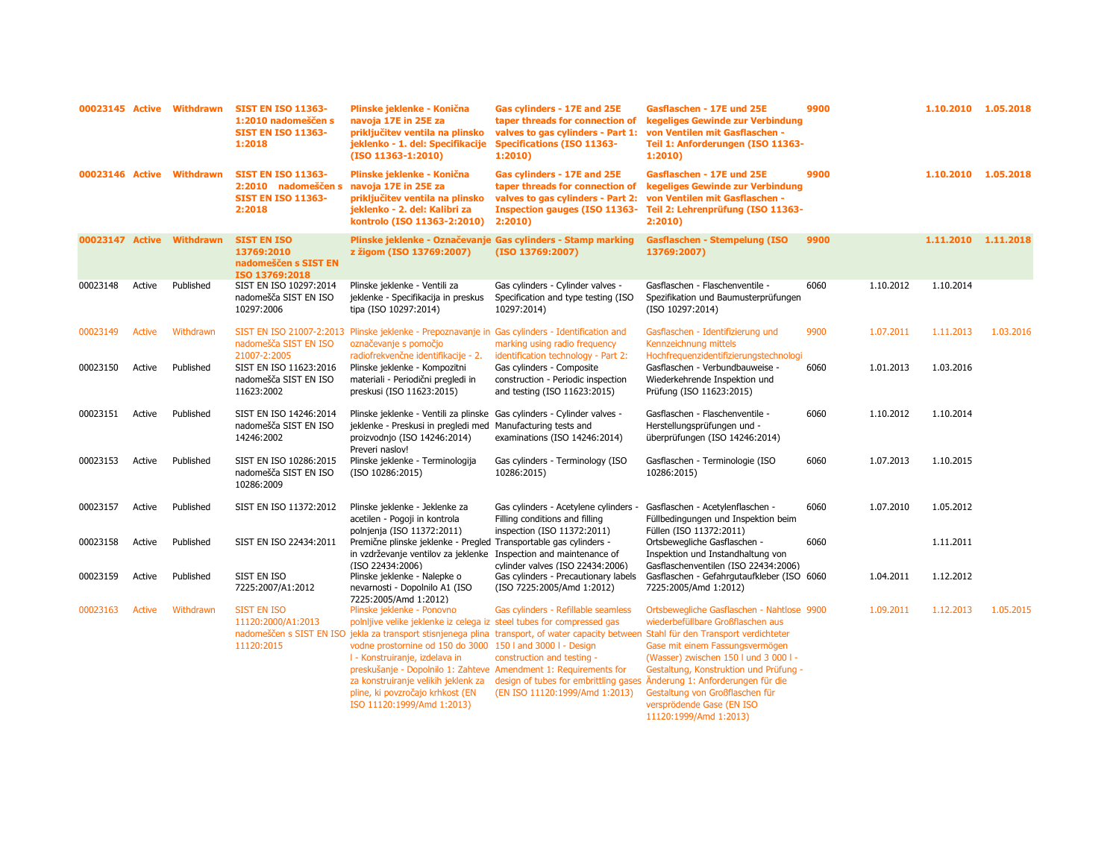|                 |        | 00023145 Active Withdrawn | <b>SIST EN ISO 11363-</b><br>1:2010 nadomeščen s<br><b>SIST EN ISO 11363-</b><br>1:2018 | Plinske jeklenke - Konična<br>navoja 17E in 25E za<br>priključitev ventila na plinsko<br>jeklenko - 1. del: Specifikacije<br>(ISO 11363-1:2010)                                                                                                                                                                                                                                  | Gas cylinders - 17E and 25E<br>taper threads for connection of<br>valves to gas cylinders - Part 1:<br><b>Specifications (ISO 11363-</b><br>1:2010                                                                                                                                      | Gasflaschen - 17E und 25E<br>kegeliges Gewinde zur Verbindung<br>von Ventilen mit Gasflaschen -<br>Teil 1: Anforderungen (ISO 11363-<br>1:2010                                                                                                                                                                                       | 9900 |           | 1.10.2010 1.05.2018 |           |
|-----------------|--------|---------------------------|-----------------------------------------------------------------------------------------|----------------------------------------------------------------------------------------------------------------------------------------------------------------------------------------------------------------------------------------------------------------------------------------------------------------------------------------------------------------------------------|-----------------------------------------------------------------------------------------------------------------------------------------------------------------------------------------------------------------------------------------------------------------------------------------|--------------------------------------------------------------------------------------------------------------------------------------------------------------------------------------------------------------------------------------------------------------------------------------------------------------------------------------|------|-----------|---------------------|-----------|
| 00023146 Active |        | Withdrawn                 | <b>SIST EN ISO 11363-</b><br>2:2010 nadomeščen s<br><b>SIST EN ISO 11363-</b><br>2:2018 | Plinske jeklenke - Konična<br>navoja 17E in 25E za<br>priključitev ventila na plinsko<br>jeklenko - 2. del: Kalibri za<br>kontrolo (ISO 11363-2:2010)                                                                                                                                                                                                                            | Gas cylinders - 17E and 25E<br>taper threads for connection of<br>valves to gas cylinders - Part 2:<br><b>Inspection gauges (ISO 11363-</b><br>2:2010                                                                                                                                   | Gasflaschen - 17E und 25E<br>kegeliges Gewinde zur Verbindung<br>von Ventilen mit Gasflaschen -<br>Teil 2: Lehrenprüfung (ISO 11363-<br>2:2010                                                                                                                                                                                       | 9900 |           | 1.10.2010 1.05.2018 |           |
| 00023147 Active |        | <b>Withdrawn</b>          | <b>SIST EN ISO</b><br>13769:2010<br>nadomeščen s SIST EN<br>ISO 13769:2018              | z žigom (ISO 13769:2007)                                                                                                                                                                                                                                                                                                                                                         | Plinske jeklenke - Označevanje Gas cylinders - Stamp marking<br>(ISO 13769:2007)                                                                                                                                                                                                        | <b>Gasflaschen - Stempelung (ISO</b><br>13769:2007)                                                                                                                                                                                                                                                                                  | 9900 |           | 1.11.2010           | 1.11.2018 |
| 00023148        | Active | Published                 | SIST EN ISO 10297:2014<br>nadomešča SIST EN ISO<br>10297:2006                           | Plinske jeklenke - Ventili za<br>jeklenke - Specifikacija in preskus<br>tipa (ISO 10297:2014)                                                                                                                                                                                                                                                                                    | Gas cylinders - Cylinder valves -<br>Specification and type testing (ISO<br>10297:2014)                                                                                                                                                                                                 | Gasflaschen - Flaschenventile -<br>Spezifikation und Baumusterprüfungen<br>(ISO 10297:2014)                                                                                                                                                                                                                                          | 6060 | 1.10.2012 | 1.10.2014           |           |
| 00023149        | Active | Withdrawn                 | nadomešča SIST EN ISO<br>21007-2:2005                                                   | SIST EN ISO 21007-2:2013 Plinske jeklenke - Prepoznavanje in<br>označevanje s pomočjo<br>radiofrekvenčne identifikacije - 2.                                                                                                                                                                                                                                                     | Gas cylinders - Identification and<br>marking using radio frequency<br>identification technology - Part 2:                                                                                                                                                                              | Gasflaschen - Identifizierung und<br>Kennzeichnung mittels<br>Hochfrequenzidentifizierungstechnologi                                                                                                                                                                                                                                 | 9900 | 1.07.2011 | 1.11.2013           | 1.03.2016 |
| 00023150        | Active | Published                 | SIST EN ISO 11623:2016<br>nadomešča SIST EN ISO<br>11623:2002                           | Plinske jeklenke - Kompozitni<br>materiali - Periodični pregledi in<br>preskusi (ISO 11623:2015)                                                                                                                                                                                                                                                                                 | Gas cylinders - Composite<br>construction - Periodic inspection<br>and testing (ISO 11623:2015)                                                                                                                                                                                         | Gasflaschen - Verbundbauweise -<br>Wiederkehrende Inspektion und<br>Prüfung (ISO 11623:2015)                                                                                                                                                                                                                                         | 6060 | 1.01.2013 | 1.03.2016           |           |
| 00023151        | Active | Published                 | SIST EN ISO 14246:2014<br>nadomešča SIST EN ISO<br>14246:2002                           | Plinske jeklenke - Ventili za plinske<br>jeklenke - Preskusi in pregledi med<br>proizvodnjo (ISO 14246:2014)<br>Preveri naslov!                                                                                                                                                                                                                                                  | Gas cylinders - Cylinder valves -<br>Manufacturing tests and<br>examinations (ISO 14246:2014)                                                                                                                                                                                           | Gasflaschen - Flaschenventile -<br>Herstellungsprüfungen und -<br>überprüfungen (ISO 14246:2014)                                                                                                                                                                                                                                     | 6060 | 1.10.2012 | 1.10.2014           |           |
| 00023153        | Active | Published                 | SIST EN ISO 10286:2015<br>nadomešča SIST EN ISO<br>10286:2009                           | Plinske jeklenke - Terminologija<br>(ISO 10286:2015)                                                                                                                                                                                                                                                                                                                             | Gas cylinders - Terminology (ISO<br>10286:2015)                                                                                                                                                                                                                                         | Gasflaschen - Terminologie (ISO<br>10286:2015)                                                                                                                                                                                                                                                                                       | 6060 | 1.07.2013 | 1.10.2015           |           |
| 00023157        | Active | Published                 | SIST EN ISO 11372:2012                                                                  | Plinske jeklenke - Jeklenke za<br>acetilen - Pogoji in kontrola<br>polnjenja (ISO 11372:2011)                                                                                                                                                                                                                                                                                    | Gas cylinders - Acetylene cylinders -<br>Filling conditions and filling<br>inspection (ISO 11372:2011)                                                                                                                                                                                  | Gasflaschen - Acetylenflaschen -<br>Füllbedingungen und Inspektion beim<br>Füllen (ISO 11372:2011)                                                                                                                                                                                                                                   | 6060 | 1.07.2010 | 1.05.2012           |           |
| 00023158        | Active | Published                 | SIST EN ISO 22434:2011                                                                  | Premične plinske jeklenke - Pregled Transportable gas cylinders -<br>in vzdrževanje ventilov za jeklenke<br>(ISO 22434:2006)                                                                                                                                                                                                                                                     | Inspection and maintenance of<br>cylinder valves (ISO 22434:2006)                                                                                                                                                                                                                       | Ortsbewegliche Gasflaschen -<br>Inspektion und Instandhaltung von<br>Gasflaschenventilen (ISO 22434:2006)                                                                                                                                                                                                                            | 6060 |           | 1.11.2011           |           |
| 00023159        | Active | Published                 | SIST EN ISO<br>7225:2007/A1:2012                                                        | Plinske jeklenke - Nalepke o<br>nevarnosti - Dopolnilo A1 (ISO<br>7225:2005/Amd 1:2012)                                                                                                                                                                                                                                                                                          | Gas cylinders - Precautionary labels<br>(ISO 7225:2005/Amd 1:2012)                                                                                                                                                                                                                      | Gasflaschen - Gefahrgutaufkleber (ISO 6060<br>7225:2005/Amd 1:2012)                                                                                                                                                                                                                                                                  |      | 1.04.2011 | 1.12.2012           |           |
| 00023163        | Active | Withdrawn                 | SIST EN ISO<br>11120:2000/A1:2013<br>11120:2015                                         | Plinske jeklenke - Ponovno<br>polnljive velike jeklenke iz celega iz steel tubes for compressed gas<br>vodne prostornine od 150 do 3000 150 l and 3000 l - Design<br>I - Konstruiranje, izdelava in<br>preskušanje - Dopolnilo 1: Zahteve Amendment 1: Requirements for<br>za konstruiranje velikih jeklenk za<br>pline, ki povzročajo krhkost (EN<br>ISO 11120:1999/Amd 1:2013) | Gas cylinders - Refillable seamless<br>nadomeščen s SIST EN ISO jekla za transport stisnjenega plina transport, of water capacity between Stahl für den Transport verdichteter<br>construction and testing -<br>design of tubes for embrittling gases<br>(EN ISO 11120:1999/Amd 1:2013) | Ortsbewegliche Gasflaschen - Nahtlose 9900<br>wiederbefüllbare Großflaschen aus<br>Gase mit einem Fassungsvermögen<br>(Wasser) zwischen 150 l und 3 000 l -<br>Gestaltung, Konstruktion und Prüfung -<br>Änderung 1: Anforderungen für die<br>Gestaltung von Großflaschen für<br>versprödende Gase (EN ISO<br>11120:1999/Amd 1:2013) |      | 1.09.2011 | 1.12.2013           | 1.05.2015 |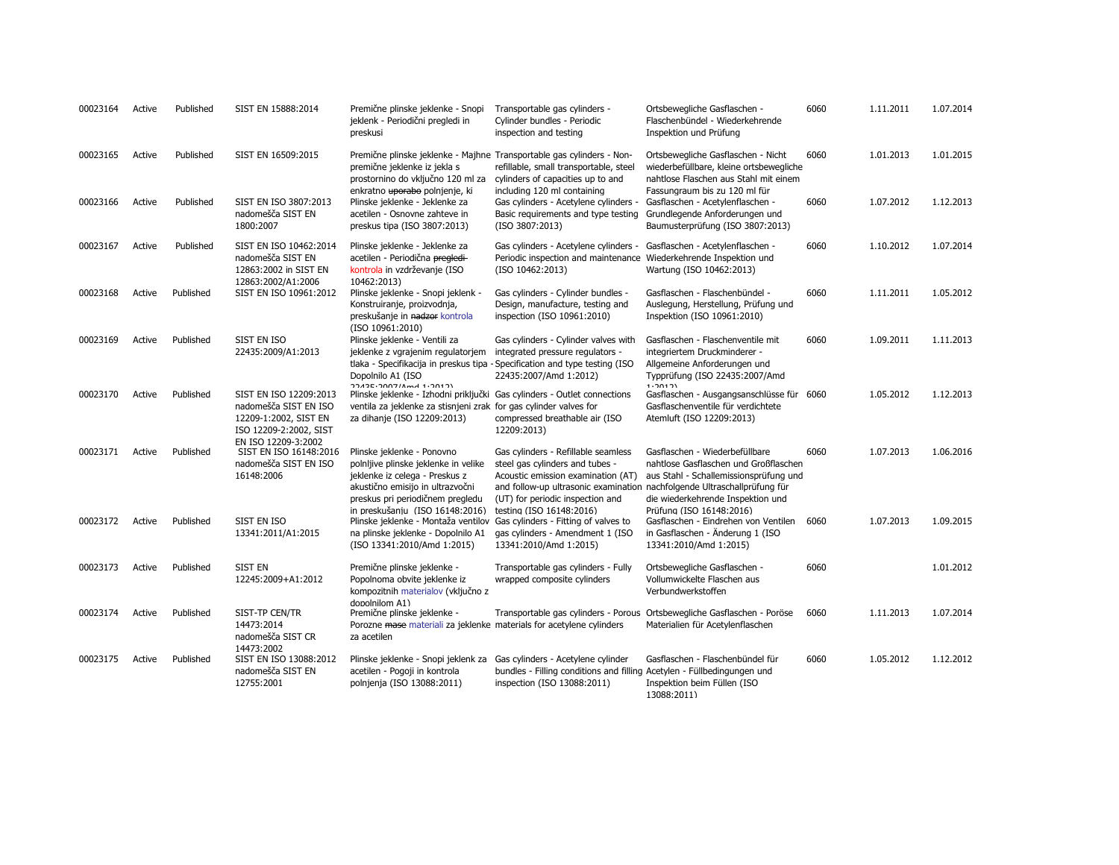| 00023164 | Active | Published | SIST EN 15888:2014                                                                                                        | Premične plinske jeklenke - Snopi<br>jeklenk - Periodični pregledi in<br>preskusi                                                                                                                | Transportable gas cylinders -<br>Cylinder bundles - Periodic<br>inspection and testing                                                                                                                                       | Ortsbewegliche Gasflaschen -<br>Flaschenbündel - Wiederkehrende<br>Inspektion und Prüfung                                                               | 6060 | 1.11.2011 | 1.07.2014 |
|----------|--------|-----------|---------------------------------------------------------------------------------------------------------------------------|--------------------------------------------------------------------------------------------------------------------------------------------------------------------------------------------------|------------------------------------------------------------------------------------------------------------------------------------------------------------------------------------------------------------------------------|---------------------------------------------------------------------------------------------------------------------------------------------------------|------|-----------|-----------|
| 00023165 | Active | Published | SIST EN 16509:2015                                                                                                        | Premične plinske jeklenke - Majhne Transportable gas cylinders - Non-<br>premične jeklenke iz jekla s<br>prostornino do vključno 120 ml za<br>enkratno uporabo polnjenje, ki                     | refillable, small transportable, steel<br>cylinders of capacities up to and<br>including 120 ml containing                                                                                                                   | Ortsbewegliche Gasflaschen - Nicht<br>wiederbefüllbare, kleine ortsbewegliche<br>nahtlose Flaschen aus Stahl mit einem<br>Fassungraum bis zu 120 ml für | 6060 | 1.01.2013 | 1.01.2015 |
| 00023166 | Active | Published | SIST EN ISO 3807:2013<br>nadomešča SIST EN<br>1800:2007                                                                   | Plinske jeklenke - Jeklenke za<br>acetilen - Osnovne zahteve in<br>preskus tipa (ISO 3807:2013)                                                                                                  | Gas cylinders - Acetylene cylinders -<br>Basic requirements and type testing<br>(ISO 3807:2013)                                                                                                                              | Gasflaschen - Acetylenflaschen -<br>Grundlegende Anforderungen und<br>Baumusterprüfung (ISO 3807:2013)                                                  | 6060 | 1.07.2012 | 1.12.2013 |
| 00023167 | Active | Published | SIST EN ISO 10462:2014<br>nadomešča SIST EN<br>12863:2002 in SIST EN<br>12863:2002/A1:2006                                | Plinske jeklenke - Jeklenke za<br>acetilen - Periodična pregledi-<br>kontrola in vzdrževanje (ISO<br>10462:2013)                                                                                 | Gas cylinders - Acetylene cylinders -<br>Periodic inspection and maintenance<br>(ISO 10462:2013)                                                                                                                             | Gasflaschen - Acetylenflaschen -<br>Wiederkehrende Inspektion und<br>Wartung (ISO 10462:2013)                                                           | 6060 | 1.10.2012 | 1.07.2014 |
| 00023168 | Active | Published | SIST EN ISO 10961:2012                                                                                                    | Plinske jeklenke - Snopi jeklenk -<br>Konstruiranje, proizvodnja,<br>preskušanje in nadzor kontrola<br>(ISO 10961:2010)                                                                          | Gas cylinders - Cylinder bundles -<br>Design, manufacture, testing and<br>inspection (ISO 10961:2010)                                                                                                                        | Gasflaschen - Flaschenbündel -<br>Auslegung, Herstellung, Prüfung und<br>Inspektion (ISO 10961:2010)                                                    | 6060 | 1.11.2011 | 1.05.2012 |
| 00023169 | Active | Published | SIST EN ISO<br>22435:2009/A1:2013                                                                                         | Plinske jeklenke - Ventili za<br>jeklenke z vgrajenim regulatorjem<br>tlaka - Specifikacija in preskus tipa - Specification and type testing (ISO<br>Dopolnilo A1 (ISO<br>77435.7007/Amd 1.7017) | Gas cylinders - Cylinder valves with<br>integrated pressure regulators -<br>22435:2007/Amd 1:2012)                                                                                                                           | Gasflaschen - Flaschenventile mit<br>integriertem Druckminderer -<br>Allgemeine Anforderungen und<br>Typprüfung (ISO 22435:2007/Amd<br>1.20121          | 6060 | 1.09.2011 | 1.11.2013 |
| 00023170 | Active | Published | SIST EN ISO 12209:2013<br>nadomešča SIST EN ISO<br>12209-1:2002, SIST EN<br>ISO 12209-2:2002, SIST<br>EN ISO 12209-3:2002 | Plinske jeklenke - Izhodni priključki Gas cylinders - Outlet connections<br>ventila za jeklenke za stisnjeni zrak for gas cylinder valves for<br>za dihanje (ISO 12209:2013)                     | compressed breathable air (ISO<br>12209:2013)                                                                                                                                                                                | Gasflaschen - Ausgangsanschlüsse für<br>Gasflaschenventile für verdichtete<br>Atemluft (ISO 12209:2013)                                                 | 6060 | 1.05.2012 | 1.12.2013 |
| 00023171 | Active | Published | SIST EN ISO 16148:2016<br>nadomešča SIST EN ISO<br>16148:2006                                                             | Plinske jeklenke - Ponovno<br>polnljive plinske jeklenke in velike<br>jeklenke iz celega - Preskus z<br>akustično emisijo in ultrazvočni<br>preskus pri periodičnem pregledu                     | Gas cylinders - Refillable seamless<br>steel gas cylinders and tubes -<br>Acoustic emission examination (AT)<br>and follow-up ultrasonic examination nachfolgende Ultraschallprüfung für<br>(UT) for periodic inspection and | Gasflaschen - Wiederbefüllbare<br>nahtlose Gasflaschen und Großflaschen<br>aus Stahl - Schallemissionsprüfung und<br>die wiederkehrende Inspektion und  | 6060 | 1.07.2013 | 1.06.2016 |
| 00023172 | Active | Published | SIST EN ISO<br>13341:2011/A1:2015                                                                                         | in preskušaniu (ISO 16148:2016)<br>Plinske jeklenke - Montaža ventilov<br>na plinske jeklenke - Dopolnilo A1<br>(ISO 13341:2010/Amd 1:2015)                                                      | testing (ISO 16148:2016)<br>Gas cylinders - Fitting of valves to<br>gas cylinders - Amendment 1 (ISO<br>13341:2010/Amd 1:2015)                                                                                               | Prüfuna (ISO 16148:2016)<br>Gasflaschen - Eindrehen von Ventilen<br>in Gasflaschen - Änderung 1 (ISO<br>13341:2010/Amd 1:2015)                          | 6060 | 1.07.2013 | 1.09.2015 |
| 00023173 | Active | Published | <b>SIST EN</b><br>12245:2009+A1:2012                                                                                      | Premične plinske jeklenke -<br>Popolnoma obvite jeklenke iz<br>kompozitnih materialov (vključno z                                                                                                | Transportable gas cylinders - Fully<br>wrapped composite cylinders                                                                                                                                                           | Ortsbewegliche Gasflaschen -<br>Vollumwickelte Flaschen aus<br>Verbundwerkstoffen                                                                       | 6060 |           | 1.01.2012 |
| 00023174 | Active | Published | SIST-TP CEN/TR<br>14473:2014<br>nadomešča SIST CR                                                                         | donolnilom A1)<br>Premične plinske jeklenke -<br>Porozne mase materiali za jeklenke materials for acetylene cylinders<br>za acetilen                                                             | Transportable gas cylinders - Porous                                                                                                                                                                                         | Ortsbewegliche Gasflaschen - Poröse<br>Materialien für Acetylenflaschen                                                                                 | 6060 | 1.11.2013 | 1.07.2014 |
| 00023175 | Active | Published | 14473:2002<br>SIST EN ISO 13088:2012<br>nadomešča SIST EN<br>12755:2001                                                   | Plinske jeklenke - Snopi jeklenk za<br>acetilen - Pogoji in kontrola<br>polnjenja (ISO 13088:2011)                                                                                               | Gas cylinders - Acetylene cylinder<br>bundles - Filling conditions and filling Acetylen - Füllbedingungen und<br>inspection (ISO 13088:2011)                                                                                 | Gasflaschen - Flaschenbündel für<br>Inspektion beim Füllen (ISO<br>13088:2011)                                                                          | 6060 | 1.05.2012 | 1.12.2012 |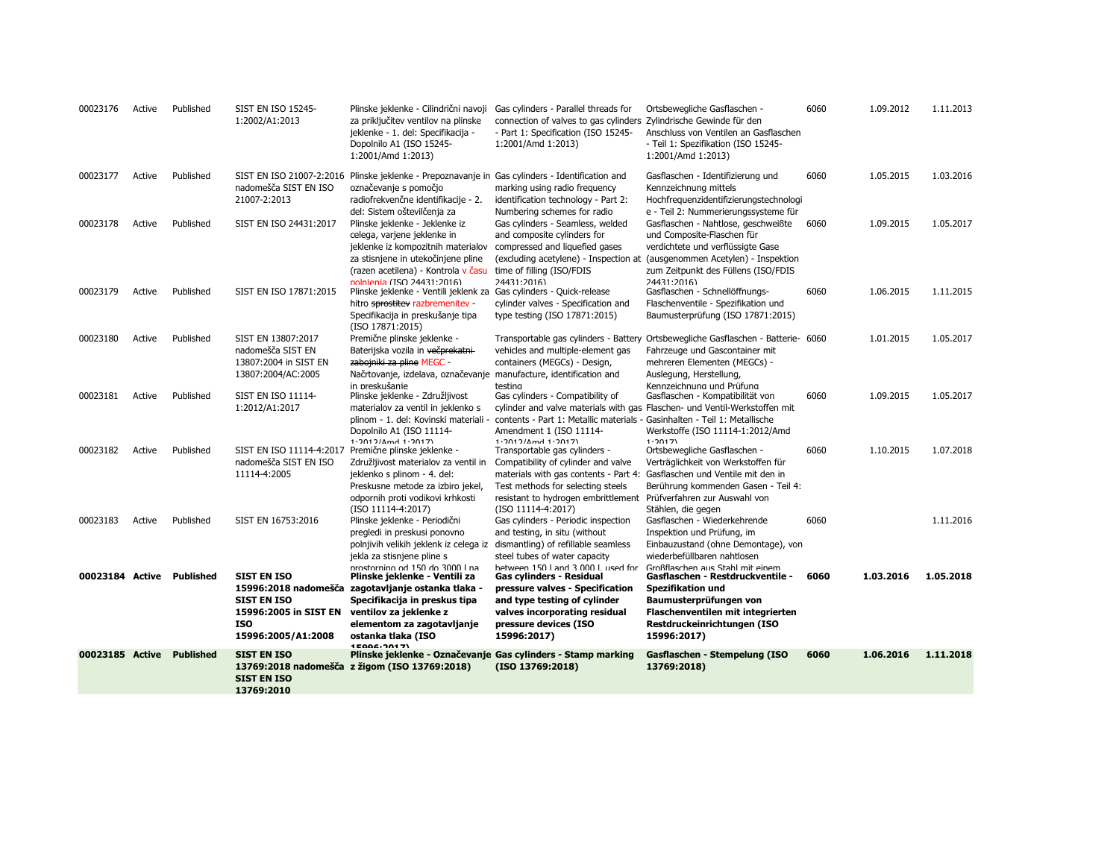| 00023185 Active           |                  | <b>Published</b>       | <b>SIST EN ISO</b><br><b>SIST EN ISO</b><br>13769:2010                                                | 13769:2018 nadomešča z žigom (ISO 13769:2018)                                                                                                                                                                                                                   | Plinske jeklenke - Označevanje Gas cylinders - Stamp marking<br>(ISO 13769:2018)                                                                                                                                                        | Gasflaschen - Stempelung (ISO<br>13769:2018)                                                                                                                                                                      | 6060         | 1.06.2016              | 1.11.2018              |
|---------------------------|------------------|------------------------|-------------------------------------------------------------------------------------------------------|-----------------------------------------------------------------------------------------------------------------------------------------------------------------------------------------------------------------------------------------------------------------|-----------------------------------------------------------------------------------------------------------------------------------------------------------------------------------------------------------------------------------------|-------------------------------------------------------------------------------------------------------------------------------------------------------------------------------------------------------------------|--------------|------------------------|------------------------|
| 00023184 Active Published |                  |                        | <b>SIST EN ISO</b><br><b>SIST EN ISO</b><br>15996:2005 in SIST EN<br><b>ISO</b><br>15996:2005/A1:2008 | nrostornino od 150 do 3000 Lna<br>Plinske jeklenke - Ventili za<br>15996:2018 nadomešča zagotavljanje ostanka tlaka -<br>Specifikacija in preskus tipa<br>ventilov za jeklenke z<br>elementom za zagotavljanje<br>ostanka tlaka (ISO<br>15006-2017)             | hetween 150 Land 3 000 Lused for<br>Gas cylinders - Residual<br>pressure valves - Specification<br>and type testing of cylinder<br>valves incorporating residual<br>pressure devices (ISO<br>15996:2017)                                | Großflaschen aus Stahl mit einem<br>Gasflaschen - Restdruckventile -<br><b>Spezifikation und</b><br>Baumusterprüfungen von<br>Flaschenventilen mit integrierten<br>Restdruckeinrichtungen (ISO<br>15996:2017)     | 6060         | 1.03.2016              | 1.05.2018              |
| 00023183                  | Active           | Published              | SIST EN 16753:2016                                                                                    | odpornih proti vodikovi krhkosti<br>(ISO 11114-4:2017)<br>Plinske jeklenke - Periodični<br>pregledi in preskusi ponovno<br>polnjivih velikih jeklenk iz celega iz<br>jekla za stisnjene pline s                                                                 | resistant to hydrogen embrittlement Prüfverfahren zur Auswahl von<br>(ISO 11114-4:2017)<br>Gas cylinders - Periodic inspection<br>and testing, in situ (without<br>dismantling) of refillable seamless<br>steel tubes of water capacity | Stählen, die gegen<br>Gasflaschen - Wiederkehrende<br>Inspektion und Prüfung, im<br>Einbauzustand (ohne Demontage), von<br>wiederbefüllbaren nahtlosen                                                            | 6060         |                        | 1.11.2016              |
| 00023182                  | Active           | Published              | SIST EN ISO 11114-4:2017<br>nadomešča SIST EN ISO<br>11114-4:2005                                     | Dopolnilo A1 (ISO 11114-<br>$1.2012/Mmd$ 1.2017)<br>Premične plinske jeklenke -<br>Združljivost materialov za ventil in<br>jeklenko s plinom - 4. del:<br>Preskusne metode za izbiro jekel,                                                                     | Amendment 1 (ISO 11114-<br>1.2012/Amd 1.2017)<br>Transportable gas cylinders -<br>Compatibility of cylinder and valve<br>materials with gas contents - Part 4:<br>Test methods for selecting steels                                     | Werkstoffe (ISO 11114-1:2012/Amd<br>1.2017<br>Ortsbewegliche Gasflaschen -<br>Verträglichkeit von Werkstoffen für<br>Gasflaschen und Ventile mit den in<br>Berührung kommenden Gasen - Teil 4:                    | 6060         | 1.10.2015              | 1.07.2018              |
| 00023181                  | Active           | Published              | 13807:2004/AC:2005<br><b>SIST EN ISO 11114-</b><br>1:2012/A1:2017                                     | Načrtovanje, izdelava, označevanje manufacture, identification and<br>in preskušanie<br>Plinske jeklenke - Združljivost<br>materialov za ventil in jeklenko s<br>plinom - 1. del: Kovinski materiali                                                            | testing<br>Gas cylinders - Compatibility of<br>contents - Part 1: Metallic materials - Gasinhalten - Teil 1: Metallische                                                                                                                | Auslegung, Herstellung,<br>Kennzeichnung und Prüfung<br>Gasflaschen - Kompatibilität von<br>cylinder and valve materials with gas Flaschen- und Ventil-Werkstoffen mit                                            | 6060         | 1.09.2015              | 1.05.2017              |
| 00023180                  | Active           | Published              | SIST EN 13807:2017<br>nadomešča SIST EN<br>13807:2004 in SIST EN                                      | Specifikacija in preskušanje tipa<br>(ISO 17871:2015)<br>Premične plinske jeklenke -<br>Baterijska vozila in večprekatni-<br>zabojniki za pline MEGC -                                                                                                          | type testing (ISO 17871:2015)<br>Transportable gas cylinders - Battery<br>vehicles and multiple-element gas<br>containers (MEGCs) - Design,                                                                                             | Baumusterprüfung (ISO 17871:2015)<br>Ortsbewegliche Gasflaschen - Batterie- 6060<br>Fahrzeuge und Gascontainer mit<br>mehreren Elementen (MEGCs) -                                                                |              | 1.01.2015              | 1.05.2017              |
| 00023179                  | Active           | Published              | SIST EN ISO 17871:2015                                                                                | jeklenke iz kompozitnih materialov<br>za stisnjene in utekočinjene pline<br>(razen acetilena) - Kontrola v času<br>nolnienia (ISO 24431.2016)<br>Plinske jeklenke - Ventili jeklenk za<br>hitro sprostitev razbremenitev -                                      | compressed and liquefied gases<br>(excluding acetylene) - Inspection at<br>time of filling (ISO/FDIS<br>74431.7016<br>Gas cylinders - Quick-release<br>cylinder valves - Specification and                                              | verdichtete und verflüssigte Gase<br>(ausgenommen Acetylen) - Inspektion<br>zum Zeitpunkt des Füllens (ISO/FDIS<br>74431.7016<br>Gasflaschen - Schnellöffnungs-<br>Flaschenventile - Spezifikation und            | 6060         | 1.06.2015              | 1.11.2015              |
| 00023177<br>00023178      | Active<br>Active | Published<br>Published | nadomešča SIST EN ISO<br>21007-2:2013<br>SIST EN ISO 24431:2017                                       | SIST EN ISO 21007-2:2016 Plinske jeklenke - Prepoznavanje in Gas cylinders - Identification and<br>označevanje s pomočjo<br>radiofrekvenčne identifikacije - 2.<br>del: Sistem oštevilčenja za<br>Plinske jeklenke - Jeklenke iz<br>celega, varjene jeklenke in | marking using radio frequency<br>identification technology - Part 2:<br>Numbering schemes for radio<br>Gas cylinders - Seamless, welded<br>and composite cylinders for                                                                  | Gasflaschen - Identifizierung und<br>Kennzeichnung mittels<br>Hochfrequenzidentifizierungstechnologi<br>e - Teil 2: Nummerierungssysteme für<br>Gasflaschen - Nahtlose, geschweißte<br>und Composite-Flaschen für | 6060<br>6060 | 1.05.2015<br>1.09.2015 | 1.03.2016<br>1.05.2017 |
| 00023176                  | Active           | Published              | <b>SIST EN ISO 15245-</b><br>1:2002/A1:2013                                                           | Plinske jeklenke - Cilindrični navoji<br>za priključitev ventilov na plinske<br>jeklenke - 1. del: Specifikacija -<br>Dopolnilo A1 (ISO 15245-<br>1:2001/Amd 1:2013)                                                                                            | Gas cylinders - Parallel threads for<br>connection of valves to gas cylinders Zylindrische Gewinde für den<br>- Part 1: Specification (ISO 15245-<br>1:2001/Amd 1:2013)                                                                 | Ortsbewegliche Gasflaschen -<br>Anschluss von Ventilen an Gasflaschen<br>- Teil 1: Spezifikation (ISO 15245-<br>1:2001/Amd 1:2013)                                                                                | 6060         | 1.09.2012              | 1.11.2013              |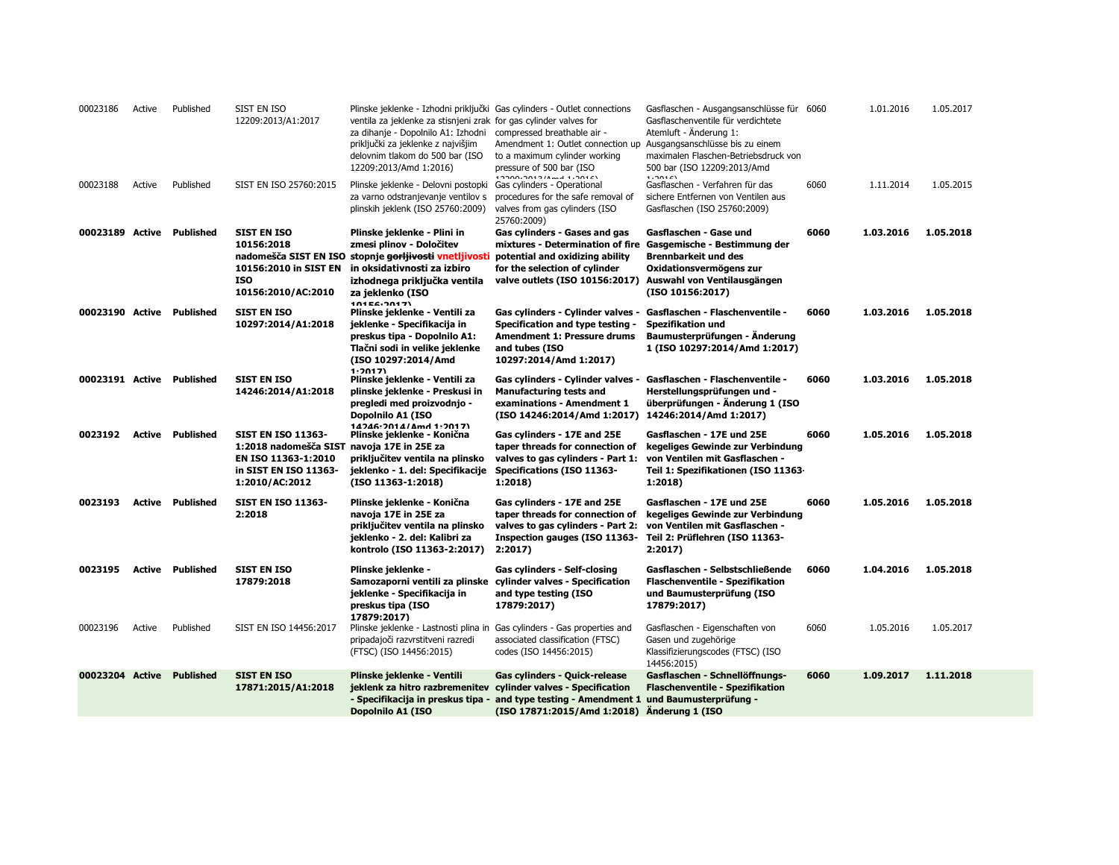| 00023186                  | Active | Published               | SIST EN ISO<br>12209:2013/A1:2017                                                                                      | Plinske jeklenke - Izhodni priključki Gas cylinders - Outlet connections<br>ventila za jeklenke za stisnjeni zrak for gas cylinder valves for<br>za dihanje - Dopolnilo A1: Izhodni<br>priključki za jeklenke z najvišjim<br>delovnim tlakom do 500 bar (ISO<br>12209:2013/Amd 1:2016) | compressed breathable air -<br>Amendment 1: Outlet connection up<br>to a maximum cylinder working<br>pressure of 500 bar (ISO                                           | Gasflaschen - Ausgangsanschlüsse für 6060<br>Gasflaschenventile für verdichtete<br>Atemluft - Änderung 1:<br>Ausgangsanschlüsse bis zu einem<br>maximalen Flaschen-Betriebsdruck von<br>500 bar (ISO 12209:2013/Amd<br>1.201C |      | 1.01.2016 | 1.05.2017 |
|---------------------------|--------|-------------------------|------------------------------------------------------------------------------------------------------------------------|----------------------------------------------------------------------------------------------------------------------------------------------------------------------------------------------------------------------------------------------------------------------------------------|-------------------------------------------------------------------------------------------------------------------------------------------------------------------------|-------------------------------------------------------------------------------------------------------------------------------------------------------------------------------------------------------------------------------|------|-----------|-----------|
| 00023188                  | Active | Published               | SIST EN ISO 25760:2015                                                                                                 | Plinske jeklenke - Delovni postopki<br>za varno odstranjevanje ventilov s<br>plinskih jeklenk (ISO 25760:2009)                                                                                                                                                                         | Gas cylinders - Operational<br>procedures for the safe removal of<br>valves from gas cylinders (ISO<br>25760:2009)                                                      | Gasflaschen - Verfahren für das<br>sichere Entfernen von Ventilen aus<br>Gasflaschen (ISO 25760:2009)                                                                                                                         | 6060 | 1.11.2014 | 1.05.2015 |
| 00023189 Active Published |        |                         | <b>SIST EN ISO</b><br>10156:2018<br>nadomešča SIST EN ISO<br>10156:2010 in SIST EN<br><b>ISO</b><br>10156:2010/AC:2010 | Plinske jeklenke - Plini in<br>zmesi plinov - Določitev<br>stopnje <del>gorljivosti</del> vnetljivosti<br>in oksidativnosti za izbiro<br>izhodnega priključka ventila<br>za jeklenko (ISO<br>10156.2017)                                                                               | Gas cylinders - Gases and gas<br>mixtures - Determination of fire<br>potential and oxidizing ability<br>for the selection of cylinder<br>valve outlets (ISO 10156:2017) | Gasflaschen - Gase und<br>Gasgemische - Bestimmung der<br><b>Brennbarkeit und des</b><br>Oxidationsvermögens zur<br>Auswahl von Ventilausgängen<br>(ISO 10156:2017)                                                           | 6060 | 1.03.2016 | 1.05.2018 |
| 00023190 Active Published |        |                         | <b>SIST EN ISO</b><br>10297:2014/A1:2018                                                                               | Plinske jeklenke - Ventili za<br>jeklenke - Specifikacija in<br>preskus tipa - Dopolnilo A1:<br>Tlačni sodi in velike jeklenke<br>(ISO 10297:2014/Amd<br>1.2017)                                                                                                                       | Gas cylinders - Cylinder valves -<br>Specification and type testing -<br><b>Amendment 1: Pressure drums</b><br>and tubes (ISO<br>10297:2014/Amd 1:2017)                 | Gasflaschen - Flaschenventile -<br><b>Spezifikation und</b><br>Baumusterprüfungen - Änderung<br>1 (ISO 10297:2014/Amd 1:2017)                                                                                                 | 6060 | 1.03.2016 | 1.05.2018 |
| 00023191 Active Published |        |                         | <b>SIST EN ISO</b><br>14246:2014/A1:2018                                                                               | Plinske jeklenke - Ventili za<br>plinske jeklenke - Preskusi in<br>pregledi med proizvodnjo -<br>Dopolnilo A1 (ISO<br>14746.7014/Amd 1.7017)                                                                                                                                           | Gas cylinders - Cylinder valves -<br><b>Manufacturing tests and</b><br>examinations - Amendment 1<br>(ISO 14246:2014/Amd 1:2017)                                        | Gasflaschen - Flaschenventile -<br>Herstellungsprüfungen und -<br>überprüfungen - Änderung 1 (ISO<br>14246:2014/Amd 1:2017)                                                                                                   | 6060 | 1.03.2016 | 1.05.2018 |
| 0023192                   |        | <b>Active Published</b> | <b>SIST EN ISO 11363-</b><br>1:2018 nadomešča SIST<br>EN ISO 11363-1:2010<br>in SIST EN ISO 11363-<br>1:2010/AC:2012   | Plinske jeklenke - Konična<br>navoja 17E in 25E za<br>priključitev ventila na plinsko<br>jeklenko - 1. del: Specifikacije<br>(ISO 11363-1:2018)                                                                                                                                        | Gas cylinders - 17E and 25E<br>taper threads for connection of<br>valves to gas cylinders - Part 1:<br>Specifications (ISO 11363-<br>1:2018)                            | Gasflaschen - 17E und 25E<br>kegeliges Gewinde zur Verbindung<br>von Ventilen mit Gasflaschen -<br>Teil 1: Spezifikationen (ISO 11363-<br>1:2018)                                                                             | 6060 | 1.05.2016 | 1.05.2018 |
| 0023193                   |        | <b>Active Published</b> | <b>SIST EN ISO 11363-</b><br>2:2018                                                                                    | Plinske jeklenke - Konična<br>navoja 17E in 25E za<br>priključitev ventila na plinsko<br>jeklenko - 2. del: Kalibri za<br>kontrolo (ISO 11363-2:2017)                                                                                                                                  | Gas cylinders - 17E and 25E<br>taper threads for connection of<br>valves to gas cylinders - Part 2:<br>Inspection gauges (ISO 11363-<br>2:2017                          | Gasflaschen - 17E und 25E<br>kegeliges Gewinde zur Verbindung<br>von Ventilen mit Gasflaschen -<br>Teil 2: Prüflehren (ISO 11363-<br>2:2017                                                                                   | 6060 | 1.05.2016 | 1.05.2018 |
| 0023195                   |        | <b>Active Published</b> | <b>SIST EN ISO</b><br>17879:2018                                                                                       | Plinske jeklenke -<br>Samozaporni ventili za plinske cylinder valves - Specification<br>jeklenke - Specifikacija in<br>preskus tipa (ISO<br>17879:2017)                                                                                                                                | Gas cylinders - Self-closing<br>and type testing (ISO<br>17879:2017)                                                                                                    | Gasflaschen - Selbstschließende<br>Flaschenventile - Spezifikation<br>und Baumusterprüfung (ISO<br>17879:2017)                                                                                                                | 6060 | 1.04.2016 | 1.05.2018 |
| 00023196                  | Active | Published               | SIST EN ISO 14456:2017                                                                                                 | Plinske jeklenke - Lastnosti plina in<br>pripadajoči razvrstitveni razredi<br>(FTSC) (ISO 14456:2015)                                                                                                                                                                                  | Gas cylinders - Gas properties and<br>associated classification (FTSC)<br>codes (ISO 14456:2015)                                                                        | Gasflaschen - Eigenschaften von<br>Gasen und zugehörige<br>Klassifizierungscodes (FTSC) (ISO<br>14456:2015)                                                                                                                   | 6060 | 1.05.2016 | 1.05.2017 |
| 00023204 Active           |        | <b>Published</b>        | <b>SIST EN ISO</b><br>17871:2015/A1:2018                                                                               | Plinske jeklenke - Ventili<br>jeklenk za hitro razbremenitev<br>- Specifikacija in preskus tipa -<br>Dopolnilo A1 (ISO                                                                                                                                                                 | Gas cylinders - Quick-release<br>cylinder valves - Specification<br>and type testing - Amendment 1<br>(ISO 17871:2015/Amd 1:2018)                                       | Gasflaschen - Schnellöffnungs-<br><b>Flaschenventile - Spezifikation</b><br>und Baumusterprüfung -<br>Anderung 1 (ISO                                                                                                         | 6060 | 1.09.2017 | 1.11.2018 |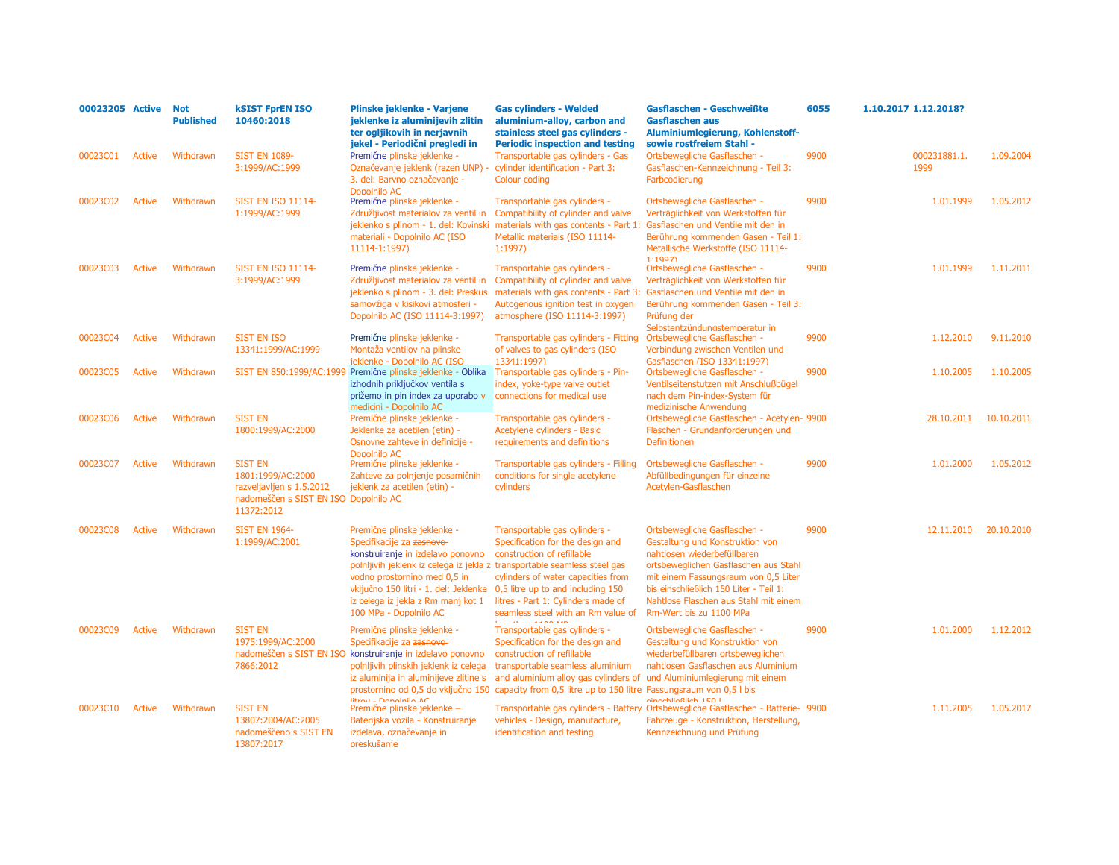| 00023205 Active |               | <b>Not</b><br><b>Published</b> | <b>kSIST FprEN ISO</b><br>10460:2018                                                                                   | Plinske jeklenke - Varjene<br>jeklenke iz aluminijevih zlitin<br>ter ogljikovih in nerjavnih<br>jekel - Periodični pregledi in                                                                                                                                                                                                                       | <b>Gas cylinders - Welded</b><br>aluminium-alloy, carbon and<br>stainless steel gas cylinders -<br><b>Periodic inspection and testing</b>                                                                                                                                            | Gasflaschen - Geschweißte<br><b>Gasflaschen aus</b><br>Aluminiumlegierung, Kohlenstoff-<br>sowie rostfreiem Stahl -                                                                                                                                                                           | 6055 | 1.10.2017 1.12.2018? |            |
|-----------------|---------------|--------------------------------|------------------------------------------------------------------------------------------------------------------------|------------------------------------------------------------------------------------------------------------------------------------------------------------------------------------------------------------------------------------------------------------------------------------------------------------------------------------------------------|--------------------------------------------------------------------------------------------------------------------------------------------------------------------------------------------------------------------------------------------------------------------------------------|-----------------------------------------------------------------------------------------------------------------------------------------------------------------------------------------------------------------------------------------------------------------------------------------------|------|----------------------|------------|
| 00023C01        | Active        | Withdrawn                      | <b>SIST EN 1089-</b><br>3:1999/AC:1999                                                                                 | Premične plinske jeklenke -<br>Označevanje jeklenk (razen UNP)<br>3. del: Barvno označevanje -<br>Dopolnilo AC                                                                                                                                                                                                                                       | Transportable gas cylinders - Gas<br>cylinder identification - Part 3:<br>Colour coding                                                                                                                                                                                              | Ortsbewegliche Gasflaschen -<br>Gasflaschen-Kennzeichnung - Teil 3:<br>Farbcodierung                                                                                                                                                                                                          | 9900 | 000231881.1.<br>1999 | 1.09.2004  |
| 00023C02        | <b>Active</b> | Withdrawn                      | <b>SIST EN ISO 11114-</b><br>1:1999/AC:1999                                                                            | Premične plinske jeklenke -<br>Združljivost materialov za ventil in<br>jeklenko s plinom - 1. del: Kovinski<br>materiali - Dopolnilo AC (ISO<br>11114-1:1997)                                                                                                                                                                                        | Transportable gas cylinders -<br>Compatibility of cylinder and valve<br>materials with gas contents - Part 1:<br>Metallic materials (ISO 11114-<br>1:1997                                                                                                                            | Ortsbewegliche Gasflaschen -<br>Verträglichkeit von Werkstoffen für<br>Gasflaschen und Ventile mit den in<br>Berührung kommenden Gasen - Teil 1:<br>Metallische Werkstoffe (ISO 11114-<br>1.1997                                                                                              | 9900 | 1.01.1999            | 1.05.2012  |
| 00023C03        | <b>Active</b> | Withdrawn                      | <b>SIST EN ISO 11114-</b><br>3:1999/AC:1999                                                                            | Premične plinske jeklenke -<br>Združljivost materialov za ventil in<br>jeklenko s plinom - 3. del: Preskus<br>samovžiga v kisikovi atmosferi -<br>Dopolnilo AC (ISO 11114-3:1997)                                                                                                                                                                    | Transportable gas cylinders -<br>Compatibility of cylinder and valve<br>materials with gas contents - Part 3:<br>Autogenous ignition test in oxygen<br>atmosphere (ISO 11114-3:1997)                                                                                                 | Ortsbewegliche Gasflaschen -<br>Verträglichkeit von Werkstoffen für<br>Gasflaschen und Ventile mit den in<br>Berührung kommenden Gasen - Teil 3:<br>Prüfung der<br>Selbstentzündungstemperatur in                                                                                             | 9900 | 1.01.1999            | 1.11.2011  |
| 00023C04        | <b>Active</b> | Withdrawn                      | <b>SIST EN ISO</b><br>13341:1999/AC:1999                                                                               | Premične plinske jeklenke -<br>Montaža ventilov na plinske<br>ieklenke - Dopolnilo AC (ISO                                                                                                                                                                                                                                                           | Transportable gas cylinders - Fitting<br>of valves to gas cylinders (ISO<br>13341:1997)                                                                                                                                                                                              | Ortsbewegliche Gasflaschen -<br>Verbindung zwischen Ventilen und<br>Gasflaschen (ISO 13341:1997)                                                                                                                                                                                              | 9900 | 1.12.2010            | 9.11.2010  |
| 00023C05        | <b>Active</b> | Withdrawn                      |                                                                                                                        | SIST EN 850:1999/AC:1999 Premične plinske jeklenke - Oblika<br>izhodnih priključkov ventila s<br>prižemo in pin index za uporabo v<br>medicini - Dopolnilo AC                                                                                                                                                                                        | Transportable gas cylinders - Pin-<br>index, yoke-type valve outlet<br>connections for medical use                                                                                                                                                                                   | Ortsbewegliche Gasflaschen -<br>Ventilseitenstutzen mit Anschlußbügel<br>nach dem Pin-index-System für<br>medizinische Anwendung                                                                                                                                                              | 9900 | 1.10.2005            | 1.10.2005  |
| 00023C06        | <b>Active</b> | Withdrawn                      | <b>SIST EN</b><br>1800:1999/AC:2000                                                                                    | Premične plinske jeklenke -<br>Jeklenke za acetilen (etin) -<br>Osnovne zahteve in definicije -<br>Donolnilo AC                                                                                                                                                                                                                                      | Transportable gas cylinders -<br>Acetylene cylinders - Basic<br>requirements and definitions                                                                                                                                                                                         | Ortsbewegliche Gasflaschen - Acetylen- 9900<br>Flaschen - Grundanforderungen und<br>Definitionen                                                                                                                                                                                              |      | 28.10.2011           | 10.10.2011 |
| 00023C07        | <b>Active</b> | Withdrawn                      | <b>SIST EN</b><br>1801:1999/AC:2000<br>razveljavljen s 1.5.2012<br>nadomeščen s SIST EN ISO Dopolnilo AC<br>11372:2012 | Premične plinske jeklenke -<br>Zahteve za polnjenje posamičnih<br>jeklenk za acetilen (etin) -                                                                                                                                                                                                                                                       | Transportable gas cylinders - Filling<br>conditions for single acetylene<br>cylinders                                                                                                                                                                                                | Ortsbewegliche Gasflaschen -<br>Abfüllbedingungen für einzelne<br>Acetylen-Gasflaschen                                                                                                                                                                                                        | 9900 | 1.01.2000            | 1.05.2012  |
| 00023C08        | Active        | Withdrawn                      | <b>SIST EN 1964-</b><br>1:1999/AC:2001                                                                                 | Premične plinske jeklenke -<br>Specifikacije za zasnovo-<br>konstruiranje in izdelavo ponovno<br>polnljivih jeklenk iz celega iz jekla z transportable seamless steel gas<br>vodno prostornino med 0,5 in<br>vključno 150 litri - 1. del: Jeklenke 0,5 litre up to and including 150<br>iz celega iz jekla z Rm manj kot 1<br>100 MPa - Dopolnilo AC | Transportable gas cylinders -<br>Specification for the design and<br>construction of refillable<br>cylinders of water capacities from<br>litres - Part 1: Cylinders made of<br>seamless steel with an Rm value of<br>To all allows of a non-kany                                     | Ortsbewegliche Gasflaschen -<br>Gestaltung und Konstruktion von<br>nahtlosen wiederbefüllbaren<br>ortsbeweglichen Gasflaschen aus Stahl<br>mit einem Fassungsraum von 0,5 Liter<br>bis einschließlich 150 Liter - Teil 1:<br>Nahtlose Flaschen aus Stahl mit einem<br>Rm-Wert bis zu 1100 MPa | 9900 | 12.11.2010           | 20.10.2010 |
| 00023C09        | <b>Active</b> | Withdrawn                      | <b>SIST EN</b><br>1975:1999/AC:2000<br>7866:2012                                                                       | Premične plinske jeklenke -<br>Specifikacije za zasnovo<br>nadomeščen s SIST EN ISO konstruiranje in izdelavo ponovno<br>polnljivih plinskih jeklenk iz celega<br>iz aluminija in aluminijeve zlitine s                                                                                                                                              | Transportable gas cylinders -<br>Specification for the design and<br>construction of refillable<br>transportable seamless aluminium<br>and aluminium alloy gas cylinders of<br>prostornino od 0,5 do vključno 150 capacity from 0,5 litre up to 150 litre Fassungsraum von 0,5 l bis | Ortsbewegliche Gasflaschen -<br>Gestaltung und Konstruktion von<br>wiederbefüllbaren ortsbeweglichen<br>nahtlosen Gasflaschen aus Aluminium<br>und Aluminiumlegierung mit einem                                                                                                               | 9900 | 1.01.2000            | 1.12.2012  |
| 00023C10        | <b>Active</b> | Withdrawn                      | <b>SIST EN</b><br>13807:2004/AC:2005<br>nadomeščeno s SIST EN<br>13807:2017                                            | litrou - Donalaila AC<br>Premične plinske jeklenke -<br>Baterijska vozila - Konstruiranje<br>izdelava, označevanje in<br>preskušanie                                                                                                                                                                                                                 | vehicles - Design, manufacture,<br>identification and testing                                                                                                                                                                                                                        | dincebließlich 1E0 l<br>Transportable gas cylinders - Battery Ortsbewegliche Gasflaschen - Batterie- 9900<br>Fahrzeuge - Konstruktion, Herstellung,<br>Kennzeichnung und Prüfung                                                                                                              |      | 1.11.2005            | 1.05.2017  |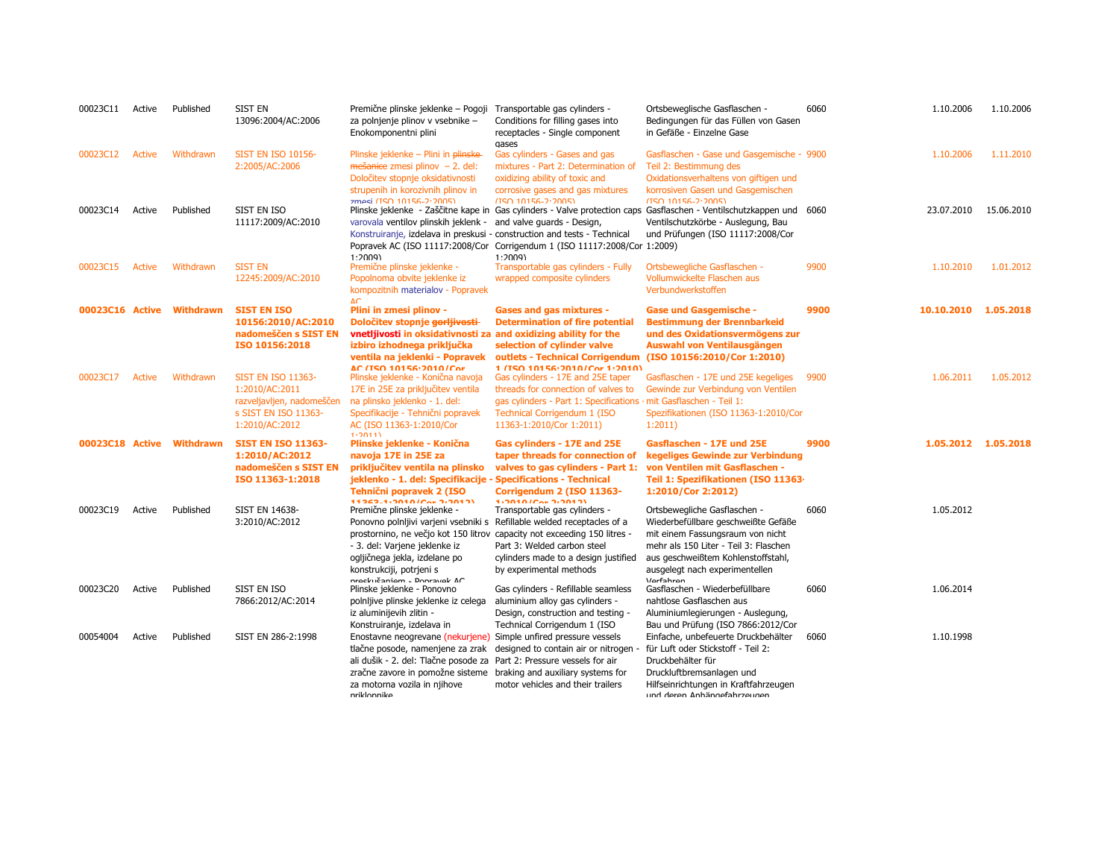| 00023C11        | Active | Published                 | <b>SIST EN</b><br>13096:2004/AC:2006                                                                               | Premične plinske jeklenke – Pogoji<br>za polnjenje plinov v vsebnike -<br>Enokomponentni plini                                                                                                                                                                                                                 | Transportable gas cylinders -<br>Conditions for filling gases into<br>receptacles - Single component<br>gases                                                                                           | Ortsbeweglische Gasflaschen -<br>Bedingungen für das Füllen von Gasen<br>in Gefäße - Einzelne Gase                                                                                                                                    | 6060 | 1.10.2006            | 1.10.2006  |
|-----------------|--------|---------------------------|--------------------------------------------------------------------------------------------------------------------|----------------------------------------------------------------------------------------------------------------------------------------------------------------------------------------------------------------------------------------------------------------------------------------------------------------|---------------------------------------------------------------------------------------------------------------------------------------------------------------------------------------------------------|---------------------------------------------------------------------------------------------------------------------------------------------------------------------------------------------------------------------------------------|------|----------------------|------------|
| 00023C12        | Active | Withdrawn                 | <b>SIST EN ISO 10156-</b><br>2:2005/AC:2006                                                                        | Plinske jeklenke - Plini in plinske<br>$me\ddot{\textbf{s}}$ anice zmesi plinov - 2. del:<br>Določitev stopnje oksidativnosti<br>strupenih in korozivnih plinov in<br>zmesi (TSO 10156-2:2005)                                                                                                                 | Gas cylinders - Gases and gas<br>mixtures - Part 2: Determination of<br>oxidizing ability of toxic and<br>corrosive gases and gas mixtures<br>$(150.10156 - 2.2005)$                                    | Gasflaschen - Gase und Gasgemische - 9900<br>Teil 2: Bestimmung des<br>Oxidationsverhaltens von giftigen und<br>korrosiven Gasen und Gasgemischen<br>$(150.10156 - 2.2005)$                                                           |      | 1.10.2006            | 1.11.2010  |
| 00023C14        | Active | Published                 | SIST EN ISO<br>11117:2009/AC:2010                                                                                  | varovala ventilov plinskih jeklenk -<br>Konstruiranje, izdelava in preskusi - construction and tests - Technical<br>1:2009                                                                                                                                                                                     | and valve guards - Design,<br>Popravek AC (ISO 11117:2008/Cor Corrigendum 1 (ISO 11117:2008/Cor 1:2009)<br>1:2009                                                                                       | Plinske jeklenke - Zaščitne kape in Gas cylinders - Valve protection caps Gasflaschen - Ventilschutzkappen und 6060<br>Ventilschutzkörbe - Auslegung, Bau<br>und Prüfungen (ISO 11117:2008/Cor                                        |      | 23.07.2010           | 15.06.2010 |
| 00023C15        | Active | Withdrawn                 | <b>SIST EN</b><br>12245:2009/AC:2010                                                                               | Premične plinske jeklenke -<br>Popolnoma obvite jeklenke iz<br>kompozitnih materialov - Popravek<br>AC                                                                                                                                                                                                         | Transportable gas cylinders - Fully<br>wrapped composite cylinders                                                                                                                                      | Ortsbewegliche Gasflaschen -<br>Vollumwickelte Flaschen aus<br>Verbundwerkstoffen                                                                                                                                                     | 9900 | 1.10.2010            | 1.01.2012  |
|                 |        | 00023C16 Active Withdrawn | <b>SIST EN ISO</b><br>10156:2010/AC:2010<br>nadomeščen s SIST EN<br>ISO 10156:2018                                 | Plini in zmesi plinov -<br>Določitev stopnje <del>gorljivosti</del> -<br>vnetljivosti in oksidativnosti za and oxidizing ability for the<br>izbiro izhodnega priključka<br>ventila na jeklenki - Popravek<br>AC (TSO 10156-2010/Cor                                                                            | <b>Gases and gas mixtures -</b><br><b>Determination of fire potential</b><br>selection of cylinder valve<br>outlets - Technical Corrigendum (ISO 10156:2010/Cor 1:2010)<br>1/TSO 10156-2010/Cor 1-2010) | <b>Gase und Gasgemische -</b><br><b>Bestimmung der Brennbarkeid</b><br>und des Oxidationsvermögens zur<br>Auswahl von Ventilausgängen                                                                                                 | 9900 | 10.10.2010 1.05.2018 |            |
| 00023C17        | Active | Withdrawn                 | <b>SIST EN ISO 11363-</b><br>1:2010/AC:2011<br>razveljavljen, nadomeščen<br>s SIST EN ISO 11363-<br>1:2010/AC:2012 | Plinske jeklenke - Konična navoja<br>17E in 25E za priključitev ventila<br>na plinsko jeklenko - 1. del:<br>Specifikacije - Tehnični popravek<br>AC (ISO 11363-1:2010/Cor<br>1.20111                                                                                                                           | Gas cylinders - 17E and 25E taper<br>threads for connection of valves to<br>gas cylinders - Part 1: Specifications<br>Technical Corrigendum 1 (ISO<br>11363-1:2010/Cor 1:2011)                          | Gasflaschen - 17E und 25E kegeliges<br>Gewinde zur Verbindung von Ventilen<br>· mit Gasflaschen - Teil 1:<br>Spezifikationen (ISO 11363-1:2010/Cor<br>1:2011                                                                          | 9900 | 1.06.2011            | 1.05.2012  |
| 00023C18 Active |        | Withdrawn                 | <b>SIST EN ISO 11363-</b><br>1:2010/AC:2012<br>nadomeščen s SIST EN<br>ISO 11363-1:2018                            | Plinske jeklenke - Konična<br>navoja 17E in 25E za<br>priključitev ventila na plinsko<br>jeklenko - 1. del: Specifikacije - Specifications - Technical<br>Tehniční popravek 2 (ISO<br>11262-1-2010/04:2-2012)                                                                                                  | Gas cylinders - 17E and 25E<br>taper threads for connection of<br>valves to gas cylinders - Part 1:<br>Corrigendum 2 (ISO 11363-<br>$1.2010/Ca$ $2.2012$                                                | Gasflaschen - 17E und 25E<br>kegeliges Gewinde zur Verbindung<br>von Ventilen mit Gasflaschen -<br>Teil 1: Spezifikationen (ISO 11363-<br>1:2010/Cor 2:2012)                                                                          | 9900 | 1.05.2012 1.05.2018  |            |
| 00023C19        | Active | Published                 | <b>SIST EN 14638-</b><br>3:2010/AC:2012                                                                            | Premične plinske jeklenke -<br>Ponovno polnijivi varjeni vsebniki s Refillable welded receptacles of a<br>prostornino, ne večjo kot 150 litrov capacity not exceeding 150 litres -<br>- 3. del: Varjene jeklenke iz<br>ogljičnega jekla, izdelane po<br>konstrukciji, potrjeni s<br>nrockučaniom - Ponravok AC | Transportable gas cylinders -<br>Part 3: Welded carbon steel<br>cylinders made to a design justified<br>by experimental methods                                                                         | Ortsbewegliche Gasflaschen -<br>Wiederbefüllbare geschweißte Gefäße<br>mit einem Fassungsraum von nicht<br>mehr als 150 Liter - Teil 3: Flaschen<br>aus geschweißtem Kohlenstoffstahl,<br>ausgelegt nach experimentellen<br>Verfahren | 6060 | 1.05.2012            |            |
| 00023C20        | Active | Published                 | SIST EN ISO<br>7866:2012/AC:2014                                                                                   | Plinske jeklenke - Ponovno<br>polnijive plinske jeklenke iz celega<br>iz aluminijevih zlitin -<br>Konstruiranje, izdelava in                                                                                                                                                                                   | Gas cylinders - Refillable seamless<br>aluminium alloy gas cylinders -<br>Design, construction and testing -<br>Technical Corrigendum 1 (ISO                                                            | Gasflaschen - Wiederbefüllbare<br>nahtlose Gasflaschen aus<br>Aluminiumlegierungen - Auslegung,<br>Bau und Prüfung (ISO 7866:2012/Cor                                                                                                 | 6060 | 1.06.2014            |            |
| 00054004        | Active | Published                 | SIST EN 286-2:1998                                                                                                 | Enostavne neogrevane (nekurjene)<br>tlačne posode, namenjene za zrak<br>ali dušik - 2. del: Tlačne posode za Part 2: Pressure vessels for air<br>zračne zavore in pomožne sisteme<br>za motorna vozila in njihove<br>nriklonnike                                                                               | Simple unfired pressure vessels<br>designed to contain air or nitrogen -<br>braking and auxiliary systems for<br>motor vehicles and their trailers                                                      | Einfache, unbefeuerte Druckbehälter<br>für Luft oder Stickstoff - Teil 2:<br>Druckbehälter für<br>Druckluftbremsanlagen und<br>Hilfseinrichtungen in Kraftfahrzeugen<br>und deren Anhängefahrzeugen                                   | 6060 | 1.10.1998            |            |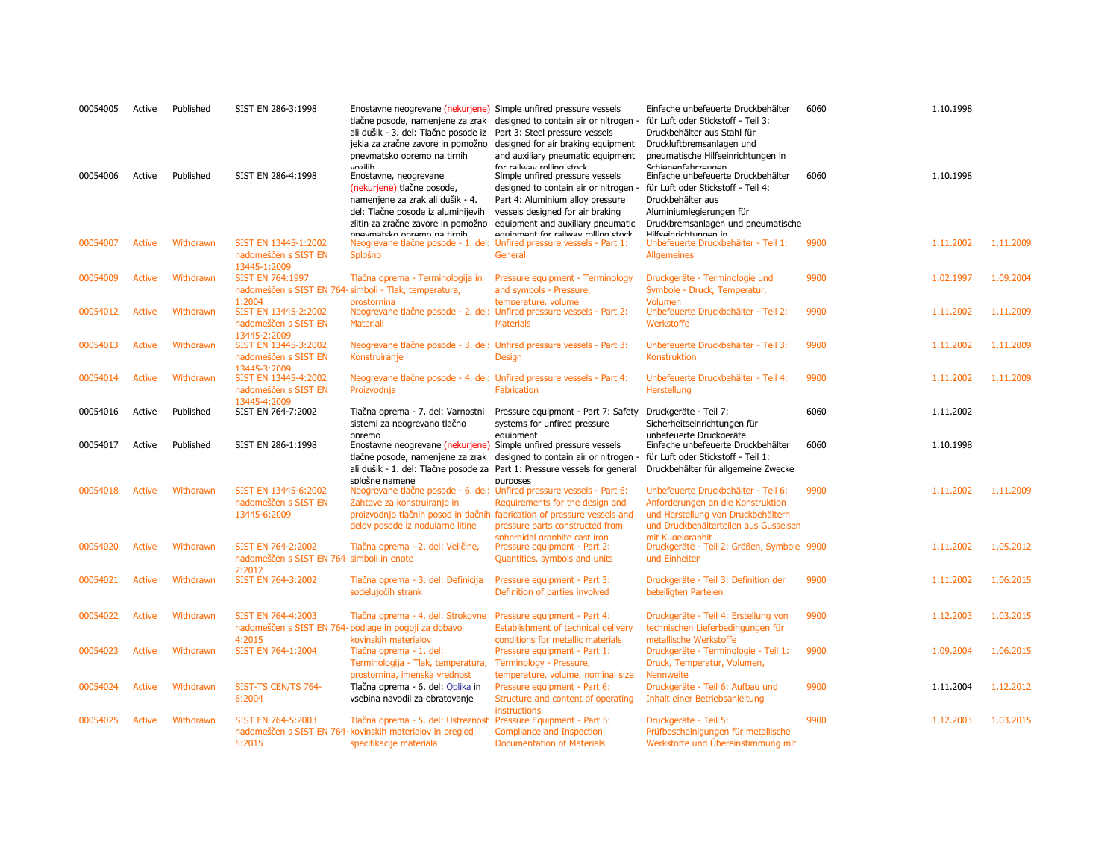| 00054005 | Active        | Published | SIST EN 286-3:1998                                                         | Enostavne neogrevane (nekurjene) Simple unfired pressure vessels<br>ali dušik - 3. del: Tlačne posode iz Part 3: Steel pressure vessels<br>jekla za zračne zavore in pomožno<br>pnevmatsko opremo na tirnih<br>vozilih | tlačne posode, namenjene za zrak designed to contain air or nitrogen -<br>designed for air braking equipment<br>and auxiliary pneumatic equipment<br>for railway rolling stock                                                                                | Einfache unbefeuerte Druckbehälter<br>für Luft oder Stickstoff - Teil 3:<br>Druckbehälter aus Stahl für<br>Druckluftbremsanlagen und<br>pneumatische Hilfseinrichtungen in<br>Schienenfahrzeunen | 6060 | 1.10.1998 |           |
|----------|---------------|-----------|----------------------------------------------------------------------------|------------------------------------------------------------------------------------------------------------------------------------------------------------------------------------------------------------------------|---------------------------------------------------------------------------------------------------------------------------------------------------------------------------------------------------------------------------------------------------------------|--------------------------------------------------------------------------------------------------------------------------------------------------------------------------------------------------|------|-----------|-----------|
| 00054006 | Active        | Published | SIST EN 286-4:1998                                                         | Enostavne, neogrevane<br>(nekurjene) tlačne posode,<br>namenjene za zrak ali dušik - 4.<br>del: Tlačne posode iz aluminijevih<br>nnevmateko onremo na tirnih                                                           | Simple unfired pressure vessels<br>designed to contain air or nitrogen<br>Part 4: Aluminium alloy pressure<br>vessels designed for air braking<br>zlitin za zračne zavore in pomožno equipment and auxiliary pneumatic<br>equinment for railway rolling stock | Einfache unbefeuerte Druckbehälter<br>für Luft oder Stickstoff - Teil 4:<br>Druckbehälter aus<br>Aluminiumlegierungen für<br>Druckbremsanlagen und pneumatische<br>Hilfcoinrichtunnon in         | 6060 | 1.10.1998 |           |
| 00054007 | <b>Active</b> | Withdrawn | SIST EN 13445-1:2002<br>nadomeščen s SIST EN<br>13445-1:2009               | Neogrevane tlačne posode - 1. del: Unfired pressure vessels - Part 1:<br>Splošno                                                                                                                                       | General                                                                                                                                                                                                                                                       | Unbefeuerte Druckbehälter - Teil 1:<br><b>Allgemeines</b>                                                                                                                                        | 9900 | 1.11.2002 | 1.11.2009 |
| 00054009 | <b>Active</b> | Withdrawn | <b>SIST EN 764:1997</b>                                                    | Tlačna oprema - Terminologija in                                                                                                                                                                                       | Pressure equipment - Terminology                                                                                                                                                                                                                              | Druckgeräte - Terminologie und                                                                                                                                                                   | 9900 | 1.02.1997 | 1.09.2004 |
|          |               |           | nadomeščen s SIST EN 764- simboli - Tlak, temperatura,                     |                                                                                                                                                                                                                        | and symbols - Pressure,                                                                                                                                                                                                                                       | Symbole - Druck, Temperatur,                                                                                                                                                                     |      |           |           |
|          |               |           | 1:2004                                                                     | prostornina                                                                                                                                                                                                            | temperature, volume                                                                                                                                                                                                                                           | Volumen                                                                                                                                                                                          |      |           |           |
| 00054012 | <b>Active</b> | Withdrawn | SIST EN 13445-2:2002<br>nadomeščen s SIST EN<br>13445-2:2009               | Neogrevane tlačne posode - 2. del: Unfired pressure vessels - Part 2:<br><b>Materiali</b>                                                                                                                              | <b>Materials</b>                                                                                                                                                                                                                                              | Unbefeuerte Druckbehälter - Teil 2:<br>Werkstoffe                                                                                                                                                | 9900 | 1.11.2002 | 1.11.2009 |
| 00054013 | <b>Active</b> | Withdrawn | SIST EN 13445-3:2002                                                       | Neogrevane tlačne posode - 3. del: Unfired pressure vessels - Part 3:                                                                                                                                                  |                                                                                                                                                                                                                                                               | Unbefeuerte Druckbehälter - Teil 3:                                                                                                                                                              | 9900 | 1.11.2002 | 1.11.2009 |
|          |               |           | nadomeščen s SIST EN                                                       | Konstruiranje                                                                                                                                                                                                          | <b>Design</b>                                                                                                                                                                                                                                                 | Konstruktion                                                                                                                                                                                     |      |           |           |
|          |               |           | 13445-3:2009                                                               |                                                                                                                                                                                                                        |                                                                                                                                                                                                                                                               |                                                                                                                                                                                                  |      |           |           |
| 00054014 | Active        | Withdrawn | SIST EN 13445-4:2002<br>nadomeščen s SIST EN                               | Neogrevane tlačne posode - 4. del: Unfired pressure vessels - Part 4:<br>Proizvodnja                                                                                                                                   | Fabrication                                                                                                                                                                                                                                                   | Unbefeuerte Druckbehälter - Teil 4:<br>Herstellung                                                                                                                                               | 9900 | 1.11.2002 | 1.11.2009 |
|          |               |           | 13445-4:2009                                                               |                                                                                                                                                                                                                        |                                                                                                                                                                                                                                                               |                                                                                                                                                                                                  |      |           |           |
| 00054016 | Active        | Published | SIST EN 764-7:2002                                                         | Tlačna oprema - 7. del: Varnostni                                                                                                                                                                                      | Pressure equipment - Part 7: Safety                                                                                                                                                                                                                           | Druckgeräte - Teil 7:                                                                                                                                                                            | 6060 | 1.11.2002 |           |
|          |               |           |                                                                            | sistemi za neogrevano tlačno                                                                                                                                                                                           | systems for unfired pressure                                                                                                                                                                                                                                  | Sicherheitseinrichtungen für                                                                                                                                                                     |      |           |           |
|          |               |           |                                                                            |                                                                                                                                                                                                                        |                                                                                                                                                                                                                                                               |                                                                                                                                                                                                  |      |           |           |
|          |               |           |                                                                            | opremo                                                                                                                                                                                                                 | equipment                                                                                                                                                                                                                                                     | unbefeuerte Druckaeräte                                                                                                                                                                          |      |           |           |
| 00054017 | Active        | Published | SIST EN 286-1:1998                                                         | Enostavne neogrevane (nekurjene) Simple unfired pressure vessels                                                                                                                                                       |                                                                                                                                                                                                                                                               | Einfache unbefeuerte Druckbehälter                                                                                                                                                               | 6060 | 1.10.1998 |           |
|          |               |           |                                                                            |                                                                                                                                                                                                                        | tlačne posode, namenjene za zrak designed to contain air or nitrogen -                                                                                                                                                                                        | für Luft oder Stickstoff - Teil 1:                                                                                                                                                               |      |           |           |
|          |               |           |                                                                            |                                                                                                                                                                                                                        | ali dušik - 1. del: Tlačne posode za Part 1: Pressure vessels for general                                                                                                                                                                                     | Druckbehälter für allgemeine Zwecke                                                                                                                                                              |      |           |           |
| 00054018 | Active        | Withdrawn | SIST EN 13445-6:2002                                                       | snlošne namene<br>Neogrevane tlačne posode - 6. del: Unfired pressure vessels - Part 6:                                                                                                                                | <b>DUITDOSPS</b>                                                                                                                                                                                                                                              | Unbefeuerte Druckbehälter - Teil 6:                                                                                                                                                              | 9900 | 1.11.2002 | 1.11.2009 |
|          |               |           | nadomeščen s SIST EN                                                       | Zahteve za konstruiranje in                                                                                                                                                                                            | Requirements for the design and                                                                                                                                                                                                                               | Anforderungen an die Konstruktion                                                                                                                                                                |      |           |           |
|          |               |           | 13445-6:2009                                                               |                                                                                                                                                                                                                        | proizvodnjo tlačnih posod in tlačnih fabrication of pressure vessels and                                                                                                                                                                                      | und Herstellung von Druckbehältern                                                                                                                                                               |      |           |           |
|          |               |           |                                                                            | delov posode iz nodularne litine                                                                                                                                                                                       | pressure parts constructed from                                                                                                                                                                                                                               | und Druckbehälterteilen aus Gusseisen                                                                                                                                                            |      |           |           |
|          |               |           |                                                                            |                                                                                                                                                                                                                        | snhernidal granhite cast iron                                                                                                                                                                                                                                 | mit Kunelaranhit                                                                                                                                                                                 |      |           |           |
| 00054020 | Active        | Withdrawn | SIST EN 764-2:2002<br>nadomeščen s SIST EN 764- simboli in enote<br>2:2012 | Tlačna oprema - 2. del: Veličine,                                                                                                                                                                                      | Pressure equipment - Part 2:<br>Quantities, symbols and units                                                                                                                                                                                                 | Druckgeräte - Teil 2: Größen, Symbole 9900<br>und Einheiten                                                                                                                                      |      | 1.11.2002 | 1.05.2012 |
| 00054021 | <b>Active</b> | Withdrawn | SIST EN 764-3:2002                                                         | Tlačna oprema - 3. del: Definicija                                                                                                                                                                                     | Pressure equipment - Part 3:                                                                                                                                                                                                                                  | Druckgeräte - Teil 3: Definition der                                                                                                                                                             | 9900 | 1.11.2002 | 1.06.2015 |
|          |               |           |                                                                            | sodelujočih strank                                                                                                                                                                                                     | Definition of parties involved                                                                                                                                                                                                                                | beteiligten Parteien                                                                                                                                                                             |      |           |           |
|          |               |           |                                                                            |                                                                                                                                                                                                                        |                                                                                                                                                                                                                                                               |                                                                                                                                                                                                  |      |           |           |
| 00054022 | Active        | Withdrawn | SIST EN 764-4:2003                                                         | Tlačna oprema - 4. del: Strokovne                                                                                                                                                                                      | Pressure equipment - Part 4:                                                                                                                                                                                                                                  | Druckgeräte - Teil 4: Erstellung von                                                                                                                                                             | 9900 | 1.12.2003 | 1.03.2015 |
|          |               |           | nadomeščen s SIST EN 764- podlage in pogoji za dobavo                      |                                                                                                                                                                                                                        | Establishment of technical delivery                                                                                                                                                                                                                           | technischen Lieferbedingungen für                                                                                                                                                                |      |           |           |
|          |               |           | 4:2015                                                                     | kovinskih materialov                                                                                                                                                                                                   | conditions for metallic materials                                                                                                                                                                                                                             | metallische Werkstoffe                                                                                                                                                                           |      |           |           |
| 00054023 | <b>Active</b> | Withdrawn | SIST EN 764-1:2004                                                         | Tlačna oprema - 1. del:                                                                                                                                                                                                | Pressure equipment - Part 1:                                                                                                                                                                                                                                  | Druckgeräte - Terminologie - Teil 1:                                                                                                                                                             | 9900 | 1.09.2004 | 1.06.2015 |
|          |               |           |                                                                            | Terminologija - Tlak, temperatura,                                                                                                                                                                                     | Terminology - Pressure,                                                                                                                                                                                                                                       | Druck, Temperatur, Volumen,                                                                                                                                                                      |      |           |           |
| 00054024 | Active        | Withdrawn | SIST-TS CEN/TS 764-                                                        | prostornina, imenska vrednost<br>Tlačna oprema - 6. del: Oblika in                                                                                                                                                     | temperature, volume, nominal size<br>Pressure equipment - Part 6:                                                                                                                                                                                             | <b>Nennweite</b><br>Druckgeräte - Teil 6: Aufbau und                                                                                                                                             | 9900 | 1.11.2004 | 1.12.2012 |
|          |               |           | 6:2004                                                                     | vsebina navodil za obratovanje                                                                                                                                                                                         | Structure and content of operating                                                                                                                                                                                                                            | Inhalt einer Betriebsanleitung                                                                                                                                                                   |      |           |           |
|          |               |           |                                                                            |                                                                                                                                                                                                                        | <b>instructions</b>                                                                                                                                                                                                                                           |                                                                                                                                                                                                  |      |           |           |
| 00054025 | Active        | Withdrawn | SIST EN 764-5:2003                                                         | Tlačna oprema - 5. del: Ustreznost                                                                                                                                                                                     | Pressure Equipment - Part 5:                                                                                                                                                                                                                                  | Druckgeräte - Teil 5:                                                                                                                                                                            | 9900 | 1.12.2003 | 1.03.2015 |
|          |               |           | 5:2015                                                                     | nadomeščen s SIST EN 764- kovinskih materialov in pregled<br>specifikacije materiala                                                                                                                                   | Compliance and Inspection<br><b>Documentation of Materials</b>                                                                                                                                                                                                | Prüfbescheinigungen für metallische<br>Werkstoffe und Übereinstimmung mit                                                                                                                        |      |           |           |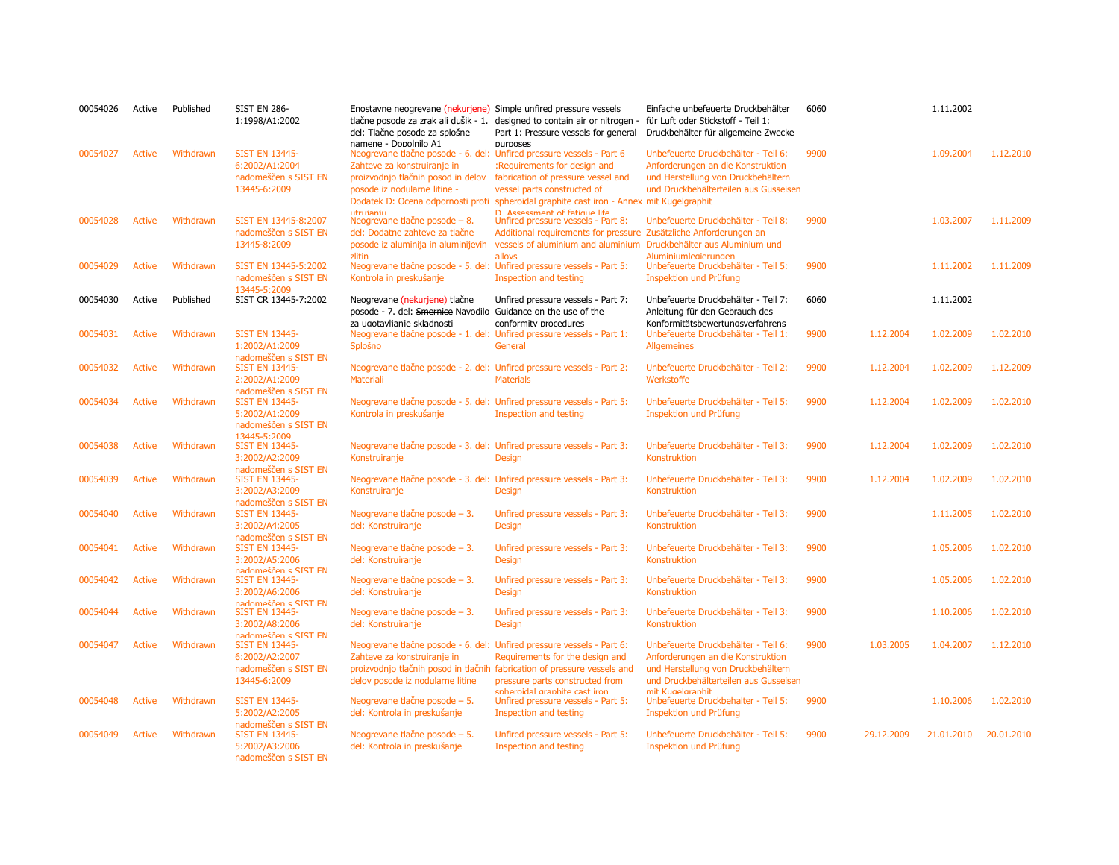| 00054026 | Active        | Published | <b>SIST EN 286-</b><br>1:1998/A1:2002                                                   | Enostavne neogrevane (nekurjene) Simple unfired pressure vessels<br>tlačne posode za zrak ali dušik - 1.<br>del: Tlačne posode za splošne<br>namene - Dopolnilo A1                     | designed to contain air or nitrogen -<br>Part 1: Pressure vessels for general<br>purposes                                                                                                                                     | Einfache unbefeuerte Druckbehälter<br>für Luft oder Stickstoff - Teil 1:<br>Druckbehälter für allgemeine Zwecke                                                             | 6060 |            | 1.11.2002  |            |
|----------|---------------|-----------|-----------------------------------------------------------------------------------------|----------------------------------------------------------------------------------------------------------------------------------------------------------------------------------------|-------------------------------------------------------------------------------------------------------------------------------------------------------------------------------------------------------------------------------|-----------------------------------------------------------------------------------------------------------------------------------------------------------------------------|------|------------|------------|------------|
| 00054027 | <b>Active</b> | Withdrawn | <b>SIST EN 13445-</b><br>6:2002/A1:2004<br>nadomeščen s SIST EN<br>13445-6:2009         | Neogrevane tlačne posode - 6. del: Unfired pressure vessels - Part 6<br>Zahteve za konstruiranje in<br>proizvodnjo tlačnih posod in delov<br>posode iz nodularne litine -<br>utruianiu | :Requirements for design and<br>fabrication of pressure vessel and<br>vessel parts constructed of<br>Dodatek D: Ocena odpornosti proti spheroidal graphite cast iron - Annex mit Kugelgraphit<br>D Accacemant of fatinua lifa | Unbefeuerte Druckbehälter - Teil 6:<br>Anforderungen an die Konstruktion<br>und Herstellung von Druckbehältern<br>und Druckbehälterteilen aus Gusseisen                     | 9900 |            | 1.09.2004  | 1.12.2010  |
| 00054028 | Active        | Withdrawn | SIST EN 13445-8:2007<br>nadomeščen s SIST EN<br>13445-8:2009                            | Neogrevane tlačne posode $-8$ .<br>del: Dodatne zahteve za tlačne<br>posode iz aluminija in aluminijevih<br>zlitin                                                                     | Unfired pressure vessels - Part 8:<br>Additional requirements for pressure Zusätzliche Anforderungen an<br>vessels of aluminium and aluminium Druckbehälter aus Aluminium und<br>allovs                                       | Unbefeuerte Druckbehälter - Teil 8:<br>Aluminiumleaierunaen                                                                                                                 | 9900 |            | 1.03.2007  | 1.11.2009  |
| 00054029 | <b>Active</b> | Withdrawn | SIST EN 13445-5:2002<br>nadomeščen s SIST EN<br>13445-5:2009                            | Neogrevane tlačne posode - 5. del: Unfired pressure vessels - Part 5:<br>Kontrola in preskušanje                                                                                       | Inspection and testing                                                                                                                                                                                                        | Unbefeuerte Druckbehälter - Teil 5:<br>Inspektion und Prüfung                                                                                                               | 9900 |            | 1.11.2002  | 1.11.2009  |
| 00054030 | Active        | Published | SIST CR 13445-7:2002                                                                    | Neogrevane (nekurjene) tlačne<br>posode - 7. del: Smernice Navodilo Guidance on the use of the                                                                                         | Unfired pressure vessels - Part 7:                                                                                                                                                                                            | Unbefeuerte Druckbehälter - Teil 7:<br>Anleitung für den Gebrauch des                                                                                                       | 6060 |            | 1.11.2002  |            |
| 00054031 | <b>Active</b> | Withdrawn | <b>SIST EN 13445-</b><br>1:2002/A1:2009                                                 | za ugotavljanje skladnosti<br>Neogrevane tlačne posode - 1. del: Unfired pressure vessels - Part 1:<br>Splošno                                                                         | conformity procedures<br>General                                                                                                                                                                                              | Konformitätsbewertungsverfahrens<br>Unbefeuerte Druckbehälter - Teil 1:<br><b>Allgemeines</b>                                                                               | 9900 | 1.12.2004  | 1.02.2009  | 1.02.2010  |
| 00054032 | <b>Active</b> | Withdrawn | nadomeščen s SIST EN<br><b>SIST EN 13445-</b><br>2:2002/A1:2009                         | Neogrevane tlačne posode - 2. del: Unfired pressure vessels - Part 2:<br><b>Materiali</b>                                                                                              | <b>Materials</b>                                                                                                                                                                                                              | Unbefeuerte Druckbehälter - Teil 2:<br>Werkstoffe                                                                                                                           | 9900 | 1.12.2004  | 1.02.2009  | 1.12.2009  |
| 00054034 | <b>Active</b> | Withdrawn | nadomeščen s SIST EN<br><b>SIST EN 13445-</b><br>5:2002/A1:2009<br>nadomeščen s SIST EN | Neogrevane tlačne posode - 5. del: Unfired pressure vessels - Part 5:<br>Kontrola in preskušanje                                                                                       | Inspection and testing                                                                                                                                                                                                        | Unbefeuerte Druckbehälter - Teil 5:<br>Inspektion und Prüfung                                                                                                               | 9900 | 1.12.2004  | 1.02.2009  | 1.02.2010  |
| 00054038 | <b>Active</b> | Withdrawn | $13445 - 5.2009$<br><b>SIST EN 13445-</b><br>3:2002/A2:2009                             | Neogrevane tlačne posode - 3. del: Unfired pressure vessels - Part 3:<br>Konstruiranje                                                                                                 | <b>Design</b>                                                                                                                                                                                                                 | Unbefeuerte Druckbehälter - Teil 3:<br>Konstruktion                                                                                                                         | 9900 | 1.12.2004  | 1.02.2009  | 1.02.2010  |
| 00054039 | <b>Active</b> | Withdrawn | nadomeščen s SIST EN<br><b>SIST EN 13445-</b><br>3:2002/A3:2009<br>nadomeščen s SIST EN | Neogrevane tlačne posode - 3. del: Unfired pressure vessels - Part 3:<br>Konstruiranje                                                                                                 | <b>Design</b>                                                                                                                                                                                                                 | Unbefeuerte Druckbehälter - Teil 3:<br>Konstruktion                                                                                                                         | 9900 | 1.12.2004  | 1.02.2009  | 1.02.2010  |
| 00054040 | <b>Active</b> | Withdrawn | <b>SIST EN 13445-</b><br>3:2002/A4:2005<br>nadomeščen s SIST EN                         | Neogrevane tlačne posode - 3.<br>del: Konstruiranje                                                                                                                                    | Unfired pressure vessels - Part 3:<br><b>Design</b>                                                                                                                                                                           | Unbefeuerte Druckbehälter - Teil 3:<br>Konstruktion                                                                                                                         | 9900 |            | 1.11.2005  | 1.02.2010  |
| 00054041 | <b>Active</b> | Withdrawn | <b>SIST EN 13445-</b><br>3:2002/A5:2006<br>nadomeščen s SIST FN                         | Neogrevane tlačne posode - 3.<br>del: Konstruiranje                                                                                                                                    | Unfired pressure vessels - Part 3:<br><b>Design</b>                                                                                                                                                                           | Unbefeuerte Druckbehälter - Teil 3:<br>Konstruktion                                                                                                                         | 9900 |            | 1.05.2006  | 1.02.2010  |
| 00054042 | <b>Active</b> | Withdrawn | <b>SIST EN 13445-</b><br>3:2002/A6:2006                                                 | Neogrevane tlačne posode - 3.<br>del: Konstruiranje                                                                                                                                    | Unfired pressure vessels - Part 3:<br><b>Design</b>                                                                                                                                                                           | Unbefeuerte Druckbehälter - Teil 3:<br>Konstruktion                                                                                                                         | 9900 |            | 1.05.2006  | 1.02.2010  |
| 00054044 | <b>Active</b> | Withdrawn | nadomeččen s SIST FN<br><b>SIST EN 13445-</b><br>3:2002/A8:2006<br>nadomeščen s SIST FN | Neogrevane tlačne posode $-3$ .<br>del: Konstruiranje                                                                                                                                  | Unfired pressure vessels - Part 3:<br><b>Design</b>                                                                                                                                                                           | Unbefeuerte Druckbehälter - Teil 3:<br>Konstruktion                                                                                                                         | 9900 |            | 1.10.2006  | 1.02.2010  |
| 00054047 | <b>Active</b> | Withdrawn | <b>SIST EN 13445-</b><br>6:2002/A2:2007<br>nadomeščen s SIST EN<br>13445-6:2009         | Neogrevane tlačne posode - 6. del: Unfired pressure vessels - Part 6:<br>Zahteve za konstruiranje in<br>delov posode iz nodularne litine                                               | Requirements for the design and<br>proizvodnjo tlačnih posod in tlačnih fabrication of pressure vessels and<br>pressure parts constructed from<br>snheroidal granhite cast iron                                               | Unbefeuerte Druckbehälter - Teil 6:<br>Anforderungen an die Konstruktion<br>und Herstellung von Druckbehältern<br>und Druckbehälterteilen aus Gusseisen<br>mit Kunelgraphit | 9900 | 1.03.2005  | 1.04.2007  | 1.12.2010  |
| 00054048 | <b>Active</b> | Withdrawn | <b>SIST EN 13445-</b><br>5:2002/A2:2005<br>nadomeščen s SIST EN                         | Neogrevane tlačne posode - 5.<br>del: Kontrola in preskušanje                                                                                                                          | Unfired pressure vessels - Part 5:<br>Inspection and testing                                                                                                                                                                  | Unbefeuerte Druckbehalter - Teil 5:<br><b>Inspektion und Prüfung</b>                                                                                                        | 9900 |            | 1.10.2006  | 1.02.2010  |
| 00054049 | <b>Active</b> | Withdrawn | <b>SIST EN 13445-</b><br>5:2002/A3:2006<br>nadomeščen s SIST EN                         | Neogrevane tlačne posode - 5.<br>del: Kontrola in preskušanje                                                                                                                          | Unfired pressure vessels - Part 5:<br>Inspection and testing                                                                                                                                                                  | Unbefeuerte Druckbehälter - Teil 5:<br><b>Inspektion und Prüfung</b>                                                                                                        | 9900 | 29.12.2009 | 21.01.2010 | 20.01.2010 |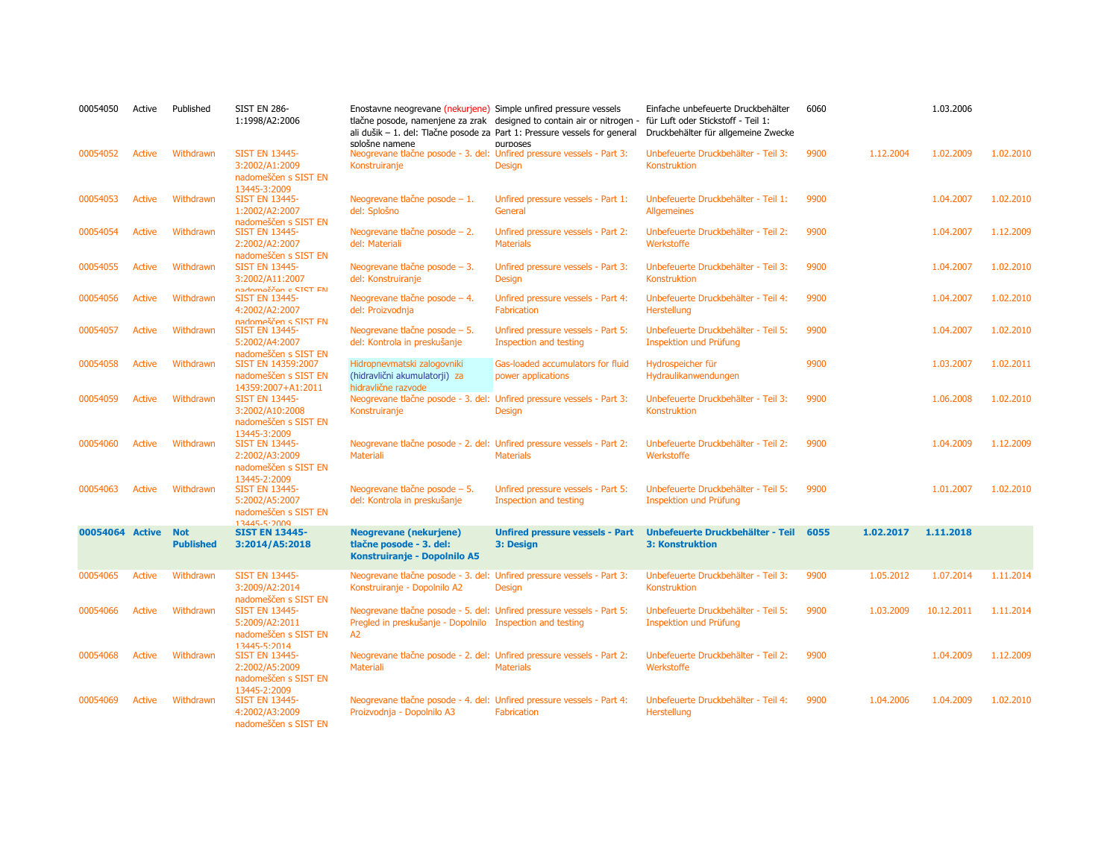| 00054050 | Active          | Published                      | <b>SIST EN 286-</b><br>1:1998/A2:2006                                                           | Enostavne neogrevane (nekurjene) Simple unfired pressure vessels<br>splošne namene                                                       | tlačne posode, namenjene za zrak designed to contain air or nitrogen -<br>ali dušik - 1. del: Tlačne posode za Part 1: Pressure vessels for general<br>purposes | Einfache unbefeuerte Druckbehälter<br>für Luft oder Stickstoff - Teil 1:<br>Druckbehälter für allgemeine Zwecke | 6060 |           | 1.03.2006  |           |
|----------|-----------------|--------------------------------|-------------------------------------------------------------------------------------------------|------------------------------------------------------------------------------------------------------------------------------------------|-----------------------------------------------------------------------------------------------------------------------------------------------------------------|-----------------------------------------------------------------------------------------------------------------|------|-----------|------------|-----------|
| 00054052 | <b>Active</b>   | Withdrawn                      | <b>SIST EN 13445-</b><br>3:2002/A1:2009<br>nadomeščen s SIST EN<br>13445-3:2009                 | Neogrevane tlačne posode - 3. del: Unfired pressure vessels - Part 3:<br>Konstruiranje                                                   | Design                                                                                                                                                          | Unbefeuerte Druckbehälter - Teil 3:<br>Konstruktion                                                             | 9900 | 1.12.2004 | 1.02.2009  | 1.02.2010 |
| 00054053 | <b>Active</b>   | Withdrawn                      | <b>SIST EN 13445-</b><br>1:2002/A2:2007<br>nadomeščen s SIST FN                                 | Neogrevane tlačne posode $-1$ .<br>del: Splošno                                                                                          | Unfired pressure vessels - Part 1:<br>General                                                                                                                   | Unbefeuerte Druckbehälter - Teil 1:<br><b>Allgemeines</b>                                                       | 9900 |           | 1.04.2007  | 1.02.2010 |
| 00054054 | Active          | Withdrawn                      | <b>SIST EN 13445-</b><br>2:2002/A2:2007                                                         | Neogrevane tlačne posode $-2$ .<br>del: Materiali                                                                                        | Unfired pressure vessels - Part 2:<br><b>Materials</b>                                                                                                          | Unbefeuerte Druckbehälter - Teil 2:<br>Werkstoffe                                                               | 9900 |           | 1.04.2007  | 1.12.2009 |
| 00054055 | <b>Active</b>   | Withdrawn                      | nadomeščen s SIST EN<br><b>SIST EN 13445-</b><br>3:2002/A11:2007                                | Neogrevane tlačne posode $-3$ .<br>del: Konstruiranje                                                                                    | Unfired pressure vessels - Part 3:<br><b>Design</b>                                                                                                             | Unbefeuerte Druckbehälter - Teil 3:<br>Konstruktion                                                             | 9900 |           | 1.04.2007  | 1.02.2010 |
| 00054056 | Active          | Withdrawn                      | nadomeččen c SIST FN<br><b>SIST EN 13445-</b><br>4:2002/A2:2007                                 | Neogrevane tlačne posode – 4.<br>del: Proizvodnja                                                                                        | Unfired pressure vessels - Part 4:<br><b>Fabrication</b>                                                                                                        | Unbefeuerte Druckbehälter - Teil 4:<br>Herstellung                                                              | 9900 |           | 1.04.2007  | 1.02.2010 |
| 00054057 | <b>Active</b>   | Withdrawn                      | nadomeščen s SIST FN<br><b>SIST EN 13445-</b><br>5:2002/A4:2007                                 | Neogrevane tlačne posode - 5.<br>del: Kontrola in preskušanje                                                                            | Unfired pressure vessels - Part 5:<br>Inspection and testing                                                                                                    | Unbefeuerte Druckbehälter - Teil 5:<br>Inspektion und Prüfung                                                   | 9900 |           | 1.04.2007  | 1.02.2010 |
| 00054058 | <b>Active</b>   | Withdrawn                      | nadomeščen s SIST FN<br>SIST EN 14359:2007<br>nadomeščen s SIST EN                              | Hidropnevmatski zalogovniki<br>(hidravlični akumulatorji) za                                                                             | Gas-loaded accumulators for fluid<br>power applications                                                                                                         | Hydrospeicher für<br>Hydraulikanwendungen                                                                       | 9900 |           | 1.03.2007  | 1.02.2011 |
| 00054059 | <b>Active</b>   | Withdrawn                      | 14359:2007+A1:2011<br><b>SIST EN 13445-</b><br>3:2002/A10:2008<br>nadomeščen s SIST EN          | hidravlične razvode<br>Neogrevane tlačne posode - 3. del: Unfired pressure vessels - Part 3:<br>Konstruiranje                            | <b>Design</b>                                                                                                                                                   | Unbefeuerte Druckbehälter - Teil 3:<br><b>Konstruktion</b>                                                      | 9900 |           | 1.06.2008  | 1.02.2010 |
| 00054060 | <b>Active</b>   | Withdrawn                      | 13445-3:2009<br><b>SIST EN 13445-</b><br>2:2002/A3:2009<br>nadomeščen s SIST EN                 | Neogrevane tlačne posode - 2. del: Unfired pressure vessels - Part 2:<br><b>Materiali</b>                                                | <b>Materials</b>                                                                                                                                                | Unbefeuerte Druckbehälter - Teil 2:<br>Werkstoffe                                                               | 9900 |           | 1.04.2009  | 1.12.2009 |
| 00054063 | <b>Active</b>   | Withdrawn                      | 13445-2:2009<br><b>SIST EN 13445-</b><br>5:2002/A5:2007<br>nadomeščen s SIST EN<br>13445-5-2009 | Neogrevane tlačne posode - 5.<br>del: Kontrola in preskušanje                                                                            | Unfired pressure vessels - Part 5:<br>Inspection and testing                                                                                                    | Unbefeuerte Druckbehälter - Teil 5:<br>Inspektion und Prüfung                                                   | 9900 |           | 1.01.2007  | 1.02.2010 |
|          | 00054064 Active | <b>Not</b><br><b>Published</b> | <b>SIST EN 13445-</b><br>3:2014/A5:2018                                                         | <b>Neogrevane (nekurjene)</b><br>tlačne posode - 3. del:<br><b>Konstruiranje - Dopolnilo A5</b>                                          | <b>Unfired pressure vessels - Part</b><br>3: Design                                                                                                             | Unbefeuerte Druckbehälter - Teil<br><b>3: Konstruktion</b>                                                      | 6055 | 1.02.2017 | 1.11.2018  |           |
| 00054065 | <b>Active</b>   | Withdrawn                      | <b>SIST EN 13445-</b><br>3:2009/A2:2014<br>nadomeščen s SIST EN                                 | Neogrevane tlačne posode - 3. del: Unfired pressure vessels - Part 3:<br>Konstruiranje - Dopolnilo A2                                    | <b>Design</b>                                                                                                                                                   | Unbefeuerte Druckbehälter - Teil 3:<br>Konstruktion                                                             | 9900 | 1.05.2012 | 1.07.2014  | 1.11.2014 |
| 00054066 | <b>Active</b>   | Withdrawn                      | <b>SIST EN 13445-</b><br>5:2009/A2:2011<br>nadomeščen s SIST EN<br>$13445 - 5.2014$             | Neogrevane tlačne posode - 5. del: Unfired pressure vessels - Part 5:<br>Pregled in preskušanje - Dopolnilo Inspection and testing<br>A2 |                                                                                                                                                                 | Unbefeuerte Druckbehälter - Teil 5:<br>Inspektion und Prüfung                                                   | 9900 | 1.03.2009 | 10.12.2011 | 1.11.2014 |
| 00054068 | <b>Active</b>   | Withdrawn                      | <b>SIST EN 13445-</b><br>2:2002/A5:2009<br>nadomeščen s SIST EN                                 | Neogrevane tlačne posode - 2. del: Unfired pressure vessels - Part 2:<br>Materiali                                                       | <b>Materials</b>                                                                                                                                                | Unbefeuerte Druckbehälter - Teil 2:<br>Werkstoffe                                                               | 9900 |           | 1.04.2009  | 1.12.2009 |
| 00054069 | Active          | Withdrawn                      | 13445-2:2009<br><b>SIST EN 13445-</b><br>4:2002/A3:2009<br>nadomeščen s SIST EN                 | Neogrevane tlačne posode - 4. del: Unfired pressure vessels - Part 4:<br>Proizvodnja - Dopolnilo A3                                      | <b>Fabrication</b>                                                                                                                                              | Unbefeuerte Druckbehälter - Teil 4:<br>Herstellung                                                              | 9900 | 1.04.2006 | 1.04.2009  | 1.02.2010 |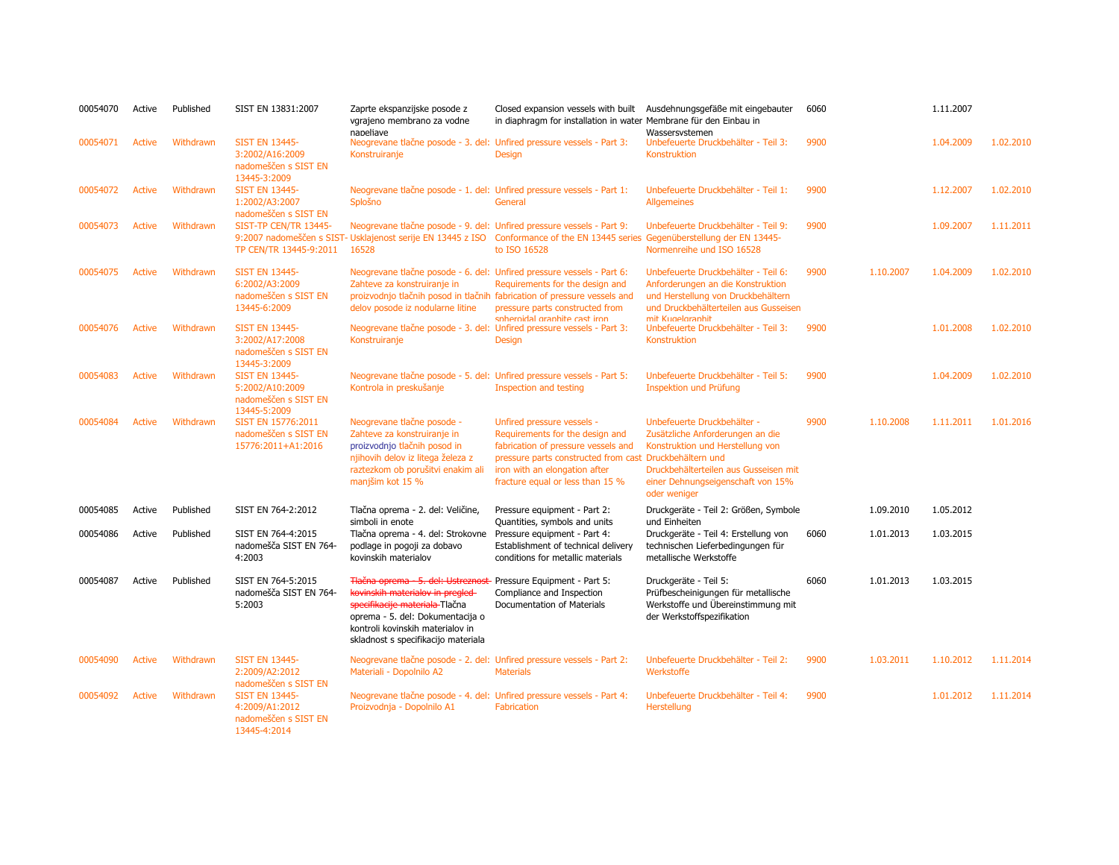| 00054070 | Active        | Published | SIST EN 13831:2007                                                               | Zaprte ekspanzijske posode z<br>vgrajeno membrano za vodne<br>napeliave                                                                                                                                                | Closed expansion vessels with built<br>in diaphragm for installation in water Membrane für den Einbau in                                                                                                                             | Ausdehnungsgefäße mit eingebauter<br>Wassersystemen                                                                                                                                               | 6060 |           | 1.11.2007 |           |
|----------|---------------|-----------|----------------------------------------------------------------------------------|------------------------------------------------------------------------------------------------------------------------------------------------------------------------------------------------------------------------|--------------------------------------------------------------------------------------------------------------------------------------------------------------------------------------------------------------------------------------|---------------------------------------------------------------------------------------------------------------------------------------------------------------------------------------------------|------|-----------|-----------|-----------|
| 00054071 | Active        | Withdrawn | <b>SIST EN 13445-</b><br>3:2002/A16:2009<br>nadomeščen s SIST EN<br>13445-3:2009 | Neogrevane tlačne posode - 3. del: Unfired pressure vessels - Part 3:<br>Konstruiranje                                                                                                                                 | <b>Design</b>                                                                                                                                                                                                                        | Unbefeuerte Druckbehälter - Teil 3:<br>Konstruktion                                                                                                                                               | 9900 |           | 1.04.2009 | 1.02.2010 |
| 00054072 | <b>Active</b> | Withdrawn | <b>SIST EN 13445-</b><br>1:2002/A3:2007<br>nadomeščen s SIST EN                  | Neogrevane tlačne posode - 1. del: Unfired pressure vessels - Part 1:<br>Splošno                                                                                                                                       | General                                                                                                                                                                                                                              | Unbefeuerte Druckbehälter - Teil 1:<br><b>Allgemeines</b>                                                                                                                                         | 9900 |           | 1.12.2007 | 1.02.2010 |
| 00054073 | <b>Active</b> | Withdrawn | SIST-TP CEN/TR 13445-<br>TP CEN/TR 13445-9:2011                                  | Neogrevane tlačne posode - 9. del: Unfired pressure vessels - Part 9:<br>16528                                                                                                                                         | 9:2007 nadomeščen s SIST- Usklajenost serije EN 13445 z ISO Conformance of the EN 13445 series Gegenüberstellung der EN 13445-<br>to ISO 16528                                                                                       | Unbefeuerte Druckbehälter - Teil 9:<br>Normenreihe und ISO 16528                                                                                                                                  | 9900 |           | 1.09.2007 | 1.11.2011 |
| 00054075 | <b>Active</b> | Withdrawn | <b>SIST EN 13445-</b><br>6:2002/A3:2009<br>nadomeščen s SIST EN<br>13445-6:2009  | Neogrevane tlačne posode - 6. del: Unfired pressure vessels - Part 6:<br>Zahteve za konstruiranje in<br>delov posode iz nodularne litine                                                                               | Requirements for the design and<br>proizvodnjo tlačnih posod in tlačnih fabrication of pressure vessels and<br>pressure parts constructed from<br>snhernidal granhite cast iron                                                      | Unbefeuerte Druckbehälter - Teil 6:<br>Anforderungen an die Konstruktion<br>und Herstellung von Druckbehältern<br>und Druckbehälterteilen aus Gusseisen<br>mit Kunelgraphit                       | 9900 | 1.10.2007 | 1.04.2009 | 1.02.2010 |
| 00054076 | <b>Active</b> | Withdrawn | <b>SIST EN 13445-</b><br>3:2002/A17:2008<br>nadomeščen s SIST EN<br>13445-3:2009 | Neogrevane tlačne posode - 3. del: Unfired pressure vessels - Part 3:<br>Konstruiranje                                                                                                                                 | <b>Design</b>                                                                                                                                                                                                                        | Unbefeuerte Druckbehälter - Teil 3:<br>Konstruktion                                                                                                                                               | 9900 |           | 1.01.2008 | 1.02.2010 |
| 00054083 | <b>Active</b> | Withdrawn | <b>SIST EN 13445-</b><br>5:2002/A10:2009<br>nadomeščen s SIST EN<br>13445-5:2009 | Neogrevane tlačne posode - 5. del: Unfired pressure vessels - Part 5:<br>Kontrola in preskušanje                                                                                                                       | Inspection and testing                                                                                                                                                                                                               | Unbefeuerte Druckbehälter - Teil 5:<br><b>Inspektion und Prüfung</b>                                                                                                                              | 9900 |           | 1.04.2009 | 1.02.2010 |
| 00054084 | <b>Active</b> | Withdrawn | SIST EN 15776:2011<br>nadomeščen s SIST EN<br>15776:2011+A1:2016                 | Neogrevane tlačne posode -<br>Zahteve za konstruiranje in<br>proizvodnjo tlačnih posod in<br>njihovih delov iz litega železa z<br>raztezkom ob porušitvi enakim ali<br>manjšim kot 15 %                                | Unfired pressure vessels -<br>Requirements for the design and<br>fabrication of pressure vessels and<br>pressure parts constructed from cast Druckbehältern und<br>iron with an elongation after<br>fracture equal or less than 15 % | Unbefeuerte Druckbehälter -<br>Zusätzliche Anforderungen an die<br>Konstruktion und Herstellung von<br>Druckbehälterteilen aus Gusseisen mit<br>einer Dehnungseigenschaft von 15%<br>oder weniger | 9900 | 1.10.2008 | 1.11.2011 | 1.01.2016 |
| 00054085 | Active        | Published | SIST EN 764-2:2012                                                               | Tlačna oprema - 2. del: Veličine,<br>simboli in enote                                                                                                                                                                  | Pressure equipment - Part 2:<br>Quantities, symbols and units                                                                                                                                                                        | Druckgeräte - Teil 2: Größen, Symbole<br>und Einheiten                                                                                                                                            |      | 1.09.2010 | 1.05.2012 |           |
| 00054086 | Active        | Published | SIST EN 764-4:2015<br>nadomešča SIST EN 764-<br>4:2003                           | Tlačna oprema - 4. del: Strokovne<br>podlage in pogoji za dobavo<br>kovinskih materialov                                                                                                                               | Pressure equipment - Part 4:<br>Establishment of technical delivery<br>conditions for metallic materials                                                                                                                             | Druckgeräte - Teil 4: Erstellung von<br>technischen Lieferbedingungen für<br>metallische Werkstoffe                                                                                               | 6060 | 1.01.2013 | 1.03.2015 |           |
| 00054087 | Active        | Published | SIST EN 764-5:2015<br>nadomešča SIST EN 764-<br>5:2003                           | Tlačna oprema - 5. del: Ustreznost<br>kovinskih materialov in pregled<br>specifikacije materiala Tlačna<br>oprema - 5. del: Dokumentacija o<br>kontroli kovinskih materialov in<br>skladnost s specifikacijo materiala | Pressure Equipment - Part 5:<br>Compliance and Inspection<br>Documentation of Materials                                                                                                                                              | Druckgeräte - Teil 5:<br>Prüfbescheinigungen für metallische<br>Werkstoffe und Übereinstimmung mit<br>der Werkstoffspezifikation                                                                  | 6060 | 1.01.2013 | 1.03.2015 |           |
| 00054090 | <b>Active</b> | Withdrawn | <b>SIST EN 13445-</b><br>2:2009/A2:2012<br>nadomeščen s SIST EN                  | Neogrevane tlačne posode - 2. del: Unfired pressure vessels - Part 2:<br>Materiali - Dopolnilo A2                                                                                                                      | <b>Materials</b>                                                                                                                                                                                                                     | Unbefeuerte Druckbehälter - Teil 2:<br>Werkstoffe                                                                                                                                                 | 9900 | 1.03.2011 | 1.10.2012 | 1.11.2014 |
| 00054092 | <b>Active</b> | Withdrawn | <b>SIST EN 13445-</b><br>4:2009/A1:2012<br>nadomeščen s SIST EN<br>13445-4:2014  | Neogrevane tlačne posode - 4. del: Unfired pressure vessels - Part 4:<br>Proizvodnja - Dopolnilo A1                                                                                                                    | Fabrication                                                                                                                                                                                                                          | Unbefeuerte Druckbehälter - Teil 4:<br>Herstellung                                                                                                                                                | 9900 |           | 1.01.2012 | 1.11.2014 |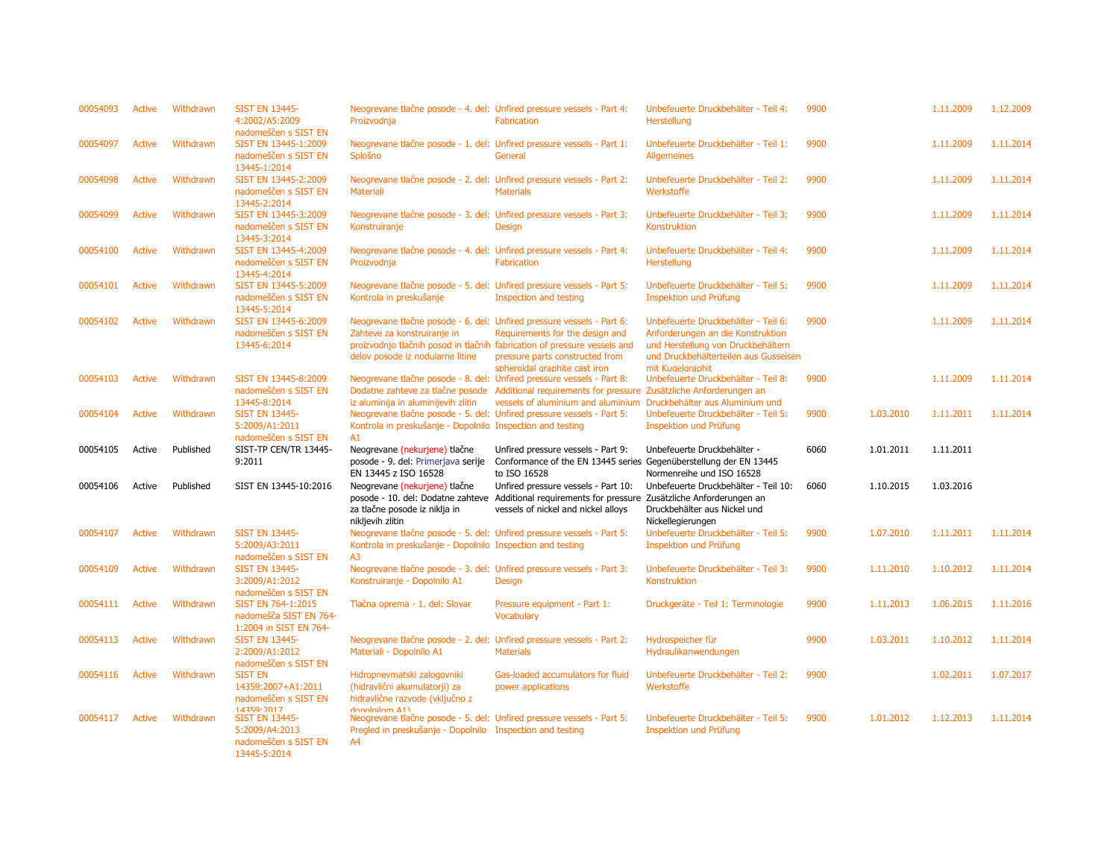| 00054093 | Active        | Withdrawn | <b>SIST EN 13445-</b><br>4:2002/A5:2009<br>nadomeščen s SIST EN            | Neogrevane tlačne posode - 4. del: Unfired pressure vessels - Part 4:<br>Proizvodnja                                                      | <b>Fabrication</b>                                                                                                                                                                | Unbefeuerte Druckbehälter - Teil 4:<br>Herstellung                                                                                                                          | 9900 |           | 1.11.2009 | 1.12.2009 |
|----------|---------------|-----------|----------------------------------------------------------------------------|-------------------------------------------------------------------------------------------------------------------------------------------|-----------------------------------------------------------------------------------------------------------------------------------------------------------------------------------|-----------------------------------------------------------------------------------------------------------------------------------------------------------------------------|------|-----------|-----------|-----------|
| 00054097 | Active        | Withdrawn | SIST EN 13445-1:2009<br>nadomeščen s SIST EN<br>13445-1:2014               | Neogrevane tlačne posode - 1. del: Unfired pressure vessels - Part 1:<br>Splošno                                                          | General                                                                                                                                                                           | Unbefeuerte Druckbehälter - Teil 1:<br><b>Allgemeines</b>                                                                                                                   | 9900 |           | 1.11.2009 | 1.11.2014 |
| 00054098 | <b>Active</b> | Withdrawn | SIST EN 13445-2:2009<br>nadomeščen s SIST EN<br>13445-2:2014               | Neogrevane tlačne posode - 2. del: Unfired pressure vessels - Part 2:<br><b>Materiali</b>                                                 | <b>Materials</b>                                                                                                                                                                  | Unbefeuerte Druckbehälter - Teil 2:<br>Werkstoffe                                                                                                                           | 9900 |           | 1.11.2009 | 1.11.2014 |
| 00054099 | Active        | Withdrawn | SIST EN 13445-3:2009<br>nadomeščen s SIST EN<br>13445-3:2014               | Neogrevane tlačne posode - 3. del: Unfired pressure vessels - Part 3:<br>Konstruiranje                                                    | <b>Design</b>                                                                                                                                                                     | Unbefeuerte Druckbehälter - Teil 3:<br>Konstruktion                                                                                                                         | 9900 |           | 1.11.2009 | 1.11.2014 |
| 00054100 | Active        | Withdrawn | SIST EN 13445-4:2009<br>nadomeščen s SIST EN<br>13445-4:2014               | Neogrevane tlačne posode - 4. del: Unfired pressure vessels - Part 4:<br>Proizvodnja                                                      | <b>Fabrication</b>                                                                                                                                                                | Unbefeuerte Druckbehälter - Teil 4:<br>Herstellung                                                                                                                          | 9900 |           | 1.11.2009 | 1.11.2014 |
| 00054101 | Active        | Withdrawn | SIST EN 13445-5:2009<br>nadomeščen s SIST EN<br>13445-5:2014               | Neogrevane tlačne posode - 5. del: Unfired pressure vessels - Part 5:<br>Kontrola in preskušanje                                          | Inspection and testing                                                                                                                                                            | Unbefeuerte Druckbehälter - Teil 5:<br>Inspektion und Prüfung                                                                                                               | 9900 |           | 1.11.2009 | 1.11.2014 |
| 00054102 | Active        | Withdrawn | SIST EN 13445-6:2009<br>nadomeščen s SIST EN<br>13445-6:2014               | Neogrevane tlačne posode - 6. del: Unfired pressure vessels - Part 6:<br>Zahteve za konstruiranje in<br>delov posode iz nodularne litine  | Requirements for the design and<br>proizvodnjo tlačnih posod in tlačnih fabrication of pressure vessels and<br>pressure parts constructed from<br>spheroidal graphite cast iron   | Unbefeuerte Druckbehälter - Teil 6:<br>Anforderungen an die Konstruktion<br>und Herstellung von Druckbehältern<br>und Druckbehälterteilen aus Gusseisen<br>mit Kugelgraphit | 9900 |           | 1.11.2009 | 1.11.2014 |
| 00054103 | Active        | Withdrawn | SIST EN 13445-8:2009<br>nadomeščen s SIST EN<br>13445-8:2014               | Neogrevane tlačne posode - 8. del: Unfired pressure vessels - Part 8:<br>iz aluminija in aluminijevih zlitin                              | Dodatne zahteve za tlačne posode Additional requirements for pressure Zusätzliche Anforderungen an<br>vessels of aluminium and aluminium Druckbehälter aus Aluminium und          | Unbefeuerte Druckbehälter - Teil 8:                                                                                                                                         | 9900 |           | 1.11.2009 | 1.11.2014 |
| 00054104 | Active        | Withdrawn | <b>SIST EN 13445-</b><br>5:2009/A1:2011<br>nadomeščen s SIST EN            | Neogrevane tlačne posode - 5. del: Unfired pressure vessels - Part 5:<br>Kontrola in preskušanje - Dopolnilo Inspection and testing<br>A1 |                                                                                                                                                                                   | Unbefeuerte Druckbehälter - Teil 5:<br><b>Inspektion und Prüfung</b>                                                                                                        | 9900 | 1.03.2010 | 1.11.2011 | 1.11.2014 |
| 00054105 | Active        | Published | SIST-TP CEN/TR 13445-<br>9:2011                                            | Neogrevane (nekurjene) tlačne<br>posode - 9. del: Primerjava serije<br>EN 13445 z ISO 16528                                               | Unfired pressure vessels - Part 9:<br>Conformance of the EN 13445 series Gegenüberstellung der EN 13445<br>to ISO 16528                                                           | Unbefeuerte Druckbehälter -<br>Normenreihe und ISO 16528                                                                                                                    | 6060 | 1.01.2011 | 1.11.2011 |           |
| 00054106 | Active        | Published | SIST EN 13445-10:2016                                                      | Neogrevane (nekurjene) tlačne<br>za tlačne posode iz niklja in<br>nikljevih zlitin                                                        | Unfired pressure vessels - Part 10:<br>posode - 10. del: Dodatne zahteve Additional requirements for pressure Zusätzliche Anforderungen an<br>vessels of nickel and nickel alloys | Unbefeuerte Druckbehälter - Teil 10:<br>Druckbehälter aus Nickel und<br>Nickellegierungen                                                                                   | 6060 | 1.10.2015 | 1.03.2016 |           |
| 00054107 | Active        | Withdrawn | <b>SIST EN 13445-</b><br>5:2009/A3:2011<br>nadomeščen s SIST EN            | Neogrevane tlačne posode - 5. del: Unfired pressure vessels - Part 5:<br>Kontrola in preskušanje - Dopolnilo Inspection and testing<br>A3 |                                                                                                                                                                                   | Unbefeuerte Druckbehälter - Teil 5:<br>Inspektion und Prüfung                                                                                                               | 9900 | 1.07.2010 | 1.11.2011 | 1.11.2014 |
| 00054109 | Active        | Withdrawn | <b>SIST EN 13445-</b><br>3:2009/A1:2012<br>nadomeščen s SIST EN            | Neogrevane tlačne posode - 3. del: Unfired pressure vessels - Part 3:<br>Konstruiranje - Dopolnilo A1                                     | <b>Design</b>                                                                                                                                                                     | Unbefeuerte Druckbehälter - Teil 3:<br>Konstruktion                                                                                                                         | 9900 | 1.11.2010 | 1.10.2012 | 1.11.2014 |
| 00054111 | Active        | Withdrawn | SIST EN 764-1:2015<br>nadomešča SIST EN 764-<br>1:2004 in SIST EN 764-     | Tlačna oprema - 1. del: Slovar                                                                                                            | Pressure equipment - Part 1:<br><b>Vocabulary</b>                                                                                                                                 | Druckgeräte - Teil 1: Terminologie                                                                                                                                          | 9900 | 1.11.2013 | 1.06.2015 | 1.11.2016 |
| 00054113 | Active        | Withdrawn | <b>SIST EN 13445-</b><br>2:2009/A1:2012<br>nadomeščen s SIST EN            | Neogrevane tlačne posode - 2. del: Unfired pressure vessels - Part 2:<br>Materiali - Dopolnilo A1                                         | <b>Materials</b>                                                                                                                                                                  | Hydrospeicher für<br>Hydraulikanwendungen                                                                                                                                   | 9900 | 1.03.2011 | 1.10.2012 | 1.11.2014 |
| 00054116 | Active        | Withdrawn | <b>SIST EN</b><br>14359:2007+A1:2011<br>nadomeščen s SIST EN<br>14359.2017 | Hidropnevmatski zalogovniki<br>(hidravlični akumulatorji) za<br>hidravlične razvode (vključno z<br>$donolnilom$ $41$                      | Gas-loaded accumulators for fluid<br>power applications                                                                                                                           | Unbefeuerte Druckbehälter - Teil 2:<br>Werkstoffe                                                                                                                           | 9900 |           | 1.02.2011 | 1.07.2017 |
| 00054117 | Active        | Withdrawn | <b>SIST EN 13445-</b>                                                      |                                                                                                                                           | Neogrevane tlačne posode - 5. del: Unfired pressure vessels - Part 5:                                                                                                             | Unbefeuerte Druckbehälter - Teil 5:                                                                                                                                         | 9900 | 1.01.2012 | 1.12.2013 | 1.11.2014 |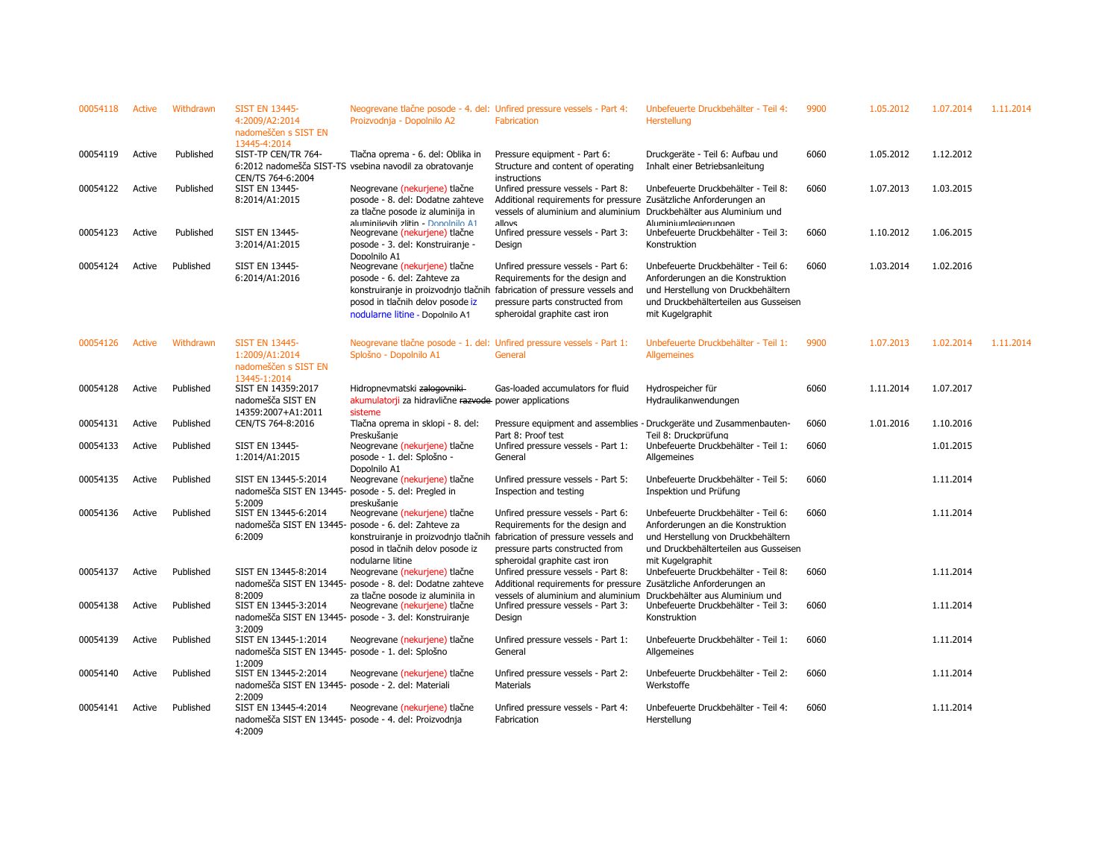| 00054118 | Active        | Withdrawn | <b>SIST EN 13445-</b><br>4:2009/A2:2014<br>nadomeščen s SIST EN                               | Neogrevane tlačne posode - 4. del: Unfired pressure vessels - Part 4:<br>Proizvodnja - Dopolnilo A2                                                 | Fabrication                                                                                                                                                                                                           | Unbefeuerte Druckbehälter - Teil 4:<br>Herstellung                                                                                                                          | 9900 | 1.05.2012 | 1.07.2014 | 1.11.2014 |
|----------|---------------|-----------|-----------------------------------------------------------------------------------------------|-----------------------------------------------------------------------------------------------------------------------------------------------------|-----------------------------------------------------------------------------------------------------------------------------------------------------------------------------------------------------------------------|-----------------------------------------------------------------------------------------------------------------------------------------------------------------------------|------|-----------|-----------|-----------|
| 00054119 | Active        | Published | 13445-4:2014<br>SIST-TP CEN/TR 764-                                                           | Tlačna oprema - 6. del: Oblika in<br>6:2012 nadomešča SIST-TS vsebina navodil za obratovanje                                                        | Pressure equipment - Part 6:<br>Structure and content of operating                                                                                                                                                    | Druckgeräte - Teil 6: Aufbau und<br>Inhalt einer Betriebsanleitung                                                                                                          | 6060 | 1.05.2012 | 1.12.2012 |           |
| 00054122 | Active        | Published | CEN/TS 764-6:2004<br>SIST EN 13445-<br>8:2014/A1:2015                                         | Neogrevane (nekurjene) tlačne<br>posode - 8. del: Dodatne zahteve<br>za tlačne posode iz aluminija in                                               | instructions<br>Unfired pressure vessels - Part 8:<br>Additional requirements for pressure Zusätzliche Anforderungen an<br>vessels of aluminium and aluminium                                                         | Unbefeuerte Druckbehälter - Teil 8:<br>Druckbehälter aus Aluminium und                                                                                                      | 6060 | 1.07.2013 | 1.03.2015 |           |
| 00054123 | Active        | Published | <b>SIST EN 13445-</b><br>3:2014/A1:2015                                                       | aluminiievih zlitin - Donolnilo A1<br>Neogrevane (nekurjene) tlačne<br>posode - 3. del: Konstruiranje -                                             | alloys<br>Unfired pressure vessels - Part 3:<br>Design                                                                                                                                                                | Aluminiumlegierungen<br>Unbefeuerte Druckbehälter - Teil 3:<br>Konstruktion                                                                                                 | 6060 | 1.10.2012 | 1.06.2015 |           |
| 00054124 | Active        | Published | SIST EN 13445-<br>6:2014/A1:2016                                                              | Dopolnilo A1<br>Neogrevane (nekurjene) tlačne<br>posode - 6. del: Zahteve za<br>posod in tlačnih delov posode iz<br>nodularne litine - Dopolnilo A1 | Unfired pressure vessels - Part 6:<br>Requirements for the design and<br>konstruiranje in proizvodnjo tlačnih fabrication of pressure vessels and<br>pressure parts constructed from<br>spheroidal graphite cast iron | Unbefeuerte Druckbehälter - Teil 6:<br>Anforderungen an die Konstruktion<br>und Herstellung von Druckbehältern<br>und Druckbehälterteilen aus Gusseisen<br>mit Kugelgraphit | 6060 | 1.03.2014 | 1.02.2016 |           |
| 00054126 | <b>Active</b> | Withdrawn | <b>SIST EN 13445-</b><br>1:2009/A1:2014<br>nadomeščen s SIST EN                               | Neogrevane tlačne posode - 1. del: Unfired pressure vessels - Part 1:<br>Splošno - Dopolnilo A1                                                     | General                                                                                                                                                                                                               | Unbefeuerte Druckbehälter - Teil 1:<br>Allgemeines                                                                                                                          | 9900 | 1.07.2013 | 1.02.2014 | 1.11.2014 |
| 00054128 | Active        | Published | 13445-1:2014<br>SIST EN 14359:2017<br>nadomešča SIST EN<br>14359:2007+A1:2011                 | Hidropnevmatski zalogovniki<br>akumulatorji za hidravlične razvode power applications<br>sisteme                                                    | Gas-loaded accumulators for fluid                                                                                                                                                                                     | Hydrospeicher für<br>Hydraulikanwendungen                                                                                                                                   | 6060 | 1.11.2014 | 1.07.2017 |           |
| 00054131 | Active        | Published | CEN/TS 764-8:2016                                                                             | Tlačna oprema in sklopi - 8. del:                                                                                                                   | Pressure equipment and assemblies                                                                                                                                                                                     | - Druckgeräte und Zusammenbauten-                                                                                                                                           | 6060 | 1.01.2016 | 1.10.2016 |           |
| 00054133 | Active        | Published | <b>SIST EN 13445-</b><br>1:2014/A1:2015                                                       | Preskušanie<br>Neogrevane (nekurjene) tlačne<br>posode - 1. del: Splošno -<br>Dopolnilo A1                                                          | Part 8: Proof test<br>Unfired pressure vessels - Part 1:<br>General                                                                                                                                                   | Teil 8: Druckprüfung<br>Unbefeuerte Druckbehälter - Teil 1:<br>Allgemeines                                                                                                  | 6060 |           | 1.01.2015 |           |
| 00054135 | Active        | Published | SIST EN 13445-5:2014<br>nadomešča SIST EN 13445- posode - 5. del: Pregled in<br>5:2009        | Neogrevane (nekurjene) tlačne<br>preskušanie                                                                                                        | Unfired pressure vessels - Part 5:<br>Inspection and testing                                                                                                                                                          | Unbefeuerte Druckbehälter - Teil 5:<br>Inspektion und Prüfung                                                                                                               | 6060 |           | 1.11.2014 |           |
| 00054136 | Active        | Published | SIST EN 13445-6:2014<br>nadomešča SIST EN 13445- posode - 6. del: Zahteve za<br>6:2009        | Neogrevane (nekurjene) tlačne<br>posod in tlačnih delov posode iz<br>nodularne litine                                                               | Unfired pressure vessels - Part 6:<br>Requirements for the design and<br>konstruiranje in proizvodnjo tlačnih fabrication of pressure vessels and<br>pressure parts constructed from<br>spheroidal graphite cast iron | Unbefeuerte Druckbehälter - Teil 6:<br>Anforderungen an die Konstruktion<br>und Herstellung von Druckbehältern<br>und Druckbehälterteilen aus Gusseisen<br>mit Kugelgraphit | 6060 |           | 1.11.2014 |           |
| 00054137 | Active        | Published | SIST EN 13445-8:2014                                                                          | Neogrevane (nekurjene) tlačne<br>nadomešča SIST EN 13445- posode - 8. del: Dodatne zahteve                                                          | Unfired pressure vessels - Part 8:<br>Additional requirements for pressure Zusätzliche Anforderungen an                                                                                                               | Unbefeuerte Druckbehälter - Teil 8:                                                                                                                                         | 6060 |           | 1.11.2014 |           |
| 00054138 | Active        | Published | 8:2009<br>SIST EN 13445-3:2014                                                                | za tlačne posode iz aluminija in<br>Neogrevane (nekurjene) tlačne<br>nadomešča SIST EN 13445- posode - 3. del: Konstruiranje                        | vessels of aluminium and aluminium<br>Unfired pressure vessels - Part 3:<br>Design                                                                                                                                    | Druckbehälter aus Aluminium und<br>Unbefeuerte Druckbehälter - Teil 3:<br>Konstruktion                                                                                      | 6060 |           | 1.11.2014 |           |
| 00054139 | Active        | Published | 3:2009<br>SIST EN 13445-1:2014<br>nadomešča SIST EN 13445- posode - 1. del: Splošno<br>1:2009 | Neogrevane (nekurjene) tlačne                                                                                                                       | Unfired pressure vessels - Part 1:<br>General                                                                                                                                                                         | Unbefeuerte Druckbehälter - Teil 1:<br>Allgemeines                                                                                                                          | 6060 |           | 1.11.2014 |           |
| 00054140 | Active        | Published | SIST EN 13445-2:2014<br>nadomešča SIST EN 13445- posode - 2. del: Materiali                   | Neogrevane (nekurjene) tlačne                                                                                                                       | Unfired pressure vessels - Part 2:<br>Materials                                                                                                                                                                       | Unbefeuerte Druckbehälter - Teil 2:<br>Werkstoffe                                                                                                                           | 6060 |           | 1.11.2014 |           |
| 00054141 | Active        | Published | 2:2009<br>SIST EN 13445-4:2014<br>4:2009                                                      | Neogrevane (nekurjene) tlačne<br>nadomešča SIST EN 13445- posode - 4. del: Proizvodnja                                                              | Unfired pressure vessels - Part 4:<br>Fabrication                                                                                                                                                                     | Unbefeuerte Druckbehälter - Teil 4:<br>Herstellung                                                                                                                          | 6060 |           | 1.11.2014 |           |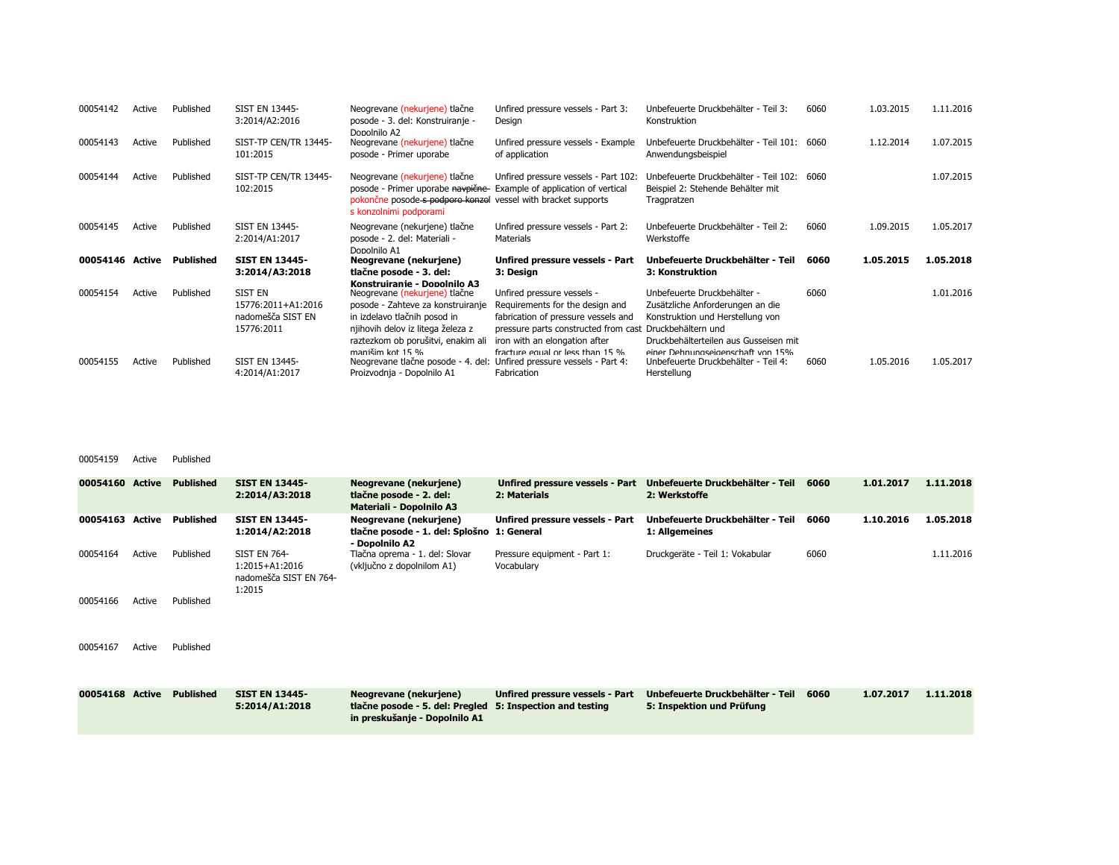| 00054142 | Active | Published | <b>SIST EN 13445-</b><br>3:2014/A2:2016                                 | Neogrevane (nekurjene) tlačne<br>posode - 3. del: Konstruiranje -<br>Dopolnilo A2                                                                                                                 | Unfired pressure vessels - Part 3:<br>Design                                                                                                                                                                                         | Unbefeuerte Druckbehälter - Teil 3:<br>Konstruktion                                                                                                                               | 6060 | 1.03.2015 | 1.11.2016 |
|----------|--------|-----------|-------------------------------------------------------------------------|---------------------------------------------------------------------------------------------------------------------------------------------------------------------------------------------------|--------------------------------------------------------------------------------------------------------------------------------------------------------------------------------------------------------------------------------------|-----------------------------------------------------------------------------------------------------------------------------------------------------------------------------------|------|-----------|-----------|
| 00054143 | Active | Published | SIST-TP CEN/TR 13445-<br>101:2015                                       | Neogrevane (nekurjene) tlačne<br>posode - Primer uporabe                                                                                                                                          | Unfired pressure vessels - Example<br>of application                                                                                                                                                                                 | Unbefeuerte Druckbehälter - Teil 101: 6060<br>Anwendungsbeispiel                                                                                                                  |      | 1.12.2014 | 1.07.2015 |
| 00054144 | Active | Published | SIST-TP CEN/TR 13445-<br>102:2015                                       | Neogrevane (nekurjene) tlačne<br>posode - Primer uporabe navpične<br>pokončne posode s podporo konzol vessel with bracket supports<br>s konzolnimi podporami                                      | Unfired pressure vessels - Part 102:<br>Example of application of vertical                                                                                                                                                           | Unbefeuerte Druckbehälter - Teil 102:<br>Beispiel 2: Stehende Behälter mit<br>Tragpratzen                                                                                         | 6060 |           | 1.07.2015 |
| 00054145 | Active | Published | SIST EN 13445-<br>2:2014/A1:2017                                        | Neogrevane (nekurjene) tlačne<br>posode - 2. del: Materiali -<br>Dopolnilo A1                                                                                                                     | Unfired pressure vessels - Part 2:<br>Materials                                                                                                                                                                                      | Unbefeuerte Druckbehälter - Teil 2:<br>Werkstoffe                                                                                                                                 | 6060 | 1.09.2015 | 1.05.2017 |
| 00054146 | Active | Published | <b>SIST EN 13445-</b><br>3:2014/A3:2018                                 | Neogrevane (nekurjene)<br>tlačne posode - 3. del:<br>Konstruiranie - Donolnilo A3                                                                                                                 | Unfired pressure vessels - Part<br>3: Design                                                                                                                                                                                         | Unbefeuerte Druckbehälter - Teil<br>3: Konstruktion                                                                                                                               | 6060 | 1.05.2015 | 1.05.2018 |
| 00054154 | Active | Published | <b>SIST EN</b><br>15776:2011+A1:2016<br>nadomešča SIST EN<br>15776:2011 | Neogrevane (nekurjene) tlačne<br>posode - Zahteve za konstruiranje<br>in izdelavo tlačnih posod in<br>njihovih delov iz litega železa z<br>raztezkom ob porušitvi, enakim ali<br>manišim kot 15 % | Unfired pressure vessels -<br>Requirements for the design and<br>fabrication of pressure vessels and<br>pressure parts constructed from cast Druckbehältern und<br>iron with an elongation after<br>fracture equal or less than 15 % | Unbefeuerte Druckbehälter -<br>Zusätzliche Anforderungen an die<br>Konstruktion und Herstellung von<br>Druckbehälterteilen aus Gusseisen mit<br>einer Dehnungseigenschaft von 15% | 6060 |           | 1.01.2016 |
| 00054155 | Active | Published | <b>SIST EN 13445-</b><br>4:2014/A1:2017                                 | Neogrevane tlačne posode - 4. del: Unfired pressure vessels - Part 4:<br>Proizvodnja - Dopolnilo A1                                                                                               | Fabrication                                                                                                                                                                                                                          | Unbefeuerte Druckbehälter - Teil 4:<br>Herstellung                                                                                                                                | 6060 | 1.05.2016 | 1.05.2017 |

## 00054159 Active Published

| 00054160 Active |        | <b>Published</b> | <b>SIST EN 13445-</b><br>2:2014/A3:2018                                   | Neogrevane (nekurjene)<br>tlačne posode - 2. del:<br><b>Materiali - Dopolnilo A3</b>       | Unfired pressure vessels - Part<br>2: Materials              | Unbefeuerte Druckbehälter - Teil<br>2: Werkstoffe             | 6060 | 1.01.2017 | 1.11.2018 |
|-----------------|--------|------------------|---------------------------------------------------------------------------|--------------------------------------------------------------------------------------------|--------------------------------------------------------------|---------------------------------------------------------------|------|-----------|-----------|
| 00054163        | Active | <b>Published</b> | <b>SIST EN 13445-</b><br>1:2014/A2:2018                                   | Neogrevane (nekurjene)<br>tlačne posode - 1. del: Splošno 1: General<br>- Dopolnilo A2     | Unfired pressure vessels - Part                              | Unbefeuerte Druckbehälter - Teil<br>1: Allgemeines            | 6060 | 1.10.2016 | 1.05.2018 |
| 00054164        | Active | Published        | <b>SIST EN 764-</b><br>1:2015+A1:2016<br>nadomešča SIST EN 764-<br>1:2015 | Tlačna oprema - 1. del: Slovar<br>(vključno z dopolnilom A1)                               | Pressure equipment - Part 1:<br>Vocabulary                   | Druckgeräte - Teil 1: Vokabular                               | 6060 |           | 1.11.2016 |
| 00054166        | Active | Published        |                                                                           |                                                                                            |                                                              |                                                               |      |           |           |
| 00054167        | Active | Published        |                                                                           |                                                                                            |                                                              |                                                               |      |           |           |
| 00054168 Active |        | <b>Published</b> | <b>SIST EN 13445-</b><br>5:2014/A1:2018                                   | Neogrevane (nekurjene)<br>tlačne posode - 5. del: Pregled<br>in preskušanje - Dopolnilo A1 | Unfired pressure vessels - Part<br>5: Inspection and testing | Unbefeuerte Druckbehälter - Teil<br>5: Inspektion und Prüfung | 6060 | 1.07.2017 | 1.11.2018 |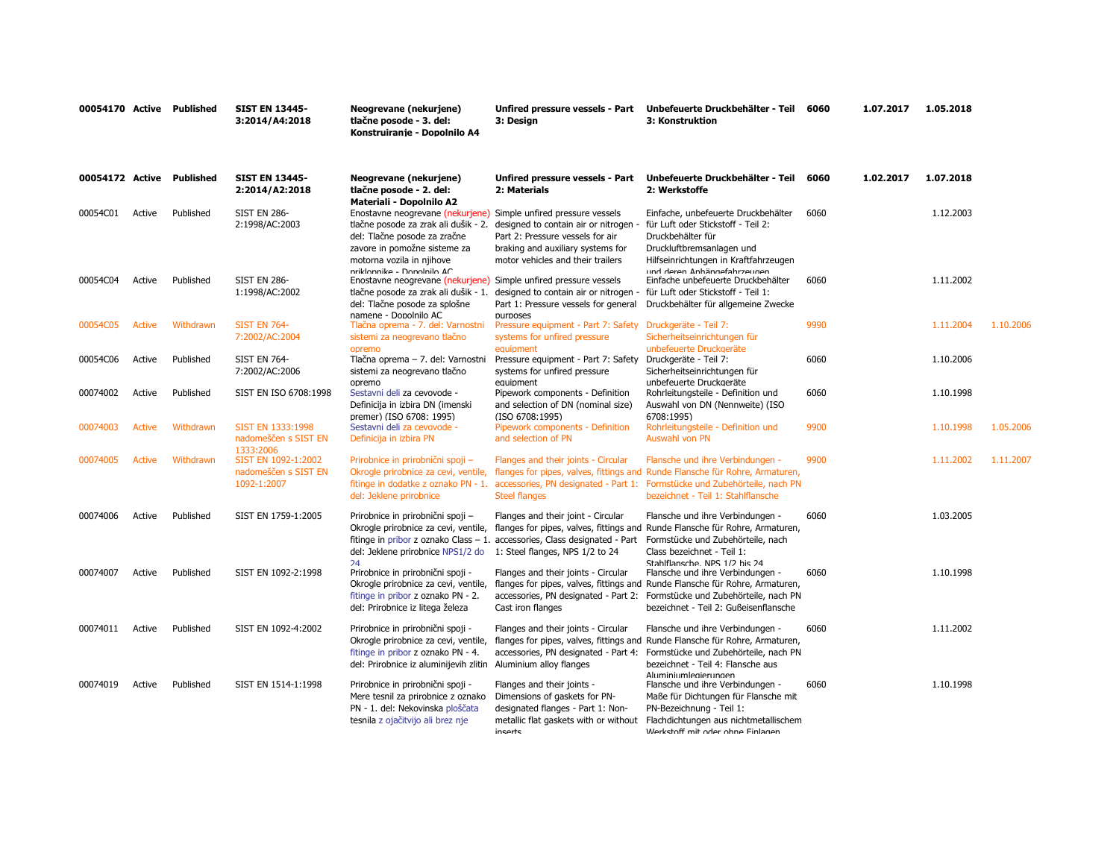| 00054170 Active Published |               |           | <b>SIST EN 13445-</b><br>3:2014/A4:2018                                 | Neogrevane (nekurjene)<br>tlačne posode - 3. del:<br>Konstruiranje - Dopolnilo A4                                                                                                                                                   | Unfired pressure vessels - Part<br>3: Desian                                                                                                         | Unbefeuerte Druckbehälter - Teil<br>3: Konstruktion                                                                                                                                                                                                                     | 6060 | 1.07.2017 | 1.05.2018 |           |
|---------------------------|---------------|-----------|-------------------------------------------------------------------------|-------------------------------------------------------------------------------------------------------------------------------------------------------------------------------------------------------------------------------------|------------------------------------------------------------------------------------------------------------------------------------------------------|-------------------------------------------------------------------------------------------------------------------------------------------------------------------------------------------------------------------------------------------------------------------------|------|-----------|-----------|-----------|
| 00054172 Active Published |               |           | <b>SIST EN 13445-</b><br>2:2014/A2:2018                                 | Neogrevane (nekurjene)<br>tlačne posode - 2. del:<br>Materiali - Dopolnilo A2                                                                                                                                                       | Unfired pressure vessels - Part<br>2: Materials                                                                                                      | Unbefeuerte Druckbehälter - Teil<br>2: Werkstoffe                                                                                                                                                                                                                       | 6060 | 1.02.2017 | 1.07.2018 |           |
| 00054C01                  | Active        | Published | <b>SIST EN 286-</b><br>2:1998/AC:2003                                   | Enostavne neogrevane (nekurjene) Simple unfired pressure vessels<br>tlačne posode za zrak ali dušik - 2.<br>del: Tlačne posode za zračne<br>zavore in pomožne sisteme za<br>motorna vozila in njihove<br>nriklonnike - Donolnilo AC | designed to contain air or nitrogen<br>Part 2: Pressure vessels for air<br>braking and auxiliary systems for<br>motor vehicles and their trailers    | Einfache, unbefeuerte Druckbehälter<br>für Luft oder Stickstoff - Teil 2:<br>Druckbehälter für<br>Druckluftbremsanlagen und<br>Hilfseinrichtungen in Kraftfahrzeugen<br>und deren Anhängefahrzeugen                                                                     | 6060 |           | 1.12.2003 |           |
| 00054C04                  | Active        | Published | <b>SIST EN 286-</b><br>1:1998/AC:2002                                   | Enostavne neogrevane (nekurjene) Simple unfired pressure vessels<br>tlačne posode za zrak ali dušik - 1.<br>del: Tlačne posode za splošne<br>namene - Donolnilo AC                                                                  | designed to contain air or nitrogen<br>Part 1: Pressure vessels for general<br><b>DUITDOSPS</b>                                                      | Einfache unbefeuerte Druckbehälter<br>für Luft oder Stickstoff - Teil 1:<br>Druckbehälter für allgemeine Zwecke                                                                                                                                                         | 6060 |           | 1.11.2002 |           |
| 00054C05                  | <b>Active</b> | Withdrawn | <b>SIST EN 764-</b><br>7:2002/AC:2004                                   | Tlačna oprema - 7. del: Varnostni<br>sistemi za neogrevano tlačno                                                                                                                                                                   | Pressure equipment - Part 7: Safety<br>systems for unfired pressure                                                                                  | Druckgeräte - Teil 7:<br>Sicherheitseinrichtungen für                                                                                                                                                                                                                   | 9990 |           | 1.11.2004 | 1.10.2006 |
| 00054C06                  | Active        | Published | <b>SIST EN 764-</b><br>7:2002/AC:2006                                   | opremo<br>Tlačna oprema - 7. del: Varnostni<br>sistemi za neogrevano tlačno                                                                                                                                                         | equipment<br>Pressure equipment - Part 7: Safety<br>systems for unfired pressure                                                                     | unbefeuerte Druckaeräte<br>Druckgeräte - Teil 7:<br>Sicherheitseinrichtungen für                                                                                                                                                                                        | 6060 |           | 1.10.2006 |           |
| 00074002                  | Active        | Published | SIST EN ISO 6708:1998                                                   | opremo<br>Sestavni deli za cevovode -<br>Definicija in izbira DN (imenski                                                                                                                                                           | equipment<br>Pipework components - Definition<br>and selection of DN (nominal size)                                                                  | unbefeuerte Druckaeräte<br>Rohrleitungsteile - Definition und<br>Auswahl von DN (Nennweite) (ISO                                                                                                                                                                        | 6060 |           | 1.10.1998 |           |
| 00074003                  | <b>Active</b> | Withdrawn | SIST EN 1333:1998<br>nadomeščen s SIST EN                               | premer) (ISO 6708: 1995)<br>Sestavni deli za cevovode -<br>Definicija in izbira PN                                                                                                                                                  | (ISO 6708:1995)<br>Pipework components - Definition<br>and selection of PN                                                                           | 6708:1995)<br>Rohrleitungsteile - Definition und<br>Auswahl von PN                                                                                                                                                                                                      | 9900 |           | 1.10.1998 | 1.05.2006 |
| 00074005                  | <b>Active</b> | Withdrawn | 1333:2006<br>SIST EN 1092-1:2002<br>nadomeščen s SIST EN<br>1092-1:2007 | Prirobnice in prirobnični spoji -<br>Okrogle prirobnice za cevi, ventile,<br>del: Jeklene prirobnice                                                                                                                                | Flanges and their joints - Circular<br><b>Steel flanges</b>                                                                                          | Flansche und ihre Verbindungen -<br>flanges for pipes, valves, fittings and Runde Flansche für Rohre, Armaturen,<br>fitinge in dodatke z oznako PN - 1. accessories, PN designated - Part 1: Formstücke und Zubehörteile, nach PN<br>bezeichnet - Teil 1: Stahlflansche | 9900 |           | 1.11.2002 | 1.11.2007 |
| 00074006                  | Active        | Published | SIST EN 1759-1:2005                                                     | Prirobnice in prirobnični spoji -<br>Okrogle prirobnice za cevi, ventile,<br>del: Jeklene prirobnice NPS1/2 do<br>24                                                                                                                | Flanges and their joint - Circular<br>fitinge in pribor z oznako Class - 1. accessories, Class designated - Part<br>1: Steel flanges, NPS 1/2 to 24  | Flansche und ihre Verbindungen -<br>flanges for pipes, valves, fittings and Runde Flansche für Rohre, Armaturen,<br>Formstücke und Zubehörteile, nach<br>Class bezeichnet - Teil 1:<br>Stahlflansche NPS 1/7 his 74                                                     | 6060 |           | 1.03.2005 |           |
| 00074007                  | Active        | Published | SIST EN 1092-2:1998                                                     | Prirobnice in prirobnični spoji -<br>Okrogle prirobnice za cevi, ventile,<br>fitinge in pribor z oznako PN - 2.<br>del: Prirobnice iz litega železa                                                                                 | Flanges and their joints - Circular<br>Cast iron flanges                                                                                             | Flansche und ihre Verbindungen -<br>flanges for pipes, valves, fittings and Runde Flansche für Rohre, Armaturen,<br>accessories, PN designated - Part 2: Formstücke und Zubehörteile, nach PN<br>bezeichnet - Teil 2: Gußeisenflansche                                  | 6060 |           | 1.10.1998 |           |
| 00074011                  | Active        | Published | SIST EN 1092-4:2002                                                     | Prirobnice in prirobnični spoji -<br>Okrogle prirobnice za cevi, ventile,<br>fitinge in pribor z oznako PN - 4.<br>del: Prirobnice iz aluminijevih zlitin Aluminium alloy flanges                                                   | Flanges and their joints - Circular<br>accessories, PN designated - Part 4:                                                                          | Flansche und ihre Verbindungen -<br>flanges for pipes, valves, fittings and Runde Flansche für Rohre, Armaturen,<br>Formstücke und Zubehörteile, nach PN<br>bezeichnet - Teil 4: Flansche aus<br>Aluminiumlegierungen                                                   | 6060 |           | 1.11.2002 |           |
| 00074019                  | Active        | Published | SIST EN 1514-1:1998                                                     | Prirobnice in prirobnični spoji -<br>Mere tesnil za prirobnice z oznako<br>PN - 1. del: Nekovinska ploščata<br>tesnila z ojačitvijo ali brez nje                                                                                    | Flanges and their joints -<br>Dimensions of gaskets for PN-<br>designated flanges - Part 1: Non-<br>metallic flat gaskets with or without<br>inserts | Flansche und ihre Verbindungen -<br>Maße für Dichtungen für Flansche mit<br>PN-Bezeichnung - Teil 1:<br>Flachdichtungen aus nichtmetallischem<br>Werkstoff mit oder ohne Finlanen                                                                                       | 6060 |           | 1.10.1998 |           |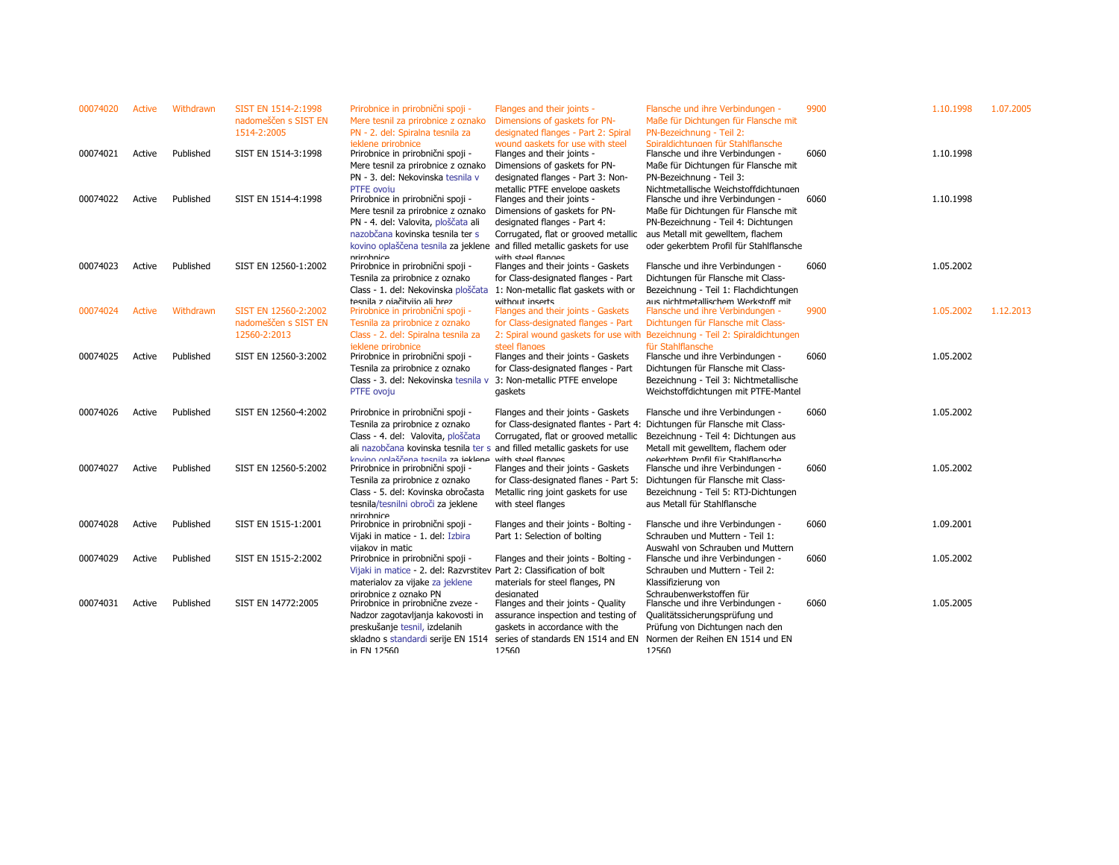| 00074020 | Active | Withdrawn | SIST EN 1514-2:1998<br>nadomeščen s SIST EN<br>1514-2:2005 | Prirobnice in prirobnični spoji -<br>Mere tesnil za prirobnice z oznako<br>PN - 2. del: Spiralna tesnila za                                                                                               | Flanges and their joints -<br>Dimensions of gaskets for PN-<br>designated flanges - Part 2: Spiral                                                                                                          | Flansche und ihre Verbindungen -<br>Maße für Dichtungen für Flansche mit<br>PN-Bezeichnung - Teil 2:                                                                                                                    | 9900 | 1.10.1998 | 1.07.2005 |
|----------|--------|-----------|------------------------------------------------------------|-----------------------------------------------------------------------------------------------------------------------------------------------------------------------------------------------------------|-------------------------------------------------------------------------------------------------------------------------------------------------------------------------------------------------------------|-------------------------------------------------------------------------------------------------------------------------------------------------------------------------------------------------------------------------|------|-----------|-----------|
| 00074021 | Active | Published | SIST EN 1514-3:1998                                        | jeklene prirobnice<br>Prirobnice in prirobnični spoji -<br>Mere tesnil za prirobnice z oznako<br>PN - 3. del: Nekovinska tesnila v                                                                        | wound gaskets for use with steel<br>Flanges and their joints -<br>Dimensions of gaskets for PN-<br>designated flanges - Part 3: Non-                                                                        | Spiraldichtungen für Stahlflansche<br>Flansche und ihre Verbindungen -<br>Maße für Dichtungen für Flansche mit<br>PN-Bezeichnung - Teil 3:                                                                              | 6060 | 1.10.1998 |           |
| 00074022 | Active | Published | SIST EN 1514-4:1998                                        | PTFE ovoju<br>Prirobnice in prirobnični spoji -<br>Mere tesnil za prirobnice z oznako<br>PN - 4. del: Valovita, ploščata ali<br>nazobčana kovinska tesnila ter s                                          | metallic PTFE envelope gaskets<br>Flanges and their joints -<br>Dimensions of gaskets for PN-<br>designated flanges - Part 4:<br>Corrugated, flat or grooved metallic                                       | Nichtmetallische Weichstoffdichtungen<br>Flansche und ihre Verbindungen -<br>Maße für Dichtungen für Flansche mit<br>PN-Bezeichnung - Teil 4: Dichtungen<br>aus Metall mit gewelltem, flachem                           | 6060 | 1.10.1998 |           |
| 00074023 | Active | Published | SIST EN 12560-1:2002                                       | kovino oplaščena tesnila za jeklene and filled metallic gaskets for use<br>nrirnhnice<br>Prirobnice in prirobnični spoji -<br>Tesnila za prirobnice z oznako<br>Class - 1. del: Nekovinska ploščata       | with ctool flannoc<br>Flanges and their joints - Gaskets<br>for Class-designated flanges - Part<br>1: Non-metallic flat gaskets with or                                                                     | oder gekerbtem Profil für Stahlflansche<br>Flansche und ihre Verbindungen -<br>Dichtungen für Flansche mit Class-<br>Bezeichnung - Teil 1: Flachdichtungen                                                              | 6060 | 1.05.2002 |           |
| 00074024 | Active | Withdrawn | SIST EN 12560-2:2002<br>nadomeščen s SIST EN               | tesnila z ojačitvijo ali brez<br>Prirobnice in prirobnični spoji -<br>Tesnila za prirobnice z oznako                                                                                                      | without inserts<br>Flanges and their joints - Gaskets<br>for Class-designated flanges - Part                                                                                                                | aus nichtmetallischem Werkstoff mit<br>Flansche und ihre Verbindungen -<br>Dichtungen für Flansche mit Class-                                                                                                           | 9900 | 1.05.2002 | 1.12.2013 |
| 00074025 | Active | Published | 12560-2:2013<br>SIST EN 12560-3:2002                       | Class - 2. del: Spiralna tesnila za<br>jeklene prirobnice<br>Prirobnice in prirobnični spoji -<br>Tesnila za prirobnice z oznako<br>Class - 3. del: Nekovinska tesnila v<br>PTFE ovoju                    | 2: Spiral wound gaskets for use with<br>steel flanges<br>Flanges and their joints - Gaskets<br>for Class-designated flanges - Part<br>3: Non-metallic PTFE envelope<br>gaskets                              | Bezeichnung - Teil 2: Spiraldichtungen<br>für Stahlflansche<br>Flansche und ihre Verbindungen -<br>Dichtungen für Flansche mit Class-<br>Bezeichnung - Teil 3: Nichtmetallische<br>Weichstoffdichtungen mit PTFE-Mantel | 6060 | 1.05.2002 |           |
| 00074026 | Active | Published | SIST EN 12560-4:2002                                       | Prirobnice in prirobnični spoji -<br>Tesnila za prirobnice z oznako<br>Class - 4. del: Valovita, ploščata<br>ali nazobčana kovinska tesnila ter s and filled metallic gaskets for use                     | Flanges and their joints - Gaskets<br>for Class-designated flantes - Part 4:<br>Corrugated, flat or grooved metallic                                                                                        | Flansche und ihre Verbindungen -<br>Dichtungen für Flansche mit Class-<br>Bezeichnung - Teil 4: Dichtungen aus<br>Metall mit gewelltem, flachem oder                                                                    | 6060 | 1.05.2002 |           |
| 00074027 | Active | Published | SIST EN 12560-5:2002                                       | kovino onlaščena tesnila za jeklene with steel flanges<br>Prirobnice in prirobnični spoji -<br>Tesnila za prirobnice z oznako<br>Class - 5. del: Kovinska obročasta<br>tesnila/tesnilni obroči za jeklene | Flanges and their joints - Gaskets<br>for Class-designated flanes - Part 5:<br>Metallic ring joint gaskets for use<br>with steel flanges                                                                    | nekerhtem Profil für Stahlflansche<br>Flansche und ihre Verbindungen -<br>Dichtungen für Flansche mit Class-<br>Bezeichnung - Teil 5: RTJ-Dichtungen<br>aus Metall für Stahlflansche                                    | 6060 | 1.05.2002 |           |
| 00074028 | Active | Published | SIST EN 1515-1:2001                                        | prirobnice<br>Prirobnice in prirobnični spoji -<br>Vijaki in matice - 1. del: Izbira                                                                                                                      | Flanges and their joints - Bolting -<br>Part 1: Selection of bolting                                                                                                                                        | Flansche und ihre Verbindungen -<br>Schrauben und Muttern - Teil 1:                                                                                                                                                     | 6060 | 1.09.2001 |           |
| 00074029 | Active | Published | SIST EN 1515-2:2002                                        | vijakov in matic<br>Prirobnice in prirobnični spoji -<br>Vijaki in matice - 2. del: Razvrstitev Part 2: Classification of bolt<br>materialov za vijake za jeklene                                         | Flanges and their joints - Bolting -<br>materials for steel flanges, PN                                                                                                                                     | Auswahl von Schrauben und Muttern<br>Flansche und ihre Verbindungen -<br>Schrauben und Muttern - Teil 2:<br>Klassifizierung von                                                                                         | 6060 | 1.05.2002 |           |
| 00074031 | Active | Published | SIST EN 14772:2005                                         | prirobnice z oznako PN<br>Prirobnice in prirobnične zveze -<br>Nadzor zagotavljanja kakovosti in<br>preskušanje tesnil, izdelanih<br>in FN 17560                                                          | designated<br>Flanges and their joints - Quality<br>assurance inspection and testing of<br>gaskets in accordance with the<br>skladno s standardi serije EN 1514 series of standards EN 1514 and EN<br>12560 | Schraubenwerkstoffen für<br>Flansche und ihre Verbindungen -<br>Qualitätssicherungsprüfung und<br>Prüfung von Dichtungen nach den<br>Normen der Reihen EN 1514 und EN<br>12560                                          | 6060 | 1.05.2005 |           |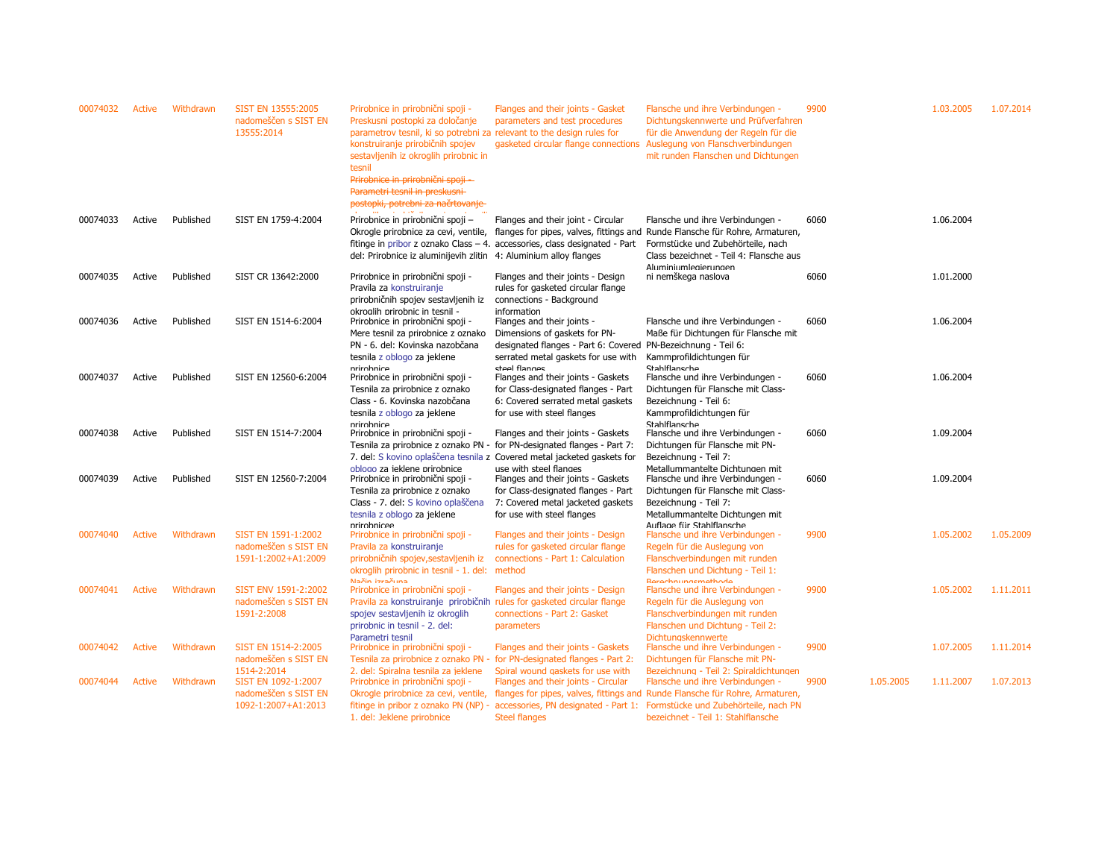| 00074032 | <b>Active</b> | Withdrawn | SIST EN 13555:2005<br>nadomeščen s SIST EN<br>13555:2014                          | Prirobnice in prirobnični spoji -<br>Preskusni postopki za določanje<br>parametrov tesnil, ki so potrebni za relevant to the design rules for<br>konstruiranje prirobičnih spojev<br>sestavljenih iz okroglih prirobnic in<br>tesnil<br>Prirobnice in prirobnični spoji -<br>Parametri tesnil in preskusni<br>postopki, potrebni za načrtovanje | Flanges and their joints - Gasket<br>parameters and test procedures<br>gasketed circular flange connections                                                                              | Flansche und ihre Verbindungen<br>Dichtungskennwerte und Prüfverfahren<br>für die Anwendung der Regeln für die<br>Auslegung von Flanschverbindungen<br>mit runden Flanschen und Dichtungen                                                                                                                         | 9900 |           | 1.03.2005 | 1.07.2014 |
|----------|---------------|-----------|-----------------------------------------------------------------------------------|-------------------------------------------------------------------------------------------------------------------------------------------------------------------------------------------------------------------------------------------------------------------------------------------------------------------------------------------------|------------------------------------------------------------------------------------------------------------------------------------------------------------------------------------------|--------------------------------------------------------------------------------------------------------------------------------------------------------------------------------------------------------------------------------------------------------------------------------------------------------------------|------|-----------|-----------|-----------|
| 00074033 | Active        | Published | SIST EN 1759-4:2004                                                               | Prirobnice in prirobnični spoji -<br>Okrogle prirobnice za cevi, ventile,<br>del: Prirobnice iz aluminijevih zlitin 4: Aluminium alloy flanges                                                                                                                                                                                                  | Flanges and their joint - Circular<br>fitinge in pribor z oznako Class - 4. accessories, class designated - Part                                                                         | Flansche und ihre Verbindungen -<br>flanges for pipes, valves, fittings and Runde Flansche für Rohre, Armaturen,<br>Formstücke und Zubehörteile, nach<br>Class bezeichnet - Teil 4: Flansche aus<br>Aluminiumlegierungen                                                                                           | 6060 |           | 1.06.2004 |           |
| 00074035 | Active        | Published | SIST CR 13642:2000                                                                | Prirobnice in prirobnični spoji -<br>Pravila za konstruiranje<br>prirobničnih spojev sestavljenih iz                                                                                                                                                                                                                                            | Flanges and their joints - Design<br>rules for gasketed circular flange<br>connections - Background                                                                                      | ni nemškega naslova                                                                                                                                                                                                                                                                                                | 6060 |           | 1.01.2000 |           |
| 00074036 | Active        | Published | SIST EN 1514-6:2004                                                               | okroalih prirobnic in tesnil -<br>Prirobnice in prirobnični spoji -<br>Mere tesnil za prirobnice z oznako<br>PN - 6. del: Kovinska nazobčana<br>tesnila z oblogo za jeklene                                                                                                                                                                     | information<br>Flanges and their joints -<br>Dimensions of gaskets for PN-<br>designated flanges - Part 6: Covered<br>serrated metal gaskets for use with                                | Flansche und ihre Verbindungen -<br>Maße für Dichtungen für Flansche mit<br>PN-Bezeichnung - Teil 6:<br>Kammprofildichtungen für                                                                                                                                                                                   | 6060 |           | 1.06.2004 |           |
| 00074037 | Active        | Published | SIST EN 12560-6:2004                                                              | nrirnhnice<br>Prirobnice in prirobnični spoji -<br>Tesnila za prirobnice z oznako<br>Class - 6. Kovinska nazobčana<br>tesnila z oblogo za jeklene<br>nrirnhnice                                                                                                                                                                                 | cteel flannes<br>Flanges and their joints - Gaskets<br>for Class-designated flanges - Part<br>6: Covered serrated metal gaskets<br>for use with steel flanges                            | Stahlflansche<br>Flansche und ihre Verbindungen -<br>Dichtungen für Flansche mit Class-<br>Bezeichnung - Teil 6:<br>Kammprofildichtungen für<br>Stahlflansche                                                                                                                                                      | 6060 |           | 1.06.2004 |           |
| 00074038 | Active        | Published | SIST EN 1514-7:2004                                                               | Prirobnice in prirobnični spoji -                                                                                                                                                                                                                                                                                                               | Flanges and their joints - Gaskets<br>Tesnila za prirobnice z oznako PN - for PN-designated flanges - Part 7:<br>7. del: S kovino oplaščena tesnila z Covered metal jacketed gaskets for | Flansche und ihre Verbindungen -<br>Dichtungen für Flansche mit PN-<br>Bezeichnung - Teil 7:                                                                                                                                                                                                                       | 6060 |           | 1.09.2004 |           |
| 00074039 | Active        | Published | SIST EN 12560-7:2004                                                              | oblogo za jeklene prirobnice<br>Prirobnice in prirobnični spoji -<br>Tesnila za prirobnice z oznako<br>Class - 7. del: S kovino oplaščena<br>tesnila z oblogo za jeklene                                                                                                                                                                        | use with steel flanges<br>Flanges and their joints - Gaskets<br>for Class-designated flanges - Part<br>7: Covered metal jacketed gaskets<br>for use with steel flanges                   | Metallummantelte Dichtungen mit<br>Flansche und ihre Verbindungen -<br>Dichtungen für Flansche mit Class-<br>Bezeichnung - Teil 7:<br>Metallummantelte Dichtungen mit                                                                                                                                              | 6060 |           | 1.09.2004 |           |
| 00074040 | Active        | Withdrawn | SIST EN 1591-1:2002<br>nadomeščen s SIST EN<br>1591-1:2002+A1:2009                | nrirnhniree<br>Prirobnice in prirobnični spoji -<br>Pravila za konstruiranje<br>prirobničnih spojev, sestavljenih iz<br>okroglih prirobnic in tesnil - 1. del: method                                                                                                                                                                           | Flanges and their joints - Design<br>rules for gasketed circular flange<br>connections - Part 1: Calculation                                                                             | Auflage für Stahlflansche<br>Flansche und ihre Verbindungen -<br>Regeln für die Auslegung von<br>Flanschverbindungen mit runden<br>Flanschen und Dichtung - Teil 1:                                                                                                                                                | 9900 |           | 1.05.2002 | 1.05.2009 |
| 00074041 | <b>Active</b> | Withdrawn | SIST ENV 1591-2:2002<br>nadomeščen s SIST EN<br>1591-2:2008                       | Način izračuna<br>Prirobnice in prirobnični spoji -<br>Pravila za konstruiranje prirobičnih<br>spojev sestavljenih iz okroglih<br>prirobnic in tesnil - 2. del:<br>Parametri tesnil                                                                                                                                                             | Flanges and their joints - Design<br>rules for gasketed circular flange<br>connections - Part 2: Gasket<br>parameters                                                                    | <b>Rarachnungemathoda</b><br>Flansche und ihre Verbindungen -<br>Regeln für die Auslegung von<br>Flanschverbindungen mit runden<br>Flanschen und Dichtung - Teil 2:<br>Dichtungskennwerte                                                                                                                          | 9900 |           | 1.05.2002 | 1.11.2011 |
| 00074042 | <b>Active</b> | Withdrawn | SIST EN 1514-2:2005<br>nadomeščen s SIST EN                                       | Prirobnice in prirobnični spoji -                                                                                                                                                                                                                                                                                                               | Flanges and their joints - Gaskets<br>Tesnila za prirobnice z oznako PN - for PN-designated flanges - Part 2:                                                                            | Flansche und ihre Verbindungen -<br>Dichtungen für Flansche mit PN-                                                                                                                                                                                                                                                | 9900 |           | 1.07.2005 | 1.11.2014 |
| 00074044 | <b>Active</b> | Withdrawn | 1514-2:2014<br>SIST EN 1092-1:2007<br>nadomeščen s SIST EN<br>1092-1:2007+A1:2013 | 2. del: Spiralna tesnila za ieklene<br>Prirobnice in prirobnični spoji -<br>Okrogle prirobnice za cevi, ventile,<br>1. del: Jeklene prirobnice                                                                                                                                                                                                  | Spiral wound gaskets for use with<br>Flanges and their joints - Circular<br><b>Steel flanges</b>                                                                                         | Bezeichnung - Teil 2: Spiraldichtungen<br>Flansche und ihre Verbindungen -<br>flanges for pipes, valves, fittings and Runde Flansche für Rohre, Armaturen,<br>fitinge in pribor z oznako PN (NP) - accessories, PN designated - Part 1: Formstücke und Zubehörteile, nach PN<br>bezeichnet - Teil 1: Stahlflansche | 9900 | 1.05.2005 | 1.11.2007 | 1.07.2013 |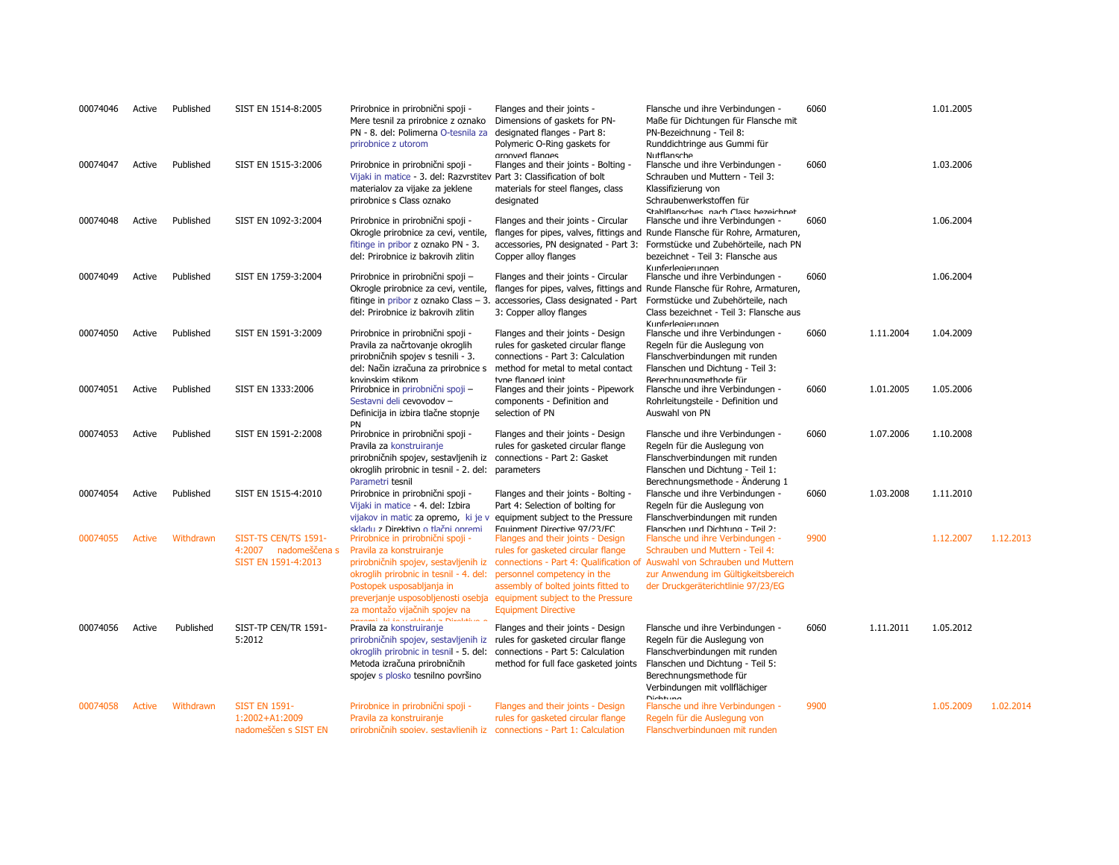| 00074046 | Active        | Published | SIST EN 1514-8:2005                                                 | Prirobnice in prirobnični spoji -<br>Mere tesnil za prirobnice z oznako<br>PN - 8. del: Polimerna O-tesnila za<br>prirobnice z utorom                                                                                                                       | Flanges and their joints -<br>Dimensions of gaskets for PN-<br>designated flanges - Part 8:<br>Polymeric O-Ring gaskets for                                                                                                                                                         | Flansche und ihre Verbindungen -<br>Maße für Dichtungen für Flansche mit<br>PN-Bezeichnung - Teil 8:<br>Runddichtringe aus Gummi für                                                                                                                                                                  | 6060 |           | 1.01.2005 |           |
|----------|---------------|-----------|---------------------------------------------------------------------|-------------------------------------------------------------------------------------------------------------------------------------------------------------------------------------------------------------------------------------------------------------|-------------------------------------------------------------------------------------------------------------------------------------------------------------------------------------------------------------------------------------------------------------------------------------|-------------------------------------------------------------------------------------------------------------------------------------------------------------------------------------------------------------------------------------------------------------------------------------------------------|------|-----------|-----------|-----------|
| 00074047 | Active        | Published | SIST EN 1515-3:2006                                                 | Prirobnice in prirobnični spoji -<br>Vijaki in matice - 3. del: Razvrstitev Part 3: Classification of bolt<br>materialov za vijake za jeklene<br>prirobnice s Class oznako                                                                                  | arooved flanges<br>Flanges and their joints - Bolting -<br>materials for steel flanges, class<br>designated                                                                                                                                                                         | Nutflansche<br>Flansche und ihre Verbindungen -<br>Schrauben und Muttern - Teil 3:<br>Klassifizierung von<br>Schraubenwerkstoffen für                                                                                                                                                                 | 6060 |           | 1.03.2006 |           |
| 00074048 | Active        | Published | SIST EN 1092-3:2004                                                 | Prirobnice in prirobnični spoji -<br>Okrogle prirobnice za cevi, ventile,<br>fitinge in pribor z oznako PN - 3.<br>del: Prirobnice iz bakrovih zlitin                                                                                                       | Flanges and their joints - Circular<br>accessories, PN designated - Part 3:<br>Copper alloy flanges                                                                                                                                                                                 | Stahlflansches nach Class hezeichnet<br>Flansche und ihre Verbindungen -<br>flanges for pipes, valves, fittings and Runde Flansche für Rohre, Armaturen,<br>Formstücke und Zubehörteile, nach PN<br>bezeichnet - Teil 3: Flansche aus                                                                 | 6060 |           | 1.06.2004 |           |
| 00074049 | Active        | Published | SIST EN 1759-3:2004                                                 | Prirobnice in prirobnični spoji -<br>Okrogle prirobnice za cevi, ventile,<br>fitinge in pribor z oznako Class $-3$ .<br>del: Prirobnice iz bakrovih zlitin                                                                                                  | Flanges and their joints - Circular<br>flanges for pipes, valves, fittings and<br>accessories, Class designated - Part<br>3: Copper alloy flanges                                                                                                                                   | Kunferlegierungen<br>Flansche und ihre Verbindungen -<br>Runde Flansche für Rohre, Armaturen,<br>Formstücke und Zubehörteile, nach<br>Class bezeichnet - Teil 3: Flansche aus<br>Kunferlegierungen                                                                                                    | 6060 |           | 1.06.2004 |           |
| 00074050 | Active        | Published | SIST EN 1591-3:2009                                                 | Prirobnice in prirobnični spoji -<br>Pravila za načrtovanje okroglih<br>prirobničnih spojev s tesnili - 3.<br>del: Način izračuna za prirobnice s<br>kovinskim stikom                                                                                       | Flanges and their joints - Design<br>rules for gasketed circular flange<br>connections - Part 3: Calculation<br>method for metal to metal contact<br>tyne flanged inint                                                                                                             | Flansche und ihre Verbindungen -<br>Regeln für die Auslegung von<br>Flanschverbindungen mit runden<br>Flanschen und Dichtung - Teil 3:<br>Rerechnungsmethode für                                                                                                                                      | 6060 | 1.11.2004 | 1.04.2009 |           |
| 00074051 | Active        | Published | SIST EN 1333:2006                                                   | Prirobnice in prirobnični spoji -<br>Sestavni deli cevovodov -<br>Definicija in izbira tlačne stopnje<br>PN                                                                                                                                                 | Flanges and their joints - Pipework<br>components - Definition and<br>selection of PN                                                                                                                                                                                               | Flansche und ihre Verbindungen -<br>Rohrleitungsteile - Definition und<br>Auswahl von PN                                                                                                                                                                                                              | 6060 | 1.01.2005 | 1.05.2006 |           |
| 00074053 | Active        | Published | SIST EN 1591-2:2008                                                 | Prirobnice in prirobnični spoji -<br>Pravila za konstruiranje<br>prirobničnih spojev, sestavljenih iz connections - Part 2: Gasket<br>okroglih prirobnic in tesnil - 2. del:<br>Parametri tesnil                                                            | Flanges and their joints - Design<br>rules for gasketed circular flange<br>parameters                                                                                                                                                                                               | Flansche und ihre Verbindungen -<br>Regeln für die Auslegung von<br>Flanschverbindungen mit runden<br>Flanschen und Dichtung - Teil 1:<br>Berechnungsmethode - Anderung 1                                                                                                                             | 6060 | 1.07.2006 | 1.10.2008 |           |
| 00074054 | Active        | Published | SIST EN 1515-4:2010                                                 | Prirobnice in prirobnični spoji -<br>Vijaki in matice - 4. del: Izbira<br>vijakov in matic za opremo, ki je v                                                                                                                                               | Flanges and their joints - Bolting -<br>Part 4: Selection of bolting for<br>equipment subject to the Pressure                                                                                                                                                                       | Flansche und ihre Verbindungen -<br>Regeln für die Auslegung von<br>Flanschverbindungen mit runden                                                                                                                                                                                                    | 6060 | 1.03.2008 | 1.11.2010 |           |
| 00074055 | <b>Active</b> | Withdrawn | SIST-TS CEN/TS 1591-<br>4:2007 nadomeščena s<br>SIST EN 1591-4:2013 | skladu z Direktivo o tlačni opremi<br>Prirobnice in prirobnični spoji -<br>Pravila za konstruiranje<br>okroglih prirobnic in tesnil - 4. del:<br>Postopek usposabljanja in<br>za montažo vijačnih spojev na<br>Announcil lei de se alchador a Dinabélisea a | Equipment Directive 97/23/EC<br>Flanges and their joints - Design<br>rules for gasketed circular flange<br>personnel competency in the<br>assembly of bolted joints fitted to<br>preverjanje usposobljenosti osebja equipment subject to the Pressure<br><b>Equipment Directive</b> | Flanschen und Dichtung - Teil 2:<br>Flansche und ihre Verbindungen -<br>Schrauben und Muttern - Teil 4:<br>prirobničnih spojev, sestavljenih iz connections - Part 4: Qualification of Auswahl von Schrauben und Muttern<br>zur Anwendung im Gültigkeitsbereich<br>der Druckgeräterichtlinie 97/23/EG | 9900 |           | 1.12.2007 | 1.12.2013 |
| 00074056 | Active        | Published | SIST-TP CEN/TR 1591-<br>5:2012                                      | Pravila za konstruiranje<br>prirobničnih spojev, sestavljenih iz<br>okroglih prirobnic in tesnil - 5. del: connections - Part 5: Calculation<br>Metoda izračuna prirobničnih<br>spojev s plosko tesnilno površino                                           | Flanges and their joints - Design<br>rules for gasketed circular flange<br>method for full face gasketed joints                                                                                                                                                                     | Flansche und ihre Verbindungen -<br>Regeln für die Auslegung von<br>Flanschverbindungen mit runden<br>Flanschen und Dichtung - Teil 5:<br>Berechnungsmethode für<br>Verbindungen mit vollflächiger<br><b>Dichtung</b>                                                                                 | 6060 | 1.11.2011 | 1.05.2012 |           |
| 00074058 | Active        | Withdrawn | <b>SIST EN 1591-</b><br>1:2002+A1:2009<br>nadomeščen s SIST EN      | Prirobnice in prirobnični spoji -<br>Pravila za konstruiranje<br>prirobničnih spojev, sestavljenih iz connections - Part 1: Calculation                                                                                                                     | Flanges and their joints - Design<br>rules for gasketed circular flange                                                                                                                                                                                                             | Flansche und ihre Verbindungen -<br>Regeln für die Auslegung von<br>Flanschverbindungen mit runden                                                                                                                                                                                                    | 9900 |           | 1.05.2009 | 1.02.2014 |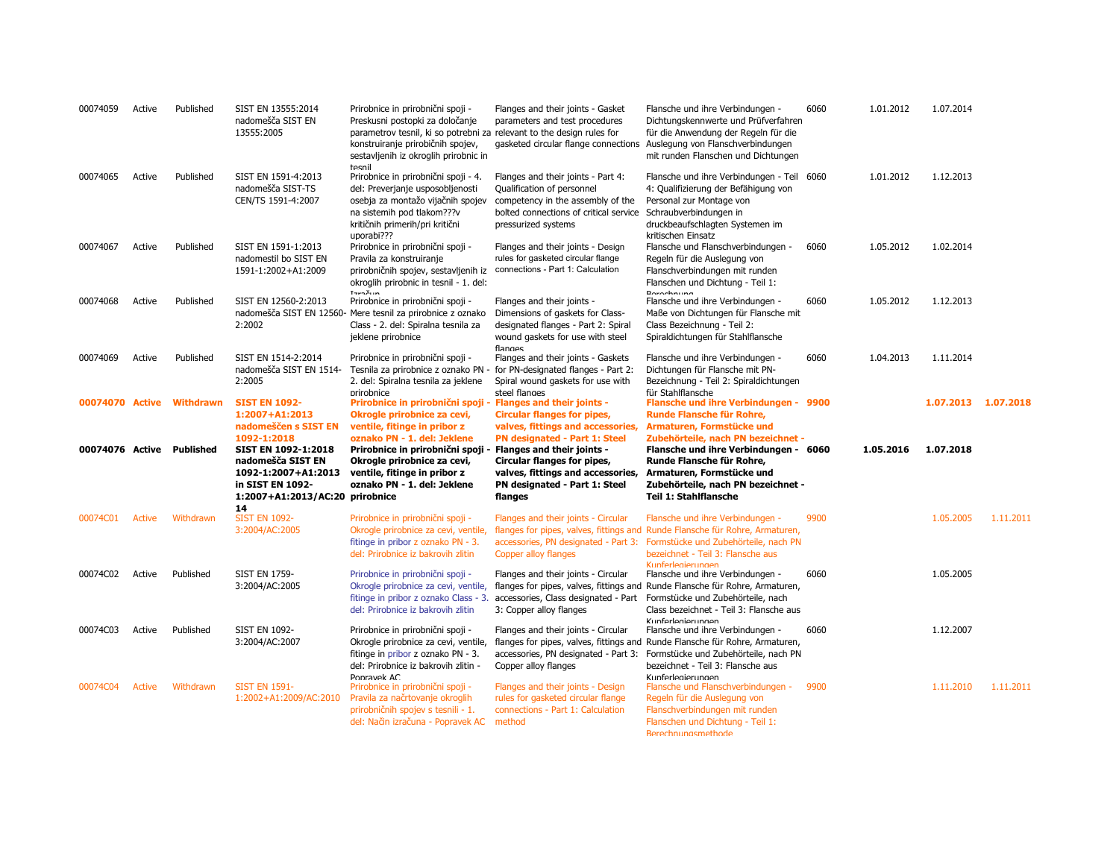| 00074059                  | Active        | Published                 | SIST EN 13555:2014<br>nadomešča SIST EN<br>13555:2005                                                                                       | Prirobnice in prirobnični spoji -<br>Preskusni postopki za določanje<br>parametrov tesnil, ki so potrebni za relevant to the design rules for<br>konstruiranje prirobičnih spojev,<br>sestavljenih iz okroglih prirobnic in | Flanges and their joints - Gasket<br>parameters and test procedures<br>gasketed circular flange connections                                                                          | Flansche und ihre Verbindungen -<br>Dichtungskennwerte und Prüfverfahren<br>für die Anwendung der Regeln für die<br>Auslegung von Flanschverbindungen<br>mit runden Flanschen und Dichtungen                                       | 6060 | 1.01.2012 | 1.07.2014           |           |
|---------------------------|---------------|---------------------------|---------------------------------------------------------------------------------------------------------------------------------------------|-----------------------------------------------------------------------------------------------------------------------------------------------------------------------------------------------------------------------------|--------------------------------------------------------------------------------------------------------------------------------------------------------------------------------------|------------------------------------------------------------------------------------------------------------------------------------------------------------------------------------------------------------------------------------|------|-----------|---------------------|-----------|
| 00074065                  | Active        | Published                 | SIST EN 1591-4:2013<br>nadomešča SIST-TS<br>CEN/TS 1591-4:2007                                                                              | tesnil<br>Prirobnice in prirobnični spoji - 4.<br>del: Preverjanje usposobljenosti<br>osebja za montažo vijačnih spojev<br>na sistemih pod tlakom???v<br>kritičnih primerih/pri kritični<br>uporabi???                      | Flanges and their joints - Part 4:<br>Qualification of personnel<br>competency in the assembly of the<br>bolted connections of critical service<br>pressurized systems               | Flansche und ihre Verbindungen - Teil 6060<br>4: Qualifizierung der Befähigung von<br>Personal zur Montage von<br>Schraubverbindungen in<br>druckbeaufschlagten Systemen im<br>kritischen Einsatz                                  |      | 1.01.2012 | 1.12.2013           |           |
| 00074067                  | Active        | Published                 | SIST EN 1591-1:2013<br>nadomestil bo SIST EN<br>1591-1:2002+A1:2009                                                                         | Prirobnice in prirobnični spoji -<br>Pravila za konstruiranje<br>prirobničnih spojev, sestavljenih iz<br>okroglih prirobnic in tesnil - 1. del:<br><b>T</b> zračun                                                          | Flanges and their joints - Design<br>rules for gasketed circular flange<br>connections - Part 1: Calculation                                                                         | Flansche und Flanschverbindungen -<br>Regeln für die Auslegung von<br>Flanschverbindungen mit runden<br>Flanschen und Dichtung - Teil 1:<br>Rarachnung                                                                             | 6060 | 1.05.2012 | 1.02.2014           |           |
| 00074068                  | Active        | Published                 | SIST EN 12560-2:2013<br>2:2002                                                                                                              | Prirobnice in prirobnični spoji -<br>nadomešča SIST EN 12560- Mere tesnil za prirobnice z oznako<br>Class - 2. del: Spiralna tesnila za<br>jeklene prirobnice                                                               | Flanges and their joints -<br>Dimensions of gaskets for Class-<br>designated flanges - Part 2: Spiral<br>wound gaskets for use with steel<br>flanges                                 | Flansche und ihre Verbindungen -<br>Maße von Dichtungen für Flansche mit<br>Class Bezeichnung - Teil 2:<br>Spiraldichtungen für Stahlflansche                                                                                      | 6060 | 1.05.2012 | 1.12.2013           |           |
| 00074069                  | Active        | Published                 | SIST EN 1514-2:2014<br>nadomešča SIST EN 1514-<br>2:2005                                                                                    | Prirobnice in prirobnični spoji -<br>Tesnila za prirobnice z oznako PN<br>2. del: Spiralna tesnila za jeklene<br>prirobnice                                                                                                 | Flanges and their joints - Gaskets<br>for PN-designated flanges - Part 2:<br>Spiral wound gaskets for use with<br>steel flanges                                                      | Flansche und ihre Verbindungen -<br>Dichtungen für Flansche mit PN-<br>Bezeichnung - Teil 2: Spiraldichtungen<br>für Stahlflansche                                                                                                 | 6060 | 1.04.2013 | 1.11.2014           |           |
|                           |               | 00074070 Active Withdrawn | <b>SIST EN 1092-</b><br>1:2007+A1:2013<br>nadomeščen s SIST EN                                                                              | Prirobnice in prirobnični spoji - Flanges and their joints -<br>Okrogle prirobnice za cevi,<br>ventile, fitinge in pribor z                                                                                                 | <b>Circular flanges for pipes,</b><br>valves, fittings and accessories,                                                                                                              | Flansche und ihre Verbindungen - 9900<br>Runde Flansche für Rohre,<br>Armaturen, Formstücke und                                                                                                                                    |      |           | 1.07.2013 1.07.2018 |           |
| 00074076 Active Published |               |                           | 1092-1:2018<br>SIST EN 1092-1:2018<br>nadomešča SIST EN<br>1092-1:2007+A1:2013<br>in SIST EN 1092-<br>1:2007+A1:2013/AC:20 prirobnice<br>14 | oznako PN - 1. del: Jeklene<br>Prirobnice in prirobnični spoji<br>Okrogle prirobnice za cevi,<br>ventile, fitinge in pribor z<br>oznako PN - 1. del: Jeklene                                                                | <b>PN designated - Part 1: Steel</b><br>- Flanges and their joints -<br>Circular flanges for pipes,<br>valves, fittings and accessories,<br>PN designated - Part 1: Steel<br>flanges | Zubehörteile, nach PN bezeichnet -<br>Flansche und ihre Verbindungen - 6060<br>Runde Flansche für Rohre,<br>Armaturen, Formstücke und<br>Zubehörteile, nach PN bezeichnet -<br>Teil 1: Stahlflansche                               |      | 1.05.2016 | 1.07.2018           |           |
| 00074C01                  | Active        | Withdrawn                 | <b>SIST EN 1092-</b><br>3:2004/AC:2005                                                                                                      | Prirobnice in prirobnični spoji -<br>Okrogle prirobnice za cevi, ventile,<br>fitinge in pribor z oznako PN - 3.<br>del: Prirobnice iz bakrovih zlitin                                                                       | Flanges and their joints - Circular<br>Copper alloy flanges                                                                                                                          | Flansche und ihre Verbindungen -<br>flanges for pipes, valves, fittings and Runde Flansche für Rohre, Armaturen,<br>accessories, PN designated - Part 3: Formstücke und Zubehörteile, nach PN<br>bezeichnet - Teil 3: Flansche aus | 9900 |           | 1.05.2005           | 1.11.2011 |
| 00074C02                  | Active        | Published                 | <b>SIST EN 1759-</b><br>3:2004/AC:2005                                                                                                      | Prirobnice in prirobnični spoji -<br>Okrogle prirobnice za cevi, ventile,<br>fitinge in pribor z oznako Class - 3.<br>del: Prirobnice iz bakrovih zlitin                                                                    | Flanges and their joints - Circular<br>accessories, Class designated - Part<br>3: Copper alloy flanges                                                                               | Kunferlegierungen<br>Flansche und ihre Verbindungen -<br>flanges for pipes, valves, fittings and Runde Flansche für Rohre, Armaturen,<br>Formstücke und Zubehörteile, nach<br>Class bezeichnet - Teil 3: Flansche aus              | 6060 |           | 1.05.2005           |           |
| 00074C03                  | Active        | Published                 | <b>SIST EN 1092-</b><br>3:2004/AC:2007                                                                                                      | Prirobnice in prirobnični spoji -<br>Okrogle prirobnice za cevi, ventile,<br>fitinge in pribor z oznako PN - 3.<br>del: Prirobnice iz bakrovih zlitin -<br>Ponravek AC                                                      | Flanges and their joints - Circular<br>flanges for pipes, valves, fittings and<br>accessories, PN designated - Part 3:<br>Copper alloy flanges                                       | Kunferlegierungen<br>Flansche und ihre Verbindungen -<br>Runde Flansche für Rohre, Armaturen,<br>Formstücke und Zubehörteile, nach PN<br>bezeichnet - Teil 3: Flansche aus<br>Kunferlegierungen                                    | 6060 |           | 1.12.2007           |           |
| 00074C04                  | <b>Active</b> | Withdrawn                 | <b>SIST EN 1591-</b><br>1:2002+A1:2009/AC:2010                                                                                              | Prirobnice in prirobnični spoji -<br>Pravila za načrtovanje okroglih<br>prirobničnih spojev s tesnili - 1.<br>del: Način izračuna - Popravek AC                                                                             | Flanges and their joints - Design<br>rules for gasketed circular flange<br>connections - Part 1: Calculation<br>method                                                               | Flansche und Flanschverbindungen -<br>Regeln für die Auslegung von<br>Flanschverbindungen mit runden<br>Flanschen und Dichtung - Teil 1:<br>Rerechnungsmethode                                                                     | 9900 |           | 1.11.2010           | 1.11.2011 |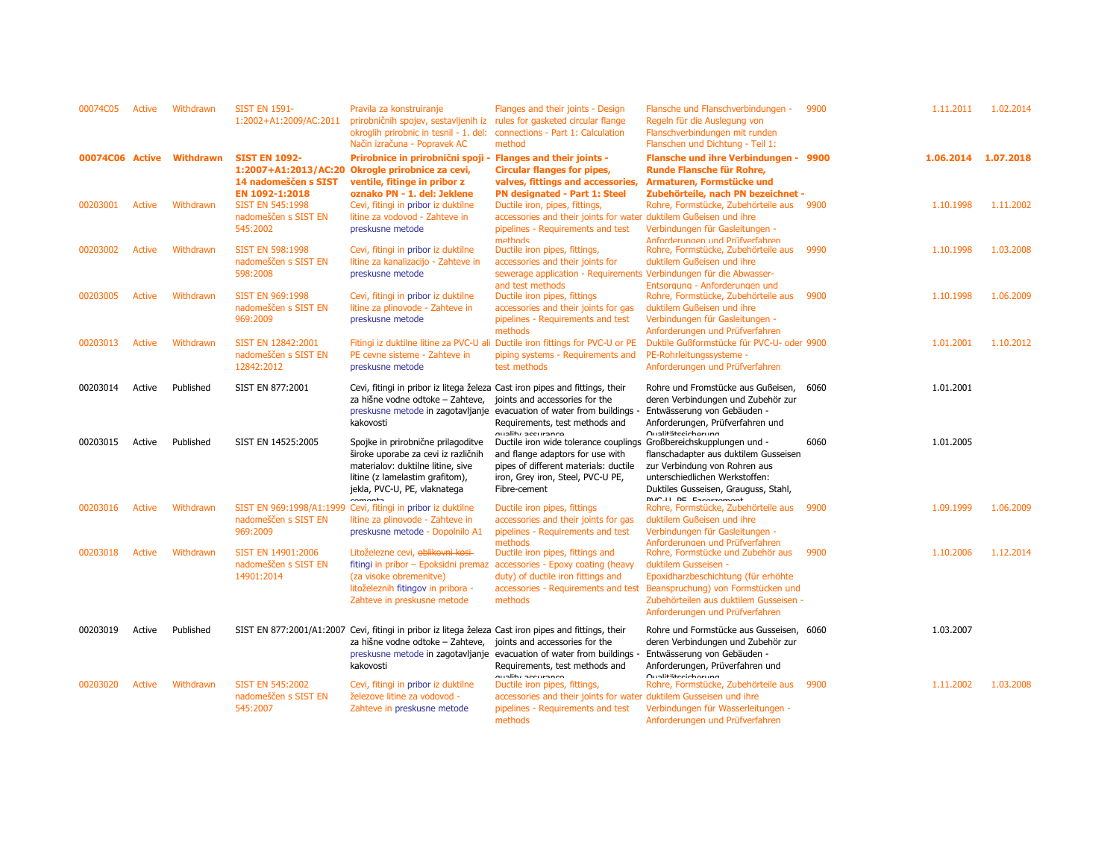| 00074C05        | Active        | Withdrawn        | <b>SIST EN 1591-</b><br>1:2002+A1:2009/AC:2011                 | Pravila za konstruiranje<br>prirobničnih spojev, sestavljenih iz<br>okroglih prirobnic in tesnil - 1. del:<br>Način izračuna - Popravek AC                                        | Flanges and their joints - Design<br>rules for gasketed circular flange<br>connections - Part 1: Calculation<br>method                                                                               | Flansche und Flanschverbindungen -<br>Regeln für die Auslegung von<br>Flanschverbindungen mit runden<br>Flanschen und Dichtung - Teil 1:                                                                            | 9900 | 1.11.2011 | 1.02.2014 |
|-----------------|---------------|------------------|----------------------------------------------------------------|-----------------------------------------------------------------------------------------------------------------------------------------------------------------------------------|------------------------------------------------------------------------------------------------------------------------------------------------------------------------------------------------------|---------------------------------------------------------------------------------------------------------------------------------------------------------------------------------------------------------------------|------|-----------|-----------|
| 00074C06 Active |               | <b>Withdrawn</b> | <b>SIST EN 1092-</b><br>14 nadomeščen s SIST<br>EN 1092-1:2018 | Prirobnice in prirobnični spoji - Flanges and their joints -<br>1:2007+A1:2013/AC:20 Okrogle prirobnice za cevi,<br>ventile, fitinge in pribor z<br>oznako PN - 1. del: Jeklene   | <b>Circular flanges for pipes,</b><br>valves, fittings and accessories,<br>PN designated - Part 1: Steel                                                                                             | Flansche und ihre Verbindungen - 9900<br>Runde Flansche für Rohre,<br>Armaturen, Formstücke und<br>Zubehörteile, nach PN bezeichnet -                                                                               |      | 1.06.2014 | 1.07.2018 |
| 00203001        | Active        | Withdrawn        | <b>SIST EN 545:1998</b><br>nadomeščen s SIST EN<br>545:2002    | Cevi, fitingi in pribor iz duktilne<br>litine za vodovod - Zahteve in<br>preskusne metode                                                                                         | Ductile iron, pipes, fittings,<br>accessories and their joints for water duktilem Gußeisen und ihre<br>pipelines - Requirements and test<br>methods                                                  | Rohre, Formstücke, Zubehörteile aus 9900<br>Verbindungen für Gasleitungen -<br>Anforderungen und Prüfverfahren                                                                                                      |      | 1.10.1998 | 1.11.2002 |
| 00203002        | Active        | Withdrawn        | <b>SIST EN 598:1998</b><br>nadomeščen s SIST EN<br>598:2008    | Cevi, fitingi in pribor iz duktilne<br>litine za kanalizacijo - Zahteve in<br>preskusne metode                                                                                    | Ductile iron pipes, fittings,<br>accessories and their joints for<br>sewerage application - Requirements Verbindungen für die Abwasser-<br>and test methods                                          | Rohre, Formstücke, Zubehörteile aus<br>duktilem Gußeisen und ihre<br>Entsorauna - Anforderungen und                                                                                                                 | 9990 | 1.10.1998 | 1.03.2008 |
| 00203005        | <b>Active</b> | Withdrawn        | <b>SIST EN 969:1998</b><br>nadomeščen s SIST EN<br>969:2009    | Cevi, fitingi in pribor iz duktilne<br>litine za plinovode - Zahteve in<br>preskusne metode                                                                                       | Ductile iron pipes, fittings<br>accessories and their joints for gas<br>pipelines - Requirements and test<br>methods                                                                                 | Rohre, Formstücke, Zubehörteile aus 9900<br>duktilem Gußeisen und ihre<br>Verbindungen für Gasleitungen -<br>Anforderungen und Prüfverfahren                                                                        |      | 1.10.1998 | 1.06.2009 |
| 00203013        | <b>Active</b> | Withdrawn        | SIST EN 12842:2001<br>nadomeščen s SIST EN<br>12842:2012       | PE cevne sisteme - Zahteve in<br>preskusne metode                                                                                                                                 | Fitingi iz duktilne litine za PVC-U ali Ductile iron fittings for PVC-U or PE<br>piping systems - Requirements and<br>test methods                                                                   | Duktile Gußformstücke für PVC-U- oder 9900<br>PE-Rohrleitungssysteme -<br>Anforderungen und Prüfverfahren                                                                                                           |      | 1.01.2001 | 1.10.2012 |
| 00203014        | Active        | Published        | SIST EN 877:2001                                               | Cevi, fitingi in pribor iz litega železa Cast iron pipes and fittings, their<br>za hišne vodne odtoke – Zahteve,<br>kakovosti                                                     | joints and accessories for the<br>preskusne metode in zagotavljanje evacuation of water from buildings -<br>Requirements, test methods and<br>auality accurance                                      | Rohre und Fromstücke aus Gußeisen,<br>deren Verbindungen und Zubehör zur<br>Entwässerung von Gebäuden -<br>Anforderungen, Prüfverfahren und<br>Oualitäteeichorung                                                   | 6060 | 1.01.2001 |           |
| 00203015        | Active        | Published        | SIST EN 14525:2005                                             | Spojke in prirobnične prilagoditve<br>široke uporabe za cevi iz različnih<br>materialov: duktilne litine, sive<br>litine (z lamelastim grafitom),<br>jekla, PVC-U, PE, vlaknatega | Ductile iron wide tolerance couplings Großbereichskupplungen und -<br>and flange adaptors for use with<br>pipes of different materials: ductile<br>iron, Grey iron, Steel, PVC-U PE,<br>Fibre-cement | flanschadapter aus duktilem Gusseisen<br>zur Verbindung von Rohren aus<br>unterschiedlichen Werkstoffen:<br>Duktiles Gusseisen, Grauguss, Stahl,<br><b>NIC II DE Encompanh</b>                                      | 6060 | 1.01.2005 |           |
| 00203016        | <b>Active</b> | Withdrawn        | nadomeščen s SIST EN<br>969:2009                               | SIST EN 969:1998/A1:1999 Cevi, fitingi in pribor iz duktilne<br>litine za plinovode - Zahteve in<br>preskusne metode - Dopolnilo A1                                               | Ductile iron pipes, fittings<br>accessories and their joints for gas<br>pipelines - Requirements and test<br>methods                                                                                 | Rohre, Formstücke, Zubehörteile aus<br>duktilem Gußeisen und ihre<br>Verbindungen für Gasleitungen -<br>Anforderungen und Prüfverfahren                                                                             | 9900 | 1.09.1999 | 1.06.2009 |
| 00203018        | <b>Active</b> | Withdrawn        | SIST EN 14901:2006<br>nadomeščen s SIST EN<br>14901:2014       | Litoželezne cevi, oblikovni kosi<br>fitingi in pribor - Epoksidni premaz<br>(za visoke obremenitve)<br>litoželeznih fitingov in pribora -<br>Zahteve in preskusne metode          | Ductile iron pipes, fittings and<br>accessories - Epoxy coating (heavy<br>duty) of ductile iron fittings and<br>accessories - Requirements and test<br>methods                                       | Rohre, Formstücke und Zubehör aus<br>duktilem Gusseisen -<br>Epoxidharzbeschichtung (für erhöhte<br>Beanspruchung) von Formstücken und<br>Zubehörteilen aus duktilem Gusseisen -<br>Anforderungen und Prüfverfahren | 9900 | 1.10.2006 | 1.12.2014 |
| 00203019        | Active        | Published        |                                                                | SIST EN 877:2001/A1:2007 Cevi, fitingi in pribor iz litega železa Cast iron pipes and fittings, their<br>za hišne vodne odtoke - Zahteve,<br>kakovosti                            | joints and accessories for the<br>preskusne metode in zagotavljanje evacuation of water from buildings<br>Requirements, test methods and                                                             | Rohre und Formstücke aus Gusseisen, 6060<br>deren Verbindungen und Zubehör zur<br>Entwässerung von Gebäuden -<br>Anforderungen, Prüverfahren und                                                                    |      | 1.03.2007 |           |
| 00203020        | Active        | Withdrawn        | <b>SIST EN 545:2002</b><br>nadomeščen s SIST EN<br>545:2007    | Cevi, fitingi in pribor iz duktilne<br>železove litine za vodovod -<br>Zahteve in preskusne metode                                                                                | auglibri genuranco<br>Ductile iron pipes, fittings,<br>accessories and their joints for water duktilem Gusseisen und ihre<br>pipelines - Requirements and test<br>methods                            | Oualitäteeichorung<br>Rohre, Formstücke, Zubehörteile aus<br>Verbindungen für Wasserleitungen -<br>Anforderungen und Prüfverfahren                                                                                  | 9900 | 1.11.2002 | 1.03.2008 |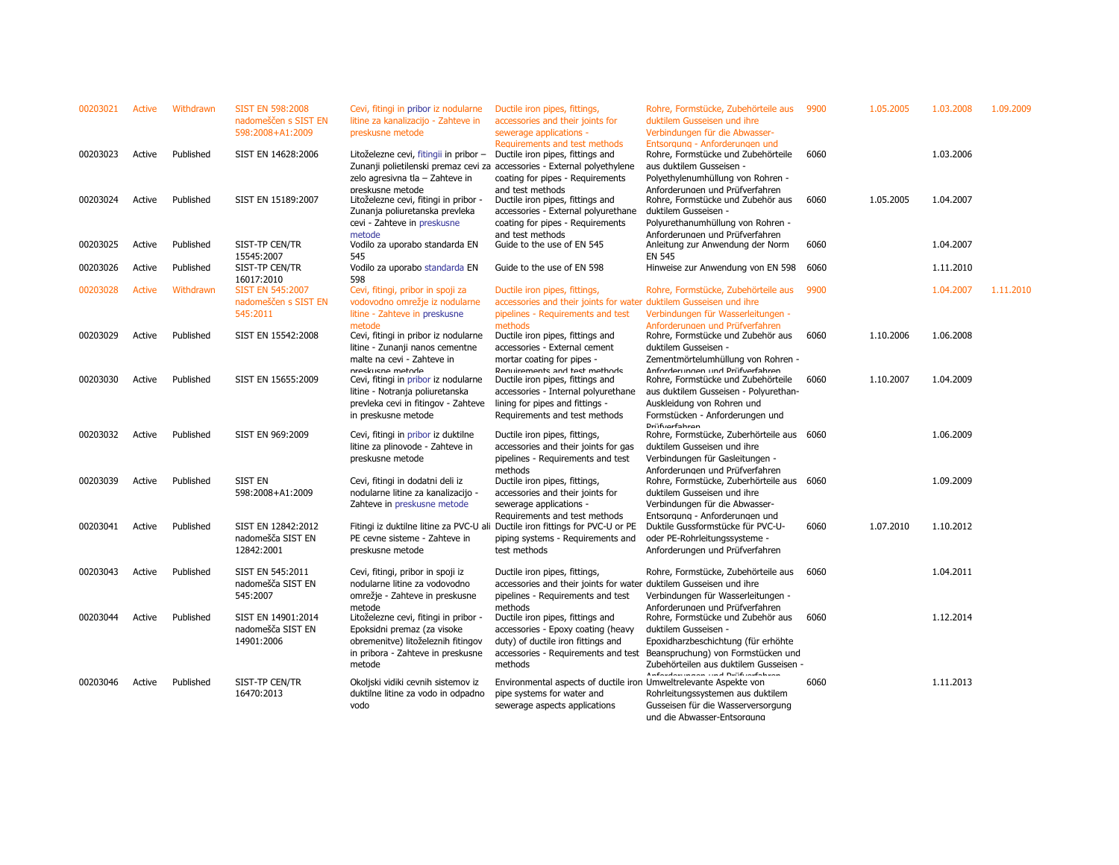| 00203021 | Active | Withdrawn | <b>SIST EN 598:2008</b><br>nadomeščen s SIST EN<br>598:2008+A1:2009 | Cevi, fitingi in pribor iz nodularne<br>litine za kanalizacijo - Zahteve in<br>preskusne metode                                                                                             | Ductile iron pipes, fittings,<br>accessories and their joints for<br>sewerage applications -                                                                                                               | Rohre, Formstücke, Zubehörteile aus<br>duktilem Gusseisen und ihre<br>Verbindungen für die Abwasser-                                                                                                                        | 9900 | 1.05.2005 | 1.03.2008 | 1.09.2009 |
|----------|--------|-----------|---------------------------------------------------------------------|---------------------------------------------------------------------------------------------------------------------------------------------------------------------------------------------|------------------------------------------------------------------------------------------------------------------------------------------------------------------------------------------------------------|-----------------------------------------------------------------------------------------------------------------------------------------------------------------------------------------------------------------------------|------|-----------|-----------|-----------|
| 00203023 | Active | Published | SIST EN 14628:2006                                                  | Litoželezne cevi, fitingii in pribor -                                                                                                                                                      | Requirements and test methods<br>Ductile iron pipes, fittings and<br>Zunanji polietilenski premaz cevi za accessories - External polyethylene                                                              | Entsorgung - Anforderungen und<br>Rohre, Formstücke und Zubehörteile<br>aus duktilem Gusseisen -                                                                                                                            | 6060 |           | 1.03.2006 |           |
| 00203024 | Active | Published | SIST EN 15189:2007                                                  | zelo agresivna tla - Zahteve in<br>preskusne metode<br>Litoželezne cevi, fitingi in pribor -<br>Zunanja poliuretanska prevleka<br>cevi - Zahteve in preskusne                               | coating for pipes - Requirements<br>and test methods<br>Ductile iron pipes, fittings and<br>accessories - External polyurethane<br>coating for pipes - Requirements                                        | Polyethylenumhüllung von Rohren -<br>Anforderungen und Prüfverfahren<br>Rohre, Formstücke und Zubehör aus<br>duktilem Gusseisen -<br>Polyurethanumhüllung von Rohren -                                                      | 6060 | 1.05.2005 | 1.04.2007 |           |
| 00203025 | Active | Published | SIST-TP CEN/TR<br>15545:2007                                        | metode<br>Vodilo za uporabo standarda EN<br>545                                                                                                                                             | and test methods<br>Guide to the use of EN 545                                                                                                                                                             | Anforderungen und Prüfverfahren<br>Anleitung zur Anwendung der Norm<br><b>EN 545</b>                                                                                                                                        | 6060 |           | 1.04.2007 |           |
| 00203026 | Active | Published | SIST-TP CEN/TR<br>16017:2010                                        | Vodilo za uporabo standarda EN<br>598                                                                                                                                                       | Guide to the use of EN 598                                                                                                                                                                                 | Hinweise zur Anwendung von EN 598                                                                                                                                                                                           | 6060 |           | 1.11.2010 |           |
| 00203028 | Active | Withdrawn | <b>SIST EN 545:2007</b><br>nadomeščen s SIST EN                     | Cevi, fitingi, pribor in spoji za<br>vodovodno omrežje iz nodularne                                                                                                                         | Ductile iron pipes, fittings,<br>accessories and their joints for water                                                                                                                                    | Rohre, Formstücke, Zubehörteile aus<br>duktilem Gusseisen und ihre                                                                                                                                                          | 9900 |           | 1.04.2007 | 1.11.2010 |
| 00203029 | Active | Published | 545:2011<br>SIST EN 15542:2008                                      | litine - Zahteve in preskusne<br>metode<br>Cevi, fitingi in pribor iz nodularne<br>litine - Zunanji nanos cementne                                                                          | pipelines - Requirements and test<br>methods<br>Ductile iron pipes, fittings and<br>accessories - External cement                                                                                          | Verbindungen für Wasserleitungen -<br>Anforderungen und Prüfverfahren<br>Rohre, Formstücke und Zubehör aus<br>duktilem Gusseisen -                                                                                          | 6060 | 1.10.2006 | 1.06.2008 |           |
| 00203030 | Active | Published | SIST EN 15655:2009                                                  | malte na cevi - Zahteve in<br>nreskusne metode<br>Cevi, fitingi in pribor iz nodularne<br>litine - Notranja poliuretanska<br>prevleka cevi in fitingov - Zahteve<br>in preskusne metode     | mortar coating for pipes -<br>Requirements and test methods<br>Ductile iron pipes, fittings and<br>accessories - Internal polyurethane<br>lining for pipes and fittings -<br>Requirements and test methods | Zementmörtelumhüllung von Rohren -<br>Anforderungen und Prüfverfahren<br>Rohre, Formstücke und Zubehörteile<br>aus duktilem Gusseisen - Polyurethan-<br>Auskleidung von Rohren und<br>Formstücken - Anforderungen und       | 6060 | 1.10.2007 | 1.04.2009 |           |
| 00203032 | Active | Published | SIST EN 969:2009                                                    | Cevi, fitingi in pribor iz duktilne<br>litine za plinovode - Zahteve in<br>preskusne metode                                                                                                 | Ductile iron pipes, fittings,<br>accessories and their joints for gas<br>pipelines - Requirements and test                                                                                                 | <b>Driifuarfahran</b><br>Rohre, Formstücke, Zuberhörteile aus 6060<br>duktilem Gusseisen und ihre<br>Verbindungen für Gasleitungen -                                                                                        |      |           | 1.06.2009 |           |
| 00203039 | Active | Published | <b>SIST EN</b><br>598:2008+A1:2009                                  | Cevi, fitingi in dodatni deli iz<br>nodularne litine za kanalizacijo -                                                                                                                      | methods<br>Ductile iron pipes, fittings,<br>accessories and their joints for                                                                                                                               | Anforderungen und Prüfverfahren<br>Rohre, Formstücke, Zuberhörteile aus 6060<br>duktilem Gusseisen und ihre                                                                                                                 |      |           | 1.09.2009 |           |
| 00203041 | Active | Published | SIST EN 12842:2012<br>nadomešča SIST EN<br>12842:2001               | Zahteve in preskusne metode<br>PE cevne sisteme - Zahteve in<br>preskusne metode                                                                                                            | sewerage applications -<br>Requirements and test methods<br>Fitingi iz duktilne litine za PVC-U ali Ductile iron fittings for PVC-U or PE<br>piping systems - Requirements and<br>test methods             | Verbindungen für die Abwasser-<br>Entsorauna - Anforderunaen und<br>Duktile Gussformstücke für PVC-U-<br>oder PE-Rohrleitungssysteme -<br>Anforderungen und Prüfverfahren                                                   | 6060 | 1.07.2010 | 1.10.2012 |           |
| 00203043 | Active | Published | SIST EN 545:2011<br>nadomešča SIST EN                               | Cevi, fitingi, pribor in spoji iz<br>nodularne litine za vodovodno                                                                                                                          | Ductile iron pipes, fittings,<br>accessories and their joints for water                                                                                                                                    | Rohre, Formstücke, Zubehörteile aus<br>duktilem Gusseisen und ihre                                                                                                                                                          | 6060 |           | 1.04.2011 |           |
| 00203044 | Active | Published | 545:2007<br>SIST EN 14901:2014<br>nadomešča SIST EN<br>14901:2006   | omrežje - Zahteve in preskusne<br>metode<br>Litoželezne cevi, fitingi in pribor -<br>Epoksidni premaz (za visoke<br>obremenitve) litoželeznih fitingov<br>in pribora - Zahteve in preskusne | pipelines - Requirements and test<br>methods<br>Ductile iron pipes, fittings and<br>accessories - Epoxy coating (heavy<br>duty) of ductile iron fittings and<br>accessories - Requirements and test        | Verbindungen für Wasserleitungen -<br>Anforderungen und Prüfverfahren<br>Rohre, Formstücke und Zubehör aus<br>duktilem Gusseisen -<br>Epoxidharzbeschichtung (für erhöhte<br>Beanspruchung) von Formstücken und             | 6060 |           | 1.12.2014 |           |
| 00203046 | Active | Published | SIST-TP CEN/TR<br>16470:2013                                        | metode<br>Okoljski vidiki cevnih sistemov iz<br>duktilne litine za vodo in odpadno<br>vodo                                                                                                  | methods<br>Environmental aspects of ductile iron Umweltrelevante Aspekte von<br>pipe systems for water and<br>sewerage aspects applications                                                                | Zubehörteilen aus duktilem Gusseisen -<br>$\mathbf{A}$ and $\mathbf{B}$ are all the second contract of the second<br>Rohrleitungssystemen aus duktilem<br>Gusseisen für die Wasserversorgung<br>und die Abwasser-Entsorgung | 6060 |           | 1.11.2013 |           |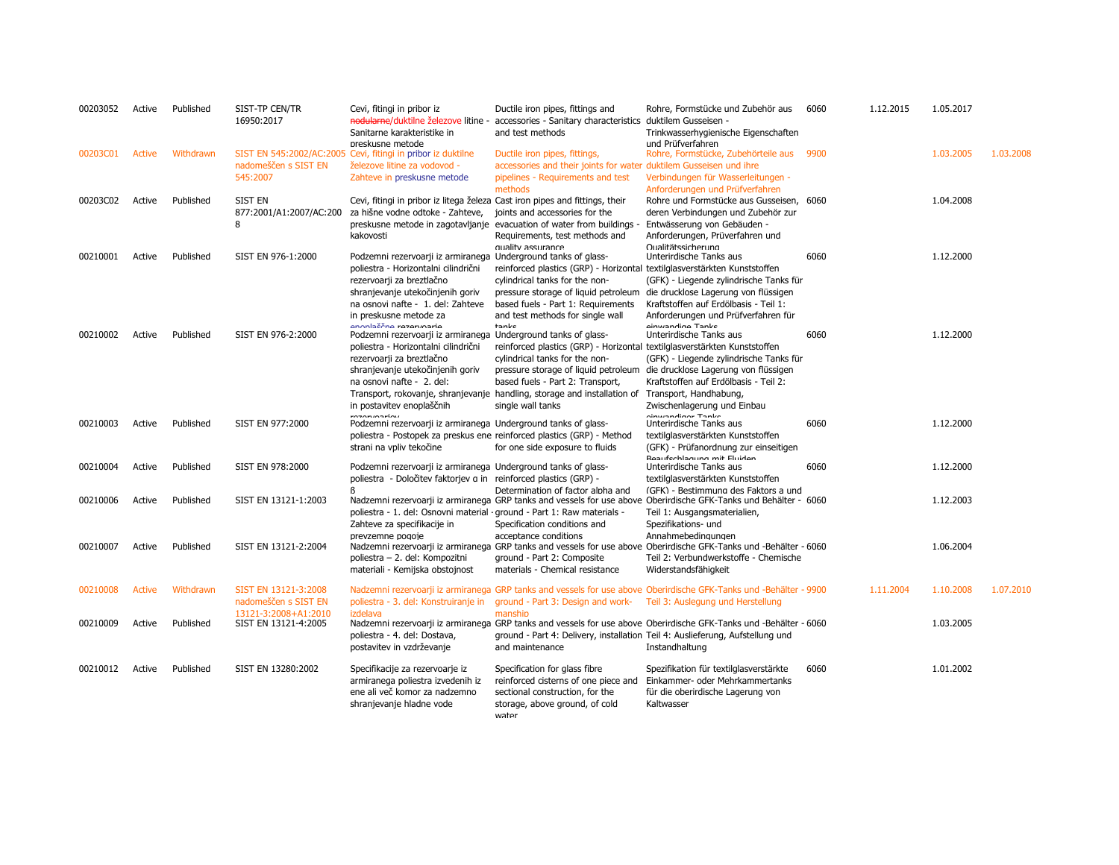| 00203052 | Active        | Published | SIST-TP CEN/TR<br>16950:2017                                         | Cevi, fitingi in pribor iz<br>nodularne/duktilne železove litine -<br>Sanitarne karakteristike in                                                                                                                                           | Ductile iron pipes, fittings and<br>accessories - Sanitary characteristics duktilem Gusseisen -<br>and test methods                                                                                         | Rohre, Formstücke und Zubehör aus<br>Trinkwasserhygienische Eigenschaften                                                                                                                                 | 6060 | 1.12.2015 | 1.05.2017 |           |
|----------|---------------|-----------|----------------------------------------------------------------------|---------------------------------------------------------------------------------------------------------------------------------------------------------------------------------------------------------------------------------------------|-------------------------------------------------------------------------------------------------------------------------------------------------------------------------------------------------------------|-----------------------------------------------------------------------------------------------------------------------------------------------------------------------------------------------------------|------|-----------|-----------|-----------|
| 00203C01 | <b>Active</b> | Withdrawn | nadomeščen s SIST EN                                                 | preskusne metode<br>SIST EN 545:2002/AC:2005 Cevi, fitingi in pribor iz duktilne<br>železove litine za vodovod -                                                                                                                            | Ductile iron pipes, fittings,<br>accessories and their joints for water duktilem Gusseisen und ihre                                                                                                         | und Prüfverfahren<br>Rohre, Formstücke, Zubehörteile aus                                                                                                                                                  | 9900 |           | 1.03.2005 | 1.03.2008 |
|          |               |           | 545:2007                                                             | Zahteve in preskusne metode                                                                                                                                                                                                                 | pipelines - Requirements and test<br>methods                                                                                                                                                                | Verbindungen für Wasserleitungen -<br>Anforderungen und Prüfverfahren                                                                                                                                     |      |           |           |           |
| 00203C02 | Active        | Published | SIST EN<br>877:2001/A1:2007/AC:200<br>8                              | Cevi, fitingi in pribor iz litega železa Cast iron pipes and fittings, their<br>za hišne vodne odtoke - Zahteve,<br>kakovosti                                                                                                               | joints and accessories for the<br>preskusne metode in zagotavljanje evacuation of water from buildings -<br>Requirements, test methods and                                                                  | Rohre und Formstücke aus Gusseisen, 6060<br>deren Verbindungen und Zubehör zur<br>Entwässerung von Gebäuden -<br>Anforderungen, Prüverfahren und                                                          |      |           | 1.04.2008 |           |
| 00210001 | Active        | Published | SIST EN 976-1:2000                                                   | Podzemni rezervoarji iz armiranega Underground tanks of glass-<br>poliestra - Horizontalni cilindrični<br>rezervoarji za breztlačno                                                                                                         | quality assurance<br>reinforced plastics (GRP) - Horizontal textilglasverstärkten Kunststoffen<br>cylindrical tanks for the non-                                                                            | Oualitätssicherung<br>Unterirdische Tanks aus<br>(GFK) - Liegende zylindrische Tanks für                                                                                                                  | 6060 |           | 1.12.2000 |           |
| 00210002 | Active        | Published | SIST EN 976-2:2000                                                   | shranjevanje utekočinjenih goriv<br>na osnovi nafte - 1. del: Zahteve<br>in preskusne metode za<br>annla <sub>2</sub> ma nonnonia<br>Podzemni rezervoarji iz armiranega Underground tanks of glass-<br>poliestra - Horizontalni cilindrični | pressure storage of liquid petroleum<br>based fuels - Part 1: Requirements<br>and test methods for single wall<br>tanke<br>reinforced plastics (GRP) - Horizontal textilglasverstärkten Kunststoffen        | die drucklose Lagerung von flüssigen<br>Kraftstoffen auf Erdölbasis - Teil 1:<br>Anforderungen und Prüfverfahren für<br>oinwondian Tonke<br>Unterirdische Tanks aus                                       | 6060 |           | 1.12.2000 |           |
|          |               |           |                                                                      | rezervoarji za breztlačno<br>shranjevanje utekočinjenih goriv<br>na osnovi nafte - 2. del:<br>in postavitev enoplaščnih                                                                                                                     | cylindrical tanks for the non-<br>pressure storage of liquid petroleum<br>based fuels - Part 2: Transport,<br>Transport, rokovanje, shranjevanje handling, storage and installation of<br>single wall tanks | (GFK) - Liegende zylindrische Tanks für<br>die drucklose Lagerung von flüssigen<br>Kraftstoffen auf Erdölbasis - Teil 2:<br>Transport, Handhabung,<br>Zwischenlagerung und Einbau                         |      |           |           |           |
| 00210003 | Active        | Published | SIST EN 977:2000                                                     | r<br>Podzemni rezervoarji iz armiranega Underground tanks of glass-<br>strani na vpliv tekočine                                                                                                                                             | poliestra - Postopek za preskus ene reinforced plastics (GRP) - Method<br>for one side exposure to fluids                                                                                                   | cinupadiacy Tanks<br>Unterirdische Tanks aus<br>textilglasverstärkten Kunststoffen<br>(GFK) - Prüfanordnung zur einseitigen                                                                               | 6060 |           | 1.12.2000 |           |
| 00210004 | Active        | Published | SIST EN 978:2000                                                     | Podzemni rezervoarji iz armiranega Underground tanks of glass-<br>poliestra - Določitev faktorjev a in reinforced plastics (GRP) -<br>R                                                                                                     | Determination of factor alpha and                                                                                                                                                                           | <b>Rooufcchlogung mit Eluidon</b><br>Unterirdische Tanks aus<br>textilglasverstärkten Kunststoffen<br>(GFK) - Bestimmung des Faktors a und                                                                | 6060 |           | 1.12.2000 |           |
| 00210006 | Active        | Published | SIST EN 13121-1:2003                                                 | poliestra - 1. del: Osnovni material · ground - Part 1: Raw materials -<br>Zahteve za specifikacije in                                                                                                                                      | Specification conditions and                                                                                                                                                                                | Nadzemni rezervoarji iz armiranega GRP tanks and vessels for use above Oberirdische GFK-Tanks und Behälter - 6060<br>Teil 1: Ausgangsmaterialien,<br>Spezifikations- und                                  |      |           | 1.12.2003 |           |
| 00210007 | Active        | Published | SIST EN 13121-2:2004                                                 | prevzemne pogoie<br>poliestra - 2. del: Kompozitni<br>materiali - Kemijska obstojnost                                                                                                                                                       | acceptance conditions<br>ground - Part 2: Composite<br>materials - Chemical resistance                                                                                                                      | Annahmebedingungen<br>Nadzemni rezervoarji iz armiranega GRP tanks and vessels for use above Oberirdische GFK-Tanks und -Behälter - 6060<br>Teil 2: Verbundwerkstoffe - Chemische<br>Widerstandsfähigkeit |      |           | 1.06.2004 |           |
| 00210008 | <b>Active</b> | Withdrawn | SIST EN 13121-3:2008<br>nadomeščen s SIST EN<br>13121-3:2008+A1:2010 | poliestra - 3. del: Konstruiranje in<br>izdelava                                                                                                                                                                                            | ground - Part 3: Design and work-<br>manship                                                                                                                                                                | Nadzemni rezervoarji iz armiranega GRP tanks and vessels for use above Oberirdische GFK-Tanks und -Behälter - 9900<br>Teil 3: Auslegung und Herstellung                                                   |      | 1.11.2004 | 1.10.2008 | 1.07.2010 |
| 00210009 | Active        | Published | SIST EN 13121-4:2005                                                 | poliestra - 4. del: Dostava,<br>postavitev in vzdrževanje                                                                                                                                                                                   | ground - Part 4: Delivery, installation Teil 4: Auslieferung, Aufstellung und<br>and maintenance                                                                                                            | Nadzemni rezervoarji iz armiranega GRP tanks and vessels for use above Oberirdische GFK-Tanks und -Behälter - 6060<br>Instandhaltung                                                                      |      |           | 1.03.2005 |           |
| 00210012 | Active        | Published | SIST EN 13280:2002                                                   | Specifikacije za rezervoarje iz<br>armiranega poliestra izvedenih iz<br>ene ali več komor za nadzemno<br>shranjevanje hladne vode                                                                                                           | Specification for glass fibre<br>reinforced cisterns of one piece and<br>sectional construction, for the<br>storage, above ground, of cold<br>water                                                         | Spezifikation für textilglasverstärkte<br>Einkammer- oder Mehrkammertanks<br>für die oberirdische Lagerung von<br>Kaltwasser                                                                              | 6060 |           | 1.01.2002 |           |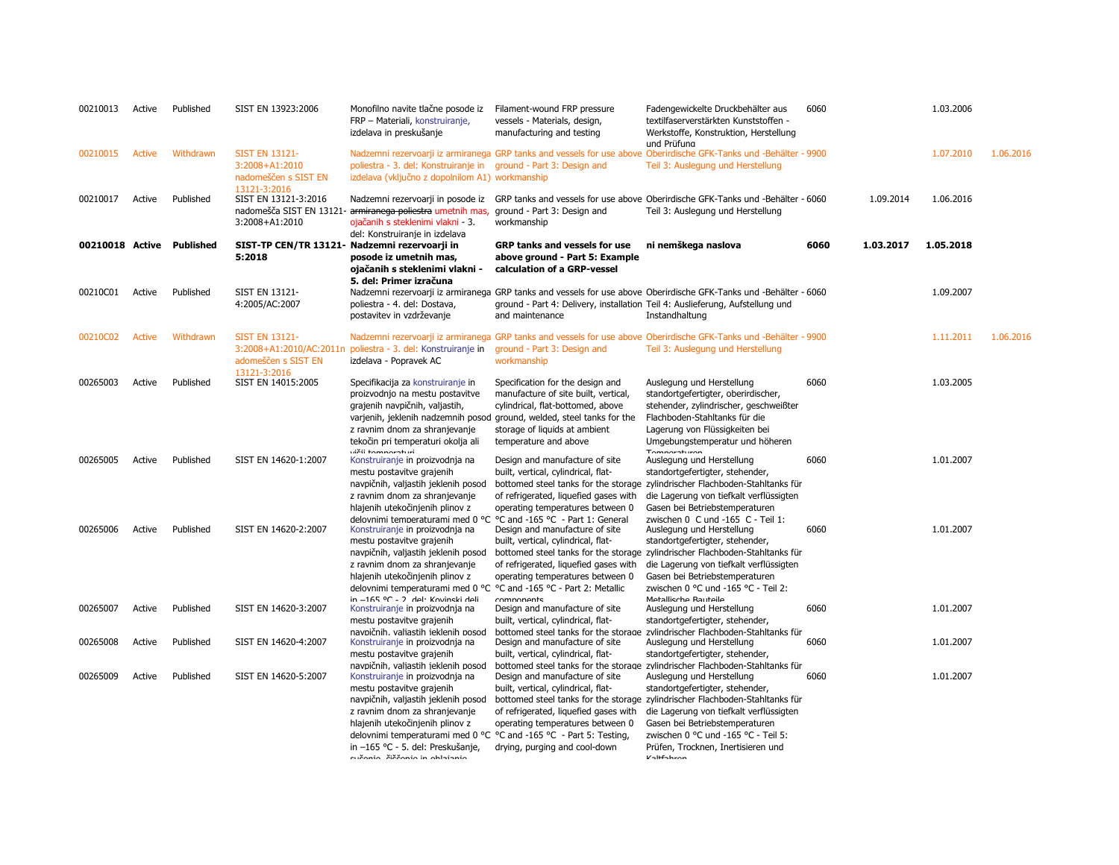| 00210013 | Active        | Published                 | SIST EN 13923:2006                                                              | Monofilno navite tlačne posode iz<br>FRP - Materiali, konstruiranje,<br>izdelava in preskušanje                                                                                                                                                                                                                                                        | Filament-wound FRP pressure<br>vessels - Materials, design,<br>manufacturing and testing                                                                                                                                                          | Fadengewickelte Druckbehälter aus<br>textilfaserverstärkten Kunststoffen -<br>Werkstoffe, Konstruktion, Herstellung<br>und Prüfuna                                                                                                                                                                                              | 6060 |           | 1.03.2006 |           |
|----------|---------------|---------------------------|---------------------------------------------------------------------------------|--------------------------------------------------------------------------------------------------------------------------------------------------------------------------------------------------------------------------------------------------------------------------------------------------------------------------------------------------------|---------------------------------------------------------------------------------------------------------------------------------------------------------------------------------------------------------------------------------------------------|---------------------------------------------------------------------------------------------------------------------------------------------------------------------------------------------------------------------------------------------------------------------------------------------------------------------------------|------|-----------|-----------|-----------|
| 00210015 | <b>Active</b> | Withdrawn                 | <b>SIST EN 13121-</b><br>3:2008+A1:2010<br>nadomeščen s SIST EN<br>13121-3:2016 | poliestra - 3. del: Konstruiranje in ground - Part 3: Design and<br>izdelava (vključno z dopolnilom A1) workmanship                                                                                                                                                                                                                                    | Nadzemni rezervoarji iz armiranega GRP tanks and vessels for use above                                                                                                                                                                            | Oberirdische GFK-Tanks und -Behälter - 9900<br>Teil 3: Auslegung und Herstellung                                                                                                                                                                                                                                                |      |           | 1.07.2010 | 1.06.2016 |
| 00210017 | Active        | Published                 | SIST EN 13121-3:2016<br>3:2008+A1:2010                                          | nadomešča SIST EN 13121- armiranega poliestra umetnih mas,<br>ojačanih s steklenimi vlakni - 3.                                                                                                                                                                                                                                                        | ground - Part 3: Design and<br>workmanship                                                                                                                                                                                                        | Nadzemni rezervoarji in posode iz GRP tanks and vessels for use above Oberirdische GFK-Tanks und -Behälter - 6060<br>Teil 3: Auslegung und Herstellung                                                                                                                                                                          |      | 1.09.2014 | 1.06.2016 |           |
|          |               | 00210018 Active Published | 5:2018                                                                          | del: Konstruiranje in izdelava<br>SIST-TP CEN/TR 13121- Nadzemni rezervoarji in<br>posode iz umetnih mas,<br>ojačanih s steklenimi vlakni -<br>5. del: Primer izračuna                                                                                                                                                                                 | <b>GRP tanks and vessels for use</b><br>above ground - Part 5: Example<br>calculation of a GRP-vessel                                                                                                                                             | ni nemškega naslova                                                                                                                                                                                                                                                                                                             | 6060 | 1.03.2017 | 1.05.2018 |           |
| 00210C01 | Active        | Published                 | SIST EN 13121-<br>4:2005/AC:2007                                                | poliestra - 4. del: Dostava,<br>postavitev in vzdrževanje                                                                                                                                                                                                                                                                                              | and maintenance                                                                                                                                                                                                                                   | Nadzemni rezervoarji iz armiranega GRP tanks and vessels for use above Oberirdische GFK-Tanks und -Behälter - 6060<br>ground - Part 4: Delivery, installation Teil 4: Auslieferung, Aufstellung und<br>Instandhaltung                                                                                                           |      |           | 1.09.2007 |           |
| 00210C02 | <b>Active</b> | Withdrawn                 | <b>SIST EN 13121-</b><br>3:2008+A1:2010/AC:2011n<br>adomeščen s SIST EN         | poliestra - 3. del: Konstruiranje in<br>izdelava - Popravek AC                                                                                                                                                                                                                                                                                         | ground - Part 3: Design and<br>workmanship                                                                                                                                                                                                        | Nadzemni rezervoarji iz armiranega GRP tanks and vessels for use above Oberirdische GFK-Tanks und -Behälter - 9900<br>Teil 3: Auslegung und Herstellung                                                                                                                                                                         |      |           | 1.11.2011 | 1.06.2016 |
| 00265003 | Active        | Published                 | 13121-3:2016<br>SIST EN 14015:2005                                              | Specifikacija za konstruiranje in<br>proizvodnjo na mestu postavitve<br>grajenih navpičnih, valjastih,<br>z ravnim dnom za shranjevanje<br>tekočin pri temperaturi okolja ali<br>vičii tomnoraturi                                                                                                                                                     | Specification for the design and<br>manufacture of site built, vertical,<br>cylindrical, flat-bottomed, above<br>varjenih, jeklenih nadzemnih posod ground, welded, steel tanks for the<br>storage of liquids at ambient<br>temperature and above | Auslegung und Herstellung<br>standortgefertigter, oberirdischer,<br>stehender, zylindrischer, geschweißter<br>Flachboden-Stahltanks für die<br>Lagerung von Flüssigkeiten bei<br>Umgebungstemperatur und höheren<br>Tomporaturon                                                                                                | 6060 |           | 1.03.2005 |           |
| 00265005 | Active        | Published                 | SIST EN 14620-1:2007                                                            | Konstruiranje in proizvodnja na<br>mestu postavitve grajenih<br>navpičnih, valjastih jeklenih posod<br>z ravnim dnom za shranjevanje<br>hlajenih utekočinjenih plinov z                                                                                                                                                                                | Design and manufacture of site<br>built, vertical, cylindrical, flat-<br>of refrigerated, liquefied gases with<br>operating temperatures between 0                                                                                                | Auslegung und Herstellung<br>standortgefertigter, stehender,<br>bottomed steel tanks for the storage zylindrischer Flachboden-Stahltanks für<br>die Lagerung von tiefkalt verflüssigten<br>Gasen bei Betriebstemperaturen                                                                                                       | 6060 |           | 1.01.2007 |           |
| 00265006 | Active        | Published                 | SIST EN 14620-2:2007                                                            | delovnimi temneraturami med 0 °C °C and -165 °C - Part 1: General<br>Konstruiranje in proizvodnja na<br>mestu postavitve grajenih<br>navpičnih, valjastih jeklenih posod<br>z ravnim dnom za shranjevanje<br>hlajenih utekočinjenih plinov z<br>delovnimi temperaturami med 0 °C °C and -165 °C - Part 2: Metallic<br>in -165 °C - 7 del Kovincki deli | Design and manufacture of site<br>built, vertical, cylindrical, flat-<br>of refrigerated, liquefied gases with<br>operating temperatures between 0<br>componente                                                                                  | zwischen 0. C und -165. C - Teil 1:<br>Auslegung und Herstellung<br>standortgefertigter, stehender,<br>bottomed steel tanks for the storage zylindrischer Flachboden-Stahltanks für<br>die Lagerung von tiefkalt verflüssigten<br>Gasen bei Betriebstemperaturen<br>zwischen 0 °C und -165 °C - Teil 2:<br>Metallicche Rauteile | 6060 |           | 1.01.2007 |           |
| 00265007 | Active        | Published                 | SIST EN 14620-3:2007                                                            | Konstruiranje in proizvodnja na<br>mestu postavitve grajenih<br>navpičnih, valiastih ieklenih posod                                                                                                                                                                                                                                                    | Design and manufacture of site<br>built, vertical, cylindrical, flat-<br>bottomed steel tanks for the storage                                                                                                                                     | Auslegung und Herstellung<br>standortgefertigter, stehender,<br>zvlindrischer Flachboden-Stahltanks für                                                                                                                                                                                                                         | 6060 |           | 1.01.2007 |           |
| 00265008 | Active        | Published                 | SIST EN 14620-4:2007                                                            | Konstruiranje in proizvodnja na<br>mestu postavitve grajenih<br>navpičnih, valiastih jeklenih posod                                                                                                                                                                                                                                                    | Design and manufacture of site<br>built, vertical, cylindrical, flat-                                                                                                                                                                             | Auslegung und Herstellung<br>standortgefertigter, stehender,<br>bottomed steel tanks for the storage zvlindrischer Flachboden-Stahltanks für                                                                                                                                                                                    | 6060 |           | 1.01.2007 |           |
| 00265009 | Active        | Published                 | SIST EN 14620-5:2007                                                            | Konstruiranje in proizvodnja na<br>mestu postavitve grajenih<br>navpičnih, valjastih jeklenih posod<br>z ravnim dnom za shranjevanje<br>hlajenih utekočinjenih plinov z<br>delovnimi temperaturami med 0 °C °C and -165 °C - Part 5: Testing,<br>in -165 °C - 5. del: Preskušanje,<br>cučenie čiččenie in oblajanje                                    | Design and manufacture of site<br>built, vertical, cylindrical, flat-<br>of refrigerated, liquefied gases with<br>operating temperatures between 0<br>drying, purging and cool-down                                                               | Auslegung und Herstellung<br>standortgefertigter, stehender,<br>bottomed steel tanks for the storage zylindrischer Flachboden-Stahltanks für<br>die Lagerung von tiefkalt verflüssigten<br>Gasen bei Betriebstemperaturen<br>zwischen 0 °C und -165 °C - Teil 5:<br>Prüfen, Trocknen, Inertisieren und<br>$V$ altfahran         | 6060 |           | 1.01.2007 |           |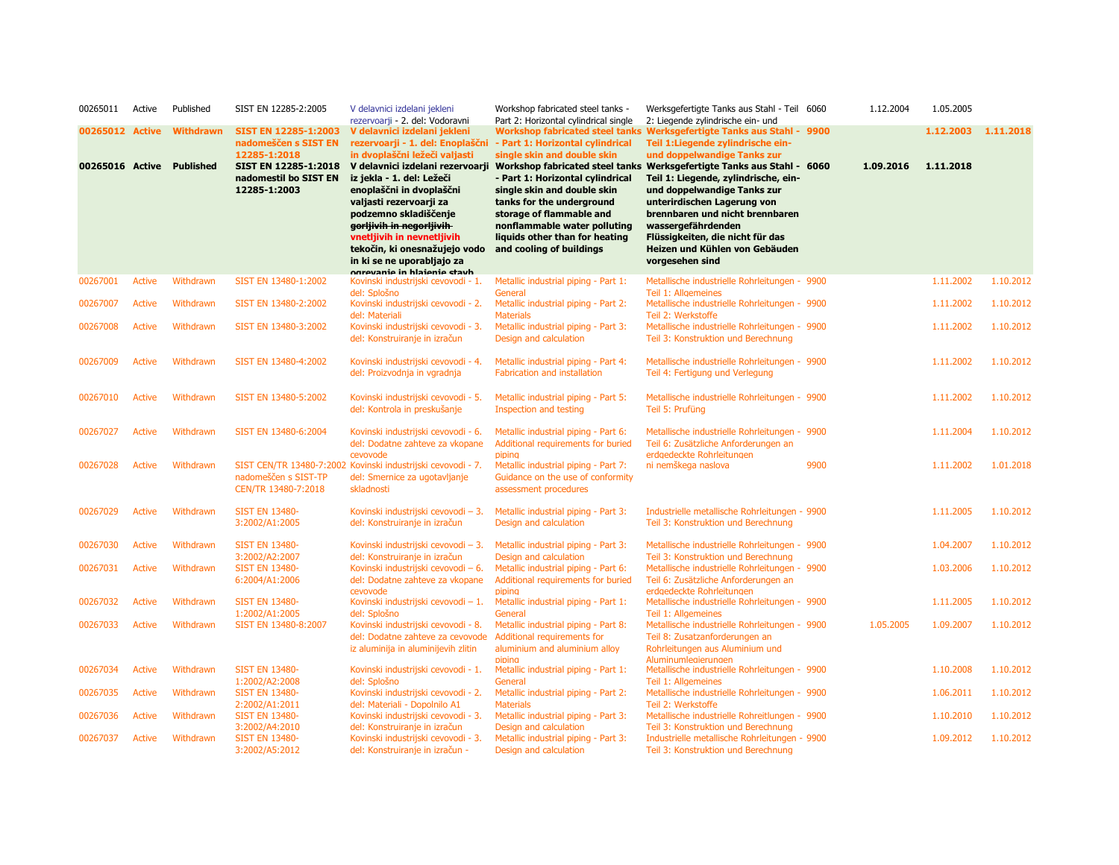| 00265011        | Active        | Published        | SIST EN 12285-2:2005                                      | V delavnici izdelani jekleni<br>rezervoarji - 2. del: Vodoravni                                                                                                                                                                                                   | Workshop fabricated steel tanks -<br>Part 2: Horizontal cylindrical single                                                                                                                                             | Werksgefertigte Tanks aus Stahl - Teil 6060<br>2: Liegende zylindrische ein- und                                                                                                                                                                     |      | 1.12.2004 | 1.05.2005 |           |
|-----------------|---------------|------------------|-----------------------------------------------------------|-------------------------------------------------------------------------------------------------------------------------------------------------------------------------------------------------------------------------------------------------------------------|------------------------------------------------------------------------------------------------------------------------------------------------------------------------------------------------------------------------|------------------------------------------------------------------------------------------------------------------------------------------------------------------------------------------------------------------------------------------------------|------|-----------|-----------|-----------|
| 00265012 Active |               | Withdrawn        | <b>SIST EN 12285-1:2003</b><br>nadomeščen s SIST EN       | V delavnici izdelani jekleni<br>rezervoarji - 1. del: Enoplaščni                                                                                                                                                                                                  | - Part 1: Horizontal cylindrical                                                                                                                                                                                       | Workshop fabricated steel tanks Werksgefertigte Tanks aus Stahl - 9900<br>Teil 1: Liegende zylindrische ein-                                                                                                                                         |      |           | 1.12.2003 | 1.11.2018 |
| 00265016 Active |               | <b>Published</b> | 12285-1:2018<br>SIST EN 12285-1:2018                      | in dvoplaščni ležeči valjasti<br>V delavnici izdelani rezervoarji                                                                                                                                                                                                 | single skin and double skin                                                                                                                                                                                            | und doppelwandige Tanks zur<br>Workshop fabricated steel tanks Werksgefertigte Tanks aus Stahl - 6060                                                                                                                                                |      | 1.09.2016 | 1.11.2018 |           |
|                 |               |                  | nadomestil bo SIST EN<br>12285-1:2003                     | iz jekla - 1. del: Ležeči<br>enoplaščni in dvoplaščni<br>valjasti rezervoarji za<br>podzemno skladiščenje<br>gorljivih in negorljivih<br>vnetljivih in nevnetljivih<br>tekočin, ki onesnažujejo vodo<br>in ki se ne uporabljajo za<br>ogravania in hiaiania stavh | - Part 1: Horizontal cylindrical<br>single skin and double skin<br>tanks for the underground<br>storage of flammable and<br>nonflammable water polluting<br>liquids other than for heating<br>and cooling of buildings | Teil 1: Liegende, zylindrische, ein-<br>und doppelwandige Tanks zur<br>unterirdischen Lagerung von<br>brennbaren und nicht brennbaren<br>wassergefährdenden<br>Flüssigkeiten, die nicht für das<br>Heizen und Kühlen von Gebäuden<br>vorgesehen sind |      |           |           |           |
| 00267001        | <b>Active</b> | Withdrawn        | SIST EN 13480-1:2002                                      | Kovinski industrijski cevovodi - 1.<br>del: Splošno                                                                                                                                                                                                               | Metallic industrial piping - Part 1:<br>General                                                                                                                                                                        | Metallische industrielle Rohrleitungen - 9900<br>Teil 1: Allgemeines                                                                                                                                                                                 |      |           | 1.11.2002 | 1.10.2012 |
| 00267007        | <b>Active</b> | Withdrawn        | SIST EN 13480-2:2002                                      | Kovinski industrijski cevovodi - 2.<br>del: Materiali                                                                                                                                                                                                             | Metallic industrial piping - Part 2:<br><b>Materials</b>                                                                                                                                                               | Metallische industrielle Rohrleitungen - 9900<br>Teil 2: Werkstoffe                                                                                                                                                                                  |      |           | 1.11.2002 | 1.10.2012 |
| 00267008        | <b>Active</b> | Withdrawn        | SIST EN 13480-3:2002                                      | Kovinski industrijski cevovodi - 3.<br>del: Konstruiranje in izračun                                                                                                                                                                                              | Metallic industrial piping - Part 3:<br>Design and calculation                                                                                                                                                         | Metallische industrielle Rohrleitungen - 9900<br>Teil 3: Konstruktion und Berechnung                                                                                                                                                                 |      |           | 1.11.2002 | 1.10.2012 |
| 00267009        | <b>Active</b> | Withdrawn        | SIST EN 13480-4:2002                                      | Kovinski industrijski cevovodi - 4.<br>del: Proizvodnja in vgradnja                                                                                                                                                                                               | Metallic industrial piping - Part 4:<br><b>Fabrication and installation</b>                                                                                                                                            | Metallische industrielle Rohrleitungen - 9900<br>Teil 4: Fertigung und Verlegung                                                                                                                                                                     |      |           | 1.11.2002 | 1.10.2012 |
| 00267010        | <b>Active</b> | Withdrawn        | SIST EN 13480-5:2002                                      | Kovinski industrijski cevovodi - 5.<br>del: Kontrola in preskušanje                                                                                                                                                                                               | Metallic industrial piping - Part 5:<br>Inspection and testing                                                                                                                                                         | Metallische industrielle Rohrleitungen - 9900<br>Teil 5: Prufüng                                                                                                                                                                                     |      |           | 1.11.2002 | 1.10.2012 |
| 00267027        | <b>Active</b> | Withdrawn        | SIST EN 13480-6:2004                                      | Kovinski industrijski cevovodi - 6.<br>del: Dodatne zahteve za vkopane<br>cevovode                                                                                                                                                                                | Metallic industrial piping - Part 6:<br>Additional requirements for buried<br>piping                                                                                                                                   | Metallische industrielle Rohrleitungen - 9900<br>Teil 6: Zusätzliche Anforderungen an<br>erdaedeckte Rohrleitungen                                                                                                                                   |      |           | 1.11.2004 | 1.10.2012 |
| 00267028        | <b>Active</b> | Withdrawn        | nadomeščen s SIST-TP<br>CEN/TR 13480-7:2018               | SIST CEN/TR 13480-7:2002 Kovinski industrijski cevovodi - 7.<br>del: Smernice za ugotavljanje<br>skladnosti                                                                                                                                                       | Metallic industrial piping - Part 7:<br>Guidance on the use of conformity<br>assessment procedures                                                                                                                     | ni nemškega naslova                                                                                                                                                                                                                                  | 9900 |           | 1.11.2002 | 1.01.2018 |
| 00267029        | <b>Active</b> | Withdrawn        | <b>SIST EN 13480-</b><br>3:2002/A1:2005                   | Kovinski industrijski cevovodi - 3.<br>del: Konstruiranje in izračun                                                                                                                                                                                              | Metallic industrial piping - Part 3:<br>Design and calculation                                                                                                                                                         | Industrielle metallische Rohrleitungen - 9900<br>Teil 3: Konstruktion und Berechnung                                                                                                                                                                 |      |           | 1.11.2005 | 1.10.2012 |
| 00267030        | <b>Active</b> | Withdrawn        | <b>SIST EN 13480-</b><br>3:2002/A2:2007                   | Kovinski industrijski cevovodi - 3.<br>del: Konstruiranie in izračun                                                                                                                                                                                              | Metallic industrial piping - Part 3:<br>Design and calculation                                                                                                                                                         | Metallische industrielle Rohrleitungen - 9900<br>Teil 3: Konstruktion und Berechnung                                                                                                                                                                 |      |           | 1.04.2007 | 1.10.2012 |
| 00267031        | <b>Active</b> | Withdrawn        | <b>SIST EN 13480-</b><br>6:2004/A1:2006                   | Kovinski industrijski cevovodi - 6.<br>del: Dodatne zahteve za vkopane<br>cevovode                                                                                                                                                                                | Metallic industrial piping - Part 6:<br>Additional requirements for buried<br>pipina                                                                                                                                   | Metallische industrielle Rohrleitungen - 9900<br>Teil 6: Zusätzliche Anforderungen an<br>erdgedeckte Rohrleitungen                                                                                                                                   |      |           | 1.03.2006 | 1.10.2012 |
| 00267032        | <b>Active</b> | Withdrawn        | <b>SIST EN 13480-</b><br>1:2002/A1:2005                   | Kovinski industrijski cevovodi - 1.<br>del: Splošno                                                                                                                                                                                                               | Metallic industrial piping - Part 1:<br>General                                                                                                                                                                        | Metallische industrielle Rohrleitungen - 9900<br>Teil 1: Allgemeines                                                                                                                                                                                 |      |           | 1.11.2005 | 1.10.2012 |
| 00267033        | <b>Active</b> | Withdrawn        | SIST EN 13480-8:2007                                      | Kovinski industrijski cevovodi - 8.<br>del: Dodatne zahteve za cevovode<br>iz aluminija in aluminijevih zlitin                                                                                                                                                    | Metallic industrial piping - Part 8:<br>Additional requirements for<br>aluminium and aluminium alloy<br>pipina                                                                                                         | Metallische industrielle Rohrleitungen - 9900<br>Teil 8: Zusatzanforderungen an<br>Rohrleitungen aus Aluminium und<br>Aluminumleaierunaen                                                                                                            |      | 1.05.2005 | 1.09.2007 | 1.10.2012 |
| 00267034        | <b>Active</b> | Withdrawn        | <b>SIST EN 13480-</b><br>1:2002/A2:2008                   | Kovinski industrijski cevovodi - 1.<br>del: Splošno                                                                                                                                                                                                               | Metallic industrial piping - Part 1:<br>General                                                                                                                                                                        | Metallische industrielle Rohrleitungen - 9900<br>Teil 1: Allgemeines                                                                                                                                                                                 |      |           | 1.10.2008 | 1.10.2012 |
| 00267035        | <b>Active</b> | Withdrawn        | <b>SIST EN 13480-</b>                                     | Kovinski industrijski cevovodi - 2.                                                                                                                                                                                                                               | Metallic industrial piping - Part 2:                                                                                                                                                                                   | Metallische industrielle Rohrleitungen - 9900                                                                                                                                                                                                        |      |           | 1.06.2011 | 1.10.2012 |
| 00267036        | <b>Active</b> | Withdrawn        | 2:2002/A1:2011<br><b>SIST EN 13480-</b><br>3:2002/A4:2010 | del: Materiali - Dopolnilo A1<br>Kovinski industrijski cevovodi - 3.<br>del: Konstruiranje in izračun                                                                                                                                                             | <b>Materials</b><br>Metallic industrial piping - Part 3:<br>Design and calculation                                                                                                                                     | Teil 2: Werkstoffe<br>Metallische industrielle Rohreitlungen - 9900<br>Teil 3: Konstruktion und Berechnung                                                                                                                                           |      |           | 1.10.2010 | 1.10.2012 |
| 00267037        | Active        | Withdrawn        | <b>SIST EN 13480-</b><br>3:2002/A5:2012                   | Kovinski industrijski cevovodi - 3.<br>del: Konstruiranje in izračun -                                                                                                                                                                                            | Metallic industrial piping - Part 3:<br>Design and calculation                                                                                                                                                         | Industrielle metallische Rohrleitungen - 9900<br>Teil 3: Konstruktion und Berechnung                                                                                                                                                                 |      |           | 1.09.2012 | 1.10.2012 |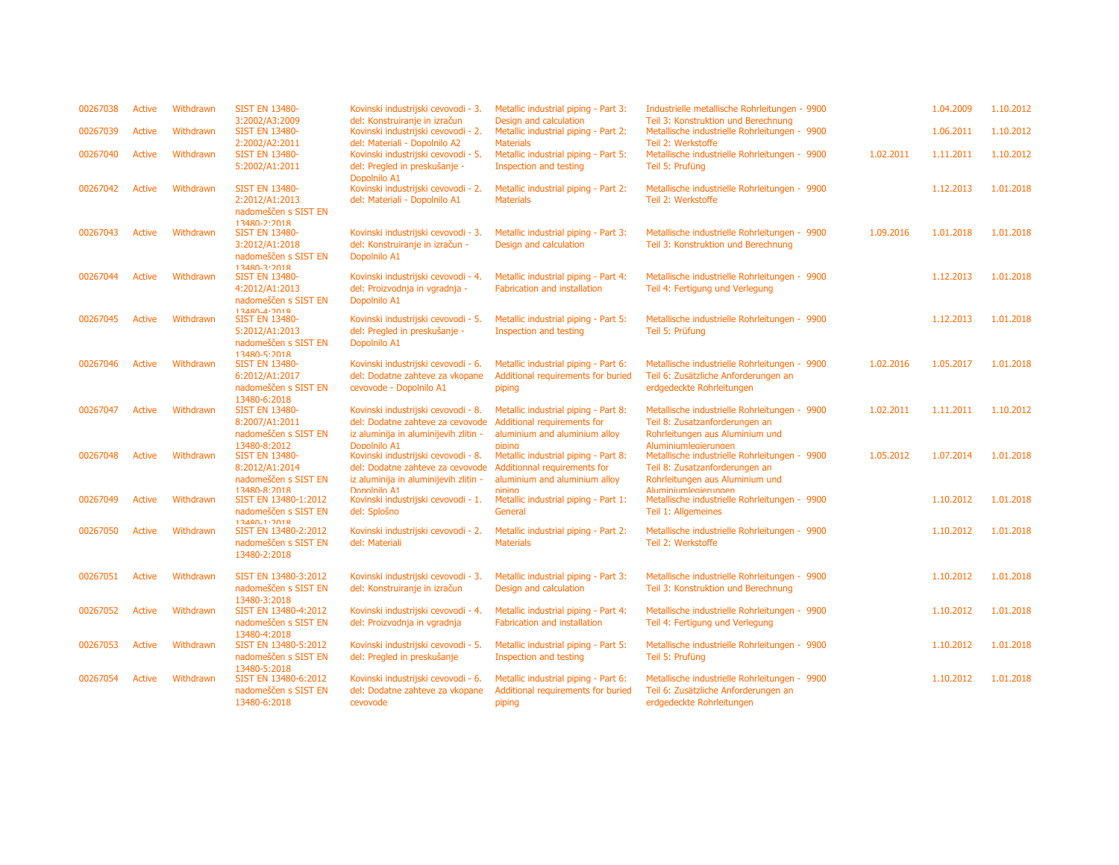| 00267038 | <b>Active</b> | Withdrawn | <b>SIST EN 13480-</b><br>3:2002/A3:2009                          | Kovinski industrijski cevovodi - 3.<br>del: Konstruiranje in izračun                 | Metallic industrial piping - Part 3:<br>Design and calculation                       | Industrielle metallische Rohrleitungen - 9900<br>Teil 3: Konstruktion und Berechnung                               |           | 1.04.2009 | 1.10.2012 |
|----------|---------------|-----------|------------------------------------------------------------------|--------------------------------------------------------------------------------------|--------------------------------------------------------------------------------------|--------------------------------------------------------------------------------------------------------------------|-----------|-----------|-----------|
| 00267039 | Active        | Withdrawn | <b>SIST EN 13480-</b><br>2:2002/A2:2011                          | Kovinski industrijski cevovodi - 2.<br>del: Materiali - Dopolnilo A2                 | Metallic industrial piping - Part 2:<br><b>Materials</b>                             | Metallische industrielle Rohrleitungen - 9900<br>Teil 2: Werkstoffe                                                |           | 1.06.2011 | 1.10.2012 |
| 00267040 | <b>Active</b> | Withdrawn | <b>SIST EN 13480-</b><br>5:2002/A1:2011                          | Kovinski industrijski cevovodi - 5.<br>del: Pregled in preskušanje -<br>Dopolnilo A1 | Metallic industrial piping - Part 5:<br>Inspection and testing                       | Metallische industrielle Rohrleitungen - 9900<br>Teil 5: Prufüng                                                   | 1.02.2011 | 1.11.2011 | 1.10.2012 |
| 00267042 | Active        | Withdrawn | <b>SIST EN 13480-</b><br>2:2012/A1:2013<br>nadomeščen s SIST EN  | Kovinski industrijski cevovodi - 2.<br>del: Materiali - Dopolnilo A1                 | Metallic industrial piping - Part 2:<br><b>Materials</b>                             | Metallische industrielle Rohrleitungen - 9900<br>Teil 2: Werkstoffe                                                |           | 1.12.2013 | 1.01.2018 |
| 00267043 | <b>Active</b> | Withdrawn | $13480 - 2.2018$<br><b>SIST EN 13480-</b>                        | Kovinski industrijski cevovodi - 3.                                                  | Metallic industrial piping - Part 3:                                                 | Metallische industrielle Rohrleitungen - 9900                                                                      | 1.09.2016 | 1.01.2018 | 1.01.2018 |
|          |               |           | 3:2012/A1:2018<br>nadomeščen s SIST EN                           | del: Konstruiranje in izračun -<br>Dopolnilo A1                                      | Design and calculation                                                               | Teil 3: Konstruktion und Berechnung                                                                                |           |           |           |
| 00267044 | Active        | Withdrawn | $13480 - 3.2018$<br><b>SIST EN 13480-</b><br>4:2012/A1:2013      | Kovinski industrijski cevovodi - 4.<br>del: Proizvodnja in vgradnja -                | Metallic industrial piping - Part 4:<br>Fabrication and installation                 | Metallische industrielle Rohrleitungen - 9900<br>Teil 4: Fertigung und Verlegung                                   |           | 1.12.2013 | 1.01.2018 |
|          |               |           | nadomeščen s SIST EN<br>$13480 - 4.2018$                         | Dopolnilo A1                                                                         |                                                                                      |                                                                                                                    |           |           |           |
| 00267045 | Active        | Withdrawn | <b>SIST EN 13480-</b><br>5:2012/A1:2013<br>nadomeščen s SIST EN  | Kovinski industrijski cevovodi - 5.<br>del: Pregled in preskušanje -<br>Dopolnilo A1 | Metallic industrial piping - Part 5:<br>Inspection and testing                       | Metallische industrielle Rohrleitungen - 9900<br>Teil 5: Prüfung                                                   |           | 1.12.2013 | 1.01.2018 |
| 00267046 | Active        | Withdrawn | $13480 - 5.2018$<br><b>SIST EN 13480-</b><br>6:2012/A1:2017      | Kovinski industrijski cevovodi - 6.<br>del: Dodatne zahteve za vkopane               | Metallic industrial piping - Part 6:<br>Additional requirements for buried           | Metallische industrielle Rohrleitungen - 9900<br>Teil 6: Zusätzliche Anforderungen an                              | 1.02.2016 | 1.05.2017 | 1.01.2018 |
|          |               |           | nadomeščen s SIST EN<br>13480-6:2018                             | cevovode - Dopolnilo A1                                                              | piping                                                                               | erdgedeckte Rohrleitungen                                                                                          |           |           |           |
| 00267047 | <b>Active</b> | Withdrawn | <b>SIST EN 13480-</b><br>8:2007/A1:2011                          | Kovinski industrijski cevovodi - 8.<br>del: Dodatne zahteve za cevovode              | Metallic industrial piping - Part 8:<br>Additional requirements for                  | Metallische industrielle Rohrleitungen - 9900<br>Teil 8: Zusatzanforderungen an                                    | 1.02.2011 | 1.11.2011 | 1.10.2012 |
| 00267048 | <b>Active</b> | Withdrawn | nadomeščen s SIST EN<br>13480-8:2012<br><b>SIST EN 13480-</b>    | iz aluminija in aluminijevih zlitin -<br>Dopolnilo A1                                | aluminium and aluminium alloy<br>piping                                              | Rohrleitungen aus Aluminium und<br>Aluminiumleaierunaen                                                            | 1.05.2012 | 1.07.2014 | 1.01.2018 |
|          |               |           | 8:2012/A1:2014                                                   | Kovinski industrijski cevovodi - 8.<br>del: Dodatne zahteve za cevovode              | Metallic industrial piping - Part 8:<br>Additionnal requirements for                 | Metallische industrielle Rohrleitungen - 9900<br>Teil 8: Zusatzanforderungen an                                    |           |           |           |
|          |               |           | nadomeščen s SIST EN<br>13480-8:2018                             | iz aluminija in aluminijevih zlitin -<br>Donolnilo A1                                | aluminium and aluminium alloy<br><b>nining</b>                                       | Rohrleitungen aus Aluminium und<br>Aluminiumlegierungen                                                            |           |           |           |
| 00267049 | Active        | Withdrawn | SIST EN 13480-1:2012<br>nadomeščen s SIST EN<br>$13480 - 1.2018$ | Kovinski industrijski cevovodi - 1.<br>del: Splošno                                  | Metallic industrial piping - Part 1:<br>General                                      | Metallische industrielle Rohrleitungen - 9900<br>Teil 1: Allgemeines                                               |           | 1.10.2012 | 1.01.2018 |
| 00267050 | Active        | Withdrawn | SIST EN 13480-2:2012<br>nadomeščen s SIST EN<br>13480-2:2018     | Kovinski industrijski cevovodi - 2.<br>del: Materiali                                | Metallic industrial piping - Part 2:<br><b>Materials</b>                             | Metallische industrielle Rohrleitungen - 9900<br>Teil 2: Werkstoffe                                                |           | 1.10.2012 | 1.01.2018 |
|          |               |           |                                                                  |                                                                                      |                                                                                      |                                                                                                                    |           |           |           |
| 00267051 | <b>Active</b> | Withdrawn | SIST EN 13480-3:2012<br>nadomeščen s SIST EN<br>13480-3:2018     | Kovinski industrijski cevovodi - 3.<br>del: Konstruiranje in izračun                 | Metallic industrial piping - Part 3:<br>Design and calculation                       | Metallische industrielle Rohrleitungen - 9900<br>Teil 3: Konstruktion und Berechnung                               |           | 1.10.2012 | 1.01.2018 |
| 00267052 | Active        | Withdrawn | SIST EN 13480-4:2012<br>nadomeščen s SIST EN                     | Kovinski industrijski cevovodi - 4.<br>del: Proizvodnja in vgradnja                  | Metallic industrial piping - Part 4:<br><b>Fabrication and installation</b>          | Metallische industrielle Rohrleitungen - 9900<br>Teil 4: Fertigung und Verlegung                                   |           | 1.10.2012 | 1.01.2018 |
| 00267053 | Active        | Withdrawn | 13480-4:2018<br>SIST EN 13480-5:2012                             | Kovinski industrijski cevovodi - 5.                                                  | Metallic industrial piping - Part 5:                                                 | Metallische industrielle Rohrleitungen - 9900                                                                      |           | 1.10.2012 | 1.01.2018 |
|          |               |           | nadomeščen s SIST EN<br>13480-5:2018                             | del: Pregled in preskušanje                                                          | Inspection and testing                                                               | Teil 5: Prufüng                                                                                                    |           |           |           |
| 00267054 | Active        | Withdrawn | SIST EN 13480-6:2012<br>nadomeščen s SIST EN<br>13480-6:2018     | Kovinski industrijski cevovodi - 6.<br>del: Dodatne zahteve za vkopane<br>cevovode   | Metallic industrial piping - Part 6:<br>Additional requirements for buried<br>piping | Metallische industrielle Rohrleitungen - 9900<br>Teil 6: Zusätzliche Anforderungen an<br>erdgedeckte Rohrleitungen |           | 1.10.2012 | 1.01.2018 |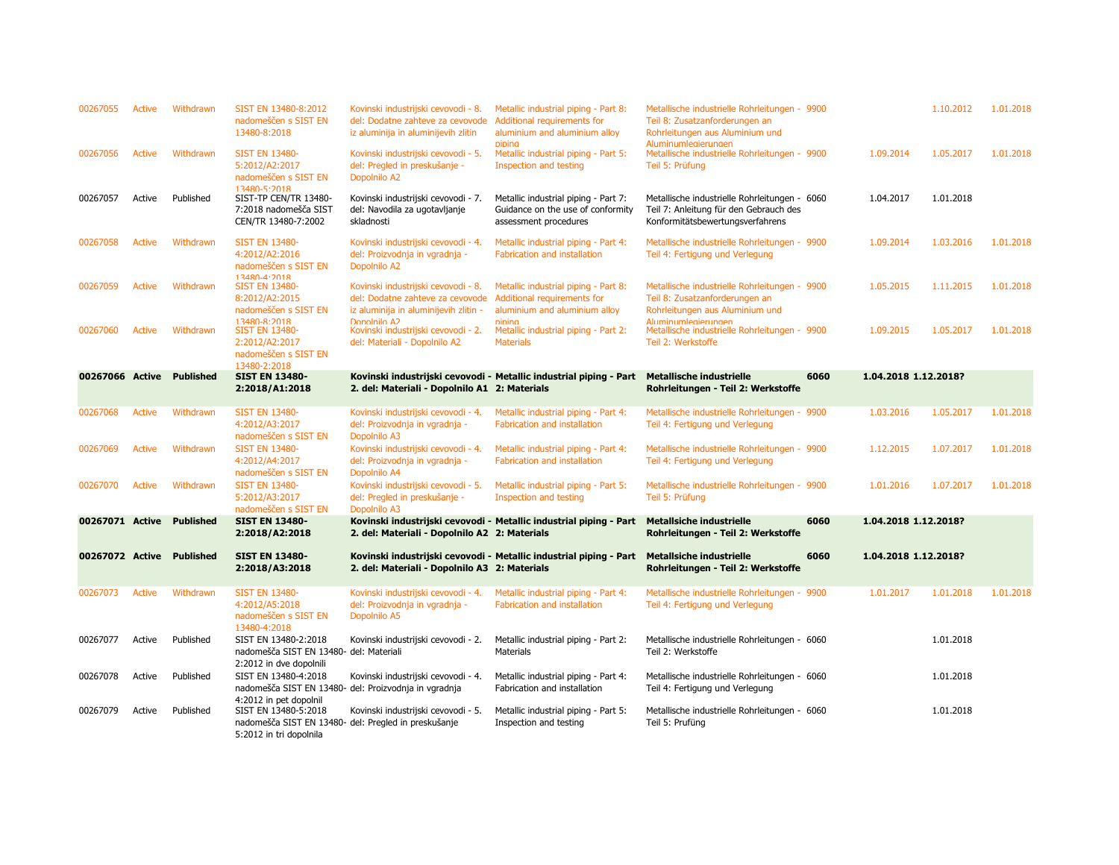| 00267055        | Active        | Withdrawn                 | SIST EN 13480-8:2012<br>nadomeščen s SIST EN<br>13480-8:2018                               | Kovinski industrijski cevovodi - 8.<br>del: Dodatne zahteve za cevovode<br>iz aluminija in aluminijevih zlitin   | Metallic industrial piping - Part 8:<br>Additional requirements for<br>aluminium and aluminium alloy<br>piping | Metallische industrielle Rohrleitungen - 9900<br>Teil 8: Zusatzanforderungen an<br>Rohrleitungen aus Aluminium und<br>Aluminumleaierunaen |      |                      | 1.10.2012 | 1.01.2018 |
|-----------------|---------------|---------------------------|--------------------------------------------------------------------------------------------|------------------------------------------------------------------------------------------------------------------|----------------------------------------------------------------------------------------------------------------|-------------------------------------------------------------------------------------------------------------------------------------------|------|----------------------|-----------|-----------|
| 00267056        | <b>Active</b> | Withdrawn                 | <b>SIST EN 13480-</b><br>5:2012/A2:2017<br>nadomeščen s SIST EN<br>13480-5-2018            | Kovinski industrijski cevovodi - 5.<br>del: Pregled in preskušanje -<br>Dopolnilo A2                             | Metallic industrial piping - Part 5:<br>Inspection and testing                                                 | Metallische industrielle Rohrleitungen - 9900<br>Teil 5: Prüfung                                                                          |      | 1.09.2014            | 1.05.2017 | 1.01.2018 |
| 00267057        | Active        | Published                 | SIST-TP CEN/TR 13480-<br>7:2018 nadomešča SIST<br>CEN/TR 13480-7:2002                      | Kovinski industrijski cevovodi - 7.<br>del: Navodila za ugotavljanje<br>skladnosti                               | Metallic industrial piping - Part 7:<br>Guidance on the use of conformity<br>assessment procedures             | Metallische industrielle Rohrleitungen - 6060<br>Teil 7: Anleitung für den Gebrauch des<br>Konformitätsbewertungsverfahrens               |      | 1.04.2017            | 1.01.2018 |           |
| 00267058        | <b>Active</b> | Withdrawn                 | <b>SIST EN 13480-</b><br>4:2012/A2:2016<br>nadomeščen s SIST EN<br>$13480 - 4.2018$        | Kovinski industrijski cevovodi - 4.<br>del: Proizvodnja in vgradnja -<br>Dopolnilo A2                            | Metallic industrial piping - Part 4:<br><b>Fabrication and installation</b>                                    | Metallische industrielle Rohrleitungen - 9900<br>Teil 4: Fertigung und Verlegung                                                          |      | 1.09.2014            | 1.03.2016 | 1.01.2018 |
| 00267059        | <b>Active</b> | Withdrawn                 | <b>SIST EN 13480-</b><br>8:2012/A2:2015<br>nadomeščen s SIST EN                            | Kovinski industrijski cevovodi - 8.<br>del: Dodatne zahteve za cevovode<br>iz aluminija in aluminijevih zlitin - | Metallic industrial piping - Part 8:<br>Additional requirements for<br>aluminium and aluminium alloy           | Metallische industrielle Rohrleitungen - 9900<br>Teil 8: Zusatzanforderungen an<br>Rohrleitungen aus Aluminium und                        |      | 1.05.2015            | 1.11.2015 | 1.01.2018 |
| 00267060        | Active        | Withdrawn                 | 13480-8:2018<br><b>SIST EN 13480-</b><br>2:2012/A2:2017<br>nadomeščen s SIST EN            | Donolnilo A <sub>2</sub><br>Kovinski industrijski cevovodi - 2.<br>del: Materiali - Dopolnilo A2                 | nining<br>Metallic industrial piping - Part 2:<br><b>Materials</b>                                             | Aluminumlegierungen<br>Metallische industrielle Rohrleitungen - 9900<br>Teil 2: Werkstoffe                                                |      | 1.09.2015            | 1.05.2017 | 1.01.2018 |
| 00267066 Active |               | <b>Published</b>          | 13480-2:2018<br><b>SIST EN 13480-</b>                                                      |                                                                                                                  | Kovinski industrijski cevovodi - Metallic industrial piping - Part                                             | Metallische industrielle                                                                                                                  | 6060 | 1.04.2018 1.12.2018? |           |           |
|                 |               |                           | 2:2018/A1:2018                                                                             | 2. del: Materiali - Dopolnilo A1 2: Materials                                                                    |                                                                                                                | Rohrleitungen - Teil 2: Werkstoffe                                                                                                        |      |                      |           |           |
| 00267068        | <b>Active</b> | Withdrawn                 | <b>SIST EN 13480-</b><br>4:2012/A3:2017<br>nadomeščen s SIST EN                            | Kovinski industrijski cevovodi - 4.<br>del: Proizvodnja in vgradnja -<br>Dopolnilo A3                            | Metallic industrial piping - Part 4:<br>Fabrication and installation                                           | Metallische industrielle Rohrleitungen - 9900<br>Teil 4: Fertigung und Verlegung                                                          |      | 1.03.2016            | 1.05.2017 | 1.01.2018 |
| 00267069        | <b>Active</b> | Withdrawn                 | <b>SIST EN 13480-</b><br>4:2012/A4:2017<br>nadomeščen s SIST EN                            | Kovinski industrijski cevovodi - 4.<br>del: Proizvodnja in vgradnja -<br>Dopolnilo A4                            | Metallic industrial piping - Part 4:<br><b>Fabrication and installation</b>                                    | Metallische industrielle Rohrleitungen - 9900<br>Teil 4: Fertigung und Verlegung                                                          |      | 1.12.2015            | 1.07.2017 | 1.01.2018 |
| 00267070        | Active        | Withdrawn                 | <b>SIST EN 13480-</b><br>5:2012/A3:2017<br>nadomeščen s SIST EN                            | Kovinski industrijski cevovodi - 5.<br>del: Pregled in preskušanje -<br>Dopolnilo A3                             | Metallic industrial piping - Part 5:<br>Inspection and testing                                                 | Metallische industrielle Rohrleitungen - 9900<br>Teil 5: Prüfung                                                                          |      | 1.01.2016            | 1.07.2017 | 1.01.2018 |
| 00267071 Active |               | <b>Published</b>          | <b>SIST EN 13480-</b><br>2:2018/A2:2018                                                    | 2. del: Materiali - Dopolnilo A2 2: Materials                                                                    | Kovinski industrijski cevovodi - Metallic industrial piping - Part                                             | <b>Metallsiche industrielle</b><br>Rohrleitungen - Teil 2: Werkstoffe                                                                     | 6060 | 1.04.2018 1.12.2018? |           |           |
|                 |               | 00267072 Active Published | <b>SIST EN 13480-</b><br>2:2018/A3:2018                                                    | 2. del: Materiali - Dopolnilo A3 2: Materials                                                                    | Kovinski industrijski cevovodi - Metallic industrial piping - Part                                             | <b>Metallsiche industrielle</b><br>Rohrleitungen - Teil 2: Werkstoffe                                                                     | 6060 | 1.04.2018 1.12.2018? |           |           |
| 00267073        | <b>Active</b> | Withdrawn                 | <b>SIST EN 13480-</b><br>4:2012/A5:2018<br>nadomeščen s SIST EN<br>13480-4:2018            | Kovinski industrijski cevovodi - 4.<br>del: Proizvodnja in vgradnja -<br>Dopolnilo A5                            | Metallic industrial piping - Part 4:<br>Fabrication and installation                                           | Metallische industrielle Rohrleitungen - 9900<br>Teil 4: Fertigung und Verlegung                                                          |      | 1.01.2017            | 1.01.2018 | 1.01.2018 |
| 00267077        | Active        | Published                 | SIST EN 13480-2:2018<br>nadomešča SIST EN 13480- del: Materiali<br>2:2012 in dve dopolnili | Kovinski industrijski cevovodi - 2.                                                                              | Metallic industrial piping - Part 2:<br><b>Materials</b>                                                       | Metallische industrielle Rohrleitungen - 6060<br>Teil 2: Werkstoffe                                                                       |      |                      | 1.01.2018 |           |
| 00267078        | Active        | Published                 | SIST EN 13480-4:2018<br>4:2012 in pet dopolnil                                             | Kovinski industrijski cevovodi - 4.<br>nadomešča SIST EN 13480- del: Proizvodnja in vgradnja                     | Metallic industrial piping - Part 4:<br>Fabrication and installation                                           | Metallische industrielle Rohrleitungen - 6060<br>Teil 4: Fertigung und Verlegung                                                          |      |                      | 1.01.2018 |           |
| 00267079        | Active        | Published                 | SIST EN 13480-5:2018<br>5:2012 in tri dopolnila                                            | Kovinski industrijski cevovodi - 5.<br>nadomešča SIST EN 13480- del: Pregled in preskušanje                      | Metallic industrial piping - Part 5:<br>Inspection and testing                                                 | Metallische industrielle Rohrleitungen - 6060<br>Teil 5: Prufüng                                                                          |      |                      | 1.01.2018 |           |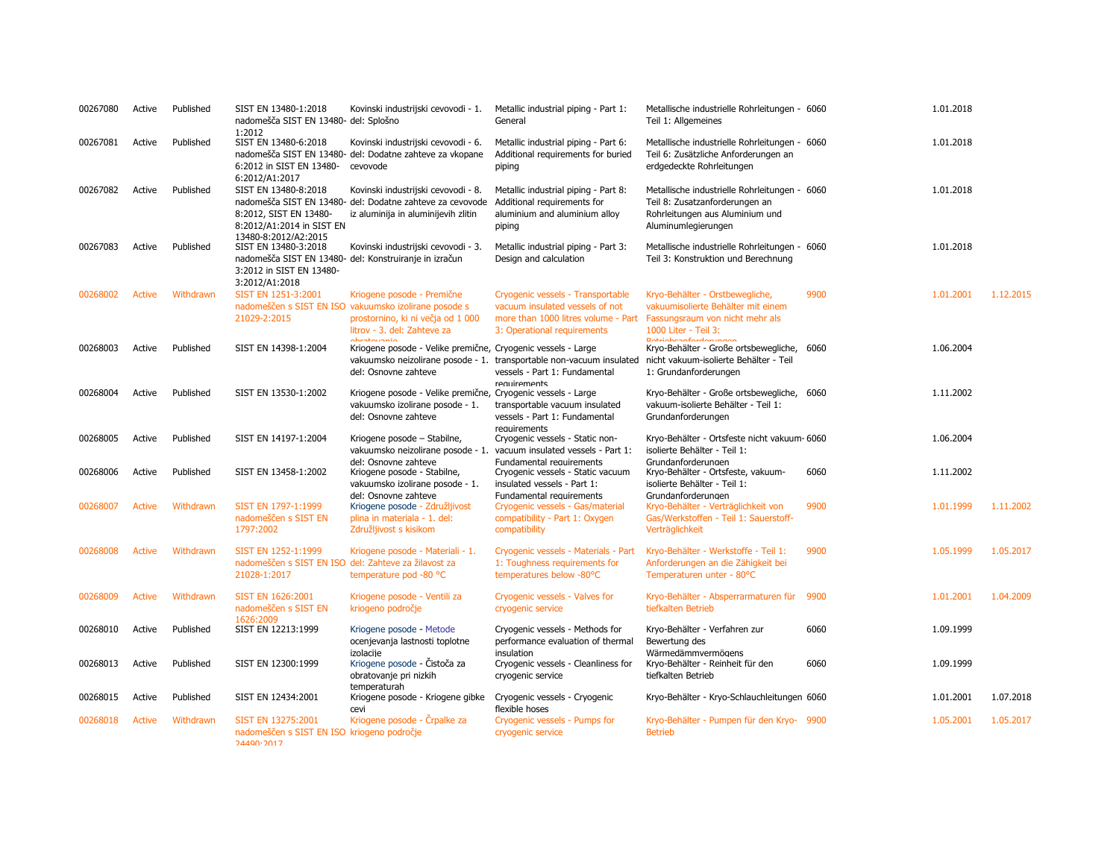| 00267080 | Active        | Published | SIST EN 13480-1:2018<br>nadomešča SIST EN 13480- del: Splošno<br>1:2012                             | Kovinski industrijski cevovodi - 1.                                                                                                                                    | Metallic industrial piping - Part 1:<br>General                                                                                            | Metallische industrielle Rohrleitungen - 6060<br>Teil 1: Allgemeines                                                                          |      | 1.01.2018 |           |
|----------|---------------|-----------|-----------------------------------------------------------------------------------------------------|------------------------------------------------------------------------------------------------------------------------------------------------------------------------|--------------------------------------------------------------------------------------------------------------------------------------------|-----------------------------------------------------------------------------------------------------------------------------------------------|------|-----------|-----------|
| 00267081 | Active        | Published | SIST EN 13480-6:2018<br>6:2012 in SIST EN 13480-<br>6:2012/A1:2017                                  | Kovinski industrijski cevovodi - 6.<br>nadomešča SIST EN 13480- del: Dodatne zahteve za vkopane<br>cevovode                                                            | Metallic industrial piping - Part 6:<br>Additional requirements for buried<br>piping                                                       | Metallische industrielle Rohrleitungen - 6060<br>Teil 6: Zusätzliche Anforderungen an<br>erdgedeckte Rohrleitungen                            |      | 1.01.2018 |           |
| 00267082 | Active        | Published | SIST EN 13480-8:2018<br>8:2012, SIST EN 13480-<br>8:2012/A1:2014 in SIST EN<br>13480-8:2012/A2:2015 | Kovinski industrijski cevovodi - 8.<br>nadomešča SIST EN 13480- del: Dodatne zahteve za cevovode<br>iz aluminija in aluminijevih zlitin                                | Metallic industrial piping - Part 8:<br>Additional requirements for<br>aluminium and aluminium alloy<br>piping                             | Metallische industrielle Rohrleitungen - 6060<br>Teil 8: Zusatzanforderungen an<br>Rohrleitungen aus Aluminium und<br>Aluminumlegierungen     |      | 1.01.2018 |           |
| 00267083 | Active        | Published | SIST EN 13480-3:2018<br>3:2012 in SIST EN 13480-<br>3:2012/A1:2018                                  | Kovinski industrijski cevovodi - 3.<br>nadomešča SIST EN 13480- del: Konstruiranje in izračun                                                                          | Metallic industrial piping - Part 3:<br>Design and calculation                                                                             | Metallische industrielle Rohrleitungen - 6060<br>Teil 3: Konstruktion und Berechnung                                                          |      | 1.01.2018 |           |
| 00268002 | <b>Active</b> | Withdrawn | SIST EN 1251-3:2001<br>21029-2:2015                                                                 | Kriogene posode - Premične<br>nadomeščen s SIST EN ISO vakuumsko izolirane posode s<br>prostornino, ki ni večja od 1 000<br>litrov - 3. del: Zahteve za<br>ahvatovania | Cryogenic vessels - Transportable<br>vacuum insulated vessels of not<br>more than 1000 litres volume - Part<br>3: Operational requirements | Kryo-Behälter - Orstbewegliche,<br>vakuumisolierte Behälter mit einem<br>Fassungsraum von nicht mehr als<br>1000 Liter - Teil 3:              | 9900 | 1.01.2001 | 1.12.2015 |
| 00268003 | Active        | Published | SIST EN 14398-1:2004                                                                                | Kriogene posode - Velike premične, Cryogenic vessels - Large<br>del: Osnovne zahteve                                                                                   | vakuumsko neizolirane posode - 1. transportable non-vacuum insulated<br>vessels - Part 1: Fundamental<br>requirements                      | <b>Dateinhoonfordorumoon</b><br>Kryo-Behälter - Große ortsbewegliche, 6060<br>nicht vakuum-isolierte Behälter - Teil<br>1: Grundanforderungen |      | 1.06.2004 |           |
| 00268004 | Active        | Published | SIST EN 13530-1:2002                                                                                | Kriogene posode - Velike premične, Cryogenic vessels - Large<br>vakuumsko izolirane posode - 1.<br>del: Osnovne zahteve                                                | transportable vacuum insulated<br>vessels - Part 1: Fundamental<br>requirements                                                            | Kryo-Behälter - Große ortsbewegliche, 6060<br>vakuum-isolierte Behälter - Teil 1:<br>Grundanforderungen                                       |      | 1.11.2002 |           |
| 00268005 | Active        | Published | SIST EN 14197-1:2004                                                                                | Kriogene posode - Stabilne,<br>vakuumsko neizolirane posode - 1.                                                                                                       | Cryogenic vessels - Static non-<br>vacuum insulated vessels - Part 1:                                                                      | Kryo-Behälter - Ortsfeste nicht vakuum- 6060<br>isolierte Behälter - Teil 1:                                                                  |      | 1.06.2004 |           |
| 00268006 | Active        | Published | SIST EN 13458-1:2002                                                                                | del: Osnovne zahteve<br>Kriogene posode - Stabilne,<br>vakuumsko izolirane posode - 1.                                                                                 | Fundamental requirements<br>Cryogenic vessels - Static vacuum<br>insulated vessels - Part 1:                                               | Grundanforderungen<br>Kryo-Behälter - Ortsfeste, vakuum-<br>isolierte Behälter - Teil 1:                                                      | 6060 | 1.11.2002 |           |
| 00268007 | Active        | Withdrawn | SIST EN 1797-1:1999<br>nadomeščen s SIST EN<br>1797:2002                                            | del: Osnovne zahteve<br>Kriogene posode - Združljivost<br>plina in materiala - 1. del:<br>Združljivost s kisikom                                                       | Fundamental requirements<br>Cryogenic vessels - Gas/material<br>compatibility - Part 1: Oxygen<br>compatibility                            | Grundanforderungen<br>Kryo-Behälter - Verträglichkeit von<br>Gas/Werkstoffen - Teil 1: Sauerstoff-<br>Verträglichkeit                         | 9900 | 1.01.1999 | 1.11.2002 |
| 00268008 | <b>Active</b> | Withdrawn | SIST EN 1252-1:1999<br>nadomeščen s SIST EN ISO del: Zahteve za žilavost za<br>21028-1:2017         | Kriogene posode - Materiali - 1.<br>temperature pod -80 °C                                                                                                             | Cryogenic vessels - Materials - Part<br>1: Toughness requirements for<br>temperatures below -80°C                                          | Kryo-Behälter - Werkstoffe - Teil 1:<br>Anforderungen an die Zähigkeit bei<br>Temperaturen unter - 80°C                                       | 9900 | 1.05.1999 | 1.05.2017 |
| 00268009 | <b>Active</b> | Withdrawn | <b>SIST EN 1626:2001</b><br>nadomeščen s SIST EN<br>1626:2009                                       | Kriogene posode - Ventili za<br>kriogeno področje                                                                                                                      | Cryogenic vessels - Valves for<br>cryogenic service                                                                                        | Kryo-Behälter - Absperrarmaturen für 9900<br>tiefkalten Betrieb                                                                               |      | 1.01.2001 | 1.04.2009 |
| 00268010 | Active        | Published | SIST EN 12213:1999                                                                                  | Kriogene posode - Metode<br>ocenjevanja lastnosti toplotne                                                                                                             | Cryogenic vessels - Methods for<br>performance evaluation of thermal                                                                       | Kryo-Behälter - Verfahren zur<br>Bewertung des                                                                                                | 6060 | 1.09.1999 |           |
| 00268013 | Active        | Published | SIST EN 12300:1999                                                                                  | izolacije<br>Kriogene posode - Čistoča za<br>obratovanje pri nizkih<br>temperaturah                                                                                    | insulation<br>Cryogenic vessels - Cleanliness for<br>cryogenic service                                                                     | Wärmedämmvermögens<br>Kryo-Behälter - Reinheit für den<br>tiefkalten Betrieb                                                                  | 6060 | 1.09.1999 |           |
| 00268015 | Active        | Published | SIST EN 12434:2001                                                                                  | Kriogene posode - Kriogene gibke<br>cevi                                                                                                                               | Cryogenic vessels - Cryogenic<br>flexible hoses                                                                                            | Kryo-Behälter - Kryo-Schlauchleitungen 6060                                                                                                   |      | 1.01.2001 | 1.07.2018 |
| 00268018 | <b>Active</b> | Withdrawn | SIST EN 13275:2001<br>nadomeščen s SIST EN ISO kriogeno področje<br>74490.7017                      | Kriogene posode - Črpalke za                                                                                                                                           | Cryogenic vessels - Pumps for<br>cryogenic service                                                                                         | Kryo-Behälter - Pumpen für den Kryo- 9900<br><b>Betrieb</b>                                                                                   |      | 1.05.2001 | 1.05.2017 |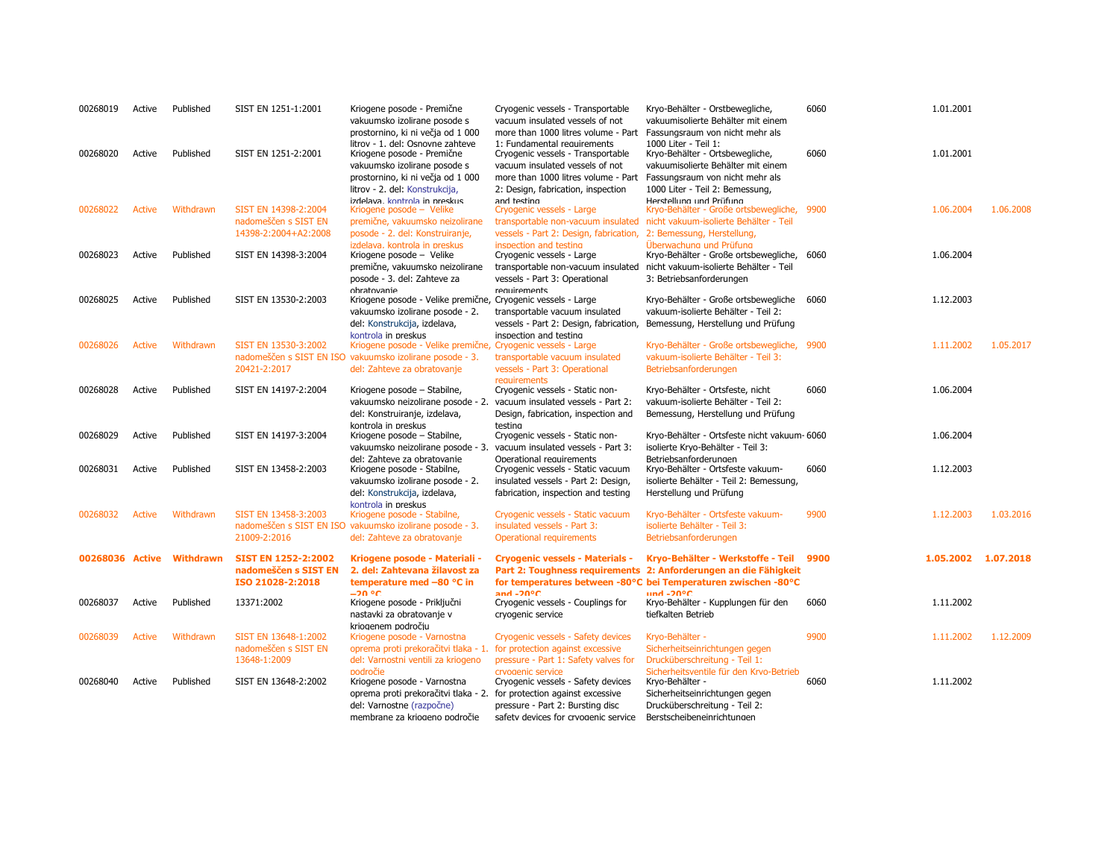| 00268019        | Active        | Published | SIST EN 1251-1:2001        | Kriogene posode - Premične<br>vakuumsko izolirane posode s<br>prostornino, ki ni večja od 1 000                                     | Cryogenic vessels - Transportable<br>vacuum insulated vessels of not<br>more than 1000 litres volume - Part                                | Kryo-Behälter - Orstbewegliche,<br>vakuumisolierte Behälter mit einem<br>Fassungsraum von nicht mehr als                         | 6060 | 1.01.2001 |                     |
|-----------------|---------------|-----------|----------------------------|-------------------------------------------------------------------------------------------------------------------------------------|--------------------------------------------------------------------------------------------------------------------------------------------|----------------------------------------------------------------------------------------------------------------------------------|------|-----------|---------------------|
| 00268020        | Active        | Published | SIST EN 1251-2:2001        | litrov - 1. del: Osnovne zahteve<br>Kriogene posode - Premične<br>vakuumsko izolirane posode s<br>prostornino, ki ni večja od 1 000 | 1: Fundamental requirements<br>Cryogenic vessels - Transportable<br>vacuum insulated vessels of not<br>more than 1000 litres volume - Part | 1000 Liter - Teil 1:<br>Kryo-Behälter - Ortsbewegliche,<br>vakuumisolierte Behälter mit einem<br>Fassungsraum von nicht mehr als | 6060 | 1.01.2001 |                     |
|                 |               |           |                            | litrov - 2. del: Konstrukcija,                                                                                                      | 2: Design, fabrication, inspection                                                                                                         | 1000 Liter - Teil 2: Bemessung,                                                                                                  |      |           |                     |
| 00268022        | <b>Active</b> | Withdrawn | SIST EN 14398-2:2004       | izdelava. kontrola in preskus<br>Kriogene posode – Velike                                                                           | and testing<br>Cryogenic vessels - Large                                                                                                   | Herstellung und Prüfung<br>Kryo-Behälter - Große ortsbewegliche, 9900                                                            |      | 1.06.2004 | 1.06.2008           |
|                 |               |           | nadomeščen s SIST EN       | premične, vakuumsko neizolirane                                                                                                     | transportable non-vacuum insulated                                                                                                         | nicht vakuum-isolierte Behälter - Teil                                                                                           |      |           |                     |
|                 |               |           | 14398-2:2004+A2:2008       | posode - 2. del: Konstruiranje,                                                                                                     | vessels - Part 2: Design, fabrication,                                                                                                     | 2: Bemessung, Herstellung,                                                                                                       |      |           |                     |
| 00268023        | Active        | Published | SIST EN 14398-3:2004       | izdelava. kontrola in preskus<br>Kriogene posode - Velike                                                                           | inspection and testing<br>Cryogenic vessels - Large                                                                                        | Überwachung und Prüfung<br>Kryo-Behälter - Große ortsbewegliche, 6060                                                            |      | 1.06.2004 |                     |
|                 |               |           |                            | premične, vakuumsko neizolirane                                                                                                     | transportable non-vacuum insulated                                                                                                         | nicht vakuum-isolierte Behälter - Teil                                                                                           |      |           |                     |
|                 |               |           |                            | posode - 3. del: Zahteve za                                                                                                         | vessels - Part 3: Operational                                                                                                              | 3: Betriebsanforderungen                                                                                                         |      |           |                     |
|                 |               |           |                            | obratovanie                                                                                                                         | requirements                                                                                                                               |                                                                                                                                  |      |           |                     |
| 00268025        | Active        | Published | SIST EN 13530-2:2003       | Kriogene posode - Velike premične, Cryogenic vessels - Large<br>vakuumsko izolirane posode - 2.                                     | transportable vacuum insulated                                                                                                             | Kryo-Behälter - Große ortsbewegliche 6060<br>vakuum-isolierte Behälter - Teil 2:                                                 |      | 1.12.2003 |                     |
|                 |               |           |                            | del: Konstrukcija, izdelava,                                                                                                        | vessels - Part 2: Design, fabrication,                                                                                                     | Bemessung, Herstellung und Prüfung                                                                                               |      |           |                     |
|                 |               |           |                            | kontrola in preskus                                                                                                                 | inspection and testing                                                                                                                     |                                                                                                                                  |      |           |                     |
| 00268026        | Active        | Withdrawn | SIST EN 13530-3:2002       | Kriogene posode - Velike premične, Cryogenic vessels - Large                                                                        |                                                                                                                                            | Kryo-Behälter - Große ortsbewegliche, 9900                                                                                       |      | 1.11.2002 | 1.05.2017           |
|                 |               |           |                            | nadomeščen s SIST EN ISO vakuumsko izolirane posode - 3.                                                                            | transportable vacuum insulated                                                                                                             | vakuum-isolierte Behälter - Teil 3:                                                                                              |      |           |                     |
|                 |               |           | 20421-2:2017               | del: Zahteve za obratovanje                                                                                                         | vessels - Part 3: Operational<br>requirements                                                                                              | Betriebsanforderungen                                                                                                            |      |           |                     |
| 00268028        | Active        | Published | SIST EN 14197-2:2004       | Kriogene posode - Stabilne,                                                                                                         | Cryogenic vessels - Static non-                                                                                                            | Kryo-Behälter - Ortsfeste, nicht                                                                                                 | 6060 | 1.06.2004 |                     |
|                 |               |           |                            | vakuumsko neizolirane posode - 2.                                                                                                   | vacuum insulated vessels - Part 2:                                                                                                         | vakuum-isolierte Behälter - Teil 2:                                                                                              |      |           |                     |
|                 |               |           |                            | del: Konstruiranje, izdelava,                                                                                                       | Design, fabrication, inspection and                                                                                                        | Bemessung, Herstellung und Prüfung                                                                                               |      |           |                     |
| 00268029        | Active        | Published | SIST EN 14197-3:2004       | kontrola in preskus                                                                                                                 | testina                                                                                                                                    | Kryo-Behälter - Ortsfeste nicht vakuum- 6060                                                                                     |      | 1.06.2004 |                     |
|                 |               |           |                            | Kriogene posode - Stabilne,<br>vakuumsko neizolirane posode - 3.                                                                    | Cryogenic vessels - Static non-<br>vacuum insulated vessels - Part 3:                                                                      | isolierte Kryo-Behälter - Teil 3:                                                                                                |      |           |                     |
|                 |               |           |                            | del: Zahteve za obratovanie                                                                                                         | Operational requirements                                                                                                                   | Betriebsanforderungen                                                                                                            |      |           |                     |
| 00268031        | Active        | Published | SIST EN 13458-2:2003       | Kriogene posode - Stabilne,                                                                                                         | Cryogenic vessels - Static vacuum                                                                                                          | Kryo-Behälter - Ortsfeste vakuum-                                                                                                | 6060 | 1.12.2003 |                     |
|                 |               |           |                            | vakuumsko izolirane posode - 2.                                                                                                     | insulated vessels - Part 2: Design,                                                                                                        | isolierte Behälter - Teil 2: Bemessung,                                                                                          |      |           |                     |
|                 |               |           |                            | del: Konstrukcija, izdelava,<br>kontrola in preskus                                                                                 | fabrication, inspection and testing                                                                                                        | Herstellung und Prüfung                                                                                                          |      |           |                     |
| 00268032        | <b>Active</b> | Withdrawn | SIST EN 13458-3:2003       | Kriogene posode - Stabilne,                                                                                                         | Cryogenic vessels - Static vacuum                                                                                                          | Kryo-Behälter - Ortsfeste vakuum-                                                                                                | 9900 | 1.12.2003 | 1.03.2016           |
|                 |               |           |                            | nadomeščen s SIST EN ISO vakuumsko izolirane posode - 3.                                                                            | insulated vessels - Part 3:                                                                                                                | isolierte Behälter - Teil 3:                                                                                                     |      |           |                     |
|                 |               |           | 21009-2:2016               | del: Zahteve za obratovanje                                                                                                         | Operational requirements                                                                                                                   | Betriebsanforderungen                                                                                                            |      |           |                     |
| 00268036 Active |               | Withdrawn | <b>SIST EN 1252-2:2002</b> | Kriogene posode - Materiali -                                                                                                       | <b>Cryogenic vessels - Materials -</b>                                                                                                     | Kryo-Behälter - Werkstoffe - Teil                                                                                                | 9900 |           | 1.05.2002 1.07.2018 |
|                 |               |           | nadomeščen s SIST EN       | 2. del: Zahtevana žilavost za                                                                                                       |                                                                                                                                            | Part 2: Toughness requirements 2: Anforderungen an die Fähigkeit                                                                 |      |           |                     |
|                 |               |           | ISO 21028-2:2018           | temperature med -80 °C in                                                                                                           |                                                                                                                                            | for temperatures between -80°C bei Temperaturen zwischen -80°C                                                                   |      |           |                     |
| 00268037        | Active        | Published | 13371:2002                 | –20 °C<br>Kriogene posode - Priključni                                                                                              | and $-20^{\circ}$ C<br>Cryogenic vessels - Couplings for                                                                                   | $und -20°C$<br>Kryo-Behälter - Kupplungen für den                                                                                | 6060 | 1.11.2002 |                     |
|                 |               |           |                            | nastavki za obratovanje v                                                                                                           | cryogenic service                                                                                                                          | tiefkalten Betrieb                                                                                                               |      |           |                     |
|                 |               |           |                            | krioaenem področiu                                                                                                                  |                                                                                                                                            |                                                                                                                                  |      |           |                     |
| 00268039        | <b>Active</b> | Withdrawn | SIST EN 13648-1:2002       | Kriogene posode - Varnostna                                                                                                         | Cryogenic vessels - Safety devices                                                                                                         | Kryo-Behälter -                                                                                                                  | 9900 | 1.11.2002 | 1.12.2009           |
|                 |               |           | nadomeščen s SIST EN       | oprema proti prekoračitvi tlaka - 1.                                                                                                | for protection against excessive                                                                                                           | Sicherheitseinrichtungen gegen                                                                                                   |      |           |                     |
|                 |               |           | 13648-1:2009               | del: Varnostni ventili za kriogeno<br>nodročie                                                                                      | pressure - Part 1: Safety valves for<br>cryonenic service                                                                                  | Drucküberschreitung - Teil 1:<br>Sicherheitsventile für den Krvo-Betrieh                                                         |      |           |                     |
| 00268040        | Active        | Published | SIST EN 13648-2:2002       | Kriogene posode - Varnostna                                                                                                         | Cryogenic vessels - Safety devices                                                                                                         | Kryo-Behälter -                                                                                                                  | 6060 | 1.11.2002 |                     |
|                 |               |           |                            | oprema proti prekoračitvi tlaka - 2.                                                                                                | for protection against excessive                                                                                                           | Sicherheitseinrichtungen gegen                                                                                                   |      |           |                     |
|                 |               |           |                            | del: Varnostne (razpočne)                                                                                                           | pressure - Part 2: Bursting disc                                                                                                           | Drucküberschreitung - Teil 2:                                                                                                    |      |           |                     |
|                 |               |           |                            | membrane za kriogeno področie                                                                                                       | safety devices for cryogenic service                                                                                                       | Berstscheibeneinrichtungen                                                                                                       |      |           |                     |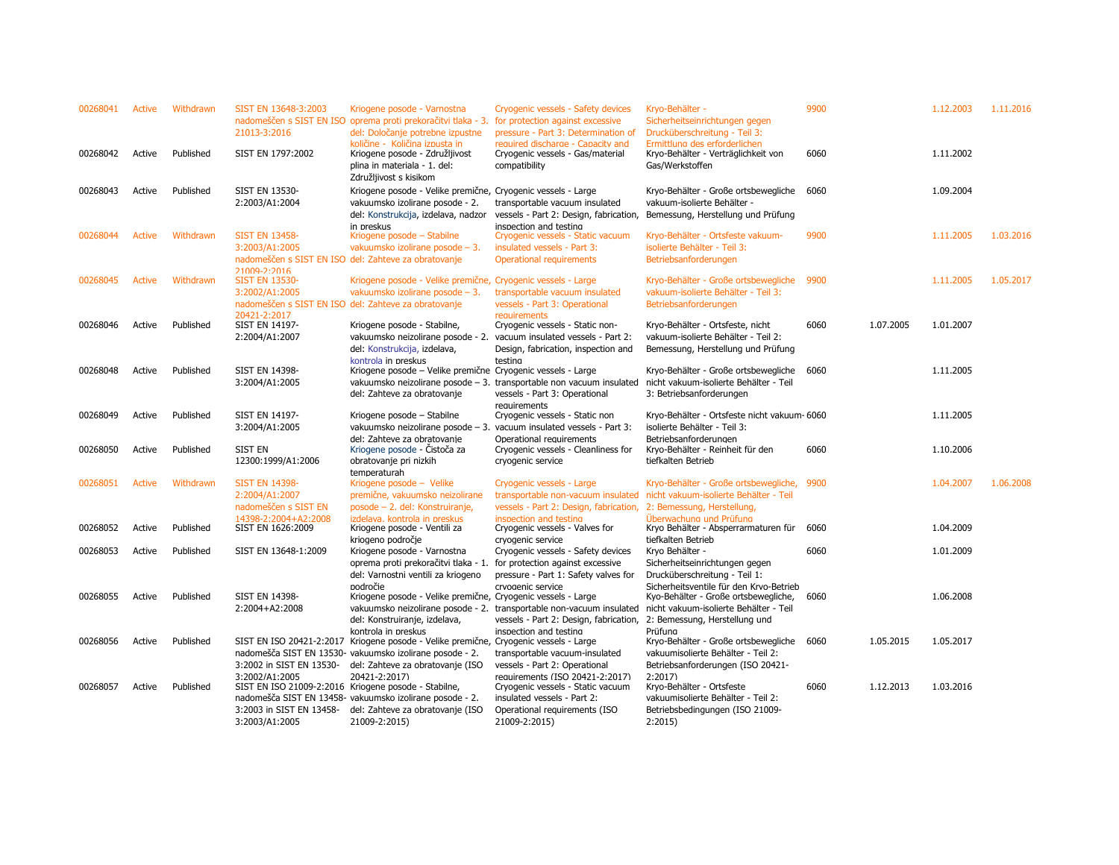| 00268041 | Active | Withdrawn | SIST EN 13648-3:2003<br>21013-3:2016                                                                                 | Kriogene posode - Varnostna<br>nadomeščen s SIST EN ISO oprema proti prekoračitvi tlaka - 3. for protection against excessive<br>del: Določanje potrebne izpustne                                            | Cryogenic vessels - Safety devices<br>pressure - Part 3: Determination of                                                                             | Kryo-Behälter -<br>Sicherheitseinrichtungen gegen<br>Drucküberschreitung - Teil 3:                                                                         | 9900 |           | 1.12.2003 | 1.11.2016 |
|----------|--------|-----------|----------------------------------------------------------------------------------------------------------------------|--------------------------------------------------------------------------------------------------------------------------------------------------------------------------------------------------------------|-------------------------------------------------------------------------------------------------------------------------------------------------------|------------------------------------------------------------------------------------------------------------------------------------------------------------|------|-----------|-----------|-----------|
| 00268042 | Active | Published | SIST EN 1797:2002                                                                                                    | količine - Količina izpusta in<br>Kriogene posode - Združljivost<br>plina in materiala - 1. del:<br>Združljivost s kisikom                                                                                   | required discharge - Capacity and<br>Cryogenic vessels - Gas/material<br>compatibility                                                                | Ermittlung des erforderlichen<br>Kryo-Behälter - Verträglichkeit von<br>Gas/Werkstoffen                                                                    | 6060 |           | 1.11.2002 |           |
| 00268043 | Active | Published | <b>SIST EN 13530-</b><br>2:2003/A1:2004                                                                              | Kriogene posode - Velike premične, Cryogenic vessels - Large<br>vakuumsko izolirane posode - 2.<br>del: Konstrukcija, izdelava, nadzor<br>in preskus                                                         | transportable vacuum insulated<br>vessels - Part 2: Design, fabrication,<br>inspection and testing                                                    | Kryo-Behälter - Große ortsbewegliche<br>vakuum-isolierte Behälter -<br>Bemessung, Herstellung und Prüfung                                                  | 6060 |           | 1.09.2004 |           |
| 00268044 | Active | Withdrawn | <b>SIST EN 13458-</b><br>3:2003/A1:2005                                                                              | Kriogene posode - Stabilne<br>vakuumsko izolirane posode – 3.<br>nadomeščen s SIST EN ISO del: Zahteve za obratovanje                                                                                        | Cryogenic vessels - Static vacuum<br>insulated vessels - Part 3:<br>Operational requirements                                                          | Kryo-Behälter - Ortsfeste vakuum-<br>isolierte Behälter - Teil 3:<br>Betriebsanforderungen                                                                 | 9900 |           | 1.11.2005 | 1.03.2016 |
| 00268045 | Active | Withdrawn | $21009 - 2.2016$<br><b>SIST EN 13530-</b><br>3:2002/A1:2005                                                          | Kriogene posode - Velike premične, Cryogenic vessels - Large<br>vakuumsko izolirane posode - 3.<br>nadomeščen s SIST EN ISO del: Zahteve za obratovanje                                                      | transportable vacuum insulated<br>vessels - Part 3: Operational                                                                                       | Kryo-Behälter - Große ortsbewegliche 9900<br>vakuum-isolierte Behälter - Teil 3:<br>Betriebsanforderungen                                                  |      |           | 1.11.2005 | 1.05.2017 |
| 00268046 | Active | Published | 20421-2:2017<br><b>SIST EN 14197-</b><br>2:2004/A1:2007                                                              | Kriogene posode - Stabilne,<br>vakuumsko neizolirane posode - 2.<br>del: Konstrukcija, izdelava,                                                                                                             | requirements<br>Cryogenic vessels - Static non-<br>vacuum insulated vessels - Part 2:<br>Design, fabrication, inspection and                          | Kryo-Behälter - Ortsfeste, nicht<br>vakuum-isolierte Behälter - Teil 2:<br>Bemessung, Herstellung und Prüfung                                              | 6060 | 1.07.2005 | 1.01.2007 |           |
| 00268048 | Active | Published | <b>SIST EN 14398-</b><br>3:2004/A1:2005                                                                              | kontrola in preskus<br>Kriogene posode - Velike premične Cryogenic vessels - Large<br>del: Zahteve za obratovanje                                                                                            | testing<br>vakuumsko neizolirane posode $-3$ . transportable non vacuum insulated<br>vessels - Part 3: Operational                                    | Kryo-Behälter - Große ortsbewegliche<br>nicht vakuum-isolierte Behälter - Teil<br>3: Betriebsanforderungen                                                 | 6060 |           | 1.11.2005 |           |
| 00268049 | Active | Published | <b>SIST EN 14197-</b><br>3:2004/A1:2005                                                                              | Kriogene posode - Stabilne<br>del: Zahteve za obratovanie                                                                                                                                                    | requirements<br>Cryogenic vessels - Static non<br>vakuumsko neizolirane posode - 3. vacuum insulated vessels - Part 3:<br>Operational requirements    | Kryo-Behälter - Ortsfeste nicht vakuum- 6060<br>isolierte Behälter - Teil 3:<br>Betriebsanforderungen                                                      |      |           | 1.11.2005 |           |
| 00268050 | Active | Published | SIST EN<br>12300:1999/A1:2006                                                                                        | Kriogene posode - Cistoča za<br>obratovanje pri nizkih<br>temperaturah                                                                                                                                       | Cryogenic vessels - Cleanliness for<br>cryogenic service                                                                                              | Kryo-Behälter - Reinheit für den<br>tiefkalten Betrieb                                                                                                     | 6060 |           | 1.10.2006 |           |
| 00268051 | Active | Withdrawn | <b>SIST EN 14398-</b><br>2:2004/A1:2007<br>nadomeščen s SIST EN                                                      | Kriogene posode - Velike<br>premične, vakuumsko neizolirane<br>posode - 2. del: Konstruiranje,                                                                                                               | Cryogenic vessels - Large<br>transportable non-vacuum insulated<br>vessels - Part 2: Design, fabrication,                                             | Kryo-Behälter - Große ortsbewegliche, 9900<br>nicht vakuum-isolierte Behälter - Teil<br>2: Bemessung, Herstellung,                                         |      |           | 1.04.2007 | 1.06.2008 |
| 00268052 | Active | Published | 14398-2:2004+A2:2008<br>SIST EN 1626:2009                                                                            | izdelava. kontrola in preskus<br>Kriogene posode - Ventili za<br>kriogeno področje                                                                                                                           | inspection and testing<br>Cryogenic vessels - Valves for<br>cryogenic service                                                                         | Überwachung und Prüfung<br>Kryo Behälter - Absperrarmaturen für<br>tiefkalten Betrieb                                                                      | 6060 |           | 1.04.2009 |           |
| 00268053 | Active | Published | SIST EN 13648-1:2009                                                                                                 | Kriogene posode - Varnostna<br>oprema proti prekoračitvi tlaka - 1.<br>del: Varnostni ventili za kriogeno                                                                                                    | Cryogenic vessels - Safety devices<br>for protection against excessive<br>pressure - Part 1: Safety valves for                                        | Kryo Behälter -<br>Sicherheitseinrichtungen gegen<br>Drucküberschreitung - Teil 1:                                                                         | 6060 |           | 1.01.2009 |           |
| 00268055 | Active | Published | <b>SIST EN 14398-</b><br>2:2004+A2:2008                                                                              | področie<br>Kriogene posode - Velike premične, Cryogenic vessels - Large<br>del: Konstruiranje, izdelava,                                                                                                    | crvogenic service<br>vakuumsko neizolirane posode - 2. transportable non-vacuum insulated<br>vessels - Part 2: Design, fabrication,                   | Sicherheitsventile für den Krvo-Betrieb<br>Kyo-Behälter - Große ortsbewegliche,<br>nicht vakuum-isolierte Behälter - Teil<br>2: Bemessung, Herstellung und | 6060 |           | 1.06.2008 |           |
| 00268056 | Active | Published | 3:2002 in SIST EN 13530-                                                                                             | kontrola in preskus<br>SIST EN ISO 20421-2:2017 Kriogene posode - Velike premične, Cryogenic vessels - Large<br>nadomešča SIST EN 13530- vakuumsko izolirane posode - 2.<br>del: Zahteve za obratovanje (ISO | inspection and testing<br>transportable vacuum-insulated<br>vessels - Part 2: Operational                                                             | Prüfung<br>Kryo-Behälter - Große ortsbewegliche<br>vakuumisolierte Behälter - Teil 2:<br>Betriebsanforderungen (ISO 20421-                                 | 6060 | 1.05.2015 | 1.05.2017 |           |
| 00268057 | Active | Published | 3:2002/A1:2005<br>SIST EN ISO 21009-2:2016 Kriogene posode - Stabilne,<br>3:2003 in SIST EN 13458-<br>3:2003/A1:2005 | 20421-2:2017)<br>nadomešča SIST EN 13458- vakuumsko izolirane posode - 2.<br>del: Zahteve za obratovanje (ISO<br>21009-2:2015)                                                                               | requirements (ISO 20421-2:2017)<br>Cryogenic vessels - Static vacuum<br>insulated vessels - Part 2:<br>Operational requirements (ISO<br>21009-2:2015) | 2:2017<br>Kryo-Behälter - Ortsfeste<br>vakuumisolierte Behälter - Teil 2:<br>Betriebsbedingungen (ISO 21009-<br>2:2015                                     | 6060 | 1.12.2013 | 1.03.2016 |           |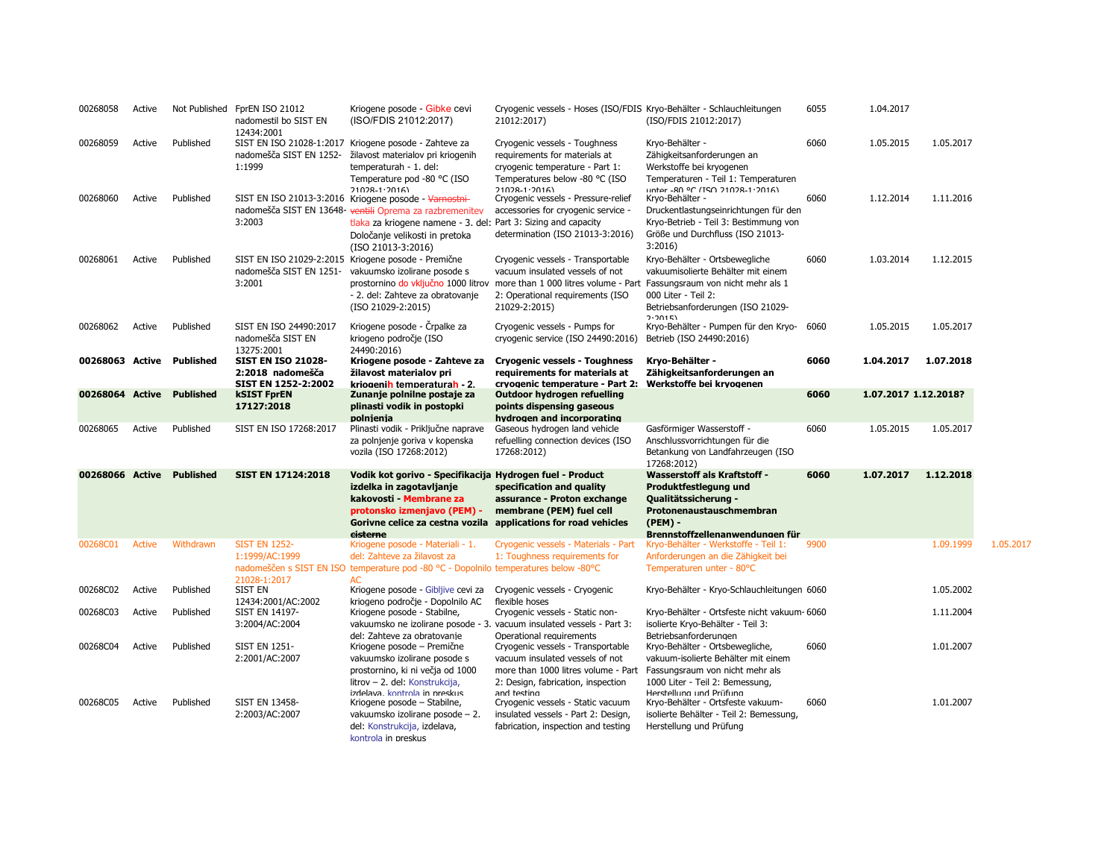| 00268058        | Active        |                           | Not Published FprEN ISO 21012<br>nadomestil bo SIST EN<br>12434:2001 | Kriogene posode - Gibke cevi<br>(ISO/FDIS 21012:2017)                                                                                                                                                                                       | Cryogenic vessels - Hoses (ISO/FDIS Kryo-Behälter - Schlauchleitungen<br>21012:2017)                                                                                                                  | (ISO/FDIS 21012:2017)                                                                                                                                                           | 6055 | 1.04.2017            |           |           |
|-----------------|---------------|---------------------------|----------------------------------------------------------------------|---------------------------------------------------------------------------------------------------------------------------------------------------------------------------------------------------------------------------------------------|-------------------------------------------------------------------------------------------------------------------------------------------------------------------------------------------------------|---------------------------------------------------------------------------------------------------------------------------------------------------------------------------------|------|----------------------|-----------|-----------|
| 00268059        | Active        | Published                 | nadomešča SIST EN 1252-<br>1:1999                                    | SIST EN ISO 21028-1:2017 Kriogene posode - Zahteve za<br>žilavost materialov pri kriogenih<br>temperaturah - 1. del:<br>Temperature pod -80 °C (ISO<br>$71028 - 1.2016$                                                                     | Cryogenic vessels - Toughness<br>requirements for materials at<br>cryogenic temperature - Part 1:<br>Temperatures below -80 °C (ISO<br>21028-1-2016)                                                  | Kryo-Behälter -<br>Zähigkeitsanforderungen an<br>Werkstoffe bei kryogenen<br>Temperaturen - Teil 1: Temperaturen<br>untor _RO OC (TCO 21028_1.2016)                             | 6060 | 1.05.2015            | 1.05.2017 |           |
| 00268060        | Active        | Published                 | 3:2003                                                               | SIST EN ISO 21013-3:2016 Kriogene posode - Varnostni-<br>nadomešča SIST EN 13648- ventili Oprema za razbremenitev<br>tlaka za kriogene namene - 3. del: Part 3: Sizing and capacity<br>Določanje velikosti in pretoka<br>(ISO 21013-3:2016) | Cryogenic vessels - Pressure-relief<br>accessories for cryogenic service -<br>determination (ISO 21013-3:2016)                                                                                        | Kryo-Behälter -<br>Druckentlastungseinrichtungen für den<br>Kryo-Betrieb - Teil 3: Bestimmung von<br>Größe und Durchfluss (ISO 21013-<br>3:2016                                 | 6060 | 1.12.2014            | 1.11.2016 |           |
| 00268061        | Active        | Published                 | nadomešča SIST EN 1251-<br>3:2001                                    | SIST EN ISO 21029-2:2015 Kriogene posode - Premične<br>vakuumsko izolirane posode s<br>- 2. del: Zahteve za obratovanje<br>(ISO 21029-2:2015)                                                                                               | Cryogenic vessels - Transportable<br>vacuum insulated vessels of not<br>prostornino do vključno 1000 litrov more than 1 000 litres volume - Part<br>2: Operational requirements (ISO<br>21029-2:2015) | Kryo-Behälter - Ortsbewegliche<br>vakuumisolierte Behälter mit einem<br>Fassungsraum von nicht mehr als 1<br>000 Liter - Teil 2:<br>Betriebsanforderungen (ISO 21029-<br>7.7015 | 6060 | 1.03.2014            | 1.12.2015 |           |
| 00268062        | Active        | Published                 | SIST EN ISO 24490:2017<br>nadomešča SIST EN<br>13275:2001            | Kriogene posode - Črpalke za<br>kriogeno področje (ISO<br>24490:2016)                                                                                                                                                                       | Cryogenic vessels - Pumps for<br>cryogenic service (ISO 24490:2016)                                                                                                                                   | Kryo-Behälter - Pumpen für den Kryo- 6060<br>Betrieb (ISO 24490:2016)                                                                                                           |      | 1.05.2015            | 1.05.2017 |           |
|                 |               | 00268063 Active Published | <b>SIST EN ISO 21028-</b><br>2:2018 nadomešča<br>SIST EN 1252-2:2002 | Kriogene posode - Zahteve za<br>žilavost materialov pri<br>kriogenih temperaturah - 2.                                                                                                                                                      | <b>Cryogenic vessels - Toughness</b><br>requirements for materials at<br>cryogenic temperature - Part 2:                                                                                              | Kryo-Behälter -<br>Zähigkeitsanforderungen an<br>Werkstoffe bei krvogenen                                                                                                       | 6060 | 1.04.2017            | 1.07.2018 |           |
| 00268064 Active |               | <b>Published</b>          | <b>kSIST FprEN</b>                                                   | Zunanje polnilne postaje za                                                                                                                                                                                                                 | Outdoor hydrogen refuelling                                                                                                                                                                           |                                                                                                                                                                                 | 6060 | 1.07.2017 1.12.2018? |           |           |
|                 |               |                           | 17127:2018                                                           | plinasti vodik in postopki                                                                                                                                                                                                                  | points dispensing gaseous                                                                                                                                                                             |                                                                                                                                                                                 |      |                      |           |           |
| 00268065        | Active        | Published                 | SIST EN ISO 17268:2017                                               | polnienia<br>Plinasti vodik - Priključne naprave                                                                                                                                                                                            | hydrogen and incorporating<br>Gaseous hydrogen land vehicle                                                                                                                                           | Gasförmiger Wasserstoff -                                                                                                                                                       | 6060 | 1.05.2015            | 1.05.2017 |           |
|                 |               |                           |                                                                      | za polnjenje goriva v kopenska<br>vozila (ISO 17268:2012)                                                                                                                                                                                   | refuelling connection devices (ISO<br>17268:2012)                                                                                                                                                     | Anschlussvorrichtungen für die<br>Betankung von Landfahrzeugen (ISO<br>17268:2012)                                                                                              |      |                      |           |           |
| 00268066 Active |               | <b>Published</b>          | <b>SIST EN 17124:2018</b>                                            | Vodik kot gorivo - Specifikacija Hydrogen fuel - Product                                                                                                                                                                                    |                                                                                                                                                                                                       | <b>Wasserstoff als Kraftstoff -</b>                                                                                                                                             | 6060 | 1.07.2017            | 1.12.2018 |           |
|                 |               |                           |                                                                      | izdelka in zagotavljanje<br>kakovosti - Membrane za                                                                                                                                                                                         | specification and quality<br>assurance - Proton exchange                                                                                                                                              | Produktfestlegung und<br>Qualitätssicherung -                                                                                                                                   |      |                      |           |           |
|                 |               |                           |                                                                      | protonsko izmenjavo (PEM) -                                                                                                                                                                                                                 | membrane (PEM) fuel cell                                                                                                                                                                              | Protonenaustauschmembran                                                                                                                                                        |      |                      |           |           |
|                 |               |                           |                                                                      | Gorivne celice za cestna vozila applications for road vehicles                                                                                                                                                                              |                                                                                                                                                                                                       | $(PEM) -$                                                                                                                                                                       |      |                      |           |           |
|                 |               |                           |                                                                      | cisterne                                                                                                                                                                                                                                    |                                                                                                                                                                                                       | Brennstoffzellenanwendungen für                                                                                                                                                 |      |                      |           |           |
| 00268C01        | <b>Active</b> | Withdrawn                 | <b>SIST EN 1252-</b>                                                 | Kriogene posode - Materiali - 1.                                                                                                                                                                                                            | Cryogenic vessels - Materials - Part                                                                                                                                                                  | Kryo-Behälter - Werkstoffe - Teil 1:                                                                                                                                            | 9900 |                      | 1.09.1999 | 1.05.2017 |
|                 |               |                           | 1:1999/AC:1999                                                       | del: Zahteve za žilavost za<br>nadomeščen s SIST EN ISO temperature pod -80 °C - Dopolnilo temperatures below -80°C                                                                                                                         | 1: Toughness requirements for                                                                                                                                                                         | Anforderungen an die Zähigkeit bei<br>Temperaturen unter - 80°C                                                                                                                 |      |                      |           |           |
|                 |               |                           | 21028-1:2017                                                         | AC                                                                                                                                                                                                                                          |                                                                                                                                                                                                       |                                                                                                                                                                                 |      |                      |           |           |
| 00268C02        | Active        | Published                 | SIST EN                                                              | Kriogene posode - Gibljive cevi za                                                                                                                                                                                                          | Cryogenic vessels - Cryogenic                                                                                                                                                                         | Kryo-Behälter - Kryo-Schlauchleitungen 6060                                                                                                                                     |      |                      | 1.05.2002 |           |
|                 |               |                           | 12434:2001/AC:2002                                                   | kriogeno področje - Dopolnilo AC                                                                                                                                                                                                            | flexible hoses                                                                                                                                                                                        |                                                                                                                                                                                 |      |                      |           |           |
| 00268C03        | Active        | Published                 | <b>SIST EN 14197-</b>                                                | Kriogene posode - Stabilne,                                                                                                                                                                                                                 | Cryogenic vessels - Static non-                                                                                                                                                                       | Kryo-Behälter - Ortsfeste nicht vakuum- 6060                                                                                                                                    |      |                      | 1.11.2004 |           |
|                 |               |                           | 3:2004/AC:2004                                                       | del: Zahteve za obratovanie                                                                                                                                                                                                                 | vakuumsko ne izolirane posode - 3. vacuum insulated vessels - Part 3:<br>Operational requirements                                                                                                     | isolierte Kryo-Behälter - Teil 3:<br>Betriebsanforderungen                                                                                                                      |      |                      |           |           |
| 00268C04        | Active        | Published                 | <b>SIST EN 1251-</b>                                                 | Kriogene posode - Premične                                                                                                                                                                                                                  | Cryogenic vessels - Transportable                                                                                                                                                                     | Kryo-Behälter - Ortsbewegliche,                                                                                                                                                 | 6060 |                      | 1.01.2007 |           |
|                 |               |                           | 2:2001/AC:2007                                                       | vakuumsko izolirane posode s                                                                                                                                                                                                                | vacuum insulated vessels of not                                                                                                                                                                       | vakuum-isolierte Behälter mit einem                                                                                                                                             |      |                      |           |           |
|                 |               |                           |                                                                      | prostornino, ki ni večja od 1000                                                                                                                                                                                                            | more than 1000 litres volume - Part                                                                                                                                                                   | Fassungsraum von nicht mehr als                                                                                                                                                 |      |                      |           |           |
|                 |               |                           |                                                                      | litrov - 2. del: Konstrukcija,<br>izdelava. kontrola in preskus                                                                                                                                                                             | 2: Design, fabrication, inspection<br>and testing                                                                                                                                                     | 1000 Liter - Teil 2: Bemessung,<br>Herstellung und Prüfung                                                                                                                      |      |                      |           |           |
| 00268C05        | Active        | Published                 | <b>SIST EN 13458-</b>                                                | Kriogene posode - Stabilne,                                                                                                                                                                                                                 | Cryogenic vessels - Static vacuum                                                                                                                                                                     | Kryo-Behälter - Ortsfeste vakuum-                                                                                                                                               | 6060 |                      | 1.01.2007 |           |
|                 |               |                           |                                                                      |                                                                                                                                                                                                                                             |                                                                                                                                                                                                       |                                                                                                                                                                                 |      |                      |           |           |
|                 |               |                           | 2:2003/AC:2007                                                       | vakuumsko izolirane posode – 2.                                                                                                                                                                                                             | insulated vessels - Part 2: Design,                                                                                                                                                                   | isolierte Behälter - Teil 2: Bemessung,                                                                                                                                         |      |                      |           |           |
|                 |               |                           |                                                                      | del: Konstrukcija, izdelava,                                                                                                                                                                                                                | fabrication, inspection and testing                                                                                                                                                                   | Herstellung und Prüfung                                                                                                                                                         |      |                      |           |           |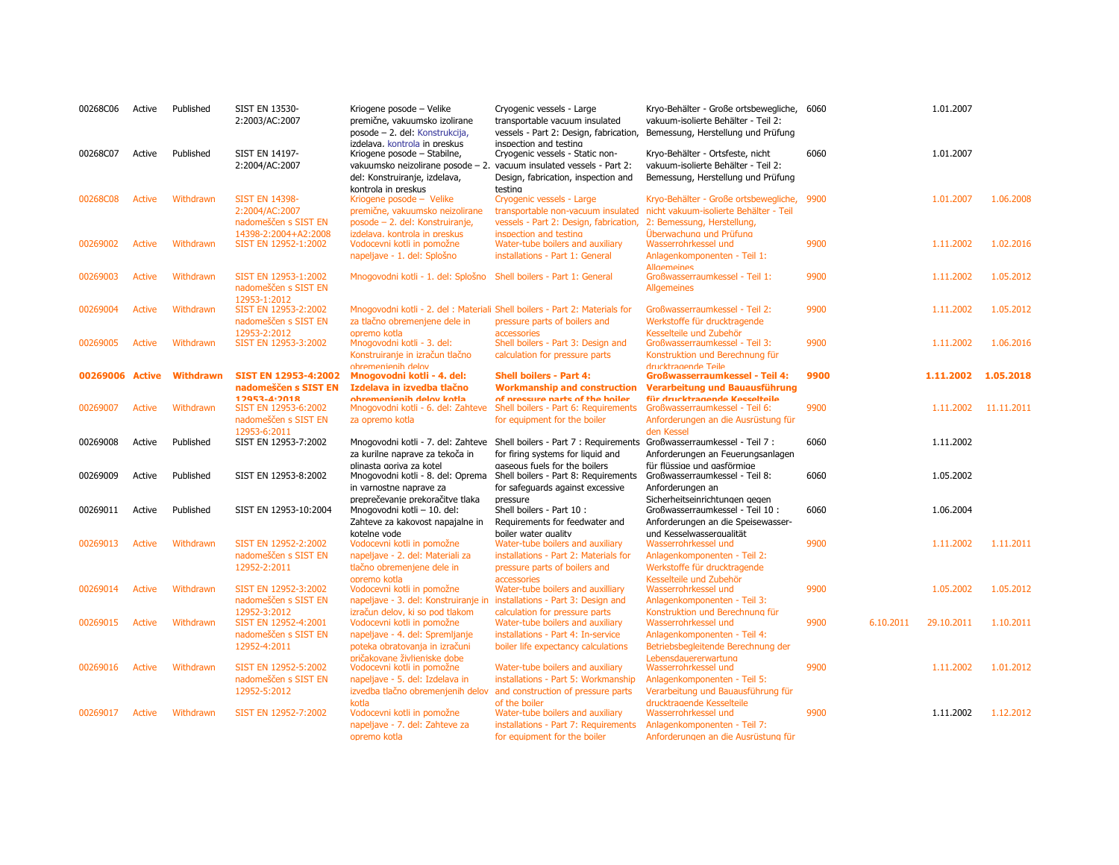| 00268C06 | Active        | Published        | <b>SIST EN 13530-</b><br>2:2003/AC:2007                              | Kriogene posode - Velike<br>premične, vakuumsko izolirane<br>posode - 2. del: Konstrukcija,                                                         | Cryogenic vessels - Large<br>transportable vacuum insulated<br>vessels - Part 2: Design, fabrication,                                                                    | Kryo-Behälter - Große ortsbewegliche, 6060<br>vakuum-isolierte Behälter - Teil 2:<br>Bemessung, Herstellung und Prüfung         |      |           | 1.01.2007           |            |
|----------|---------------|------------------|----------------------------------------------------------------------|-----------------------------------------------------------------------------------------------------------------------------------------------------|--------------------------------------------------------------------------------------------------------------------------------------------------------------------------|---------------------------------------------------------------------------------------------------------------------------------|------|-----------|---------------------|------------|
| 00268C07 | Active        | Published        | <b>SIST EN 14197-</b><br>2:2004/AC:2007                              | izdelava. kontrola in preskus<br>Kriogene posode - Stabilne,<br>del: Konstruiranje, izdelava,                                                       | inspection and testing<br>Cryogenic vessels - Static non-<br>vakuumsko neizolirane posode - 2. vacuum insulated vessels - Part 2:<br>Design, fabrication, inspection and | Kryo-Behälter - Ortsfeste, nicht<br>vakuum-isolierte Behälter - Teil 2:<br>Bemessung, Herstellung und Prüfung                   | 6060 |           | 1.01.2007           |            |
| 00268C08 | Active        | Withdrawn        | <b>SIST EN 14398-</b><br>2:2004/AC:2007                              | kontrola in preskus<br>Kriogene posode - Velike<br>premične, vakuumsko neizolirane                                                                  | testina<br>Cryogenic vessels - Large<br>transportable non-vacuum insulated                                                                                               | Kryo-Behälter - Große ortsbewegliche, 9900<br>nicht vakuum-isolierte Behälter - Teil                                            |      |           | 1.01.2007           | 1.06.2008  |
| 00269002 | <b>Active</b> | Withdrawn        | nadomeščen s SIST EN<br>14398-2:2004+A2:2008<br>SIST EN 12952-1:2002 | posode - 2. del: Konstruiranje,<br>izdelava. kontrola in preskus<br>Vodocevni kotli in pomožne<br>napeljave - 1. del: Splošno                       | vessels - Part 2: Design, fabrication,<br>inspection and testing<br>Water-tube boilers and auxiliary<br>installations - Part 1: General                                  | 2: Bemessung, Herstellung,<br>Überwachung und Prüfung<br>Wasserrohrkessel und<br>Anlagenkomponenten - Teil 1:                   | 9900 |           | 1.11.2002           | 1.02.2016  |
| 00269003 | <b>Active</b> | Withdrawn        | SIST EN 12953-1:2002<br>nadomeščen s SIST EN                         | Mnogovodni kotli - 1. del: Splošno Shell boilers - Part 1: General                                                                                  |                                                                                                                                                                          | <b>Allgemeines</b><br>Großwasserraumkessel - Teil 1:<br><b>Allgemeines</b>                                                      | 9900 |           | 1.11.2002           | 1.05.2012  |
| 00269004 | Active        | Withdrawn        | 12953-1:2012<br>SIST EN 12953-2:2002<br>nadomeščen s SIST EN         | za tlačno obremenjene dele in                                                                                                                       | Mnogovodni kotli - 2. del : Materiali Shell boilers - Part 2: Materials for<br>pressure parts of boilers and                                                             | Großwasserraumkessel - Teil 2:<br>Werkstoffe für drucktragende                                                                  | 9900 |           | 1.11.2002           | 1.05.2012  |
| 00269005 | <b>Active</b> | Withdrawn        | 12953-2:2012<br>SIST EN 12953-3:2002                                 | opremo kotla<br>Mnogovodni kotli - 3. del:<br>Konstruiranje in izračun tlačno                                                                       | accessories<br>Shell boilers - Part 3: Design and<br>calculation for pressure parts                                                                                      | Kesselteile und Zubehör<br>Großwasserraumkessel - Teil 3:<br>Konstruktion und Berechnung für                                    | 9900 |           | 1.11.2002           | 1.06.2016  |
| 00269006 | <b>Active</b> | <b>Withdrawn</b> | <b>SIST EN 12953-4:2002</b><br>nadomeščen s SIST EN<br>12953-4:2018  | ohremenienih delov<br>Mnogovodni kotli - 4. del:<br>Izdelava in izvedba tlačno<br>ohremenienih delov kotla                                          | <b>Shell boilers - Part 4:</b><br><b>Workmanship and construction</b>                                                                                                    | drucktragende Teile<br><b>Großwasserraumkessel - Teil 4:</b><br>Verarbeitung und Bauausführung<br>für drucktranende Kesselteile | 9900 |           | 1.11.2002 1.05.2018 |            |
| 00269007 | <b>Active</b> | Withdrawn        | SIST EN 12953-6:2002<br>nadomeščen s SIST EN                         | Mnogovodni kotli - 6. del: Zahteve<br>za opremo kotla                                                                                               | of pressure parts of the boiler<br>Shell boilers - Part 6: Requirements<br>for equipment for the boiler                                                                  | Großwasserraumkessel - Teil 6:<br>Anforderungen an die Ausrüstung für                                                           | 9900 |           | 1.11.2002           | 11.11.2011 |
| 00269008 | Active        | Published        | 12953-6:2011<br>SIST EN 12953-7:2002                                 | za kurilne naprave za tekoča in                                                                                                                     | Mnogovodni kotli - 7. del: Zahteve Shell boilers - Part 7 : Requirements<br>for firing systems for liquid and                                                            | den Kessel<br>Großwasserraumkessel - Teil 7 :<br>Anforderungen an Feuerungsanlagen                                              | 6060 |           | 1.11.2002           |            |
| 00269009 | Active        | Published        | SIST EN 12953-8:2002                                                 | plinasta goriva za kotel<br>Mnogovodni kotli - 8. del: Oprema<br>in varnostne naprave za                                                            | gaseous fuels for the boilers<br>Shell boilers - Part 8: Requirements<br>for safeguards against excessive                                                                | für flüssige und gasförmige<br>Großwasserraumkessel - Teil 8:<br>Anforderungen an                                               | 6060 |           | 1.05.2002           |            |
| 00269011 | Active        | Published        | SIST EN 12953-10:2004                                                | preprečevanie prekoračitve tlaka<br>Mnogovodni kotli - 10. del:<br>Zahteve za kakovost napajalne in                                                 | pressure<br>Shell boilers - Part 10 :<br>Requirements for feedwater and                                                                                                  | Sicherheitseinrichtungen gegen<br>Großwasserraumkessel - Teil 10 :<br>Anforderungen an die Speisewasser-                        | 6060 |           | 1.06.2004           |            |
| 00269013 | <b>Active</b> | Withdrawn        | SIST EN 12952-2:2002<br>nadomeščen s SIST EN                         | kotelne vode<br>Vodocevni kotli in pomožne<br>napeljave - 2. del: Materiali za                                                                      | boiler water quality<br>Water-tube boilers and auxiliary<br>installations - Part 2: Materials for                                                                        | und Kesselwassergualität<br>Wasserrohrkessel und<br>Anlagenkomponenten - Teil 2:                                                | 9900 |           | 1.11.2002           | 1.11.2011  |
| 00269014 | Active        | Withdrawn        | 12952-2:2011<br>SIST EN 12952-3:2002<br>nadomeščen s SIST EN         | tlačno obremenjene dele in<br>opremo kotla<br>Vodocevni kotli in pomožne<br>napeljave - 3. del: Konstruiranje in installations - Part 3: Design and | pressure parts of boilers and<br>accessories<br>Water-tube boilers and auxilliary                                                                                        | Werkstoffe für drucktragende<br>Kesselteile und Zubehör<br>Wasserrohrkessel und<br>Anlagenkomponenten - Teil 3:                 | 9900 |           | 1.05.2002           | 1.05.2012  |
| 00269015 | Active        | Withdrawn        | 12952-3:2012<br>SIST EN 12952-4:2001<br>nadomeščen s SIST EN         | izračun delov. ki so pod tlakom<br>Vodocevni kotli in pomožne<br>napeljave - 4. del: Spremljanje                                                    | calculation for pressure parts<br>Water-tube boilers and auxiliary<br>installations - Part 4: In-service                                                                 | Konstruktion und Berechnung für<br>Wasserrohrkessel und<br>Anlagenkomponenten - Teil 4:                                         | 9900 | 6.10.2011 | 29.10.2011          | 1.10.2011  |
| 00269016 | <b>Active</b> | Withdrawn        | 12952-4:2011<br>SIST EN 12952-5:2002                                 | poteka obratovanja in izračuni<br>pričakovane življeniske dobe<br>Vodocevni kotli in pomožne                                                        | boiler life expectancy calculations<br>Water-tube boilers and auxiliary                                                                                                  | Betriebsbegleitende Berechnung der<br>Lebensdauererwartung<br>Wasserrohrkessel und                                              | 9900 |           | 1.11.2002           | 1.01.2012  |
|          |               |                  | nadomeščen s SIST EN<br>12952-5:2012                                 | napeljave - 5. del: Izdelava in                                                                                                                     | installations - Part 5: Workmanship<br>izvedba tlačno obremenjenih delov and construction of pressure parts                                                              | Anlagenkomponenten - Teil 5:<br>Verarbeitung und Bauausführung für                                                              |      |           |                     |            |
| 00269017 | Active        | Withdrawn        | SIST EN 12952-7:2002                                                 | kotla<br>Vodocevni kotli in pomožne<br>napeljave - 7. del: Zahteve za<br>opremo kotla                                                               | of the boiler<br>Water-tube boilers and auxiliary<br>installations - Part 7: Requirements<br>for equipment for the boiler                                                | drucktragende Kesselteile<br>Wasserrohrkessel und<br>Anlagenkomponenten - Teil 7:<br>Anforderungen an die Ausrüstung für        | 9900 |           | 1.11.2002           | 1.12.2012  |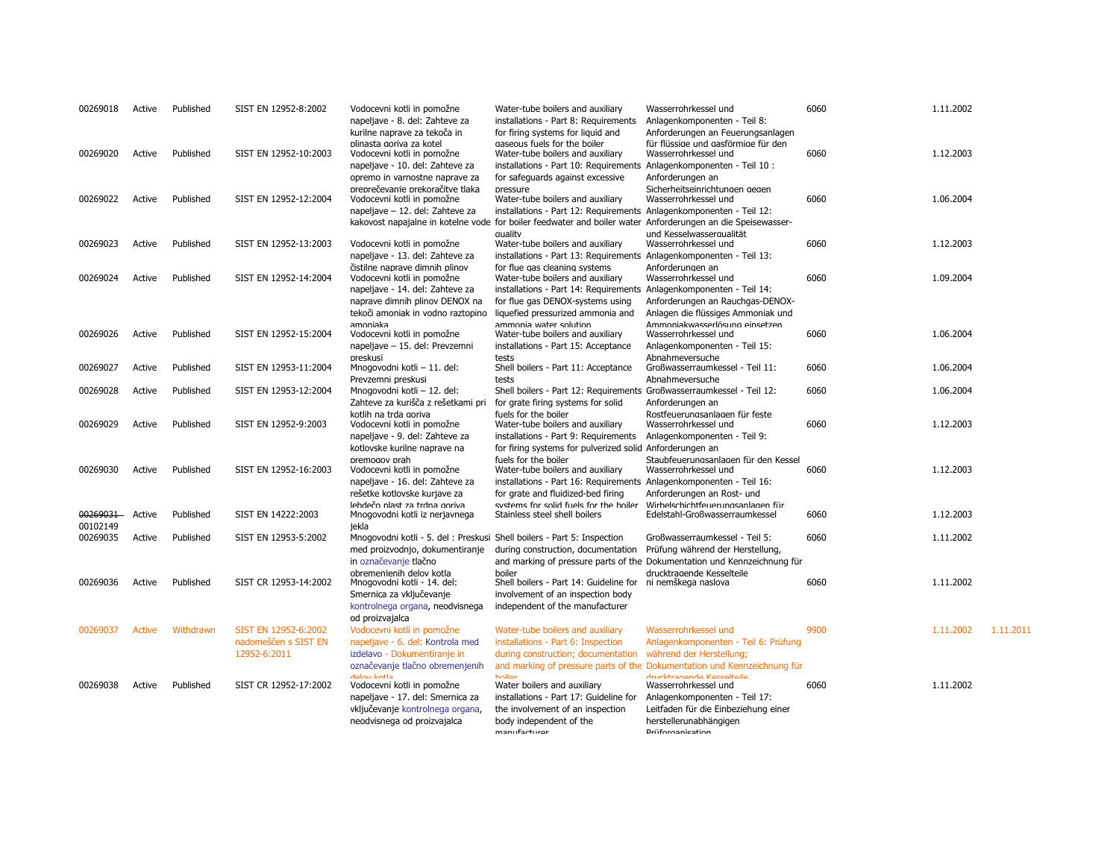| 00269018             | Active        | Published | SIST EN 12952-8:2002                                         | Vodocevni kotli in pomožne<br>napeljave - 8. del: Zahteve za<br>kurilne naprave za tekoča in                                                     | Water-tube boilers and auxiliary<br>installations - Part 8: Requirements<br>for firing systems for liquid and                                                                                                                     | Wasserrohrkessel und<br>Anlagenkomponenten - Teil 8:<br>Anforderungen an Feuerungsanlagen                                                                                                                                                                    | 6060 | 1.11.2002 |           |
|----------------------|---------------|-----------|--------------------------------------------------------------|--------------------------------------------------------------------------------------------------------------------------------------------------|-----------------------------------------------------------------------------------------------------------------------------------------------------------------------------------------------------------------------------------|--------------------------------------------------------------------------------------------------------------------------------------------------------------------------------------------------------------------------------------------------------------|------|-----------|-----------|
| 00269020             | Active        | Published | SIST EN 12952-10:2003                                        | plinasta goriva za kotel<br>Vodocevni kotli in pomožne<br>napeljave - 10. del: Zahteve za<br>opremo in varnostne naprave za                      | gaseous fuels for the boiler<br>Water-tube boilers and auxiliary<br>installations - Part 10: Requirements Anlagenkomponenten - Teil 10 :<br>for safeguards against excessive                                                      | für flüssige und gasförmige für den<br>Wasserrohrkessel und<br>Anforderungen an                                                                                                                                                                              | 6060 | 1.12.2003 |           |
| 00269022             | Active        | Published | SIST EN 12952-12:2004                                        | preprečevanie prekoračitve tlaka<br>Vodocevni kotli in pomožne<br>napeljave - 12. del: Zahteve za                                                | pressure<br>Water-tube boilers and auxiliary<br>installations - Part 12: Requirements Anlagenkomponenten - Teil 12:                                                                                                               | Sicherheitseinrichtungen gegen<br>Wasserrohrkessel und<br>kakovost napajalne in kotelne vode for boiler feedwater and boiler water Anforderungen an die Speisewasser-                                                                                        | 6060 | 1.06.2004 |           |
| 00269023             | Active        | Published | SIST EN 12952-13:2003                                        | Vodocevni kotli in pomožne<br>napeljave - 13. del: Zahteve za                                                                                    | quality<br>Water-tube boilers and auxiliary<br>installations - Part 13: Requirements Anlagenkomponenten - Teil 13:                                                                                                                | und Kesselwassergualität<br>Wasserrohrkessel und                                                                                                                                                                                                             | 6060 | 1.12.2003 |           |
| 00269024             | Active        | Published | SIST EN 12952-14:2004                                        | čistilne naprave dimnih plinov<br>Vodocevni kotli in pomožne<br>napeljave - 14. del: Zahteve za<br>naprave dimnih plinov DENOX na                | for flue gas cleaning systems<br>Water-tube boilers and auxiliary<br>installations - Part 14: Requirements Anlagenkomponenten - Teil 14:<br>for flue gas DENOX-systems using                                                      | Anforderungen an<br>Wasserrohrkessel und<br>Anforderungen an Rauchgas-DENOX-                                                                                                                                                                                 | 6060 | 1.09.2004 |           |
| 00269026             | Active        | Published | SIST EN 12952-15:2004                                        | tekoči amoniak in vodno raztopino<br>amoniaka<br>Vodocevni kotli in pomožne<br>napeljave - 15. del: Prevzemni                                    | liquefied pressurized ammonia and<br>ammonia water solution<br>Water-tube boilers and auxiliary<br>installations - Part 15: Acceptance                                                                                            | Anlagen die flüssiges Ammoniak und<br>Ammoniakwasserlösung einsetzen<br>Wasserrohrkessel und<br>Anlagenkomponenten - Teil 15:                                                                                                                                | 6060 | 1.06.2004 |           |
| 00269027             | Active        | Published | SIST EN 12953-11:2004                                        | preskusi<br>Mnogovodni kotli - 11. del:                                                                                                          | tests<br>Shell boilers - Part 11: Acceptance                                                                                                                                                                                      | Abnahmeversuche<br>Großwasserraumkessel - Teil 11:                                                                                                                                                                                                           | 6060 | 1.06.2004 |           |
| 00269028             | Active        | Published | SIST EN 12953-12:2004                                        | Prevzemni preskusi<br>Mnogovodni kotli - 12. del:                                                                                                | tests<br>Shell boilers - Part 12: Requirements Großwasserraumkessel - Teil 12:                                                                                                                                                    | Abnahmeversuche                                                                                                                                                                                                                                              | 6060 | 1.06.2004 |           |
| 00269029             | Active        | Published | SIST EN 12952-9:2003                                         | Zahteve za kurišča z rešetkami pri<br>kotlih na trda goriva<br>Vodocevni kotli in pomožne<br>napeljave - 9. del: Zahteve za                      | for grate firing systems for solid<br>fuels for the boiler<br>Water-tube boilers and auxiliary<br>installations - Part 9: Requirements                                                                                            | Anforderungen an<br>Rostfeuerungsanlagen für feste<br>Wasserrohrkessel und<br>Anlagenkomponenten - Teil 9:                                                                                                                                                   | 6060 | 1.12.2003 |           |
| 00269030             | Active        | Published | SIST EN 12952-16:2003                                        | kotlovske kurilne naprave na<br>premogov prah<br>Vodocevni kotli in pomožne<br>napeljave - 16. del: Zahteve za<br>rešetke kotlovske kurjave za   | for firing systems for pulverized solid Anforderungen an<br>fuels for the boiler<br>Water-tube boilers and auxiliary<br>installations - Part 16: Requirements Anlagenkomponenten - Teil 16:<br>for grate and fluidized-bed firing | Staubfeuerungsanlagen für den Kessel<br>Wasserrohrkessel und<br>Anforderungen an Rost- und                                                                                                                                                                   | 6060 | 1.12.2003 |           |
| 00269031             | Active        | Published | SIST EN 14222:2003                                           | lebdečo plast za trdna goriva<br>Mnogovodni kotli iz nerjavnega                                                                                  | systems for solid fuels for the boiler<br>Stainless steel shell boilers                                                                                                                                                           | Wirbelschichtfeuerungsanlagen für<br>Edelstahl-Großwasserraumkessel                                                                                                                                                                                          | 6060 | 1.12.2003 |           |
| 00102149<br>00269035 | Active        | Published | SIST EN 12953-5:2002                                         | iekla<br>Mnogovodni kotli - 5. del : Preskusi Shell boilers - Part 5: Inspection<br>med proizvodnjo, dokumentiranje<br>in označevanje tlačno     | during construction, documentation                                                                                                                                                                                                | Großwasserraumkessel - Teil 5:<br>Prüfung während der Herstellung,<br>and marking of pressure parts of the Dokumentation und Kennzeichnung für                                                                                                               | 6060 | 1.11.2002 |           |
| 00269036             | Active        | Published | SIST CR 12953-14:2002                                        | obremenienih delov kotla<br>Mnogovodni kotli - 14. del:<br>Smernica za vključevanje<br>kontrolnega organa, neodvisnega<br>od proizvajalca        | boiler<br>Shell boilers - Part 14: Guideline for<br>involvement of an inspection body<br>independent of the manufacturer                                                                                                          | drucktragende Kesselteile<br>ni nemškega naslova                                                                                                                                                                                                             | 6060 | 1.11.2002 |           |
| 00269037             | <b>Active</b> | Withdrawn | SIST EN 12952-6:2002<br>nadomeščen s SIST EN<br>12952-6:2011 | Vodocevni kotli in pomožne<br>napeljave - 6. del: Kontrola med<br>izdelavo - Dokumentiranje in<br>označevanje tlačno obremenjenih                | Water-tube boilers and auxiliary<br>installations - Part 6: Inspection<br>during construction; documentation                                                                                                                      | Wasserrohrkessel und<br>Anlagenkomponenten - Teil 6: Prüfung<br>während der Herstellung;                                                                                                                                                                     | 9900 | 1.11.2002 | 1.11.2011 |
| 00269038             | Active        | Published | SIST CR 12952-17:2002                                        | dalow kotla<br>Vodocevni kotli in pomožne<br>napeljave - 17. del: Smernica za<br>vključevanje kontrolnega organa,<br>neodvisnega od proizvajalca | hoiler<br>Water boilers and auxiliary<br>installations - Part 17: Guideline for<br>the involvement of an inspection<br>body independent of the<br>manufacturer                                                                    | and marking of pressure parts of the Dokumentation und Kennzeichnung für<br>drucktronanda Kaccaltaila<br>Wasserrohrkessel und<br>Anlagenkomponenten - Teil 17:<br>Leitfaden für die Einbeziehung einer<br>herstellerunabhängigen<br><b>Driifornanication</b> | 6060 | 1.11.2002 |           |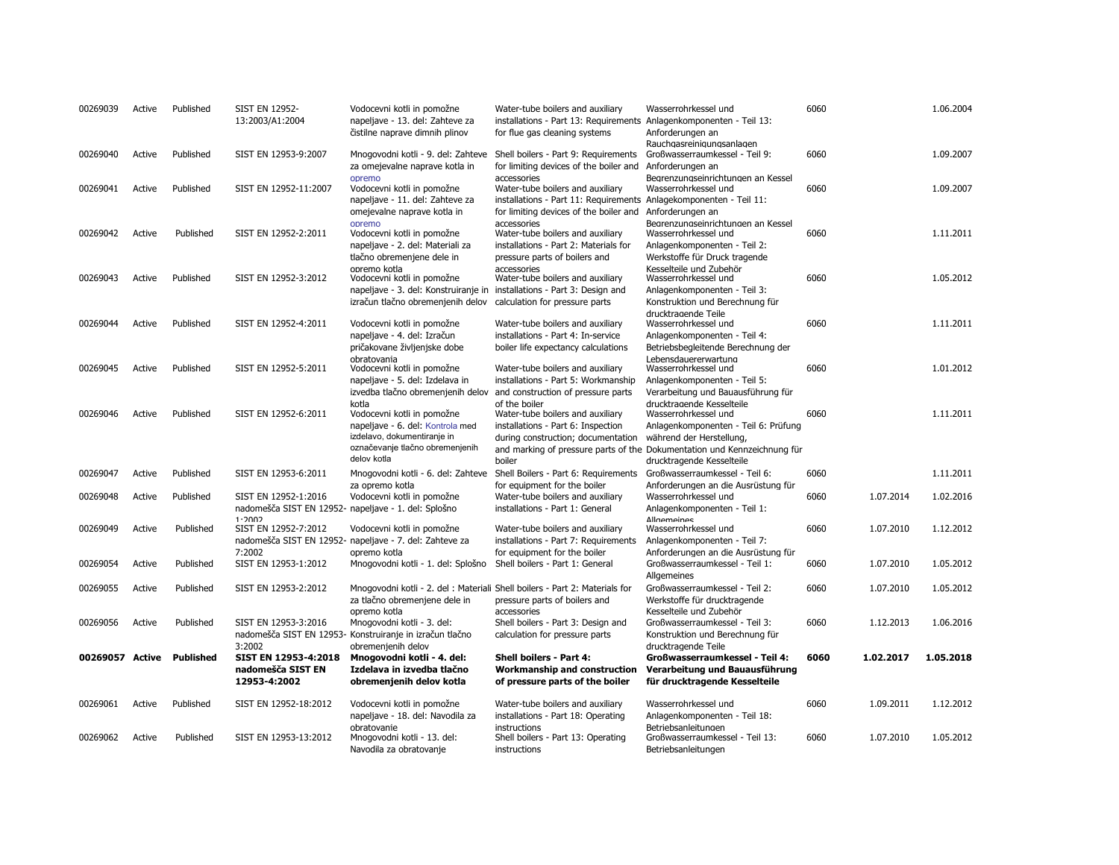| 00269039        | Active | Published        | <b>SIST EN 12952-</b><br>13:2003/A1:2004                                     | Vodocevni kotli in pomožne<br>napeljave - 13. del: Zahteve za<br>čistilne naprave dimnih plinov                                                          | Water-tube boilers and auxiliary<br>installations - Part 13: Requirements Anlagenkomponenten - Teil 13:<br>for flue gas cleaning systems                                                                        | Wasserrohrkessel und<br>Anforderungen an                                                                                                                                                                                                                             | 6060 |           | 1.06.2004 |
|-----------------|--------|------------------|------------------------------------------------------------------------------|----------------------------------------------------------------------------------------------------------------------------------------------------------|-----------------------------------------------------------------------------------------------------------------------------------------------------------------------------------------------------------------|----------------------------------------------------------------------------------------------------------------------------------------------------------------------------------------------------------------------------------------------------------------------|------|-----------|-----------|
| 00269040        | Active | Published        | SIST EN 12953-9:2007                                                         | Mnogovodni kotli - 9. del: Zahteve<br>za omejevalne naprave kotla in                                                                                     | Shell boilers - Part 9: Requirements<br>for limiting devices of the boiler and                                                                                                                                  | Rauchgasreinigungsanlagen<br>Großwasserraumkessel - Teil 9:<br>Anforderungen an                                                                                                                                                                                      | 6060 |           | 1.09.2007 |
| 00269041        | Active | Published        | SIST EN 12952-11:2007                                                        | opremo<br>Vodocevni kotli in pomožne<br>napeljave - 11. del: Zahteve za<br>omejevalne naprave kotla in                                                   | accessories<br>Water-tube boilers and auxiliary<br>installations - Part 11: Requirements Anlagekomponenten - Teil 11:<br>for limiting devices of the boiler and                                                 | Bearenzunaseinrichtunaen an Kessel<br>Wasserrohrkessel und<br>Anforderungen an                                                                                                                                                                                       | 6060 |           | 1.09.2007 |
| 00269042        | Active | Published        | SIST EN 12952-2:2011                                                         | opremo<br>Vodocevni kotli in pomožne<br>napeljave - 2. del: Materiali za<br>tlačno obremenjene dele in                                                   | accessories<br>Water-tube boilers and auxiliary<br>installations - Part 2: Materials for<br>pressure parts of boilers and                                                                                       | Begrenzungseinrichtungen an Kessel<br>Wasserrohrkessel und<br>Anlagenkomponenten - Teil 2:<br>Werkstoffe für Druck tragende                                                                                                                                          | 6060 |           | 1.11.2011 |
| 00269043        | Active | Published        | SIST EN 12952-3:2012                                                         | opremo kotla<br>Vodocevni kotli in pomožne<br>napeljave - 3. del: Konstruiranje in installations - Part 3: Design and                                    | accessories<br>Water-tube boilers and auxiliary                                                                                                                                                                 | Kesselteile und Zubehör<br>Wasserrohrkessel und<br>Anlagenkomponenten - Teil 3:                                                                                                                                                                                      | 6060 |           | 1.05.2012 |
| 00269044        | Active | Published        | SIST EN 12952-4:2011                                                         | izračun tlačno obremenjenih delov<br>Vodocevni kotli in pomožne<br>napeljave - 4. del: Izračun                                                           | calculation for pressure parts<br>Water-tube boilers and auxiliary<br>installations - Part 4: In-service                                                                                                        | Konstruktion und Berechnung für<br>drucktragende Teile<br>Wasserrohrkessel und<br>Anlagenkomponenten - Teil 4:                                                                                                                                                       | 6060 |           | 1.11.2011 |
| 00269045        | Active | Published        | SIST EN 12952-5:2011                                                         | pričakovane življenjske dobe<br>obratovania<br>Vodocevni kotli in pomožne<br>napeljave - 5. del: Izdelava in                                             | boiler life expectancy calculations<br>Water-tube boilers and auxiliary<br>installations - Part 5: Workmanship                                                                                                  | Betriebsbegleitende Berechnung der<br>Lebensdauererwartung<br>Wasserrohrkessel und<br>Anlagenkomponenten - Teil 5:                                                                                                                                                   | 6060 |           | 1.01.2012 |
| 00269046        | Active | Published        | SIST EN 12952-6:2011                                                         | kotla<br>Vodocevni kotli in pomožne<br>napeljave - 6. del: Kontrola med<br>izdelavo, dokumentiranje in<br>označevanje tlačno obremenjenih<br>delov kotla | izvedba tlačno obremenjenih delov and construction of pressure parts<br>of the hoiler<br>Water-tube boilers and auxiliary<br>installations - Part 6: Inspection<br>during construction; documentation<br>boiler | Verarbeitung und Bauausführung für<br>drucktragende Kesselteile<br>Wasserrohrkessel und<br>Anlagenkomponenten - Teil 6: Prüfung<br>während der Herstellung,<br>and marking of pressure parts of the Dokumentation und Kennzeichnung für<br>drucktragende Kesselteile | 6060 |           | 1.11.2011 |
| 00269047        | Active | Published        | SIST EN 12953-6:2011                                                         |                                                                                                                                                          | Mnogovodni kotli - 6. del: Zahteve Shell Boilers - Part 6: Requirements                                                                                                                                         | Großwasserraumkessel - Teil 6:                                                                                                                                                                                                                                       | 6060 |           | 1.11.2011 |
| 00269048        | Active | Published        | SIST EN 12952-1:2016<br>nadomešča SIST EN 12952- napeljave - 1. del: Splošno | za opremo kotla<br>Vodocevni kotli in pomožne                                                                                                            | for equipment for the boiler<br>Water-tube boilers and auxiliary<br>installations - Part 1: General                                                                                                             | Anforderungen an die Ausrüstung für<br>Wasserrohrkessel und<br>Anlagenkomponenten - Teil 1:                                                                                                                                                                          | 6060 | 1.07.2014 | 1.02.2016 |
| 00269049        | Active | Published        | 1.2002<br>SIST EN 12952-7:2012<br>7:2002                                     | Vodocevni kotli in pomožne<br>nadomešča SIST EN 12952- napeljave - 7. del: Zahteve za<br>opremo kotla                                                    | Water-tube boilers and auxiliary<br>installations - Part 7: Requirements<br>for equipment for the boiler                                                                                                        | <b>Allnemeines</b><br>Wasserrohrkessel und<br>Anlagenkomponenten - Teil 7:<br>Anforderungen an die Ausrüstung für                                                                                                                                                    | 6060 | 1.07.2010 | 1.12.2012 |
| 00269054        | Active | Published        | SIST EN 12953-1:2012                                                         | Mnogovodni kotli - 1. del: Splošno                                                                                                                       | Shell boilers - Part 1: General                                                                                                                                                                                 | Großwasserraumkessel - Teil 1:                                                                                                                                                                                                                                       | 6060 | 1.07.2010 | 1.05.2012 |
| 00269055        | Active | Published        | SIST EN 12953-2:2012                                                         | za tlačno obremenjene dele in                                                                                                                            | Mnogovodni kotli - 2. del : Materiali Shell boilers - Part 2: Materials for<br>pressure parts of boilers and                                                                                                    | Allgemeines<br>Großwasserraumkessel - Teil 2:<br>Werkstoffe für drucktragende                                                                                                                                                                                        | 6060 | 1.07.2010 | 1.05.2012 |
| 00269056        | Active | Published        | SIST EN 12953-3:2016                                                         | opremo kotla<br>Mnogovodni kotli - 3. del:<br>nadomešča SIST EN 12953- Konstruiranje in izračun tlačno                                                   | accessories<br>Shell boilers - Part 3: Design and<br>calculation for pressure parts                                                                                                                             | Kesselteile und Zubehör<br>Großwasserraumkessel - Teil 3:<br>Konstruktion und Berechnung für                                                                                                                                                                         | 6060 | 1.12.2013 | 1.06.2016 |
| 00269057 Active |        | <b>Published</b> | 3:2002<br>SIST EN 12953-4:2018<br>nadomešča SIST EN<br>12953-4:2002          | obremenjenih delov<br>Mnogovodni kotli - 4. del:<br>Izdelava in izvedba tlačno<br>obremenjenih delov kotla                                               | Shell boilers - Part 4:<br>Workmanship and construction<br>of pressure parts of the boiler                                                                                                                      | drucktragende Teile<br><b>Großwasserraumkessel - Teil 4:</b><br>Verarbeitung und Bauausführung<br>für drucktragende Kesselteile                                                                                                                                      | 6060 | 1.02.2017 | 1.05.2018 |
| 00269061        | Active | Published        | SIST EN 12952-18:2012                                                        | Vodocevni kotli in pomožne<br>napeljave - 18. del: Navodila za                                                                                           | Water-tube boilers and auxiliary<br>installations - Part 18: Operating                                                                                                                                          | Wasserrohrkessel und<br>Anlagenkomponenten - Teil 18:                                                                                                                                                                                                                | 6060 | 1.09.2011 | 1.12.2012 |
| 00269062        | Active | Published        | SIST EN 12953-13:2012                                                        | obratovanie<br>Mnogovodni kotli - 13. del:<br>Navodila za obratovanje                                                                                    | instructions<br>Shell boilers - Part 13: Operating<br>instructions                                                                                                                                              | Betriebsanleitungen<br>Großwasserraumkessel - Teil 13:<br>Betriebsanleitungen                                                                                                                                                                                        | 6060 | 1.07.2010 | 1.05.2012 |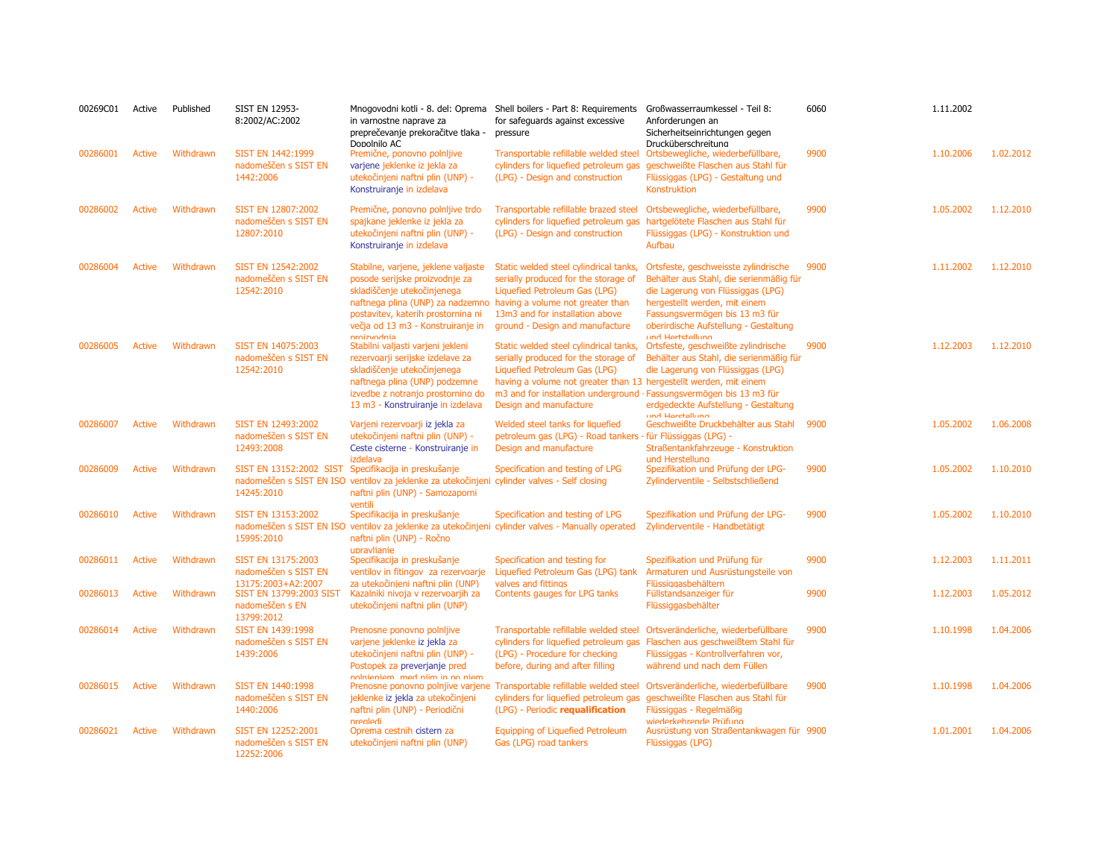| 00269C01 | Active        | Published | <b>SIST EN 12953-</b><br>8:2002/AC:2002                          | Mnogovodni kotli - 8. del: Oprema<br>in varnostne naprave za<br>preprečevanje prekoračitve tlaka -<br>Donolnilo AC                                                                                                                                                  | Shell boilers - Part 8: Requirements<br>for safeguards against excessive<br>pressure                                                                                                                                                                                                   | Großwasserraumkessel - Teil 8:<br>Anforderungen an<br>Sicherheitseinrichtungen gegen<br>Drucküberschreitung                                                                                                                                          | 6060 | 1.11.2002 |           |
|----------|---------------|-----------|------------------------------------------------------------------|---------------------------------------------------------------------------------------------------------------------------------------------------------------------------------------------------------------------------------------------------------------------|----------------------------------------------------------------------------------------------------------------------------------------------------------------------------------------------------------------------------------------------------------------------------------------|------------------------------------------------------------------------------------------------------------------------------------------------------------------------------------------------------------------------------------------------------|------|-----------|-----------|
| 00286001 | Active        | Withdrawn | SIST EN 1442:1999<br>nadomeščen s SIST EN<br>1442:2006           | Premične, ponovno polnijive<br>varjene jeklenke iz jekla za<br>utekočinjeni naftni plin (UNP) -<br>Konstruiranje in izdelava                                                                                                                                        | Transportable refillable welded steel<br>cylinders for liquefied petroleum gas<br>(LPG) - Design and construction                                                                                                                                                                      | Ortsbewegliche, wiederbefüllbare,<br>geschweißte Flaschen aus Stahl für<br>Flüssiggas (LPG) - Gestaltung und<br>Konstruktion                                                                                                                         | 9900 | 1.10.2006 | 1.02.2012 |
| 00286002 | <b>Active</b> | Withdrawn | SIST EN 12807:2002<br>nadomeščen s SIST EN<br>12807:2010         | Premične, ponovno polnijive trdo<br>spajkane jeklenke iz jekla za<br>utekočinjeni naftni plin (UNP) -<br>Konstruiranje in izdelava                                                                                                                                  | Transportable refillable brazed steel<br>cylinders for liquefied petroleum gas<br>(LPG) - Design and construction                                                                                                                                                                      | Ortsbewegliche, wiederbefüllbare,<br>hartgelötete Flaschen aus Stahl für<br>Flüssiggas (LPG) - Konstruktion und<br>Aufbau                                                                                                                            | 9900 | 1.05.2002 | 1.12.2010 |
| 00286004 | <b>Active</b> | Withdrawn | SIST EN 12542:2002<br>nadomeščen s SIST EN<br>12542:2010         | Stabilne, varjene, jeklene valjaste<br>posode serijske proizvodnje za<br>skladiščenje utekočinjenega<br>naftnega plina (UNP) za nadzemno having a volume not greater than<br>postavitev, katerih prostornina ni<br>večja od 13 m3 - Konstruiranje in<br>nroizvodnia | Static welded steel cylindrical tanks,<br>serially produced for the storage of<br>Liquefied Petroleum Gas (LPG)<br>13m3 and for installation above<br>ground - Design and manufacture                                                                                                  | Ortsfeste, geschweisste zylindrische<br>Behälter aus Stahl, die serienmäßig für<br>die Lagerung von Flüssiggas (LPG)<br>hergestellt werden, mit einem<br>Fassungsvermögen bis 13 m3 für<br>oberirdische Aufstellung - Gestaltung<br>und Hertetellung | 9900 | 1.11.2002 | 1.12.2010 |
| 00286005 | <b>Active</b> | Withdrawn | SIST EN 14075:2003<br>nadomeščen s SIST EN<br>12542:2010         | Stabilni valjasti varjeni jekleni<br>rezervoarji serijske izdelave za<br>skladiščenje utekočinjenega<br>naftnega plina (UNP) podzemne<br>izvedbe z notranjo prostornino do<br>13 m3 - Konstruiranje in izdelava                                                     | Static welded steel cylindrical tanks,<br>serially produced for the storage of<br>Liquefied Petroleum Gas (LPG)<br>having a volume not greater than 13 hergestellt werden, mit einem<br>m3 and for installation underground · Fassungsvermögen bis 13 m3 für<br>Design and manufacture | Ortsfeste, geschweißte zylindrische<br>Behälter aus Stahl, die serienmäßig für<br>die Lagerung von Flüssiggas (LPG)<br>erdgedeckte Aufstellung - Gestaltung<br>und Horetollung                                                                       | 9900 | 1.12.2003 | 1.12.2010 |
| 00286007 | <b>Active</b> | Withdrawn | SIST EN 12493:2002<br>nadomeščen s SIST EN<br>12493:2008         | Varjeni rezervoarji iz jekla za<br>utekočinjeni naftni plin (UNP) -<br>Ceste cisterne - Konstruiranje in<br>izdelava                                                                                                                                                | Welded steel tanks for liquefied<br>petroleum gas (LPG) - Road tankers - für Flüssiggas (LPG) -<br>Design and manufacture                                                                                                                                                              | Geschweißte Druckbehälter aus Stahl<br>Straßentankfahrzeuge - Konstruktion<br>und Herstellung                                                                                                                                                        | 9900 | 1.05.2002 | 1.06.2008 |
| 00286009 | <b>Active</b> | Withdrawn | 14245:2010                                                       | SIST EN 13152:2002 SIST Specifikacija in preskušanje<br>nadomeščen s SIST EN ISO ventilov za jeklenke za utekočinjeni cylinder valves - Self closing<br>naftni plin (UNP) - Samozaporni<br>ventili                                                                  | Specification and testing of LPG                                                                                                                                                                                                                                                       | Spezifikation und Prüfung der LPG-<br>Zylinderventile - Selbstschließend                                                                                                                                                                             | 9900 | 1.05.2002 | 1.10.2010 |
| 00286010 | <b>Active</b> | Withdrawn | SIST EN 13153:2002<br>15995:2010                                 | Specifikacija in preskušanje<br>naftni plin (UNP) - Ročno<br>upravlianie                                                                                                                                                                                            | Specification and testing of LPG<br>nadomeščen s SIST EN ISO ventilov za jeklenke za utekočinjeni cylinder valves - Manually operated                                                                                                                                                  | Spezifikation und Prüfung der LPG-<br>Zylinderventile - Handbetätigt                                                                                                                                                                                 | 9900 | 1.05.2002 | 1.10.2010 |
| 00286011 | <b>Active</b> | Withdrawn | SIST EN 13175:2003<br>nadomeščen s SIST EN<br>13175:2003+A2:2007 | Specifikacija in preskušanje<br>ventilov in fitingov za rezervoarje<br>za utekočinjeni naftni plin (UNP)                                                                                                                                                            | Specification and testing for<br>Liquefied Petroleum Gas (LPG) tank<br>valves and fittings                                                                                                                                                                                             | Spezifikation und Prüfung für<br>Armaturen und Ausrüstungsteile von<br>Flüssiggasbehältern                                                                                                                                                           | 9900 | 1.12.2003 | 1.11.2011 |
| 00286013 | <b>Active</b> | Withdrawn | SIST EN 13799:2003 SIST<br>nadomeščen s EN<br>13799:2012         | Kazalniki nivoja v rezervoarjih za<br>utekočinjeni naftni plin (UNP)                                                                                                                                                                                                | Contents gauges for LPG tanks                                                                                                                                                                                                                                                          | Füllstandsanzeiger für<br>Flüssiggasbehälter                                                                                                                                                                                                         | 9900 | 1.12.2003 | 1.05.2012 |
| 00286014 | <b>Active</b> | Withdrawn | SIST EN 1439:1998<br>nadomeščen s SIST EN<br>1439:2006           | Prenosne ponovno polnljive<br>varjene jeklenke iz jekla za<br>utekočinjeni naftni plin (UNP) -<br>Postopek za preverjanje pred<br>nolnieniem med niim in no niem                                                                                                    | Transportable refillable welded steel<br>cylinders for liquefied petroleum gas<br>(LPG) - Procedure for checking<br>before, during and after filling                                                                                                                                   | Ortsveränderliche, wiederbefüllbare<br>Flaschen aus geschweißtem Stahl für<br>Flüssiggas - Kontrollverfahren vor,<br>während und nach dem Füllen                                                                                                     | 9900 | 1.10.1998 | 1.04.2006 |
| 00286015 | <b>Active</b> | Withdrawn | SIST EN 1440:1998<br>nadomeščen s SIST EN<br>1440:2006           | jeklenke iz jekla za utekočinjeni<br>naftni plin (UNP) - Periodični<br>prealedi                                                                                                                                                                                     | Prenosne ponovno polnjive varjene Transportable refillable welded steel<br>cylinders for liquefied petroleum gas<br>(LPG) - Periodic requalification                                                                                                                                   | Ortsveränderliche, wiederbefüllbare<br>geschweißte Flaschen aus Stahl für<br>Flüssiggas - Regelmäßig                                                                                                                                                 | 9900 | 1.10.1998 | 1.04.2006 |
| 00286021 | <b>Active</b> | Withdrawn | SIST EN 12252:2001<br>nadomeščen s SIST EN<br>12252:2006         | Oprema cestnih cistern za<br>utekočinjeni naftni plin (UNP)                                                                                                                                                                                                         | Equipping of Liquefied Petroleum<br>Gas (LPG) road tankers                                                                                                                                                                                                                             | wiederkehrende Prüfung<br>Ausrüstung von Straßentankwagen für 9900<br>Flüssiggas (LPG)                                                                                                                                                               |      | 1.01.2001 | 1.04.2006 |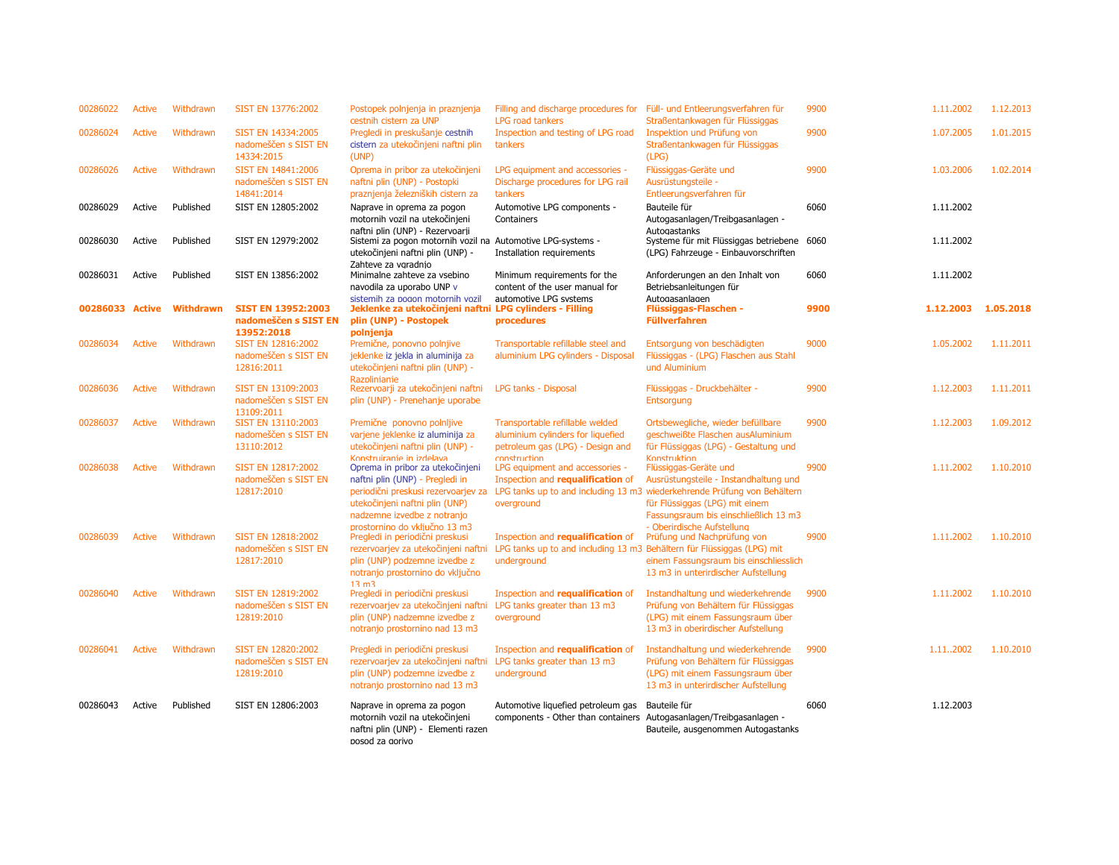| 00286022 | <b>Active</b> | Withdrawn        | SIST EN 13776:2002                                                     | Postopek polnjenja in praznjenja<br>cestnih cistern za UNP                                                                                                                                               | Filling and discharge procedures for<br><b>LPG road tankers</b>                                                            | Füll- und Entleerungsverfahren für<br>Straßentankwagen für Flüssiggas                                                                                                                                                                 | 9900 | 1.11.2002 | 1.12.2013 |
|----------|---------------|------------------|------------------------------------------------------------------------|----------------------------------------------------------------------------------------------------------------------------------------------------------------------------------------------------------|----------------------------------------------------------------------------------------------------------------------------|---------------------------------------------------------------------------------------------------------------------------------------------------------------------------------------------------------------------------------------|------|-----------|-----------|
| 00286024 | Active        | Withdrawn        | SIST EN 14334:2005<br>nadomeščen s SIST EN<br>14334:2015               | Pregledi in preskušanje cestnih<br>cistern za utekočinjeni naftni plin<br>(UNP)                                                                                                                          | Inspection and testing of LPG road<br>tankers                                                                              | Inspektion und Prüfung von<br>Straßentankwagen für Flüssiggas<br>(LPG)                                                                                                                                                                | 9900 | 1.07.2005 | 1.01.2015 |
| 00286026 | <b>Active</b> | Withdrawn        | SIST EN 14841:2006<br>nadomeščen s SIST EN<br>14841:2014               | Oprema in pribor za utekočinjeni<br>naftni plin (UNP) - Postopki<br>praznjenja železniških cistern za                                                                                                    | LPG equipment and accessories -<br>Discharge procedures for LPG rail<br>tankers                                            | Flüssiggas-Geräte und<br>Ausrüstungsteile -<br>Entleerungsverfahren für                                                                                                                                                               | 9900 | 1.03.2006 | 1.02.2014 |
| 00286029 | Active        | Published        | SIST EN 12805:2002                                                     | Naprave in oprema za pogon<br>motornih vozil na utekočinjeni                                                                                                                                             | Automotive LPG components -<br>Containers                                                                                  | Bauteile für<br>Autogasanlagen/Treibgasanlagen -                                                                                                                                                                                      | 6060 | 1.11.2002 |           |
| 00286030 | Active        | Published        | SIST EN 12979:2002                                                     | naftni plin (UNP) - Rezervoarii<br>Sistemi za pogon motornih vozil na Automotive LPG-systems -<br>utekočinjeni naftni plin (UNP) -                                                                       | Installation requirements                                                                                                  | Autogastanks<br>Systeme für mit Flüssiggas betriebene 6060<br>(LPG) Fahrzeuge - Einbauvorschriften                                                                                                                                    |      | 1.11.2002 |           |
| 00286031 | Active        | Published        | SIST EN 13856:2002                                                     | Zahteve za vgradnio<br>Minimalne zahteve za vsebino<br>navodila za uporabo UNP v                                                                                                                         | Minimum requirements for the<br>content of the user manual for                                                             | Anforderungen an den Inhalt von<br>Betriebsanleitungen für                                                                                                                                                                            | 6060 | 1.11.2002 |           |
| 00286033 | <b>Active</b> | <b>Withdrawn</b> | <b>SIST EN 13952:2003</b><br>nadomeščen s SIST EN                      | sistemih za pogon motornih vozil<br>Jeklenke za utekočinjeni naftni LPG cylinders - Filling<br>plin (UNP) - Postopek                                                                                     | automotive LPG systems<br>procedures                                                                                       | Autogasanlagen<br>Flüssiggas-Flaschen -<br><b>Füllverfahren</b>                                                                                                                                                                       | 9900 | 1.12.2003 | 1.05.2018 |
| 00286034 | <b>Active</b> | Withdrawn        | 13952:2018<br>SIST EN 12816:2002<br>nadomeščen s SIST EN<br>12816:2011 | polnienia<br>Premične, ponovno polnjive<br>jeklenke iz jekla in aluminija za<br>utekočinjeni naftni plin (UNP) -<br><b>Razplinianie</b>                                                                  | Transportable refillable steel and<br>aluminium LPG cylinders - Disposal                                                   | Entsorgung von beschädigten<br>Flüssiggas - (LPG) Flaschen aus Stahl<br>und Aluminium                                                                                                                                                 | 9000 | 1.05.2002 | 1.11.2011 |
| 00286036 | <b>Active</b> | Withdrawn        | SIST EN 13109:2003<br>nadomeščen s SIST EN                             | Rezervoarji za utekočinjeni naftni<br>plin (UNP) - Prenehanje uporabe                                                                                                                                    | LPG tanks - Disposal                                                                                                       | Flüssiggas - Druckbehälter -<br>Entsorgung                                                                                                                                                                                            | 9900 | 1.12.2003 | 1.11.2011 |
| 00286037 | Active        | Withdrawn        | 13109:2011<br>SIST EN 13110:2003<br>nadomeščen s SIST EN<br>13110:2012 | Premične ponovno polnljive<br>varjene jeklenke iz aluminija za<br>utekočinjeni naftni plin (UNP) -                                                                                                       | Transportable refillable welded<br>aluminium cylinders for liquefied<br>petroleum gas (LPG) - Design and                   | Ortsbewegliche, wieder befüllbare<br>geschweißte Flaschen ausAluminium<br>für Flüssiggas (LPG) - Gestaltung und                                                                                                                       | 9900 | 1.12.2003 | 1.09.2012 |
| 00286038 | <b>Active</b> | Withdrawn        | SIST EN 12817:2002<br>nadomeščen s SIST EN<br>12817:2010               | Konstruiranie in izdelava<br>Oprema in pribor za utekočinjeni<br>naftni plin (UNP) - Pregledi in<br>periodični preskusi rezervoarjev za<br>utekočinjeni naftni plin (UNP)<br>nadzemne izvedbe z notranjo | construction<br>LPG equipment and accessories -<br>Inspection and requalification of<br>overground                         | Konstruktion<br>Flüssiggas-Geräte und<br>Ausrüstungsteile - Instandhaltung und<br>LPG tanks up to and including 13 m3 wiederkehrende Prüfung von Behältern<br>für Flüssiggas (LPG) mit einem<br>Fassungsraum bis einschließlich 13 m3 | 9900 | 1.11.2002 | 1.10.2010 |
| 00286039 | <b>Active</b> | Withdrawn        | SIST EN 12818:2002<br>nadomeščen s SIST EN<br>12817:2010               | prostornino do vkliučno 13 m3<br>Pregledi in periodični preskusi<br>rezervoarjev za utekočinjeni naftni<br>plin (UNP) podzemne izvedbe z<br>notranjo prostornino do vključno                             | Inspection and requalification of<br>LPG tanks up to and including 13 m3 Behältern für Flüssiggas (LPG) mit<br>underground | - Oberirdische Aufstellung<br>Prüfung und Nachprüfung von<br>einem Fassungsraum bis einschliesslich<br>13 m3 in unterirdischer Aufstellung                                                                                            | 9900 | 1.11.2002 | 1.10.2010 |
| 00286040 | <b>Active</b> | Withdrawn        | SIST EN 12819:2002<br>nadomeščen s SIST EN<br>12819:2010               | 13 <sub>m3</sub><br>Pregledi in periodični preskusi<br>rezervoarjev za utekočinjeni naftni<br>plin (UNP) nadzemne izvedbe z<br>notranjo prostornino nad 13 m3                                            | Inspection and requalification of<br>LPG tanks greater than 13 m3<br>overground                                            | Instandhaltung und wiederkehrende<br>Prüfung von Behältern für Flüssiggas<br>(LPG) mit einem Fassungsraum über<br>13 m3 in oberirdischer Aufstellung                                                                                  | 9900 | 1.11.2002 | 1.10.2010 |
| 00286041 | Active        | Withdrawn        | SIST EN 12820:2002<br>nadomeščen s SIST EN<br>12819:2010               | Pregledi in periodični preskusi<br>rezervoarjev za utekočinjeni naftni<br>plin (UNP) podzemne izvedbe z<br>notranjo prostornino nad 13 m3                                                                | Inspection and requalification of<br>LPG tanks greater than 13 m3<br>underground                                           | Instandhaltung und wiederkehrende<br>Prüfung von Behältern für Flüssiggas<br>(LPG) mit einem Fassungsraum über<br>13 m3 in unterirdischer Aufstellung                                                                                 | 9900 | 1.112002  | 1.10.2010 |
| 00286043 | Active        | Published        | SIST EN 12806:2003                                                     | Naprave in oprema za pogon<br>motornih vozil na utekočinjeni<br>naftni plin (UNP) - Elementi razen<br>posod za gorivo                                                                                    | Automotive liquefied petroleum gas<br>components - Other than containers                                                   | Bauteile für<br>Autogasanlagen/Treibgasanlagen -<br>Bauteile, ausgenommen Autogastanks                                                                                                                                                | 6060 | 1.12.2003 |           |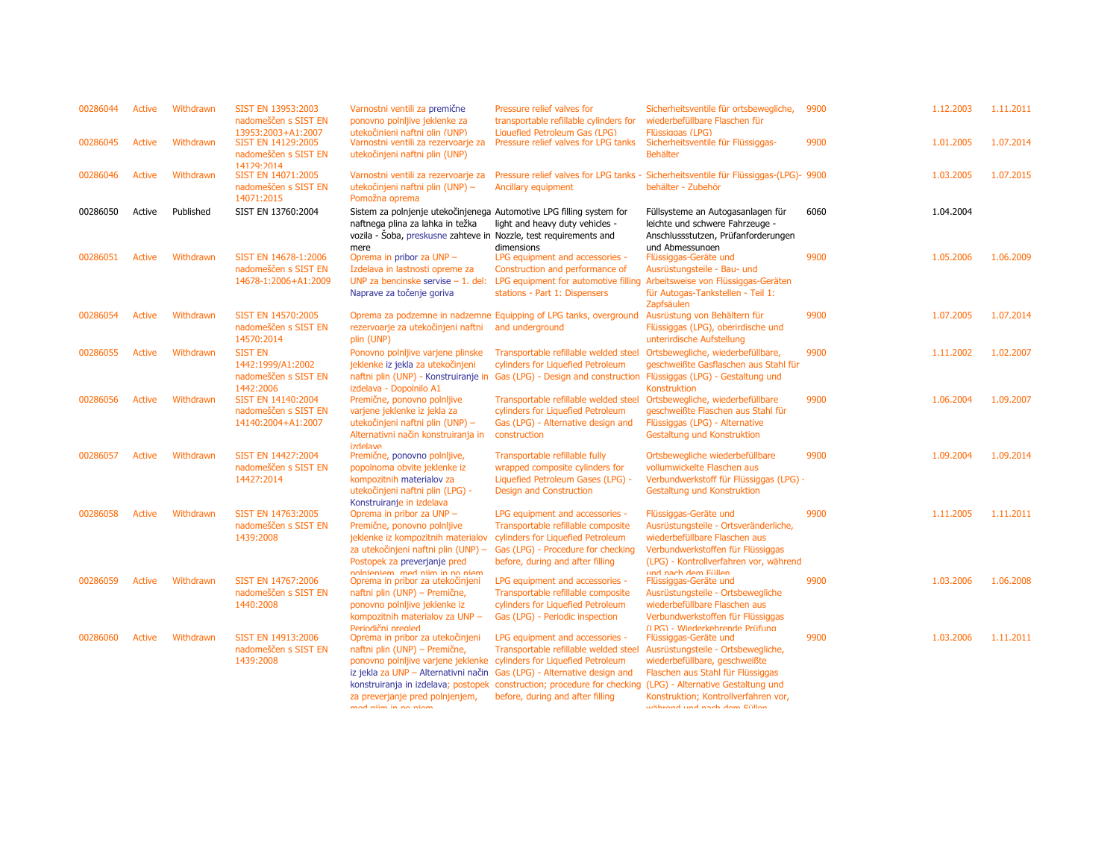| 00286044 | Active        | Withdrawn | SIST EN 13953:2003<br>nadomeščen s SIST EN<br>13953:2003+A1:2007         | Varnostni ventili za premične<br>ponovno polnljive jeklenke za<br>utekočinieni naftni plin (UNP)                                                                                                                                            | Pressure relief valves for<br>transportable refillable cylinders for<br>Liquefied Petroleum Gas (LPG)                                                                                                                                                             | Sicherheitsventile für ortsbewegliche,<br>wiederbefüllbare Flaschen für<br>Flüssiggas (LPG)                                                                                                                     | 9900 | 1.12.2003 | 1.11.2011 |
|----------|---------------|-----------|--------------------------------------------------------------------------|---------------------------------------------------------------------------------------------------------------------------------------------------------------------------------------------------------------------------------------------|-------------------------------------------------------------------------------------------------------------------------------------------------------------------------------------------------------------------------------------------------------------------|-----------------------------------------------------------------------------------------------------------------------------------------------------------------------------------------------------------------|------|-----------|-----------|
| 00286045 | Active        | Withdrawn | SIST EN 14129:2005<br>nadomeščen s SIST EN<br>14129:2014                 | Varnostni ventili za rezervoarje za<br>utekočinjeni naftni plin (UNP)                                                                                                                                                                       | Pressure relief valves for LPG tanks                                                                                                                                                                                                                              | Sicherheitsventile für Flüssiggas-<br><b>Behälter</b>                                                                                                                                                           | 9900 | 1.01.2005 | 1.07.2014 |
| 00286046 | Active        | Withdrawn | SIST EN 14071:2005<br>nadomeščen s SIST EN<br>14071:2015                 | Varnostni ventili za rezervoarje za<br>utekočinjeni naftni plin (UNP) -<br>Pomožna oprema                                                                                                                                                   | Pressure relief valves for LPG tanks -<br>Ancillary equipment                                                                                                                                                                                                     | Sicherheitsventile für Flüssiggas-(LPG)- 9900<br>behälter - Zubehör                                                                                                                                             |      | 1.03.2005 | 1.07.2015 |
| 00286050 | Active        | Published | SIST EN 13760:2004                                                       | Sistem za polnjenje utekočinjenega Automotive LPG filling system for<br>naftnega plina za lahka in težka<br>vozila - Soba, preskusne zahteve in Nozzle, test requirements and<br>mere                                                       | light and heavy duty vehicles -<br>dimensions                                                                                                                                                                                                                     | Füllsysteme an Autogasanlagen für<br>leichte und schwere Fahrzeuge -<br>Anschlussstutzen, Prüfanforderungen<br>und Abmessungen                                                                                  | 6060 | 1.04.2004 |           |
| 00286051 | Active        | Withdrawn | SIST EN 14678-1:2006<br>nadomeščen s SIST EN<br>14678-1:2006+A1:2009     | Oprema in pribor za UNP -<br>Izdelava in lastnosti opreme za<br>UNP za bencinske servise $-1$ . del:<br>Naprave za točenje goriva                                                                                                           | LPG equipment and accessories -<br>Construction and performance of<br>LPG equipment for automotive filling<br>stations - Part 1: Dispensers                                                                                                                       | Flüssiggas-Geräte und<br>Ausrüstungsteile - Bau- und<br>Arbeitsweise von Flüssiggas-Geräten<br>für Autogas-Tankstellen - Teil 1:<br>Zapfsäulen                                                                  | 9900 | 1.05.2006 | 1.06.2009 |
| 00286054 | Active        | Withdrawn | SIST EN 14570:2005<br>nadomeščen s SIST EN<br>14570:2014                 | rezervoarje za utekočinjeni naftni<br>plin (UNP)                                                                                                                                                                                            | Oprema za podzemne in nadzemne Equipping of LPG tanks, overground<br>and underground                                                                                                                                                                              | Ausrüstung von Behältern für<br>Flüssiggas (LPG), oberirdische und<br>unterirdische Aufstellung                                                                                                                 | 9900 | 1.07.2005 | 1.07.2014 |
| 00286055 | Active        | Withdrawn | <b>SIST EN</b><br>1442:1999/A1:2002<br>nadomeščen s SIST EN<br>1442:2006 | Ponovno polnijive varjene plinske<br>jeklenke iz jekla za utekočinjeni<br>izdelava - Dopolnilo A1                                                                                                                                           | Transportable refillable welded steel<br>cylinders for Liquefied Petroleum<br>naftni plin (UNP) - Konstruiranje in Gas (LPG) - Design and construction Flüssiggas (LPG) - Gestaltung und                                                                          | Ortsbewegliche, wiederbefüllbare,<br>geschweißte Gasflaschen aus Stahl für<br>Konstruktion                                                                                                                      | 9900 | 1.11.2002 | 1.02.2007 |
| 00286056 | <b>Active</b> | Withdrawn | SIST EN 14140:2004<br>nadomeščen s SIST EN<br>14140:2004+A1:2007         | Premične, ponovno polnijive<br>varjene jeklenke iz jekla za<br>utekočinjeni naftni plin (UNP) -<br>Alternativni način konstruiranja in<br>avalahti                                                                                          | Transportable refillable welded steel<br>cylinders for Liquefied Petroleum<br>Gas (LPG) - Alternative design and<br>construction                                                                                                                                  | Ortsbewegliche, wiederbefüllbare<br>geschweißte Flaschen aus Stahl für<br>Flüssiggas (LPG) - Alternative<br>Gestaltung und Konstruktion                                                                         | 9900 | 1.06.2004 | 1.09.2007 |
| 00286057 | Active        | Withdrawn | SIST EN 14427:2004<br>nadomeščen s SIST EN<br>14427:2014                 | Premične, ponovno polnijive,<br>popolnoma obvite jeklenke iz<br>kompozitnih materialov za<br>utekočinjeni naftni plin (LPG) -<br>Konstruiranje in izdelava                                                                                  | Transportable refillable fully<br>wrapped composite cylinders for<br>Liquefied Petroleum Gases (LPG) -<br>Design and Construction                                                                                                                                 | Ortsbewegliche wiederbefüllbare<br>vollumwickelte Flaschen aus<br>Verbundwerkstoff für Flüssiggas (LPG) -<br>Gestaltung und Konstruktion                                                                        | 9900 | 1.09.2004 | 1.09.2014 |
| 00286058 | Active        | Withdrawn | SIST EN 14763:2005<br>nadomeščen s SIST EN<br>1439:2008                  | Oprema in pribor za UNP -<br>Premične, ponovno polnljive<br>jeklenke iz kompozitnih materialov<br>za utekočinjeni naftni plin (UNP) -<br>Postopek za preverjanje pred<br>nolnioniom mod niim in no niom                                     | LPG equipment and accessories -<br>Transportable refillable composite<br>cylinders for Liquefied Petroleum<br>Gas (LPG) - Procedure for checking<br>before, during and after filling                                                                              | Flüssiggas-Geräte und<br>Ausrüstungsteile - Ortsveränderliche,<br>wiederbefüllbare Flaschen aus<br>Verbundwerkstoffen für Flüssiggas<br>(LPG) - Kontrollverfahren vor, während<br>und nach dem Füllen           | 9900 | 1.11.2005 | 1.11.2011 |
| 00286059 | Active        | Withdrawn | SIST EN 14767:2006<br>nadomeščen s SIST EN<br>1440:2008                  | Oprema in pribor za utekočinjeni<br>naftni plin (UNP) – Premične,<br>ponovno polnijive jeklenke iz<br>kompozitnih materialov za UNP -<br>Periodični prealed                                                                                 | LPG equipment and accessories -<br>Transportable refillable composite<br>cylinders for Liquefied Petroleum<br>Gas (LPG) - Periodic inspection                                                                                                                     | Flüssiggas-Geräte und<br>Ausrüstungsteile - Ortsbewegliche<br>wiederbefüllbare Flaschen aus<br>Verbundwerkstoffen für Flüssiggas<br>(IPG) - Wiederkehrende Prüfung                                              | 9900 | 1.03.2006 | 1.06.2008 |
| 00286060 | Active        | Withdrawn | SIST EN 14913:2006<br>nadomeščen s SIST EN<br>1439:2008                  | Oprema in pribor za utekočinjeni<br>naftni plin (UNP) - Premične,<br>ponovno polnijive varjene jeklenke cylinders for Liquefied Petroleum<br>iz jekla za UNP - Alternativni način<br>za preverjanje pred polnjenjem,<br>mad niim in na niam | LPG equipment and accessories -<br>Transportable refillable welded steel<br>Gas (LPG) - Alternative design and<br>konstruiranja in izdelava; postopek construction; procedure for checking (LPG) - Alternative Gestaltung und<br>before, during and after filling | Flüssiggas-Geräte und<br>Ausrüstungsteile - Ortsbewegliche,<br>wiederbefüllbare, geschweißte<br>Flaschen aus Stahl für Flüssiggas<br>Konstruktion; Kontrollverfahren vor,<br><b>Wähnend und noch dom Efflon</b> | 9900 | 1.03.2006 | 1.11.2011 |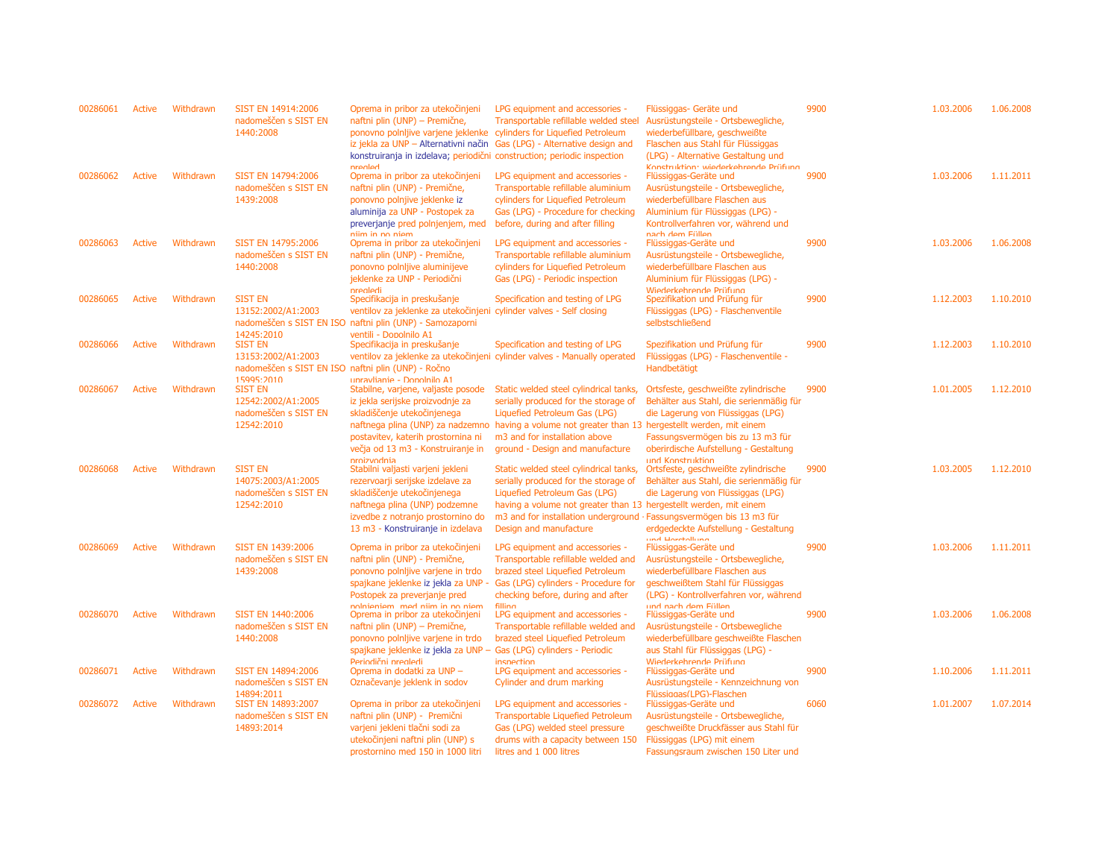| 00286061 | Active | Withdrawn | SIST EN 14914:2006<br>nadomeščen s SIST EN<br>1440:2008                                    | Oprema in pribor za utekočinjeni<br>naftni plin (UNP) - Premične,<br>ponovno polnljive varjene jeklenke cylinders for Liquefied Petroleum<br>iz jekla za UNP - Alternativni način<br>konstruiranja in izdelava; periodični construction; periodic inspection | LPG equipment and accessories -<br>Transportable refillable welded steel<br>Gas (LPG) - Alternative design and                                                                                                                                                                            | Flüssiggas- Geräte und<br>Ausrüstungsteile - Ortsbewegliche,<br>wiederbefüllbare, geschweißte<br>Flaschen aus Stahl für Flüssiggas<br>(LPG) - Alternative Gestaltung und                                       | 9900 | 1.03.2006 | 1.06.2008 |
|----------|--------|-----------|--------------------------------------------------------------------------------------------|--------------------------------------------------------------------------------------------------------------------------------------------------------------------------------------------------------------------------------------------------------------|-------------------------------------------------------------------------------------------------------------------------------------------------------------------------------------------------------------------------------------------------------------------------------------------|----------------------------------------------------------------------------------------------------------------------------------------------------------------------------------------------------------------|------|-----------|-----------|
| 00286062 | Active | Withdrawn | SIST EN 14794:2006<br>nadomeščen s SIST EN<br>1439:2008                                    | nranlad<br>Oprema in pribor za utekočinjeni<br>naftni plin (UNP) - Premične,<br>ponovno polnjive jeklenke iz<br>aluminija za UNP - Postopek za<br>preverjanje pred polnjenjem, med                                                                           | LPG equipment and accessories -<br>Transportable refillable aluminium<br>cylinders for Liquefied Petroleum<br>Gas (LPG) - Procedure for checking<br>before, during and after filling                                                                                                      | Konetruktion: wiederkehrende Prüfung<br>Flüssiggas-Geräte und<br>Ausrüstungsteile - Ortsbewegliche,<br>wiederbefüllbare Flaschen aus<br>Aluminium für Flüssiggas (LPG) -<br>Kontrollverfahren vor, während und | 9900 | 1.03.2006 | 1.11.2011 |
| 00286063 | Active | Withdrawn | SIST EN 14795:2006<br>nadomeščen s SIST EN<br>1440:2008                                    | niim in no niem<br>Oprema in pribor za utekočinjeni<br>naftni plin (UNP) - Premične,<br>ponovno polnijive aluminijeve<br>jeklenke za UNP - Periodični<br>nrealedi                                                                                            | LPG equipment and accessories -<br>Transportable refillable aluminium<br>cylinders for Liquefied Petroleum<br>Gas (LPG) - Periodic inspection                                                                                                                                             | nach dem Füllen<br>Flüssiggas-Geräte und<br>Ausrüstungsteile - Ortsbewegliche,<br>wiederbefüllbare Flaschen aus<br>Aluminium für Flüssiggas (LPG) -<br>Wiederkehrende Prüfung                                  | 9900 | 1.03.2006 | 1.06.2008 |
| 00286065 | Active | Withdrawn | <b>SIST EN</b><br>13152:2002/A1:2003<br>14245:2010                                         | Specifikacija in preskušanje<br>ventilov za jeklenke za utekočinjeni cylinder valves - Self closing<br>nadomeščen s SIST EN ISO naftni plin (UNP) - Samozaporni<br>ventili - Dopolnilo A1                                                                    | Specification and testing of LPG                                                                                                                                                                                                                                                          | Spezifikation und Prüfung für<br>Flüssiggas (LPG) - Flaschenventile<br>selbstschließend                                                                                                                        | 9900 | 1.12.2003 | 1.10.2010 |
| 00286066 | Active | Withdrawn | <b>SIST EN</b><br>13153:2002/A1:2003<br>nadomeščen s SIST EN ISO naftni plin (UNP) - Ročno | Specifikacija in preskušanje                                                                                                                                                                                                                                 | Specification and testing of LPG<br>ventilov za jeklenke za utekočinjeni cylinder valves - Manually operated                                                                                                                                                                              | Spezifikation und Prüfung für<br>Flüssiggas (LPG) - Flaschenventile -<br>Handbetätigt                                                                                                                          | 9900 | 1.12.2003 | 1.10.2010 |
| 00286067 | Active | Withdrawn | 15995:2010<br><b>SIST EN</b><br>12542:2002/A1:2005<br>nadomeščen s SIST EN<br>12542:2010   | upravlianie - Dopolnilo A1<br>Stabilne, varjene, valjaste posode<br>iz jekla serijske proizvodnje za<br>skladiščenje utekočinjenega<br>postavitev, katerih prostornina ni<br>večja od 13 m3 - Konstruiranje in                                               | Static welded steel cylindrical tanks,<br>serially produced for the storage of<br>Liquefied Petroleum Gas (LPG)<br>naftnega plina (UNP) za nadzemno having a volume not greater than 13 hergestellt werden, mit einem<br>m3 and for installation above<br>ground - Design and manufacture | Ortsfeste, geschweißte zylindrische<br>Behälter aus Stahl, die serienmäßig für<br>die Lagerung von Flüssiggas (LPG)<br>Fassungsvermögen bis zu 13 m3 für<br>oberirdische Aufstellung - Gestaltung              | 9900 | 1.01.2005 | 1.12.2010 |
| 00286068 | Active | Withdrawn | <b>SIST EN</b><br>14075:2003/A1:2005<br>nadomeščen s SIST EN<br>12542:2010                 | nroizvodnia<br>Stabilni valjasti varjeni jekleni<br>rezervoarji serijske izdelave za<br>skladiščenje utekočinjenega<br>naftnega plina (UNP) podzemne<br>izvedbe z notranjo prostornino do<br>13 m3 - Konstruiranje in izdelava                               | Static welded steel cylindrical tanks,<br>serially produced for the storage of<br>Liquefied Petroleum Gas (LPG)<br>having a volume not greater than 13 hergestellt werden, mit einem<br>m3 and for installation underground · Fassungsvermögen bis 13 m3 für<br>Design and manufacture    | und Konstruktion.<br>Ortsfeste, geschweißte zylindrische<br>Behälter aus Stahl, die serienmäßig für<br>die Lagerung von Flüssiggas (LPG)<br>erdgedeckte Aufstellung - Gestaltung                               | 9900 | 1.03.2005 | 1.12.2010 |
| 00286069 | Active | Withdrawn | SIST EN 1439:2006<br>nadomeščen s SIST EN<br>1439:2008                                     | Oprema in pribor za utekočinjeni<br>naftni plin (UNP) - Premične,<br>ponovno polnijive varjene in trdo<br>spajkane jeklenke iz jekla za UNP -<br>Postopek za preverjanje pred                                                                                | LPG equipment and accessories -<br>Transportable refillable welded and<br>brazed steel Liquefied Petroleum<br>Gas (LPG) cylinders - Procedure for<br>checking before, during and after                                                                                                    | und Horetollung<br>Flüssiggas-Geräte und<br>Ausrüstungsteile - Ortsbewegliche,<br>wiederbefüllbare Flaschen aus<br>geschweißtem Stahl für Flüssiggas<br>(LPG) - Kontrollverfahren vor, während                 | 9900 | 1.03.2006 | 1.11.2011 |
| 00286070 | Active | Withdrawn | SIST EN 1440:2006<br>nadomeščen s SIST EN<br>1440:2008                                     | nolnianiam mad niim in no niam<br>Oprema in pribor za utekočinjeni<br>naftni plin (UNP) – Premične,<br>ponovno polnijive varjene in trdo<br>spajkane jeklenke iz jekla za UNP - Gas (LPG) cylinders - Periodic<br>Periodični prealedi                        | filling<br>LPG equipment and accessories -<br>Transportable refillable welded and<br>brazed steel Liquefied Petroleum<br>incnection                                                                                                                                                       | und nach dem Füllen<br>Flüssiggas-Geräte und<br>Ausrüstungsteile - Ortsbewegliche<br>wiederbefüllbare geschweißte Flaschen<br>aus Stahl für Flüssiggas (LPG) -<br>Wiederkehrende Prüfung                       | 9900 | 1.03.2006 | 1.06.2008 |
| 00286071 | Active | Withdrawn | SIST EN 14894:2006<br>nadomeščen s SIST EN<br>14894:2011                                   | Oprema in dodatki za UNP -<br>Označevanje jeklenk in sodov                                                                                                                                                                                                   | LPG equipment and accessories -<br>Cylinder and drum marking                                                                                                                                                                                                                              | Flüssiggas-Geräte und<br>Ausrüstungsteile - Kennzeichnung von<br>Flüssiggas(LPG)-Flaschen                                                                                                                      | 9900 | 1.10.2006 | 1.11.2011 |
| 00286072 | Active | Withdrawn | SIST EN 14893:2007<br>nadomeščen s SIST EN<br>14893:2014                                   | Oprema in pribor za utekočinjeni<br>naftni plin (UNP) - Premični<br>varjeni jekleni tlačni sodi za<br>utekočinjeni naftni plin (UNP) s<br>prostornino med 150 in 1000 litri                                                                                  | LPG equipment and accessories -<br><b>Transportable Liquefied Petroleum</b><br>Gas (LPG) welded steel pressure<br>drums with a capacity between 150<br>litres and 1 000 litres                                                                                                            | Flüssiggas-Geräte und<br>Ausrüstungsteile - Ortsbewegliche,<br>geschweißte Druckfässer aus Stahl für<br>Flüssiggas (LPG) mit einem<br>Fassungsraum zwischen 150 Liter und                                      | 6060 | 1.01.2007 | 1.07.2014 |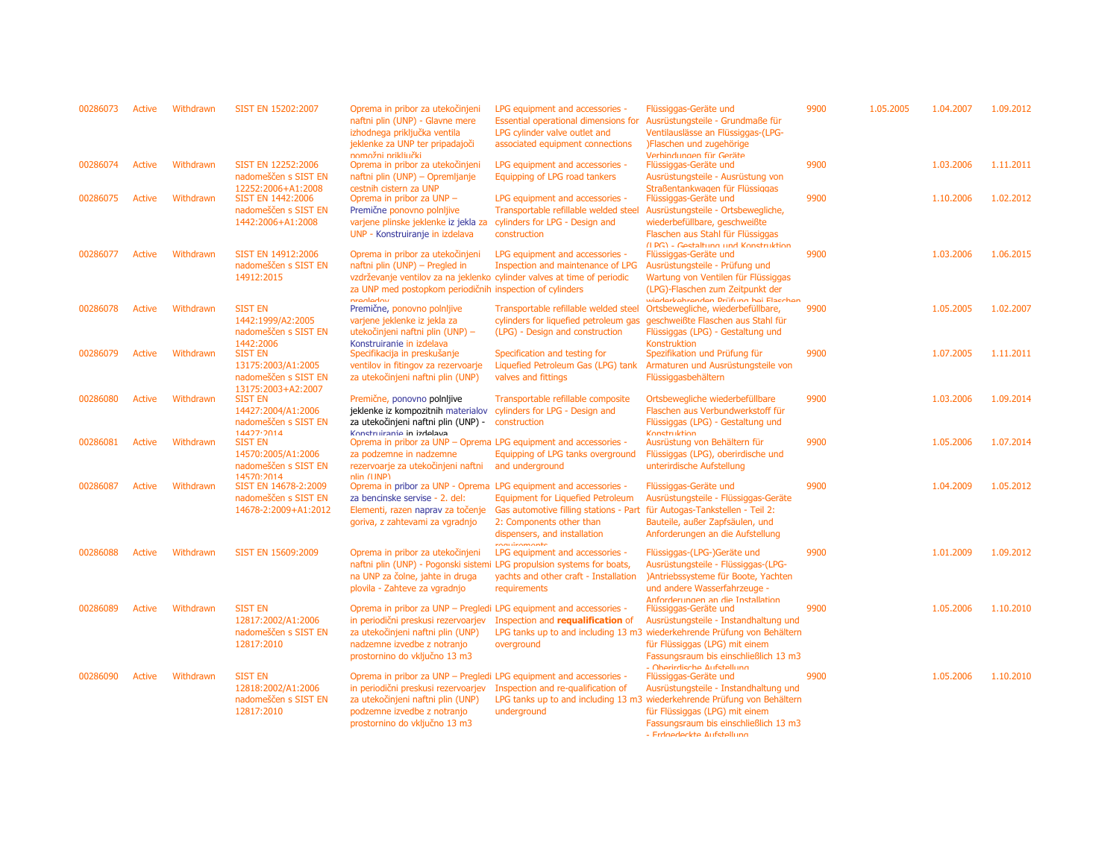| 00286073 | <b>Active</b> | Withdrawn | SIST EN 15202:2007                                                                 | Oprema in pribor za utekočinjeni<br>naftni plin (UNP) - Glavne mere<br>izhodnega priključka ventila<br>jeklenke za UNP ter pripadajoči<br>nomožni prikliučki                                                           | LPG equipment and accessories -<br>Essential operational dimensions for<br>LPG cylinder valve outlet and<br>associated equipment connections                   | Flüssiggas-Geräte und<br>Ausrüstungsteile - Grundmaße für<br>Ventilauslässe an Flüssiggas-(LPG-<br>)Flaschen und zugehörige<br>Verhindungen für Geräte                                                                                              | 9900 | 1.05.2005 | 1.04.2007 | 1.09.2012 |
|----------|---------------|-----------|------------------------------------------------------------------------------------|------------------------------------------------------------------------------------------------------------------------------------------------------------------------------------------------------------------------|----------------------------------------------------------------------------------------------------------------------------------------------------------------|-----------------------------------------------------------------------------------------------------------------------------------------------------------------------------------------------------------------------------------------------------|------|-----------|-----------|-----------|
| 00286074 | <b>Active</b> | Withdrawn | SIST EN 12252:2006<br>nadomeščen s SIST EN<br>12252:2006+A1:2008                   | Oprema in pribor za utekočinjeni<br>naftni plin (UNP) - Opremljanje<br>cestnih cistern za UNP                                                                                                                          | LPG equipment and accessories -<br>Equipping of LPG road tankers                                                                                               | Flüssiggas-Geräte und<br>Ausrüstungsteile - Ausrüstung von<br>Straßentankwagen für Flüssiggas                                                                                                                                                       | 9900 |           | 1.03.2006 | 1.11.2011 |
| 00286075 | <b>Active</b> | Withdrawn | SIST EN 1442:2006<br>nadomeščen s SIST EN<br>1442:2006+A1:2008                     | Oprema in pribor za UNP -<br>Premične ponovno polnijive<br>varjene plinske jeklenke iz jekla za<br>UNP - Konstruiranje in izdelava                                                                                     | LPG equipment and accessories -<br>Transportable refillable welded steel<br>cylinders for LPG - Design and<br>construction                                     | Flüssiggas-Geräte und<br>Ausrüstungsteile - Ortsbewegliche,<br>wiederbefüllbare, geschweißte<br>Flaschen aus Stahl für Flüssiggas<br>(IDG) - Goetaltung und Konetruktion                                                                            | 9900 |           | 1.10.2006 | 1.02.2012 |
| 00286077 | Active        | Withdrawn | SIST EN 14912:2006<br>nadomeščen s SIST EN<br>14912:2015                           | Oprema in pribor za utekočinjeni<br>naftni plin (UNP) - Pregled in<br>vzdrževanje ventilov za na jeklenko cylinder valves at time of periodic<br>za UNP med postopkom periodičnih inspection of cylinders<br>nranladou | LPG equipment and accessories -<br>Inspection and maintenance of LPG                                                                                           | Flüssiggas-Geräte und<br>Ausrüstungsteile - Prüfung und<br>Wartung von Ventilen für Flüssiggas<br>(LPG)-Flaschen zum Zeitpunkt der<br>wiederkehrenden Drüfung hei Flacchen                                                                          | 9900 |           | 1.03.2006 | 1.06.2015 |
| 00286078 | <b>Active</b> | Withdrawn | <b>SIST EN</b><br>1442:1999/A2:2005<br>nadomeščen s SIST EN<br>1442:2006           | Premične, ponovno polnijive<br>varjene jeklenke iz jekla za<br>utekočinjeni naftni plin (UNP) -<br>Konstruiranie in izdelava                                                                                           | Transportable refillable welded steel<br>cylinders for liquefied petroleum gas<br>(LPG) - Design and construction                                              | Ortsbewegliche, wiederbefüllbare,<br>geschweißte Flaschen aus Stahl für<br>Flüssiggas (LPG) - Gestaltung und<br>Konstruktion                                                                                                                        | 9900 |           | 1.05.2005 | 1.02.2007 |
| 00286079 | <b>Active</b> | Withdrawn | <b>SIST EN</b><br>13175:2003/A1:2005<br>nadomeščen s SIST EN<br>13175:2003+A2:2007 | Specifikacija in preskušanje<br>ventilov in fitingov za rezervoarje<br>za utekočinjeni naftni plin (UNP)                                                                                                               | Specification and testing for<br>Liquefied Petroleum Gas (LPG) tank<br>valves and fittings                                                                     | Spezifikation und Prüfung für<br>Armaturen und Ausrüstungsteile von<br>Flüssiggasbehältern                                                                                                                                                          | 9900 |           | 1.07.2005 | 1.11.2011 |
| 00286080 | <b>Active</b> | Withdrawn | <b>SIST EN</b><br>14427:2004/A1:2006<br>nadomeščen s SIST EN<br>14477.7014         | Premične, ponovno polnijive<br>jeklenke iz kompozitnih materialov<br>za utekočinjeni naftni plin (UNP) -<br>Konctruiranie in izdelava                                                                                  | Transportable refillable composite<br>cylinders for LPG - Design and<br>construction                                                                           | Ortsbewegliche wiederbefüllbare<br>Flaschen aus Verbundwerkstoff für<br>Flüssiggas (LPG) - Gestaltung und<br>Konctruktion                                                                                                                           | 9900 |           | 1.03.2006 | 1.09.2014 |
| 00286081 | Active        | Withdrawn | <b>SIST EN</b><br>14570:2005/A1:2006<br>nadomeščen s SIST EN<br>14570.2014         | Oprema in pribor za UNP - Oprema LPG equipment and accessories -<br>za podzemne in nadzemne<br>rezervoarje za utekočinjeni naftni<br>nlin (IINP)                                                                       | Equipping of LPG tanks overground<br>and underground                                                                                                           | Ausrüstung von Behältern für<br>Flüssiggas (LPG), oberirdische und<br>unterirdische Aufstellung                                                                                                                                                     | 9900 |           | 1.05.2006 | 1.07.2014 |
| 00286087 | <b>Active</b> | Withdrawn | SIST EN 14678-2:2009<br>nadomeščen s SIST EN<br>14678-2:2009+A1:2012               | Oprema in pribor za UNP - Oprema LPG equipment and accessories -<br>za bencinske servise - 2. del:<br>Elementi, razen naprav za točenje<br>goriva, z zahtevami za vgradnjo                                             | <b>Equipment for Liquefied Petroleum</b><br>Gas automotive filling stations - Part<br>2: Components other than<br>dispensers, and installation<br>roguiramante | Flüssiggas-Geräte und<br>Ausrüstungsteile - Flüssiggas-Geräte<br>für Autogas-Tankstellen - Teil 2:<br>Bauteile, außer Zapfsäulen, und<br>Anforderungen an die Aufstellung                                                                           | 9900 |           | 1.04.2009 | 1.05.2012 |
| 00286088 | <b>Active</b> | Withdrawn | SIST EN 15609:2009                                                                 | Oprema in pribor za utekočinjeni<br>naftni plin (UNP) - Pogonski sistemi LPG propulsion systems for boats,<br>na UNP za čolne, jahte in druga<br>plovila - Zahteve za vgradnjo                                         | LPG equipment and accessories -<br>yachts and other craft - Installation<br>requirements                                                                       | Flüssiggas-(LPG-)Geräte und<br>Ausrüstungsteile - Flüssiggas-(LPG-<br>)Antriebssysteme für Boote, Yachten<br>und andere Wasserfahrzeuge -<br>Anforderungen an die Installation                                                                      | 9900 |           | 1.01.2009 | 1.09.2012 |
| 00286089 | Active        | Withdrawn | <b>SIST EN</b><br>12817:2002/A1:2006<br>nadomeščen s SIST EN<br>12817:2010         | Oprema in pribor za UNP - Pregledi LPG equipment and accessories -<br>in periodični preskusi rezervoarjev<br>za utekočinjeni naftni plin (UNP)<br>nadzemne izvedbe z notranjo<br>prostornino do vključno 13 m3         | Inspection and requalification of<br>overground                                                                                                                | Flüssiggas-Geräte und<br>Ausrüstungsteile - Instandhaltung und<br>LPG tanks up to and including 13 m3 wiederkehrende Prüfung von Behältern<br>für Flüssiggas (LPG) mit einem<br>Fassungsraum bis einschließlich 13 m3<br>- Oharirdiecha Aufetallung | 9900 |           | 1.05.2006 | 1.10.2010 |
| 00286090 | <b>Active</b> | Withdrawn | <b>SIST EN</b><br>12818:2002/A1:2006<br>nadomeščen s SIST EN<br>12817:2010         | Oprema in pribor za UNP - Pregledi LPG equipment and accessories -<br>in periodični preskusi rezervoarjev<br>za utekočinjeni naftni plin (UNP)<br>podzemne izvedbe z notranjo<br>prostornino do vključno 13 m3         | Inspection and re-qualification of<br>underground                                                                                                              | Flüssiggas-Geräte und<br>Ausrüstungsteile - Instandhaltung und<br>LPG tanks up to and including 13 m3 wiederkehrende Prüfung von Behältern<br>für Flüssiggas (LPG) mit einem<br>Fassungsraum bis einschließlich 13 m3<br>- Erdnedeckte Aufstellung  | 9900 |           | 1.05.2006 | 1.10.2010 |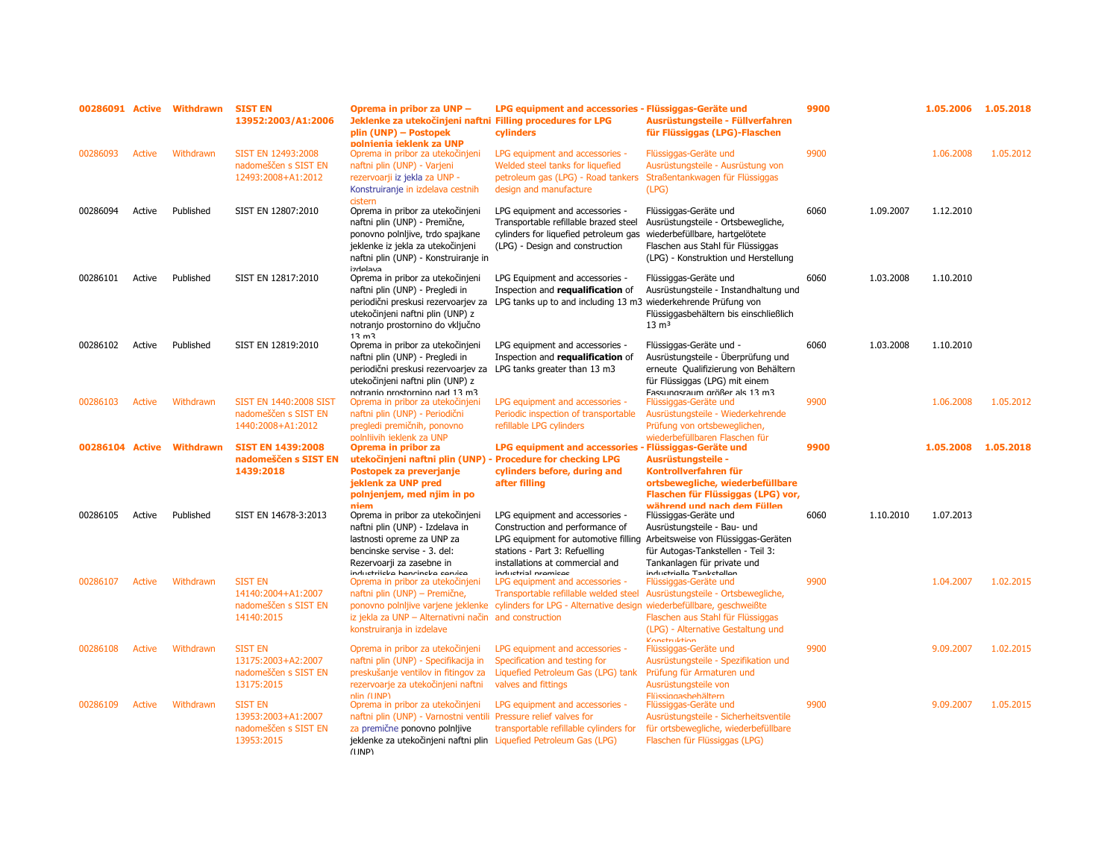| 00286091 Active |               | Withdrawn | <b>SIST EN</b><br>13952:2003/A1:2006                                       | Oprema in pribor za UNP -<br>Jeklenke za utekočinjeni naftni Filling procedures for LPG<br>plin (UNP) - Postopek<br>polnienia ieklenk za UNP                                                                                                  | LPG equipment and accessories - Flüssiggas-Geräte und<br>cylinders                                                                                                             | Ausrüstungsteile - Füllverfahren<br>für Flüssiggas (LPG)-Flaschen                                                                                                                                                 | 9900 |           | 1.05.2006           | 1.05.2018 |
|-----------------|---------------|-----------|----------------------------------------------------------------------------|-----------------------------------------------------------------------------------------------------------------------------------------------------------------------------------------------------------------------------------------------|--------------------------------------------------------------------------------------------------------------------------------------------------------------------------------|-------------------------------------------------------------------------------------------------------------------------------------------------------------------------------------------------------------------|------|-----------|---------------------|-----------|
| 00286093        | <b>Active</b> | Withdrawn | SIST EN 12493:2008<br>nadomeščen s SIST EN<br>12493:2008+A1:2012           | Oprema in pribor za utekočinjeni<br>naftni plin (UNP) - Varjeni<br>rezervoarji iz jekla za UNP -<br>Konstruiranje in izdelava cestnih<br>cistern                                                                                              | LPG equipment and accessories -<br>Welded steel tanks for liquefied<br>petroleum gas (LPG) - Road tankers<br>design and manufacture                                            | Flüssiggas-Geräte und<br>Ausrüstungsteile - Ausrüstung von<br>Straßentankwagen für Flüssiggas<br>(LPG)                                                                                                            | 9900 |           | 1.06.2008           | 1.05.2012 |
| 00286094        | Active        | Published | SIST EN 12807:2010                                                         | Oprema in pribor za utekočinjeni<br>naftni plin (UNP) - Premične,<br>ponovno polnijive, trdo spajkane<br>jeklenke iz jekla za utekočinjeni<br>naftni plin (UNP) - Konstruiranje in<br>cuclahri                                                | LPG equipment and accessories -<br>Transportable refillable brazed steel<br>cylinders for liquefied petroleum gas<br>(LPG) - Design and construction                           | Flüssiggas-Geräte und<br>Ausrüstungsteile - Ortsbewegliche,<br>wiederbefüllbare, hartgelötete<br>Flaschen aus Stahl für Flüssiggas<br>(LPG) - Konstruktion und Herstellung                                        | 6060 | 1.09.2007 | 1.12.2010           |           |
| 00286101        | Active        | Published | SIST EN 12817:2010                                                         | Oprema in pribor za utekočinjeni<br>naftni plin (UNP) - Pregledi in<br>periodični preskusi rezervoarjev za<br>utekočinjeni naftni plin (UNP) z<br>notranjo prostornino do vključno<br>12 m2                                                   | LPG Equipment and accessories -<br>Inspection and requalification of<br>LPG tanks up to and including 13 m3                                                                    | Flüssiggas-Geräte und<br>Ausrüstungsteile - Instandhaltung und<br>wiederkehrende Prüfung von<br>Flüssiggasbehältern bis einschließlich<br>$13 \text{ m}^3$                                                        | 6060 | 1.03.2008 | 1.10.2010           |           |
| 00286102        | Active        | Published | SIST EN 12819:2010                                                         | Oprema in pribor za utekočinjeni<br>naftni plin (UNP) - Pregledi in<br>periodični preskusi rezervoarjev za<br>utekočinjeni naftni plin (UNP) z<br>notranio prostornino nad 13 m3                                                              | LPG equipment and accessories -<br>Inspection and requalification of<br>LPG tanks greater than 13 m3                                                                           | Flüssiggas-Geräte und -<br>Ausrüstungsteile - Überprüfung und<br>erneute Qualifizierung von Behältern<br>für Flüssiggas (LPG) mit einem<br>Fassungsraum größer als 13 m3                                          | 6060 | 1.03.2008 | 1.10.2010           |           |
| 00286103        | <b>Active</b> | Withdrawn | SIST EN 1440:2008 SIST<br>nadomeščen s SIST EN<br>1440:2008+A1:2012        | Oprema in pribor za utekočinjeni<br>naftni plin (UNP) - Periodični<br>pregledi premičnih, ponovno                                                                                                                                             | LPG equipment and accessories -<br>Periodic inspection of transportable<br>refillable LPG cylinders                                                                            | Flüssiggas-Geräte und<br>Ausrüstungsteile - Wiederkehrende<br>Prüfung von ortsbeweglichen,                                                                                                                        | 9900 |           | 1.06.2008           | 1.05.2012 |
| 00286104 Active |               | Withdrawn | <b>SIST EN 1439:2008</b><br>nadomeščen s SIST EN<br>1439:2018              | polnliivih ieklenk za UNP<br>Oprema in pribor za<br>utekočinjeni naftni plin (UNP)<br>Postopek za preverjanje<br>jeklenk za UNP pred<br>polnjenjem, med njim in po<br>niem                                                                    | <b>LPG equipment and accessories -</b><br>- Procedure for checking LPG<br>cylinders before, during and<br>after filling                                                        | wiederbefüllbaren Flaschen für<br>- Flüssiggas-Geräte und<br>Ausrüstungsteile -<br>Kontrollverfahren für<br>ortsbewegliche, wiederbefüllbare<br>Flaschen für Flüssiggas (LPG) vor,<br>während und nach dem Füllen | 9900 |           | 1.05.2008 1.05.2018 |           |
| 00286105        | Active        | Published | SIST EN 14678-3:2013                                                       | Oprema in pribor za utekočinjeni<br>naftni plin (UNP) - Izdelava in<br>lastnosti opreme za UNP za<br>bencinske servise - 3. del:<br>Rezervoarji za zasebne in                                                                                 | LPG equipment and accessories -<br>Construction and performance of<br>LPG equipment for automotive filling<br>stations - Part 3: Refuelling<br>installations at commercial and | Flüssiggas-Geräte und<br>Ausrüstungsteile - Bau- und<br>Arbeitsweise von Flüssiggas-Geräten<br>für Autogas-Tankstellen - Teil 3:<br>Tankanlagen für private und                                                   | 6060 | 1.10.2010 | 1.07.2013           |           |
| 00286107        | <b>Active</b> | Withdrawn | <b>SIST EN</b><br>14140:2004+A1:2007<br>nadomeščen s SIST EN<br>14140:2015 | inductriicka hancineka canzica<br>Oprema in pribor za utekočinjeni<br>naftni plin (UNP) - Premične,<br>ponovno polnijive varjene jeklenke<br>iz jekla za UNP - Alternativni način and construction<br>konstruiranja in izdelave               | inductrial promices<br>LPG equipment and accessories -<br>Transportable refillable welded steel<br>cylinders for LPG - Alternative design                                      | inductrialla Tanketallan<br>Flüssiggas-Geräte und<br>Ausrüstungsteile - Ortsbewegliche,<br>wiederbefüllbare, geschweißte<br>Flaschen aus Stahl für Flüssiggas<br>(LPG) - Alternative Gestaltung und               | 9900 |           | 1.04.2007           | 1.02.2015 |
| 00286108        | Active        | Withdrawn | <b>SIST EN</b><br>13175:2003+A2:2007<br>nadomeščen s SIST EN<br>13175:2015 | Oprema in pribor za utekočinjeni<br>naftni plin (UNP) - Specifikacija in<br>preskušanje ventilov in fitingov za<br>rezervoarje za utekočinjeni naftni                                                                                         | LPG equipment and accessories -<br>Specification and testing for<br>Liquefied Petroleum Gas (LPG) tank<br>valves and fittings                                                  | Konetruktion<br>Flüssiggas-Geräte und<br>Ausrüstungsteile - Spezifikation und<br>Prüfung für Armaturen und<br>Ausrüstungsteile von                                                                                | 9900 |           | 9.09.2007           | 1.02.2015 |
| 00286109        | <b>Active</b> | Withdrawn | <b>SIST EN</b><br>13953:2003+A1:2007<br>nadomeščen s SIST EN<br>13953:2015 | nlin (UNP)<br>Oprema in pribor za utekočinjeni<br>naftni plin (UNP) - Varnostni ventili Pressure relief valves for<br>za premične ponovno polnijive<br>jeklenke za utekočinjeni naftni plin Liquefied Petroleum Gas (LPG)<br>$(1 \text{IND})$ | LPG equipment and accessories -<br>transportable refillable cylinders for                                                                                                      | Flüssinnashehältern<br>Flüssiggas-Geräte und<br>Ausrüstungsteile - Sicherheitsventile<br>für ortsbewegliche, wiederbefüllbare<br>Flaschen für Flüssiggas (LPG)                                                    | 9900 |           | 9.09.2007           | 1.05.2015 |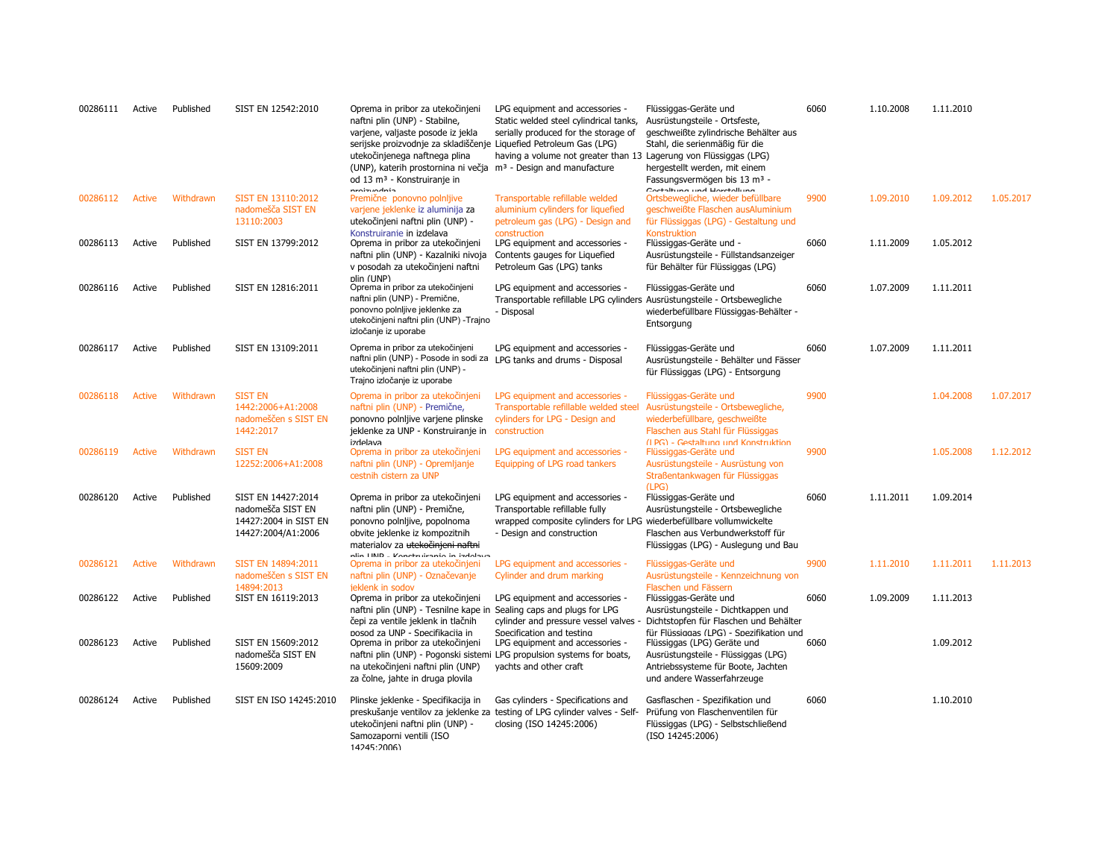| 00286111 | Active | Published | SIST EN 12542:2010                                                                     | Oprema in pribor za utekočinjeni<br>naftni plin (UNP) - Stabilne,<br>varjene, valjaste posode iz jekla<br>serijske proizvodnje za skladiščenje Liquefied Petroleum Gas (LPG)<br>utekočinjenega naftnega plina<br>(UNP), katerih prostornina ni večja m <sup>3</sup> - Design and manufacture<br>od 13 m <sup>3</sup> - Konstruiranje in | LPG equipment and accessories -<br>Static welded steel cylindrical tanks,<br>serially produced for the storage of<br>having a volume not greater than 13 Lagerung von Flüssiggas (LPG) | Flüssiggas-Geräte und<br>Ausrüstungsteile - Ortsfeste,<br>geschweißte zylindrische Behälter aus<br>Stahl, die serienmäßig für die<br>hergestellt werden, mit einem<br>Fassungsvermögen bis 13 m <sup>3</sup> - | 6060 | 1.10.2008 | 1.11.2010 |           |
|----------|--------|-----------|----------------------------------------------------------------------------------------|-----------------------------------------------------------------------------------------------------------------------------------------------------------------------------------------------------------------------------------------------------------------------------------------------------------------------------------------|----------------------------------------------------------------------------------------------------------------------------------------------------------------------------------------|----------------------------------------------------------------------------------------------------------------------------------------------------------------------------------------------------------------|------|-----------|-----------|-----------|
| 00286112 | Active | Withdrawn | SIST EN 13110:2012<br>nadomešča SIST EN<br>13110:2003                                  | nenim melnin<br>Premične ponovno polnijive<br>varjene jeklenke iz aluminija za<br>utekočinjeni naftni plin (UNP) -                                                                                                                                                                                                                      | Transportable refillable welded<br>aluminium cylinders for liquefied<br>petroleum gas (LPG) - Design and                                                                               | Contaituna und Homtolluna<br>Ortsbewegliche, wieder befüllbare<br>geschweißte Flaschen ausAluminium<br>für Flüssiggas (LPG) - Gestaltung und                                                                   | 9900 | 1.09.2010 | 1.09.2012 | 1.05.2017 |
| 00286113 | Active | Published | SIST EN 13799:2012                                                                     | Konstruiranie in izdelava<br>Oprema in pribor za utekočinjeni<br>naftni plin (UNP) - Kazalniki nivoja<br>v posodah za utekočinjeni naftni                                                                                                                                                                                               | construction<br>LPG equipment and accessories -<br>Contents gauges for Liquefied<br>Petroleum Gas (LPG) tanks                                                                          | Konstruktion<br>Flüssiggas-Geräte und -<br>Ausrüstungsteile - Füllstandsanzeiger<br>für Behälter für Flüssiggas (LPG)                                                                                          | 6060 | 1.11.2009 | 1.05.2012 |           |
| 00286116 | Active | Published | SIST EN 12816:2011                                                                     | plin (UNP)<br>Oprema in pribor za utekočinjeni<br>naftni plin (UNP) - Premične,<br>ponovno polnljive jeklenke za<br>utekočinjeni naftni plin (UNP) - Trajno<br>izločanje iz uporabe                                                                                                                                                     | LPG equipment and accessories -<br>Transportable refillable LPG cylinders Ausrüstungsteile - Ortsbewegliche<br>- Disposal                                                              | Flüssiggas-Geräte und<br>wiederbefüllbare Flüssiggas-Behälter -<br>Entsorgung                                                                                                                                  | 6060 | 1.07.2009 | 1.11.2011 |           |
| 00286117 | Active | Published | SIST EN 13109:2011                                                                     | Oprema in pribor za utekočinjeni<br>naftni plin (UNP) - Posode in sodi za LPG tanks and drums - Disposal<br>utekočinjeni naftni plin (UNP) -<br>Trajno izločanje iz uporabe                                                                                                                                                             | LPG equipment and accessories -                                                                                                                                                        | Flüssiggas-Geräte und<br>Ausrüstungsteile - Behälter und Fässer<br>für Flüssiggas (LPG) - Entsorgung                                                                                                           | 6060 | 1.07.2009 | 1.11.2011 |           |
| 00286118 | Active | Withdrawn | <b>SIST EN</b><br>1442:2006+A1:2008<br>nadomeščen s SIST EN<br>1442:2017               | Oprema in pribor za utekočinjeni<br>naftni plin (UNP) - Premične,<br>ponovno polnljive varjene plinske<br>jeklenke za UNP - Konstruiranje in<br>izdelava                                                                                                                                                                                | LPG equipment and accessories -<br>Transportable refillable welded steel<br>cylinders for LPG - Design and<br>construction                                                             | Flüssiggas-Geräte und<br>Ausrüstungsteile - Ortsbewegliche,<br>wiederbefüllbare, geschweißte<br>Flaschen aus Stahl für Flüssiggas                                                                              | 9900 |           | 1.04.2008 | 1.07.2017 |
| 00286119 | Active | Withdrawn | <b>SIST EN</b><br>12252:2006+A1:2008                                                   | Oprema in pribor za utekočinjeni<br>naftni plin (UNP) - Opremljanje<br>cestnih cistern za UNP                                                                                                                                                                                                                                           | LPG equipment and accessories -<br>Equipping of LPG road tankers                                                                                                                       | (IPG) - Gestaltung und Konstruktion<br>Flüssiggas-Geräte und<br>Ausrüstungsteile - Ausrüstung von<br>Straßentankwagen für Flüssiggas<br>(LPG)                                                                  | 9900 |           | 1.05.2008 | 1.12.2012 |
| 00286120 | Active | Published | SIST EN 14427:2014<br>nadomešča SIST EN<br>14427:2004 in SIST EN<br>14427:2004/A1:2006 | Oprema in pribor za utekočinjeni<br>naftni plin (UNP) - Premične,<br>ponovno polnljive, popolnoma<br>obvite jeklenke iz kompozitnih<br>materialov za utekočinjeni naftni<br>nlin IIND - Konctruiranio in iadolaua                                                                                                                       | LPG equipment and accessories -<br>Transportable refillable fully<br>wrapped composite cylinders for LPG wiederbefüllbare vollumwickelte<br>- Design and construction                  | Flüssiggas-Geräte und<br>Ausrüstungsteile - Ortsbewegliche<br>Flaschen aus Verbundwerkstoff für<br>Flüssiggas (LPG) - Auslegung und Bau                                                                        | 6060 | 1.11.2011 | 1.09.2014 |           |
| 00286121 | Active | Withdrawn | SIST EN 14894:2011<br>nadomeščen s SIST EN<br>14894:2013                               | Oprema in pribor za utekočinjeni<br>naftni plin (UNP) - Označevanje<br>jeklenk in sodov                                                                                                                                                                                                                                                 | LPG equipment and accessories -<br>Cylinder and drum marking                                                                                                                           | Flüssiggas-Geräte und<br>Ausrüstungsteile - Kennzeichnung von<br>Flaschen und Fässern                                                                                                                          | 9900 | 1.11.2010 | 1.11.2011 | 1.11.2013 |
| 00286122 | Active | Published | SIST EN 16119:2013                                                                     | Oprema in pribor za utekočinjeni<br>naftni plin (UNP) - Tesnilne kape in Sealing caps and plugs for LPG<br>čepi za ventile jeklenk in tlačnih                                                                                                                                                                                           | LPG equipment and accessories -<br>cylinder and pressure vessel valves -                                                                                                               | Flüssiggas-Geräte und<br>Ausrüstungsteile - Dichtkappen und<br>Dichtstopfen für Flaschen und Behälter                                                                                                          | 6060 | 1.09.2009 | 1.11.2013 |           |
| 00286123 | Active | Published | SIST EN 15609:2012<br>nadomešča SIST EN<br>15609:2009                                  | nosod za UNP - Snecifikacija in<br>Oprema in pribor za utekočinjeni<br>naftni plin (UNP) - Pogonski sistemi LPG propulsion systems for boats,<br>na utekočinjeni naftni plin (UNP)<br>za čolne, jahte in druga plovila                                                                                                                  | Specification and testing<br>LPG equipment and accessories -<br>yachts and other craft                                                                                                 | für Flüssiggas (LPG) - Spezifikation und<br>Flüssiggas (LPG) Geräte und<br>Ausrüstungsteile - Flüssiggas (LPG)<br>Antriebssysteme für Boote, Jachten<br>und andere Wasserfahrzeuge                             | 6060 |           | 1.09.2012 |           |
| 00286124 | Active | Published | SIST EN ISO 14245:2010                                                                 | Plinske jeklenke - Specifikacija in<br>utekočinjeni naftni plin (UNP) -<br>Samozaporni ventili (ISO<br>14245.2006)                                                                                                                                                                                                                      | Gas cylinders - Specifications and<br>preskušanje ventilov za jeklenke za testing of LPG cylinder valves - Self-<br>closing (ISO 14245:2006)                                           | Gasflaschen - Spezifikation und<br>Prüfung von Flaschenventilen für<br>Flüssiggas (LPG) - Selbstschließend<br>(ISO 14245:2006)                                                                                 | 6060 |           | 1.10.2010 |           |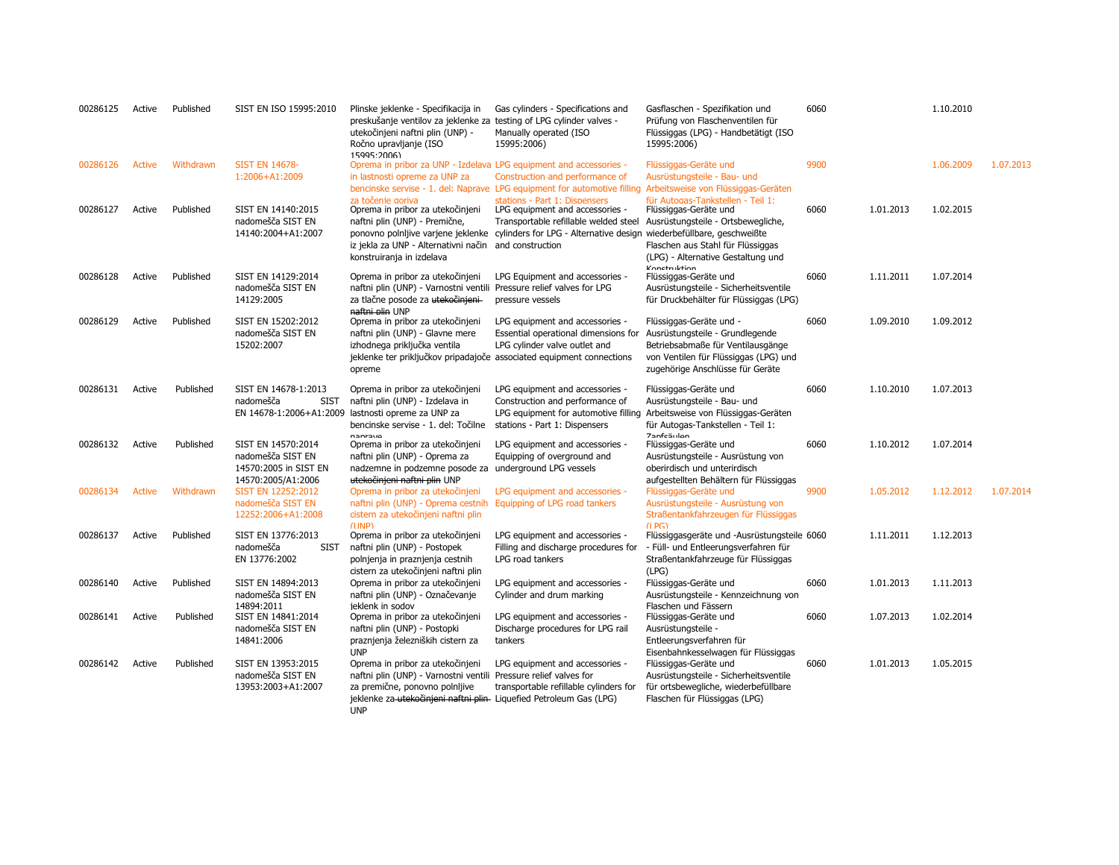| 00286125 | Active | Published | SIST EN ISO 15995:2010                                                                 | Plinske jeklenke - Specifikacija in<br>preskušanje ventilov za jeklenke za testing of LPG cylinder valves -<br>utekočinjeni naftni plin (UNP) -<br>Ročno upravljanje (ISO<br>15995:2006                                    | Gas cylinders - Specifications and<br>Manually operated (ISO<br>15995:2006)                                                                                                            | Gasflaschen - Spezifikation und<br>Prüfung von Flaschenventilen für<br>Flüssiggas (LPG) - Handbetätigt (ISO<br>15995:2006)                                                                                                                        | 6060 |           | 1.10.2010 |           |
|----------|--------|-----------|----------------------------------------------------------------------------------------|----------------------------------------------------------------------------------------------------------------------------------------------------------------------------------------------------------------------------|----------------------------------------------------------------------------------------------------------------------------------------------------------------------------------------|---------------------------------------------------------------------------------------------------------------------------------------------------------------------------------------------------------------------------------------------------|------|-----------|-----------|-----------|
| 00286126 | Active | Withdrawn | <b>SIST EN 14678-</b><br>1:2006+A1:2009                                                | Oprema in pribor za UNP - Izdelava LPG equipment and accessories -<br>in lastnosti opreme za UNP za                                                                                                                        | Construction and performance of<br>bencinske servise - 1. del: Naprave LPG equipment for automotive filling                                                                            | Flüssiggas-Geräte und<br>Ausrüstungsteile - Bau- und<br>Arbeitsweise von Flüssiggas-Geräten                                                                                                                                                       | 9900 |           | 1.06.2009 | 1.07.2013 |
| 00286127 | Active | Published | SIST EN 14140:2015<br>nadomešča SIST EN<br>14140:2004+A1:2007                          | za točenie goriva<br>Oprema in pribor za utekočinjeni<br>naftni plin (UNP) - Premične,<br>iz jekla za UNP - Alternativni način and construction<br>konstruiranja in izdelava                                               | stations - Part 1: Dispensers<br>LPG equipment and accessories -<br>Transportable refillable welded steel<br>ponovno polnljive varjene jeklenke cylinders for LPG - Alternative design | für Autogas-Tankstellen - Teil 1:<br>Flüssiggas-Geräte und<br>Ausrüstungsteile - Ortsbewegliche,<br>wiederbefüllbare, geschweißte<br>Flaschen aus Stahl für Flüssiggas<br>(LPG) - Alternative Gestaltung und<br><b><i><u>Vonctrubtion</u></i></b> | 6060 | 1.01.2013 | 1.02.2015 |           |
| 00286128 | Active | Published | SIST EN 14129:2014<br>nadomešča SIST EN<br>14129:2005                                  | Oprema in pribor za utekočinjeni<br>naftni plin (UNP) - Varnostni ventili<br>za tlačne posode za utekočinjeni-<br>naftni plin UNP                                                                                          | LPG Equipment and accessories -<br>Pressure relief valves for LPG<br>pressure vessels                                                                                                  | Flüssiggas-Geräte und<br>Ausrüstungsteile - Sicherheitsventile<br>für Druckbehälter für Flüssiggas (LPG)                                                                                                                                          | 6060 | 1.11.2011 | 1.07.2014 |           |
| 00286129 | Active | Published | SIST EN 15202:2012<br>nadomešča SIST EN<br>15202:2007                                  | Oprema in pribor za utekočinjeni<br>naftni plin (UNP) - Glavne mere<br>izhodnega priključka ventila<br>jeklenke ter priključkov pripadajoče associated equipment connections<br>opreme                                     | LPG equipment and accessories -<br>Essential operational dimensions for<br>LPG cylinder valve outlet and                                                                               | Flüssiggas-Geräte und -<br>Ausrüstungsteile - Grundlegende<br>Betriebsabmaße für Ventilausgänge<br>von Ventilen für Flüssiggas (LPG) und<br>zugehörige Anschlüsse für Geräte                                                                      | 6060 | 1.09.2010 | 1.09.2012 |           |
| 00286131 | Active | Published | SIST EN 14678-1:2013<br>nadomešča<br><b>SIST</b><br>EN 14678-1:2006+A1:2009            | Oprema in pribor za utekočinjeni<br>naftni plin (UNP) - Izdelava in<br>lastnosti opreme za UNP za<br>bencinske servise - 1. del: Točilne<br>nanrave                                                                        | LPG equipment and accessories -<br>Construction and performance of<br>LPG equipment for automotive filling<br>stations - Part 1: Dispensers                                            | Flüssiggas-Geräte und<br>Ausrüstungsteile - Bau- und<br>Arbeitsweise von Flüssiggas-Geräten<br>für Autogas-Tankstellen - Teil 1:<br><b>Zanfeäulen</b>                                                                                             | 6060 | 1.10.2010 | 1.07.2013 |           |
| 00286132 | Active | Published | SIST EN 14570:2014<br>nadomešča SIST EN<br>14570:2005 in SIST EN<br>14570:2005/A1:2006 | Oprema in pribor za utekočinjeni<br>naftni plin (UNP) - Oprema za<br>nadzemne in podzemne posode za underground LPG vessels<br>utekočinjeni naftni plin UNP                                                                | LPG equipment and accessories -<br>Equipping of overground and                                                                                                                         | Flüssiggas-Geräte und<br>Ausrüstungsteile - Ausrüstung von<br>oberirdisch und unterirdisch<br>aufgestellten Behältern für Flüssiggas                                                                                                              | 6060 | 1.10.2012 | 1.07.2014 |           |
| 00286134 | Active | Withdrawn | SIST EN 12252:2012<br>nadomešča SIST EN<br>12252:2006+A1:2008                          | Oprema in pribor za utekočinjeni<br>naftni plin (UNP) - Oprema cestnih<br>cistern za utekočinjeni naftni plin<br>$(1 \text{ } \text{IND})$                                                                                 | LPG equipment and accessories -<br>Equipping of LPG road tankers                                                                                                                       | Flüssiggas-Geräte und<br>Ausrüstungsteile - Ausrüstung von<br>Straßentankfahrzeugen für Flüssiggas<br>$(1)$ $PG$ )                                                                                                                                | 9900 | 1.05.2012 | 1.12.2012 | 1.07.2014 |
| 00286137 | Active | Published | SIST EN 13776:2013<br>nadomešča<br><b>SIST</b><br>EN 13776:2002                        | Oprema in pribor za utekočinjeni<br>naftni plin (UNP) - Postopek<br>polnjenja in praznjenja cestnih<br>cistern za utekočinjeni naftni plin                                                                                 | LPG equipment and accessories -<br>Filling and discharge procedures for<br>LPG road tankers                                                                                            | Flüssiggasgeräte und -Ausrüstungsteile 6060<br>- Füll- und Entleerungsverfahren für<br>Straßentankfahrzeuge für Flüssiggas<br>(LPG)                                                                                                               |      | 1.11.2011 | 1.12.2013 |           |
| 00286140 | Active | Published | SIST EN 14894:2013<br>nadomešča SIST EN                                                | Oprema in pribor za utekočinjeni<br>naftni plin (UNP) - Označevanje                                                                                                                                                        | LPG equipment and accessories -<br>Cylinder and drum marking                                                                                                                           | Flüssiggas-Geräte und<br>Ausrüstungsteile - Kennzeichnung von                                                                                                                                                                                     | 6060 | 1.01.2013 | 1.11.2013 |           |
| 00286141 | Active | Published | 14894:2011<br>SIST EN 14841:2014<br>nadomešča SIST EN<br>14841:2006                    | jeklenk in sodov<br>Oprema in pribor za utekočinjeni<br>naftni plin (UNP) - Postopki<br>praznjenja železniških cistern za<br><b>UNP</b>                                                                                    | LPG equipment and accessories -<br>Discharge procedures for LPG rail<br>tankers                                                                                                        | Flaschen und Fässern<br>Flüssiggas-Geräte und<br>Ausrüstungsteile -<br>Entleerungsverfahren für<br>Eisenbahnkesselwagen für Flüssiggas                                                                                                            | 6060 | 1.07.2013 | 1.02.2014 |           |
| 00286142 | Active | Published | SIST EN 13953:2015<br>nadomešča SIST EN<br>13953:2003+A1:2007                          | Oprema in pribor za utekočinjeni<br>naftni plin (UNP) - Varnostni ventili Pressure relief valves for<br>za premične, ponovno polnljive<br>jeklenke za utekočinjeni naftni plin Liquefied Petroleum Gas (LPG)<br><b>UNP</b> | LPG equipment and accessories -<br>transportable refillable cylinders for                                                                                                              | Flüssiggas-Geräte und<br>Ausrüstungsteile - Sicherheitsventile<br>für ortsbewegliche, wiederbefüllbare<br>Flaschen für Flüssiggas (LPG)                                                                                                           | 6060 | 1.01.2013 | 1.05.2015 |           |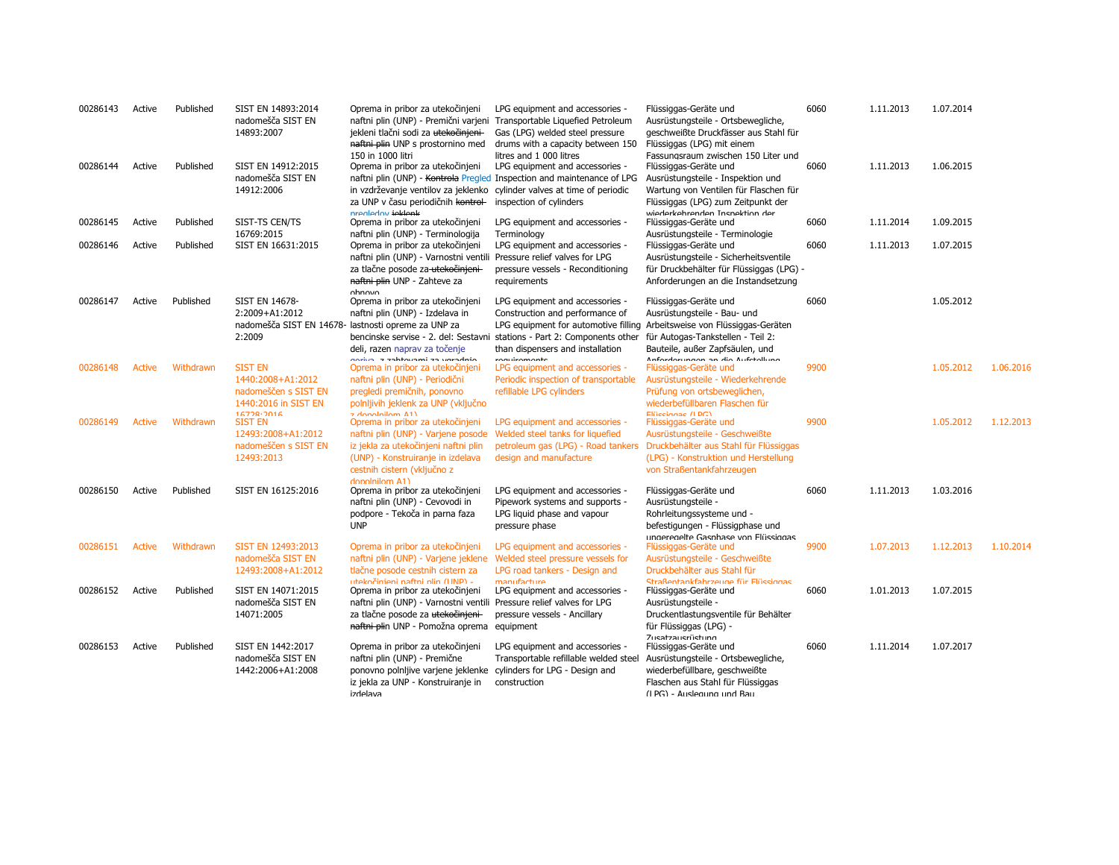| 00286143 | Active        | Published | SIST EN 14893:2014<br>nadomešča SIST EN<br>14893:2007                                             | Oprema in pribor za utekočinjeni<br>naftni plin (UNP) - Premični varjeni Transportable Liquefied Petroleum<br>jekleni tlačni sodi za utekočinjeni-<br>naftni plin UNP s prostornino med<br>150 in 1000 litri | LPG equipment and accessories -<br>Gas (LPG) welded steel pressure<br>drums with a capacity between 150<br>litres and 1 000 litres                                                 | Flüssiggas-Geräte und<br>Ausrüstungsteile - Ortsbewegliche,<br>geschweißte Druckfässer aus Stahl für<br>Flüssiggas (LPG) mit einem<br>Fassungsraum zwischen 150 Liter und                                | 6060 | 1.11.2013 | 1.07.2014 |           |
|----------|---------------|-----------|---------------------------------------------------------------------------------------------------|--------------------------------------------------------------------------------------------------------------------------------------------------------------------------------------------------------------|------------------------------------------------------------------------------------------------------------------------------------------------------------------------------------|----------------------------------------------------------------------------------------------------------------------------------------------------------------------------------------------------------|------|-----------|-----------|-----------|
| 00286144 | Active        | Published | SIST EN 14912:2015<br>nadomešča SIST EN<br>14912:2006                                             | Oprema in pribor za utekočinjeni<br>in vzdrževanje ventilov za jeklenko<br>za UNP v času periodičnih kontrol-<br>prealedov jeklenk                                                                           | LPG equipment and accessories -<br>naftni plin (UNP) - Kontrola Pregled Inspection and maintenance of LPG<br>cylinder valves at time of periodic<br>inspection of cylinders        | Flüssiggas-Geräte und<br>Ausrüstungsteile - Inspektion und<br>Wartung von Ventilen für Flaschen für<br>Flüssiggas (LPG) zum Zeitpunkt der<br>wiederkehrenden Insnektion der                              | 6060 | 1.11.2013 | 1.06.2015 |           |
| 00286145 | Active        | Published | SIST-TS CEN/TS<br>16769:2015                                                                      | Oprema in pribor za utekočinjeni<br>naftni plin (UNP) - Terminologija                                                                                                                                        | LPG equipment and accessories -<br>Terminology                                                                                                                                     | Flüssiggas-Geräte und<br>Ausrüstungsteile - Terminologie                                                                                                                                                 | 6060 | 1.11.2014 | 1.09.2015 |           |
| 00286146 | Active        | Published | SIST EN 16631:2015                                                                                | Oprema in pribor za utekočinjeni<br>naftni plin (UNP) - Varnostni ventili<br>za tlačne posode za utekočinjeni-<br>naftni plin UNP - Zahteve za<br>nhnnvn                                                     | LPG equipment and accessories -<br>Pressure relief valves for LPG<br>pressure vessels - Reconditioning<br>requirements                                                             | Flüssiggas-Geräte und<br>Ausrüstungsteile - Sicherheitsventile<br>für Druckbehälter für Flüssiggas (LPG) -<br>Anforderungen an die Instandsetzung                                                        | 6060 | 1.11.2013 | 1.07.2015 |           |
| 00286147 | Active        | Published | SIST EN 14678-<br>2:2009+A1:2012<br>2:2009                                                        | Oprema in pribor za utekočinjeni<br>naftni plin (UNP) - Izdelava in<br>nadomešča SIST EN 14678- lastnosti opreme za UNP za<br>deli, razen naprav za točenje                                                  | LPG equipment and accessories -<br>Construction and performance of<br>bencinske servise - 2. del: Sestavni stations - Part 2: Components other<br>than dispensers and installation | Flüssiggas-Geräte und<br>Ausrüstungsteile - Bau- und<br>LPG equipment for automotive filling Arbeitsweise von Flüssiggas-Geräten<br>für Autogas-Tankstellen - Teil 2:<br>Bauteile, außer Zapfsäulen, und | 6060 |           | 1.05.2012 |           |
| 00286148 | Active        | Withdrawn | <b>SIST EN</b><br>1440:2008+A1:2012<br>nadomeščen s SIST EN<br>1440:2016 in SIST EN<br>16778.7016 | onrino zahtavami za varadnio<br>Oprema in pribor za utekočinjeni<br>naftni plin (UNP) - Periodični<br>pregledi premičnih, ponovno<br>polnijivih jeklenk za UNP (vključno<br>z donolnilom A1)                 | ranuiramante<br>LPG equipment and accessories -<br>Periodic inspection of transportable<br>refillable LPG cylinders                                                                | Anfordarungan an dia Aufetallung<br>Flüssiggas-Geräte und<br>Ausrüstungsteile - Wiederkehrende<br>Prüfung von ortsbeweglichen,<br>wiederbefüllbaren Flaschen für<br>Elijecianae (LDC)                    | 9900 |           | 1.05.2012 | 1.06.2016 |
| 00286149 | <b>Active</b> | Withdrawn | <b>SIST EN</b><br>12493:2008+A1:2012<br>nadomeščen s SIST EN<br>12493:2013                        | Oprema in pribor za utekočinjeni<br>naftni plin (UNP) - Varjene posode<br>iz jekla za utekočinjeni naftni plin<br>(UNP) - Konstruiranje in izdelava<br>cestnih cistern (vključno z<br>donolnilom A1)         | LPG equipment and accessories -<br>Welded steel tanks for liquefied<br>petroleum gas (LPG) - Road tankers<br>design and manufacture                                                | Flüssiggas-Geräte und<br>Ausrüstungsteile - Geschweißte<br>Druckbehälter aus Stahl für Flüssiggas<br>(LPG) - Konstruktion und Herstellung<br>von Straßentankfahrzeugen                                   | 9900 |           | 1.05.2012 | 1.12.2013 |
| 00286150 | Active        | Published | SIST EN 16125:2016                                                                                | Oprema in pribor za utekočinjeni<br>naftni plin (UNP) - Cevovodi in<br>podpore - Tekoča in parna faza<br><b>UNP</b>                                                                                          | LPG equipment and accessories -<br>Pipework systems and supports -<br>LPG liquid phase and vapour<br>pressure phase                                                                | Flüssiggas-Geräte und<br>Ausrüstungsteile -<br>Rohrleitungssysteme und -<br>befestigungen - Flüssigphase und<br>ungeregelte Gasphase von Flüssiggas                                                      | 6060 | 1.11.2013 | 1.03.2016 |           |
| 00286151 | Active        | Withdrawn | SIST EN 12493:2013<br>nadomešča SIST EN<br>12493:2008+A1:2012                                     | Oprema in pribor za utekočinjeni<br>naftni plin (UNP) - Varjene jeklene Welded steel pressure vessels for<br>tlačne posode cestnih cistern za<br>utekočinjeni naftni nlin (UNP) -                            | LPG equipment and accessories -<br>LPG road tankers - Design and<br>manufacture                                                                                                    | Flüssiggas-Geräte und<br>Ausrüstungsteile - Geschweißte<br>Druckbehälter aus Stahl für<br>Straßentankfahrzeuge für Elüssiggas                                                                            | 9900 | 1.07.2013 | 1.12.2013 | 1.10.2014 |
| 00286152 | Active        | Published | SIST EN 14071:2015<br>nadomešča SIST EN<br>14071:2005                                             | Oprema in pribor za utekočinjeni<br>naftni plin (UNP) - Varnostni ventili<br>za tlačne posode za utekočinjeni-<br>naftni plin UNP - Pomožna oprema equipment                                                 | LPG equipment and accessories -<br>Pressure relief valves for LPG<br>pressure vessels - Ancillary                                                                                  | Flüssiggas-Geräte und<br>Ausrüstungsteile -<br>Druckentlastungsventile für Behälter<br>für Flüssiggas (LPG) -<br><b>Zusatzausrüstung</b>                                                                 | 6060 | 1.01.2013 | 1.07.2015 |           |
| 00286153 | Active        | Published | SIST EN 1442:2017<br>nadomešča SIST EN<br>1442:2006+A1:2008                                       | Oprema in pribor za utekočinjeni<br>naftni plin (UNP) - Premične<br>ponovno polnijive varjene jeklenke cylinders for LPG - Design and<br>iz jekla za UNP - Konstruiranje in<br>izdelava                      | LPG equipment and accessories -<br>Transportable refillable welded steel<br>construction                                                                                           | Flüssiggas-Geräte und<br>Ausrüstungsteile - Ortsbewegliche,<br>wiederbefüllbare, geschweißte<br>Flaschen aus Stahl für Flüssiggas<br>(IPG) - Audenung und Bau                                            | 6060 | 1.11.2014 | 1.07.2017 |           |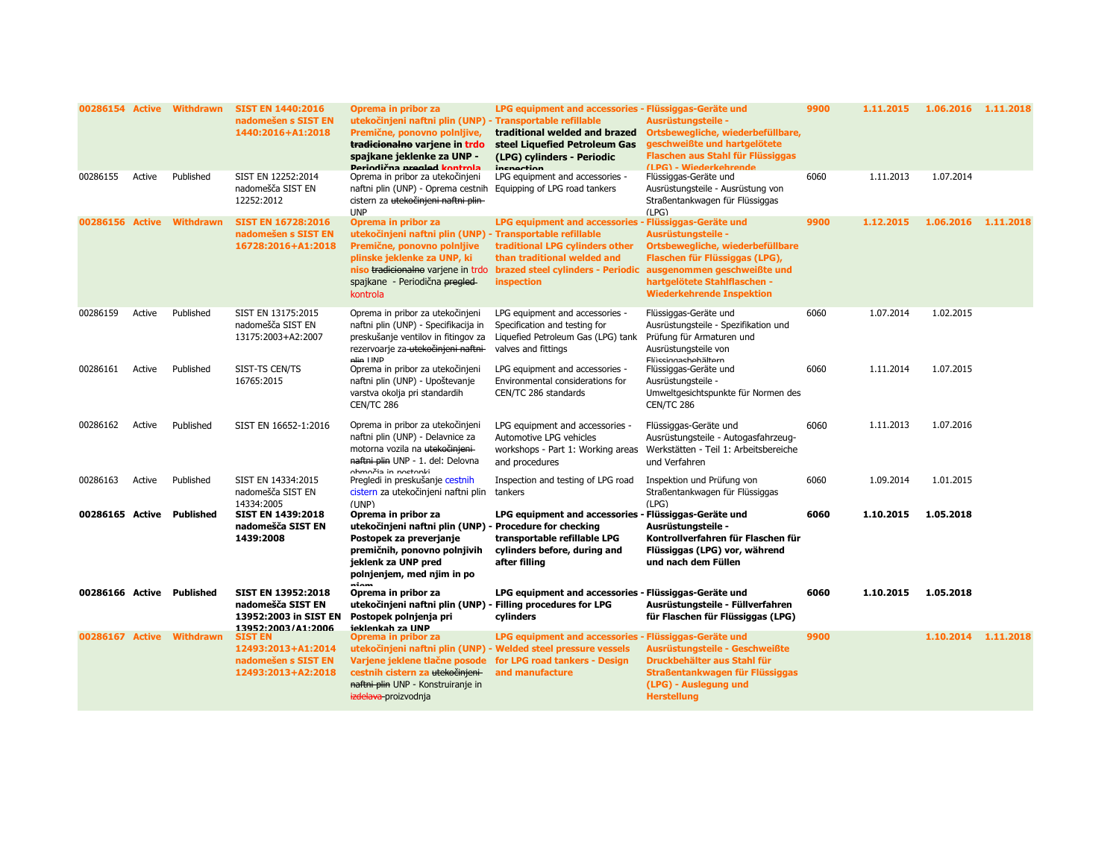| 00286154 Active           |        | <b>Withdrawn</b> | <b>SIST EN 1440:2016</b><br>nadomešen s SIST EN<br>1440:2016+A1:2018                          | Oprema in pribor za<br>utekočinjeni naftni plin (UNP) - Transportable refillable<br>Premične, ponovno polnljive,<br>tradicionalno varjene in trdo<br>spajkane jeklenke za UNP -<br>Deriodična nregled kontrola                     | LPG equipment and accessories - Flüssiggas-Geräte und<br>traditional welded and brazed<br>steel Liquefied Petroleum Gas<br>(LPG) cylinders - Periodic<br>inenaction               | Ausrüstungsteile -<br>Ortsbewegliche, wiederbefüllbare,<br>geschweißte und hartgelötete<br>Flaschen aus Stahl für Flüssiggas<br>(I PG) - Wiederkehrende                                     | 9900 | 1.11.2015 | 1.06.2016 1.11.2018 |           |
|---------------------------|--------|------------------|-----------------------------------------------------------------------------------------------|------------------------------------------------------------------------------------------------------------------------------------------------------------------------------------------------------------------------------------|-----------------------------------------------------------------------------------------------------------------------------------------------------------------------------------|---------------------------------------------------------------------------------------------------------------------------------------------------------------------------------------------|------|-----------|---------------------|-----------|
| 00286155                  | Active | Published        | SIST EN 12252:2014<br>nadomešča SIST EN<br>12252:2012                                         | Oprema in pribor za utekočinjeni<br>naftni plin (UNP) - Oprema cestnih<br>cistern za utekočinjeni naftni plin-<br><b>UNP</b>                                                                                                       | LPG equipment and accessories -<br>Equipping of LPG road tankers                                                                                                                  | Flüssiggas-Geräte und<br>Ausrüstungsteile - Ausrüstung von<br>Straßentankwagen für Flüssiggas<br>(LPG)                                                                                      | 6060 | 1.11.2013 | 1.07.2014           |           |
| 00286156 Active           |        | <b>Withdrawn</b> | <b>SIST EN 16728:2016</b><br>nadomešen s SIST EN<br>16728:2016+A1:2018                        | Oprema in pribor za<br>utekočinjeni naftni plin (UNP) - Transportable refillable<br>Premične, ponovno polnijive<br>plinske jeklenke za UNP, ki<br>niso tradicionalno varjene in trdo<br>spajkane - Periodična pregled-<br>kontrola | LPG equipment and accessories - Flüssiggas-Geräte und<br>traditional LPG cylinders other<br>than traditional welded and<br>brazed steel cylinders - Periodic<br><b>inspection</b> | Ausrüstungsteile -<br>Ortsbewegliche, wiederbefüllbare<br>Flaschen für Flüssiggas (LPG),<br>ausgenommen geschweißte und<br>hartgelötete Stahlflaschen -<br><b>Wiederkehrende Inspektion</b> | 9900 | 1.12.2015 | 1.06.2016           | 1.11.2018 |
| 00286159                  | Active | Published        | SIST EN 13175:2015<br>nadomešča SIST EN<br>13175:2003+A2:2007                                 | Oprema in pribor za utekočinjeni<br>naftni plin (UNP) - Specifikacija in<br>preskušanje ventilov in fitingov za<br>rezervoarje za utekočinjeni naftni-<br>plin UNP                                                                 | LPG equipment and accessories -<br>Specification and testing for<br>Liquefied Petroleum Gas (LPG) tank<br>valves and fittings                                                     | Flüssiggas-Geräte und<br>Ausrüstungsteile - Spezifikation und<br>Prüfung für Armaturen und<br>Ausrüstungsteile von<br>Flüssinnashehältern                                                   | 6060 | 1.07.2014 | 1.02.2015           |           |
| 00286161                  | Active | Published        | SIST-TS CEN/TS<br>16765:2015                                                                  | Oprema in pribor za utekočinjeni<br>naftni plin (UNP) - Upoštevanje<br>varstva okolja pri standardih<br>CEN/TC 286                                                                                                                 | LPG equipment and accessories -<br>Environmental considerations for<br>CEN/TC 286 standards                                                                                       | Flüssiggas-Geräte und<br>Ausrüstungsteile -<br>Umweltgesichtspunkte für Normen des<br>CEN/TC 286                                                                                            | 6060 | 1.11.2014 | 1.07.2015           |           |
| 00286162                  | Active | Published        | SIST EN 16652-1:2016                                                                          | Oprema in pribor za utekočinjeni<br>naftni plin (UNP) - Delavnice za<br>motorna vozila na utekočinjeni-<br>naftni plin UNP - 1. del: Delovna<br>ohmočia in noctonki                                                                | LPG equipment and accessories -<br>Automotive LPG vehicles<br>workshops - Part 1: Working areas<br>and procedures                                                                 | Flüssiggas-Geräte und<br>Ausrüstungsteile - Autogasfahrzeug-<br>Werkstätten - Teil 1: Arbeitsbereiche<br>und Verfahren                                                                      | 6060 | 1.11.2013 | 1.07.2016           |           |
| 00286163                  | Active | Published        | SIST EN 14334:2015<br>nadomešča SIST EN<br>14334:2005                                         | Pregledi in preskušanje cestnih<br>cistern za utekočinjeni naftni plin<br>(UNP)                                                                                                                                                    | Inspection and testing of LPG road<br>tankers                                                                                                                                     | Inspektion und Prüfung von<br>Straßentankwagen für Flüssiggas<br>(LPG)                                                                                                                      | 6060 | 1.09.2014 | 1.01.2015           |           |
| 00286165 Active Published |        |                  | <b>SIST EN 1439:2018</b><br>nadomešča SIST EN<br>1439:2008                                    | Oprema in pribor za<br>utekočinjeni naftni plin (UNP) - Procedure for checking<br>Postopek za preverjanje<br>premičnih, ponovno polnjivih<br>jeklenk za UNP pred<br>polnjenjem, med njim in po<br>ninm                             | LPG equipment and accessories - Flüssiggas-Geräte und<br>transportable refillable LPG<br>cylinders before, during and<br>after filling                                            | Ausrüstungsteile -<br>Kontrollverfahren für Flaschen für<br>Flüssiggas (LPG) vor, während<br>und nach dem Füllen                                                                            | 6060 | 1.10.2015 | 1.05.2018           |           |
| 00286166 Active Published |        |                  | <b>SIST EN 13952:2018</b><br>nadomešča SIST EN<br>13952:2003 in SIST EN<br>13952:2003/41:2006 | Oprema in pribor za<br>utekočinjeni naftni plin (UNP)<br>Postopek polnjenja pri<br>ieklenkah za IINP                                                                                                                               | LPG equipment and accessories - Flüssiggas-Geräte und<br>- Filling procedures for LPG<br>cylinders                                                                                | Ausrüstungsteile - Füllverfahren<br>für Flaschen für Flüssiggas (LPG)                                                                                                                       | 6060 | 1.10.2015 | 1.05.2018           |           |
| 00286167 Active           |        | <b>Withdrawn</b> | <b>SIST EN</b><br>12493:2013+A1:2014<br>nadomešen s SIST EN<br>12493:2013+A2:2018             | Oprema in pribor za<br>utekočinjeni naftni plin (UNP)<br>Varjene jeklene tlačne posode<br>cestnih cistern za utekočinjeni<br>naftni plin UNP - Konstruiranje in<br>izdelava proizvodnja                                            | LPG equipment and accessories - Flüssiggas-Geräte und<br>- Welded steel pressure vessels<br>for LPG road tankers - Design<br>and manufacture                                      | Ausrüstungsteile - Geschweißte<br>Druckbehälter aus Stahl für<br>Straßentankwagen für Flüssiggas<br>(LPG) - Auslegung und<br><b>Herstellung</b>                                             | 9900 |           | 1.10.2014           | 1.11.2018 |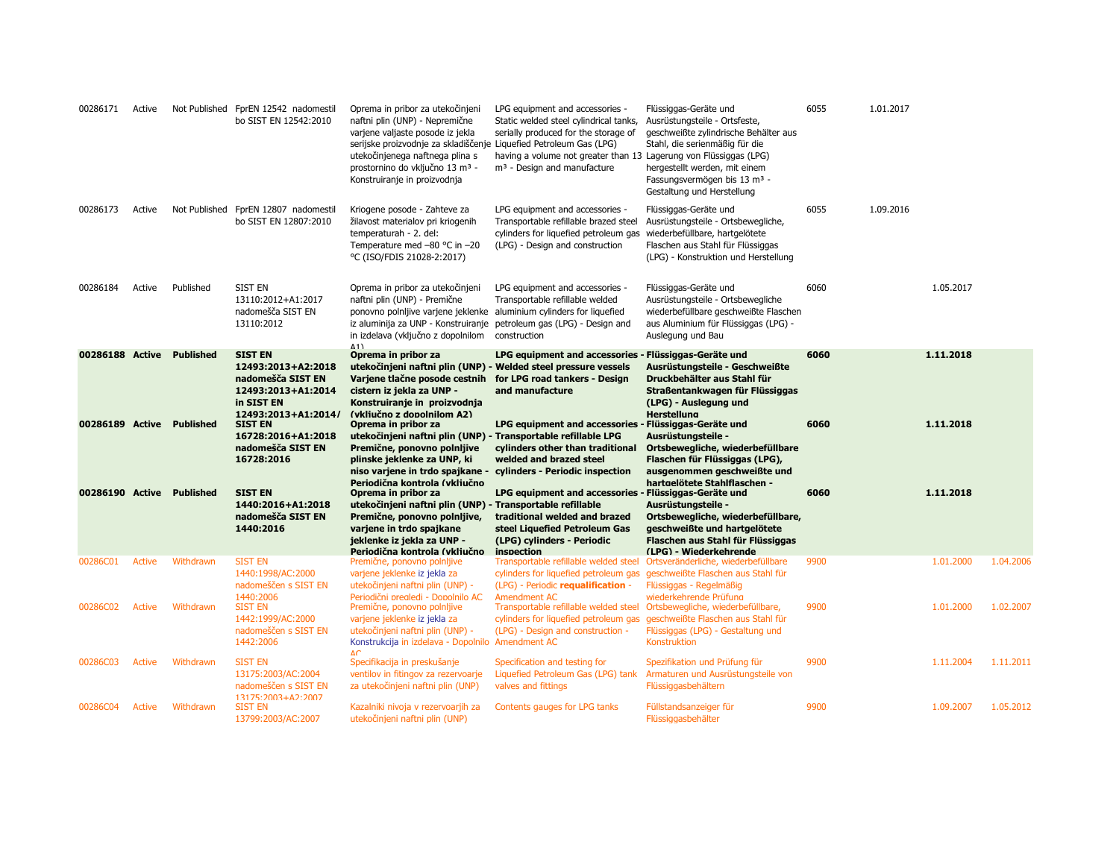| 00286171        | Active        |                  | Not Published FprEN 12542 nadomestil<br>bo SIST EN 12542:2010                                                        | Oprema in pribor za utekočinjeni<br>naftni plin (UNP) - Nepremične<br>varjene valjaste posode iz jekla<br>serijske proizvodnje za skladiščenje Liquefied Petroleum Gas (LPG)<br>utekočinjenega naftnega plina s<br>prostornino do vključno 13 m <sup>3</sup> -<br>Konstruiranje in proizvodnja | LPG equipment and accessories -<br>Static welded steel cylindrical tanks,<br>serially produced for the storage of<br>having a volume not greater than 13 Lagerung von Flüssiggas (LPG)<br>$m3$ - Design and manufacture | Flüssiggas-Geräte und<br>Ausrüstungsteile - Ortsfeste,<br>geschweißte zylindrische Behälter aus<br>Stahl, die serienmäßig für die<br>hergestellt werden, mit einem<br>Fassungsvermögen bis 13 m <sup>3</sup> -<br>Gestaltung und Herstellung | 6055 | 1.01.2017 |           |
|-----------------|---------------|------------------|----------------------------------------------------------------------------------------------------------------------|------------------------------------------------------------------------------------------------------------------------------------------------------------------------------------------------------------------------------------------------------------------------------------------------|-------------------------------------------------------------------------------------------------------------------------------------------------------------------------------------------------------------------------|----------------------------------------------------------------------------------------------------------------------------------------------------------------------------------------------------------------------------------------------|------|-----------|-----------|
| 00286173        | Active        |                  | Not Published FprEN 12807 nadomestil<br>bo SIST EN 12807:2010                                                        | Kriogene posode - Zahteve za<br>žilavost materialov pri kriogenih<br>temperaturah - 2. del:<br>Temperature med -80 °C in -20<br>°C (ISO/FDIS 21028-2:2017)                                                                                                                                     | LPG equipment and accessories -<br>Transportable refillable brazed steel<br>cylinders for liquefied petroleum gas<br>(LPG) - Design and construction                                                                    | Flüssiggas-Geräte und<br>Ausrüstungsteile - Ortsbewegliche,<br>wiederbefüllbare, hartgelötete<br>Flaschen aus Stahl für Flüssiggas<br>(LPG) - Konstruktion und Herstellung                                                                   | 6055 | 1.09.2016 |           |
| 00286184        | Active        | Published        | <b>SIST EN</b><br>13110:2012+A1:2017<br>nadomešča SIST EN<br>13110:2012                                              | Oprema in pribor za utekočinjeni<br>naftni plin (UNP) - Premične<br>ponovno polnljive varjene jeklenke aluminium cylinders for liquefied<br>iz aluminija za UNP - Konstruiranje<br>in izdelava (vključno z dopolnilom<br>Δ1 \                                                                  | LPG equipment and accessories -<br>Transportable refillable welded<br>petroleum gas (LPG) - Design and<br>construction                                                                                                  | Flüssiggas-Geräte und<br>Ausrüstungsteile - Ortsbewegliche<br>wiederbefüllbare geschweißte Flaschen<br>aus Aluminium für Flüssiggas (LPG) -<br>Auslegung und Bau                                                                             | 6060 | 1.05.2017 |           |
| 00286188 Active |               | <b>Published</b> | <b>SIST EN</b><br>12493:2013+A2:2018<br>nadomešča SIST EN<br>12493:2013+A1:2014<br>in SIST EN<br>12493:2013+A1:2014/ | Oprema in pribor za<br>Varjene tlačne posode cestnih<br>cistern iz jekla za UNP -<br>Konstruiranje in proizvodnja<br>(vkliučno z dopolnilom A2)                                                                                                                                                | <b>LPG equipment and accessories</b><br>utekočinjeni naftni plin (UNP) - Welded steel pressure vessels<br>for LPG road tankers - Design<br>and manufacture                                                              | Flüssiggas-Geräte und<br>Ausrüstungsteile - Geschweißte<br>Druckbehälter aus Stahl für<br>Straßentankwagen für Flüssiggas<br>(LPG) - Auslegung und<br><b>Herstellung</b>                                                                     | 6060 | 1.11.2018 |           |
| 00286189 Active |               | <b>Published</b> | <b>SIST EN</b><br>16728:2016+A1:2018<br>nadomešča SIST EN<br>16728:2016                                              | Oprema in pribor za<br>utekočinjeni naftni plin (UNP)<br>Premične, ponovno polnljive<br>plinske jeklenke za UNP, ki<br>niso varjene in trdo spajkane -<br>Periodična kontrola (vključno                                                                                                        | LPG equipment and accessories - Flüssiggas-Geräte und<br>- Transportable refillable LPG<br>cylinders other than traditional<br>welded and brazed steel<br>cylinders - Periodic inspection                               | Ausrüstungsteile -<br>Ortsbewegliche, wiederbefüllbare<br>Flaschen für Flüssiggas (LPG),<br>ausgenommen geschweißte und                                                                                                                      | 6060 | 1.11.2018 |           |
| 00286190 Active |               | <b>Published</b> | <b>SIST EN</b><br>1440:2016+A1:2018<br>nadomešča SIST EN<br>1440:2016                                                | Oprema in pribor za<br>utekočinjeni naftni plin (UNP) - Transportable refillable<br>Premične, ponovno polnijive,<br>varjene in trdo spajkane<br>jeklenke iz jekla za UNP -<br>Periodična kontrola (vkliučno                                                                                    | <b>LPG equipment and accessories</b><br>traditional welded and brazed<br>steel Liquefied Petroleum Gas<br>(LPG) cylinders - Periodic<br>inspection                                                                      | hartgelötete Stahlflaschen -<br>Flüssiggas-Geräte und<br>Ausrüstungsteile -<br>Ortsbewegliche, wiederbefüllbare,<br>geschweißte und hartgelötete<br>Flaschen aus Stahl für Flüssiggas<br>(LPG) - Wiederkehrende                              | 6060 | 1.11.2018 |           |
| 00286C01        | Active        | Withdrawn        | <b>SIST EN</b><br>1440:1998/AC:2000<br>nadomeščen s SIST EN<br>1440:2006                                             | Premične, ponovno polnijive<br>varjene jeklenke iz jekla za<br>utekočinjeni naftni plin (UNP) -<br>Periodični prealedi - Dopolnilo AC                                                                                                                                                          | Transportable refillable welded steel<br>cylinders for liquefied petroleum gas<br>(LPG) - Periodic requalification -<br>Amendment AC                                                                                    | Ortsveränderliche, wiederbefüllbare<br>geschweißte Flaschen aus Stahl für<br>Flüssiggas - Regelmäßig<br>wiederkehrende Prüfung                                                                                                               | 9900 | 1.01.2000 | 1.04.2006 |
| 00286C02        | <b>Active</b> | Withdrawn        | <b>SIST EN</b><br>1442:1999/AC:2000<br>nadomeščen s SIST EN<br>1442:2006                                             | Premične, ponovno polnljive<br>varjene jeklenke iz jekla za<br>utekočinjeni naftni plin (UNP) -<br>Konstrukcija in izdelava - Dopolnilo Amendment AC<br>$\Lambda$ C                                                                                                                            | Transportable refillable welded steel<br>cylinders for liquefied petroleum gas<br>(LPG) - Design and construction -                                                                                                     | Ortsbewegliche, wiederbefüllbare,<br>geschweißte Flaschen aus Stahl für<br>Flüssiggas (LPG) - Gestaltung und<br>Konstruktion                                                                                                                 | 9900 | 1.01.2000 | 1.02.2007 |
| 00286C03        | Active        | Withdrawn        | <b>SIST EN</b><br>13175:2003/AC:2004<br>nadomeščen s SIST EN<br>13175:2003+A2:2007                                   | Specifikacija in preskušanje<br>ventilov in fitingov za rezervoarje<br>za utekočinjeni naftni plin (UNP)                                                                                                                                                                                       | Specification and testing for<br>Liquefied Petroleum Gas (LPG) tank<br>valves and fittings                                                                                                                              | Spezifikation und Prüfung für<br>Armaturen und Ausrüstungsteile von<br>Flüssiggasbehältern                                                                                                                                                   | 9900 | 1.11.2004 | 1.11.2011 |
| 00286C04        | Active        | Withdrawn        | <b>SIST EN</b><br>13799:2003/AC:2007                                                                                 | Kazalniki nivoja v rezervoarjih za<br>utekočinjeni naftni plin (UNP)                                                                                                                                                                                                                           | Contents gauges for LPG tanks                                                                                                                                                                                           | Füllstandsanzeiger für<br>Flüssiggasbehälter                                                                                                                                                                                                 | 9900 | 1.09.2007 | 1.05.2012 |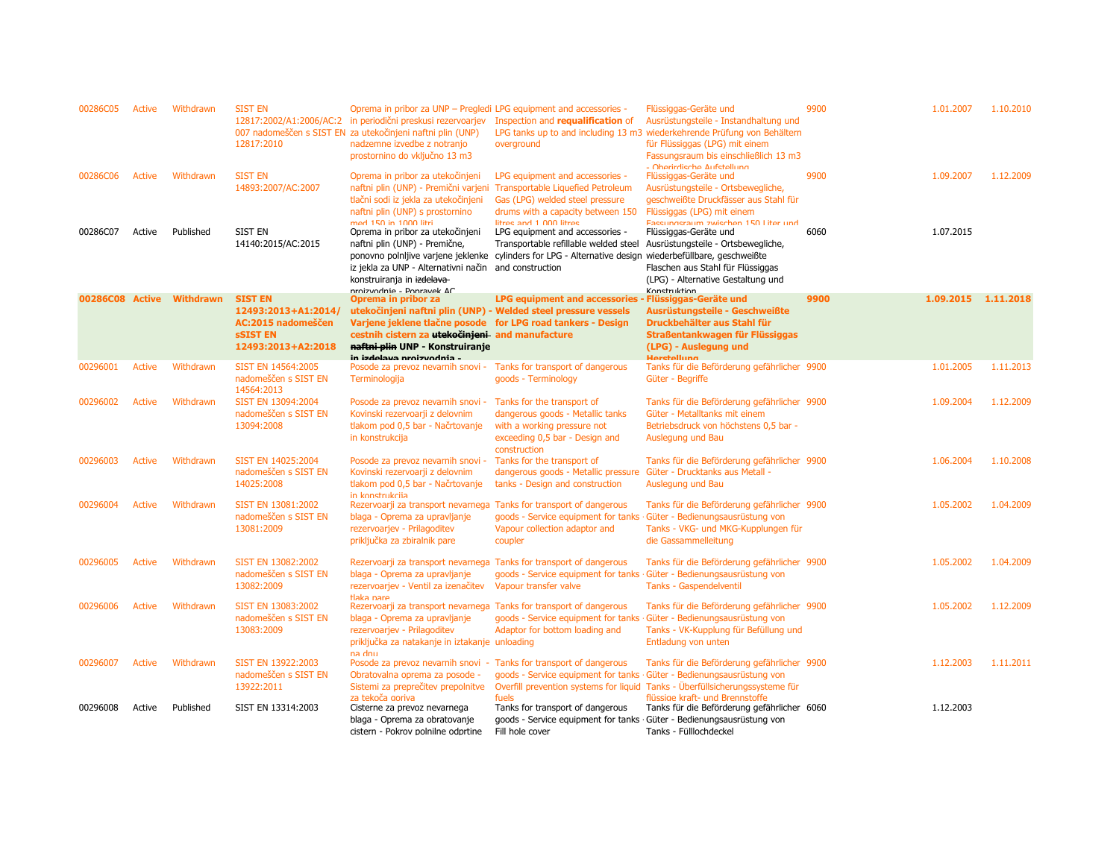| 00286C05        | Active        | Withdrawn        | <b>SIST EN</b><br>12817:2010               | Oprema in pribor za UNP - Pregledi LPG equipment and accessories -<br>12817:2002/A1:2006/AC:2 in periodični preskusi rezervoarjev<br>007 nadomeščen s SIST EN za utekočinjeni naftni plin (UNP)<br>nadzemne izvedbe z notranjo<br>prostornino do vključno 13 m3 | Inspection and requalification of<br>overground                                                                                                                                                 | Flüssiggas-Geräte und<br>Ausrüstungsteile - Instandhaltung und<br>LPG tanks up to and including 13 m3 wiederkehrende Prüfung von Behältern<br>für Flüssiggas (LPG) mit einem<br>Fassungsraum bis einschließlich 13 m3<br>- Ohorirdiecho Aufetallung | 9900 | 1.01.2007           | 1.10.2010 |
|-----------------|---------------|------------------|--------------------------------------------|-----------------------------------------------------------------------------------------------------------------------------------------------------------------------------------------------------------------------------------------------------------------|-------------------------------------------------------------------------------------------------------------------------------------------------------------------------------------------------|-----------------------------------------------------------------------------------------------------------------------------------------------------------------------------------------------------------------------------------------------------|------|---------------------|-----------|
| 00286C06        | Active        | Withdrawn        | <b>SIST EN</b><br>14893:2007/AC:2007       | Oprema in pribor za utekočinjeni<br>tlačni sodi iz jekla za utekočinjeni<br>naftni plin (UNP) s prostornino                                                                                                                                                     | LPG equipment and accessories -<br>naftni plin (UNP) - Premični varjeni Transportable Liquefied Petroleum<br>Gas (LPG) welded steel pressure<br>drums with a capacity between 150               | Flüssiggas-Geräte und<br>Ausrüstungsteile - Ortsbewegliche,<br>geschweißte Druckfässer aus Stahl für<br>Flüssiggas (LPG) mit einem                                                                                                                  | 9900 | 1.09.2007           | 1.12.2009 |
| 00286C07        | Active        | Published        | <b>SIST EN</b><br>14140:2015/AC:2015       | med 150 in 1000 litri<br>Oprema in pribor za utekočinjeni<br>naftni plin (UNP) - Premične,<br>ponovno polnijive varjene jeklenke<br>iz jekla za UNP - Alternativni način<br>konstruiranja in izdelava<br>nroizvodnie - Ponravek AC                              | litres and 1 000 litres<br>LPG equipment and accessories -<br>Transportable refillable welded steel<br>cylinders for LPG - Alternative design wiederbefüllbare, geschweißte<br>and construction | Fassungsraum zwischen 150 Liter und<br>Flüssiggas-Geräte und<br>Ausrüstungsteile - Ortsbewegliche,<br>Flaschen aus Stahl für Flüssiggas<br>(LPG) - Alternative Gestaltung und<br>Konctruktion                                                       | 6060 | 1.07.2015           |           |
| 00286C08 Active |               | <b>Withdrawn</b> | <b>SIST EN</b>                             | Oprema in pribor za                                                                                                                                                                                                                                             | <b>LPG equipment and accessories</b>                                                                                                                                                            | Flüssiggas-Geräte und                                                                                                                                                                                                                               | 9900 | 1.09.2015 1.11.2018 |           |
|                 |               |                  | 12493:2013+A1:2014/<br>AC:2015 nadomeščen  | utekočinjeni naftni plin (UNP) - Welded steel pressure vessels<br>Varjene jeklene tlačne posode for LPG road tankers - Design                                                                                                                                   |                                                                                                                                                                                                 | Ausrüstungsteile - Geschweißte<br>Druckbehälter aus Stahl für                                                                                                                                                                                       |      |                     |           |
|                 |               |                  | <b>SSIST EN</b>                            | cestnih cistern za utekočinjeni and manufacture                                                                                                                                                                                                                 |                                                                                                                                                                                                 | Straßentankwagen für Flüssiggas                                                                                                                                                                                                                     |      |                     |           |
|                 |               |                  | 12493:2013+A2:2018                         | naftni plin UNP - Konstruiranje<br>in izdeleve nroizvodnia -                                                                                                                                                                                                    |                                                                                                                                                                                                 | (LPG) - Auslegung und<br>Harctallung                                                                                                                                                                                                                |      |                     |           |
| 00296001        | Active        | Withdrawn        | SIST EN 14564:2005                         | Posode za prevoz nevarnih snovi - Tanks for transport of dangerous                                                                                                                                                                                              |                                                                                                                                                                                                 | Tanks für die Beförderung gefährlicher 9900                                                                                                                                                                                                         |      | 1.01.2005           | 1.11.2013 |
|                 |               |                  | nadomeščen s SIST EN<br>14564:2013         | Terminologija                                                                                                                                                                                                                                                   | goods - Terminology                                                                                                                                                                             | Güter - Begriffe                                                                                                                                                                                                                                    |      |                     |           |
| 00296002        | <b>Active</b> | Withdrawn        | SIST EN 13094:2004                         | Posode za prevoz nevarnih snovi -                                                                                                                                                                                                                               | Tanks for the transport of                                                                                                                                                                      | Tanks für die Beförderung gefährlicher 9900                                                                                                                                                                                                         |      | 1.09.2004           | 1.12.2009 |
|                 |               |                  | nadomeščen s SIST EN<br>13094:2008         | Kovinski rezervoarji z delovnim<br>tlakom pod 0,5 bar - Načrtovanje                                                                                                                                                                                             | dangerous goods - Metallic tanks<br>with a working pressure not                                                                                                                                 | Güter - Metalltanks mit einem<br>Betriebsdruck von höchstens 0,5 bar -                                                                                                                                                                              |      |                     |           |
|                 |               |                  |                                            | in konstrukcija                                                                                                                                                                                                                                                 | exceeding 0,5 bar - Design and<br>construction                                                                                                                                                  | Auslegung und Bau                                                                                                                                                                                                                                   |      |                     |           |
| 00296003        | Active        | Withdrawn        | SIST EN 14025:2004                         | Posode za prevoz nevarnih snovi -                                                                                                                                                                                                                               | Tanks for the transport of                                                                                                                                                                      | Tanks für die Beförderung gefährlicher 9900                                                                                                                                                                                                         |      | 1.06.2004           | 1.10.2008 |
|                 |               |                  | nadomeščen s SIST EN                       | Kovinski rezervoarji z delovnim                                                                                                                                                                                                                                 | dangerous goods - Metallic pressure                                                                                                                                                             | Güter - Drucktanks aus Metall -                                                                                                                                                                                                                     |      |                     |           |
|                 |               |                  | 14025:2008                                 | tlakom pod 0,5 bar - Načrtovanje<br>in konstrukcija                                                                                                                                                                                                             | tanks - Design and construction                                                                                                                                                                 | Auslegung und Bau                                                                                                                                                                                                                                   |      |                     |           |
| 00296004        | <b>Active</b> | Withdrawn        | SIST EN 13081:2002                         | Rezervoarji za transport nevarnega Tanks for transport of dangerous                                                                                                                                                                                             |                                                                                                                                                                                                 | Tanks für die Beförderung gefährlicher 9900                                                                                                                                                                                                         |      | 1.05.2002           | 1.04.2009 |
|                 |               |                  | nadomeščen s SIST EN                       | blaga - Oprema za upravljanje                                                                                                                                                                                                                                   | goods - Service equipment for tanks                                                                                                                                                             | Güter - Bedienungsausrüstung von                                                                                                                                                                                                                    |      |                     |           |
|                 |               |                  | 13081:2009                                 | rezervoarjev - Prilagoditev<br>priključka za zbiralnik pare                                                                                                                                                                                                     | Vapour collection adaptor and<br>coupler                                                                                                                                                        | Tanks - VKG- und MKG-Kupplungen für<br>die Gassammelleitung                                                                                                                                                                                         |      |                     |           |
|                 |               |                  |                                            |                                                                                                                                                                                                                                                                 |                                                                                                                                                                                                 |                                                                                                                                                                                                                                                     |      |                     |           |
| 00296005        | Active        | Withdrawn        | SIST EN 13082:2002                         | Rezervoarji za transport nevarnega Tanks for transport of dangerous                                                                                                                                                                                             |                                                                                                                                                                                                 | Tanks für die Beförderung gefährlicher 9900                                                                                                                                                                                                         |      | 1.05.2002           | 1.04.2009 |
|                 |               |                  | nadomeščen s SIST EN<br>13082:2009         | blaga - Oprema za upravljanje<br>rezervoarjev - Ventil za izenačitev                                                                                                                                                                                            | goods - Service equipment for tanks<br>Vapour transfer valve                                                                                                                                    | Güter - Bedienungsausrüstung von<br><b>Tanks - Gaspendelventil</b>                                                                                                                                                                                  |      |                     |           |
|                 |               |                  |                                            | tlaka nare                                                                                                                                                                                                                                                      |                                                                                                                                                                                                 |                                                                                                                                                                                                                                                     |      |                     |           |
| 00296006        | Active        | Withdrawn        | SIST EN 13083:2002                         | Rezervoarji za transport nevarnega Tanks for transport of dangerous                                                                                                                                                                                             |                                                                                                                                                                                                 | Tanks für die Beförderung gefährlicher 9900                                                                                                                                                                                                         |      | 1.05.2002           | 1.12.2009 |
|                 |               |                  | nadomeščen s SIST EN<br>13083:2009         | blaga - Oprema za upravljanje<br>rezervoarjev - Prilagoditev                                                                                                                                                                                                    | goods - Service equipment for tanks<br>Adaptor for bottom loading and                                                                                                                           | Güter - Bedienungsausrüstung von<br>Tanks - VK-Kupplung für Befüllung und                                                                                                                                                                           |      |                     |           |
|                 |               |                  |                                            | priključka za natakanje in iztakanje unloading                                                                                                                                                                                                                  |                                                                                                                                                                                                 | Entladung von unten                                                                                                                                                                                                                                 |      |                     |           |
|                 |               |                  |                                            | na dnu                                                                                                                                                                                                                                                          |                                                                                                                                                                                                 |                                                                                                                                                                                                                                                     |      |                     |           |
| 00296007        | <b>Active</b> | Withdrawn        | SIST EN 13922:2003<br>nadomeščen s SIST EN | Posode za prevoz nevarnih snovi - Tanks for transport of dangerous                                                                                                                                                                                              | goods - Service equipment for tanks                                                                                                                                                             | Tanks für die Beförderung gefährlicher 9900<br>· Güter - Bedienungsausrüstung von                                                                                                                                                                   |      | 1.12.2003           | 1.11.2011 |
|                 |               |                  | 13922:2011                                 | Obratovalna oprema za posode -<br>Sistemi za preprečitev prepolnitve                                                                                                                                                                                            |                                                                                                                                                                                                 | Overfill prevention systems for liquid Tanks - Überfüllsicherungssysteme für                                                                                                                                                                        |      |                     |           |
|                 |               |                  |                                            | za tekoča goriva                                                                                                                                                                                                                                                | fuels                                                                                                                                                                                           | flüssige kraft- und Brennstoffe                                                                                                                                                                                                                     |      |                     |           |
| 00296008        | Active        | Published        | SIST EN 13314:2003                         | Cisterne za prevoz nevarnega                                                                                                                                                                                                                                    | Tanks for transport of dangerous                                                                                                                                                                | Tanks für die Beförderung gefährlicher 6060                                                                                                                                                                                                         |      | 1.12.2003           |           |
|                 |               |                  |                                            | blaga - Oprema za obratovanje<br>cistern - Pokrov polnilne odprtine                                                                                                                                                                                             | goods - Service equipment for tanks · Güter - Bedienungsausrüstung von<br>Fill hole cover                                                                                                       | Tanks - Fülllochdeckel                                                                                                                                                                                                                              |      |                     |           |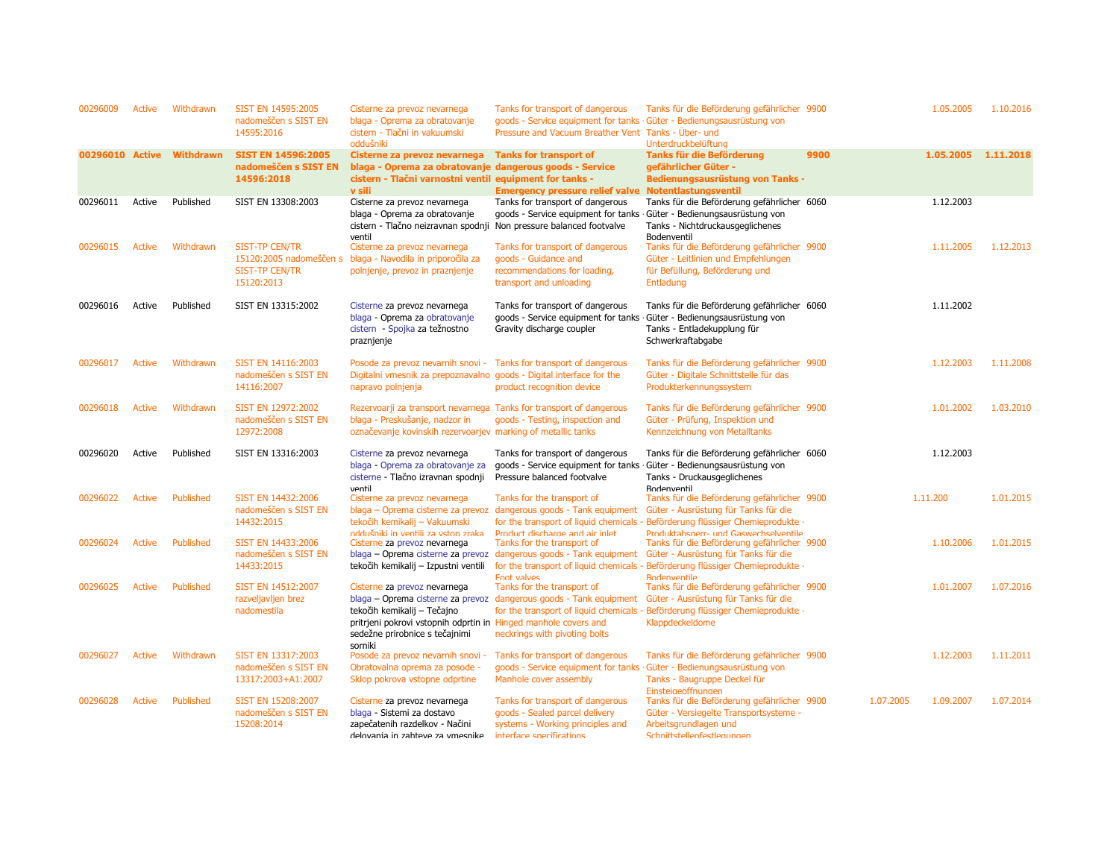| 00296009        | Active        | Withdrawn        | SIST EN 14595:2005<br>nadomeščen s SIST EN<br>14595:2016         | Cisterne za prevoz nevarnega<br>blaga - Oprema za obratovanje<br>cistern - Tlačni in vakuumski<br>oddušniki                                                                                                      | Tanks for transport of dangerous<br>goods - Service equipment for tanks · Güter - Bedienungsausrüstung von<br>Pressure and Vacuum Breather Vent Tanks - Über- und | Tanks für die Beförderung gefährlicher 9900<br><b>Unterdruckbelüftung</b>                                                                                                                                                  |      | 1.05.2005              | 1.10.2016           |
|-----------------|---------------|------------------|------------------------------------------------------------------|------------------------------------------------------------------------------------------------------------------------------------------------------------------------------------------------------------------|-------------------------------------------------------------------------------------------------------------------------------------------------------------------|----------------------------------------------------------------------------------------------------------------------------------------------------------------------------------------------------------------------------|------|------------------------|---------------------|
| 00296010 Active |               | <b>Withdrawn</b> | <b>SIST EN 14596:2005</b><br>nadomeščen s SIST EN<br>14596:2018  | Cisterne za prevoz nevarnega<br>blaga - Oprema za obratovanje dangerous goods - Service<br>cistern - Tlačni varnostni ventil equipment for tanks -<br>v sili                                                     | <b>Tanks for transport of</b><br><b>Emergency pressure relief valve Notentlastungsventil</b>                                                                      | <b>Tanks für die Beförderung</b><br>gefährlicher Güter -<br><b>Bedienungsausrüstung von Tanks -</b>                                                                                                                        | 9900 |                        | 1.05.2005 1.11.2018 |
| 00296011        | Active        | Published        | SIST EN 13308:2003                                               | Cisterne za prevoz nevarnega<br>blaga - Oprema za obratovanje<br>cistern - Tlačno neizravnan spodnji Non pressure balanced footvalve<br>ventil                                                                   | Tanks for transport of dangerous<br>goods - Service equipment for tanks · Güter - Bedienungsausrüstung von                                                        | Tanks für die Beförderung gefährlicher 6060<br>Tanks - Nichtdruckausgeglichenes<br>Bodenventil                                                                                                                             |      | 1.12.2003              |                     |
| 00296015        | Active        | Withdrawn        | <b>SIST-TP CEN/TR</b><br><b>SIST-TP CEN/TR</b><br>15120:2013     | Cisterne za prevoz nevarnega<br>15120:2005 nadomeščen s blaga - Navodila in priporočila za<br>polnjenje, prevoz in praznjenje                                                                                    | Tanks for transport of dangerous<br>goods - Guidance and<br>recommendations for loading,<br>transport and unloading                                               | Tanks für die Beförderung gefährlicher 9900<br>Güter - Leitlinien und Empfehlungen<br>für Befüllung, Beförderung und<br>Entladung                                                                                          |      | 1.11.2005              | 1.12.2013           |
| 00296016        | Active        | Published        | SIST EN 13315:2002                                               | Cisterne za prevoz nevarnega<br>blaga - Oprema za obratovanje<br>cistern - Spojka za težnostno<br>praznjenje                                                                                                     | Tanks for transport of dangerous<br>goods - Service equipment for tanks<br>Gravity discharge coupler                                                              | Tanks für die Beförderung gefährlicher 6060<br>Güter - Bedienungsausrüstung von<br>Tanks - Entladekupplung für<br>Schwerkraftabgabe                                                                                        |      | 1.11.2002              |                     |
| 00296017        | <b>Active</b> | Withdrawn        | SIST EN 14116:2003<br>nadomeščen s SIST EN<br>14116:2007         | Posode za prevoz nevarnih snovi -<br>Digitalni vmesnik za prepoznavalno<br>napravo polnjenja                                                                                                                     | Tanks for transport of dangerous<br>goods - Digital interface for the<br>product recognition device                                                               | Tanks für die Beförderung gefährlicher 9900<br>Güter - Digitale Schnittstelle für das<br>Produkterkennungssystem                                                                                                           |      | 1.12.2003              | 1.11.2008           |
| 00296018        | <b>Active</b> | Withdrawn        | <b>SIST EN 12972:2002</b><br>nadomeščen s SIST EN<br>12972:2008  | Rezervoarji za transport nevarnega Tanks for transport of dangerous<br>blaga - Preskušanje, nadzor in<br>označevanje kovinskih rezervoarjev marking of metallic tanks                                            | goods - Testing, inspection and                                                                                                                                   | Tanks für die Beförderung gefährlicher 9900<br>Güter - Prüfung, Inspektion und<br>Kennzeichnung von Metalltanks                                                                                                            |      | 1.01.2002              | 1.03.2010           |
| 00296020        | Active        | Published        | SIST EN 13316:2003                                               | Cisterne za prevoz nevarnega<br>blaga - Oprema za obratovanje za<br>cisterne - Tlačno izravnan spodnji<br>ventil                                                                                                 | Tanks for transport of dangerous<br>goods - Service equipment for tanks<br>Pressure balanced footvalve                                                            | Tanks für die Beförderung gefährlicher 6060<br>Güter - Bedienungsausrüstung von<br>Tanks - Druckausgeglichenes<br>Bodenventil                                                                                              |      | 1.12.2003              |                     |
| 00296022        | Active        | Published        | SIST EN 14432:2006<br>nadomeščen s SIST EN<br>14432:2015         | Cisterne za prevoz nevarnega<br>blaga - Oprema cisterne za prevoz<br>tekočih kemikalij - Vakuumski<br>oddušniki in ventili za vston zraka                                                                        | Tanks for the transport of<br>dangerous goods - Tank equipment<br>Product discharge and air inlet                                                                 | Tanks für die Beförderung gefährlicher 9900<br>Güter - Ausrüstung für Tanks für die<br>for the transport of liquid chemicals - Beförderung flüssiger Chemieprodukte -<br>Produktabsperr- und Gaswechselventile             |      | 1.11.200               | 1.01.2015           |
| 00296024        | <b>Active</b> | Published        | SIST EN 14433:2006<br>nadomeščen s SIST EN<br>14433:2015         | Cisterne za prevoz nevarnega                                                                                                                                                                                     | Tanks for the transport of<br>blaga – Oprema cisterne za prevoz dangerous goods - Tank equipment<br><b>Ennt valves</b>                                            | Tanks für die Beförderung gefährlicher 9900<br>Güter - Ausrüstung für Tanks für die<br>tekočih kemikalij – Izpustni ventili for the transport of liquid chemicals - Beförderung flüssiger Chemieprodukte -<br>Rodenventile |      | 1.10.2006              | 1.01.2015           |
| 00296025        | <b>Active</b> | Published        | SIST EN 14512:2007<br>razveljavljen brez<br>nadomestila          | Cisterne za prevoz nevarnega<br>blaga - Oprema cisterne za prevoz<br>tekočih kemikalij - Tečajno<br>pritrjeni pokrovi vstopnih odprtin in Hinged manhole covers and<br>sedežne prirobnice s tečajnimi<br>sorniki | Tanks for the transport of<br>dangerous goods - Tank equipment<br>neckrings with pivoting bolts                                                                   | Tanks für die Beförderung gefährlicher 9900<br>Güter - Ausrüstung für Tanks für die<br>for the transport of liquid chemicals - Beförderung flüssiger Chemieprodukte -<br>Klappdeckeldome                                   |      | 1.01.2007              | 1.07.2016           |
| 00296027        | Active        | Withdrawn        | SIST EN 13317:2003<br>nadomeščen s SIST EN<br>13317:2003+A1:2007 | Posode za prevoz nevarnih snovi -<br>Obratovalna oprema za posode -<br>Sklop pokrova vstopne odprtine                                                                                                            | Tanks for transport of dangerous<br>goods - Service equipment for tanks<br>Manhole cover assembly                                                                 | Tanks für die Beförderung gefährlicher 9900<br>Güter - Bedienungsausrüstung von<br>Tanks - Baugruppe Deckel für<br>Einsteigeöffnungen                                                                                      |      | 1.12.2003              | 1.11.2011           |
| 00296028        | Active        | Published        | SIST EN 15208:2007<br>nadomeščen s SIST EN<br>15208:2014         | Cisterne za prevoz nevarnega<br>blaga - Sistemi za dostavo<br>zapečatenih razdelkov - Načini<br>delovania in zahteve za vmesnike                                                                                 | Tanks for transport of dangerous<br>goods - Sealed parcel delivery<br>systems - Working principles and<br>interface snecifications                                | Tanks für die Beförderung gefährlicher 9900<br>Güter - Versiegelte Transportsysteme -<br>Arbeitsgrundlagen und<br>Schnittstellenfestlegungen                                                                               |      | 1.07.2005<br>1.09.2007 | 1.07.2014           |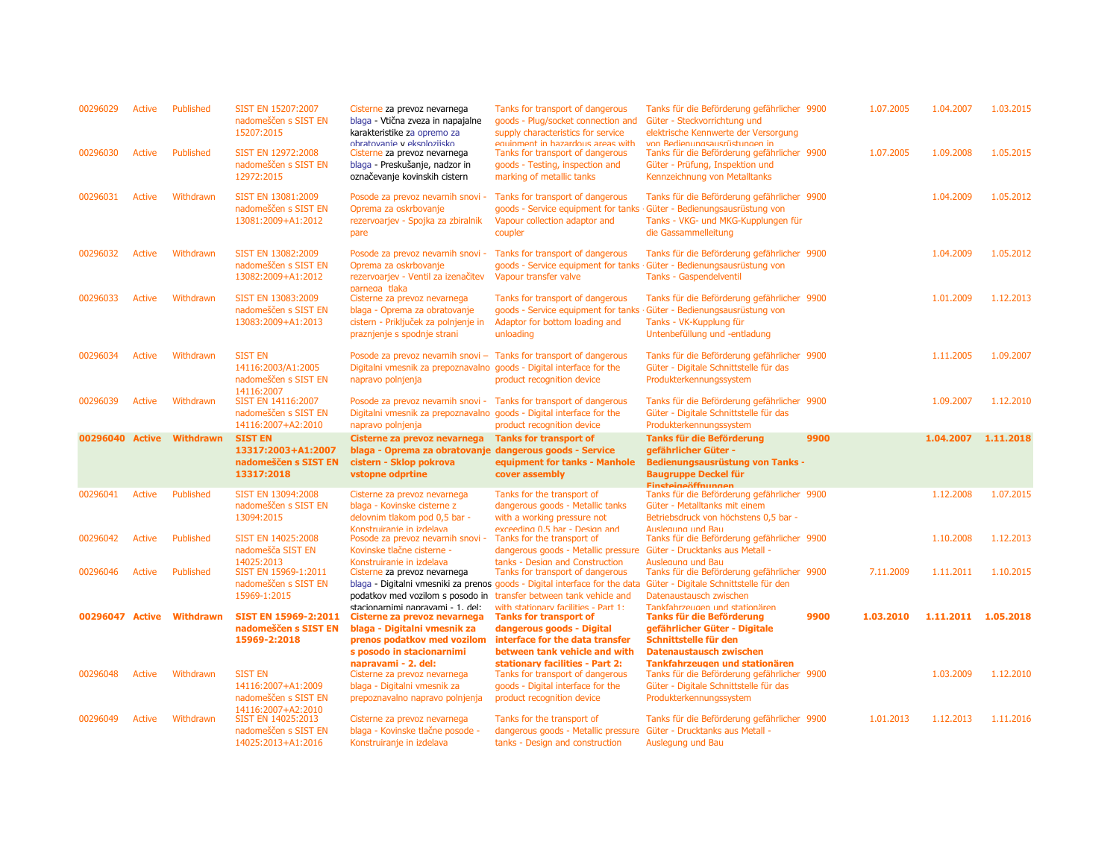| 00296029        | Active        | Published | SIST EN 15207:2007<br>nadomeščen s SIST EN<br>15207:2015                           | Cisterne za prevoz nevarnega<br>blaga - Vtična zveza in napajalne<br>karakteristike za opremo za                                                             | Tanks for transport of dangerous<br>goods - Plug/socket connection and<br>supply characteristics for service                                                                                                             | Tanks für die Beförderung gefährlicher 9900<br>Güter - Steckvorrichtung und<br>elektrische Kennwerte der Versorgung                                     |      | 1.07.2005 | 1.04.2007           | 1.03.2015 |
|-----------------|---------------|-----------|------------------------------------------------------------------------------------|--------------------------------------------------------------------------------------------------------------------------------------------------------------|--------------------------------------------------------------------------------------------------------------------------------------------------------------------------------------------------------------------------|---------------------------------------------------------------------------------------------------------------------------------------------------------|------|-----------|---------------------|-----------|
| 00296030        | <b>Active</b> | Published | SIST EN 12972:2008<br>nadomeščen s SIST EN<br>12972:2015                           | obratovanie v eksplozijsko<br>Cisterne za prevoz nevarnega<br>blaga - Preskušanje, nadzor in<br>označevanje kovinskih cistern                                | equinment in hazardous areas with<br>Tanks for transport of dangerous<br>goods - Testing, inspection and<br>marking of metallic tanks                                                                                    | von Redienungsausrüstungen in<br>Tanks für die Beförderung gefährlicher 9900<br>Güter - Prüfung, Inspektion und<br>Kennzeichnung von Metalltanks        |      | 1.07.2005 | 1.09.2008           | 1.05.2015 |
| 00296031        | <b>Active</b> | Withdrawn | SIST EN 13081:2009<br>nadomeščen s SIST EN<br>13081:2009+A1:2012                   | Posode za prevoz nevarnih snovi -<br>Oprema za oskrbovanje<br>rezervoarjev - Spojka za zbiralnik<br>pare                                                     | Tanks for transport of dangerous<br>goods - Service equipment for tanks<br>Vapour collection adaptor and<br>coupler                                                                                                      | Tanks für die Beförderung gefährlicher 9900<br>Güter - Bedienungsausrüstung von<br>Tanks - VKG- und MKG-Kupplungen für<br>die Gassammelleitung          |      |           | 1.04.2009           | 1.05.2012 |
| 00296032        | <b>Active</b> | Withdrawn | SIST EN 13082:2009<br>nadomeščen s SIST EN<br>13082:2009+A1:2012                   | Posode za prevoz nevarnih snovi -<br>Oprema za oskrbovanje<br>rezervoarjev - Ventil za izenačitev<br>parnega tlaka                                           | Tanks for transport of dangerous<br>goods - Service equipment for tanks<br>Vapour transfer valve                                                                                                                         | Tanks für die Beförderung gefährlicher 9900<br>Güter - Bedienungsausrüstung von<br><b>Tanks - Gaspendelventil</b>                                       |      |           | 1.04.2009           | 1.05.2012 |
| 00296033        | Active        | Withdrawn | SIST EN 13083:2009<br>nadomeščen s SIST EN<br>13083:2009+A1:2013                   | Cisterne za prevoz nevarnega<br>blaga - Oprema za obratovanje<br>cistern - Priključek za polnjenje in<br>praznjenje s spodnje strani                         | Tanks for transport of dangerous<br>goods - Service equipment for tanks<br>Adaptor for bottom loading and<br>unloading                                                                                                   | Tanks für die Beförderung gefährlicher 9900<br>· Güter - Bedienungsausrüstung von<br>Tanks - VK-Kupplung für<br>Untenbefüllung und -entladung           |      |           | 1.01.2009           | 1.12.2013 |
| 00296034        | <b>Active</b> | Withdrawn | <b>SIST EN</b><br>14116:2003/A1:2005<br>nadomeščen s SIST EN<br>14116:2007         | Posode za prevoz nevarnih snovi - Tanks for transport of dangerous<br>Digitalni vmesnik za prepoznavalno<br>napravo polnjenja                                | goods - Digital interface for the<br>product recognition device                                                                                                                                                          | Tanks für die Beförderung gefährlicher 9900<br>Güter - Digitale Schnittstelle für das<br>Produkterkennungssystem                                        |      |           | 1.11.2005           | 1.09.2007 |
| 00296039        | Active        | Withdrawn | SIST EN 14116:2007<br>nadomeščen s SIST EN                                         | Posode za prevoz nevarnih snovi -<br>Digitalni vmesnik za prepoznavalno goods - Digital interface for the                                                    | Tanks for transport of dangerous                                                                                                                                                                                         | Tanks für die Beförderung gefährlicher 9900<br>Güter - Digitale Schnittstelle für das                                                                   |      |           | 1.09.2007           | 1.12.2010 |
|                 |               |           | 14116:2007+A2:2010                                                                 | napravo polnjenja                                                                                                                                            | product recognition device                                                                                                                                                                                               | Produkterkennungssystem                                                                                                                                 |      |           |                     |           |
| 00296040 Active |               | Withdrawn | <b>SIST EN</b><br>13317:2003+A1:2007<br>nadomeščen s SIST EN<br>13317:2018         | Cisterne za prevoz nevarnega<br>blaga - Oprema za obratovanje dangerous goods - Service<br>cistern - Sklop pokrova<br>vstopne odprtine                       | <b>Tanks for transport of</b><br>equipment for tanks - Manhole<br>cover assembly                                                                                                                                         | <b>Tanks für die Beförderung</b><br>gefährlicher Güter -<br><b>Bedienungsausrüstung von Tanks -</b><br><b>Baugruppe Deckel für</b>                      | 9900 |           | 1.04.2007           | 1.11.2018 |
| 00296041        | <b>Active</b> | Published | SIST EN 13094:2008<br>nadomeščen s SIST EN<br>13094:2015                           | Cisterne za prevoz nevarnega<br>blaga - Kovinske cisterne z<br>delovnim tlakom pod 0,5 bar -                                                                 | Tanks for the transport of<br>dangerous goods - Metallic tanks<br>with a working pressure not                                                                                                                            | Finctainanffnunnan<br>Tanks für die Beförderung gefährlicher 9900<br>Güter - Metalltanks mit einem<br>Betriebsdruck von höchstens 0,5 bar -             |      |           | 1.12.2008           | 1.07.2015 |
| 00296042        | <b>Active</b> | Published | SIST EN 14025:2008<br>nadomešča SIST EN                                            | Konstruiranie in izdelava<br>Posode za prevoz nevarnih snovi -<br>Kovinske tlačne cisterne -                                                                 | exceeding 0.5 har - Design and<br>Tanks for the transport of<br>dangerous goods - Metallic pressure                                                                                                                      | Ausleauna und Bau<br>Tanks für die Beförderung gefährlicher 9900<br>Güter - Drucktanks aus Metall -                                                     |      |           | 1.10.2008           | 1.12.2013 |
| 00296046        | Active        | Published | 14025:2013<br>SIST EN 15969-1:2011<br>nadomeščen s SIST EN<br>15969-1:2015         | Konstruiranie in izdelava<br>Cisterne za prevoz nevarnega                                                                                                    | tanks - Design and Construction<br>Tanks for transport of dangerous<br>blaga - Digitalni vmesniki za prenos goods - Digital interface for the data<br>podatkov med vozilom s posodo in transfer between tank vehicle and | Ausleaung und Bau<br>Tanks für die Beförderung gefährlicher 9900<br>Güter - Digitale Schnittstelle für den<br>Datenaustausch zwischen                   |      | 7.11.2009 | 1.11.2011           | 1.10.2015 |
| 00296047 Active |               | Withdrawn | SIST EN 15969-2:2011<br>nadomeščen s SIST EN<br>15969-2:2018                       | stacionarnimi nanravami - 1 del·<br>Cisterne za prevoz nevarnega<br>blaga - Digitalni vmesnik za<br>prenos podatkov med vozilom<br>s posodo in stacionarnimi | with stationary facilities - Part 1:<br><b>Tanks for transport of</b><br>dangerous goods - Digital<br>interface for the data transfer<br>between tank vehicle and with                                                   | Tankfahrzeugen und stationären<br>Tanks für die Beförderung<br>gefährlicher Güter - Digitale<br>Schnittstelle für den<br><b>Datenaustausch zwischen</b> | 9900 | 1.03.2010 | 1.11.2011 1.05.2018 |           |
| 00296048        | <b>Active</b> | Withdrawn | <b>SIST EN</b><br>14116:2007+A1:2009<br>nadomeščen s SIST EN<br>14116:2007+A2:2010 | napravami - 2. del:<br>Cisterne za prevoz nevarnega<br>blaga - Digitalni vmesnik za<br>prepoznavalno napravo polnjenja                                       | stationary facilities - Part 2:<br>Tanks for transport of dangerous<br>goods - Digital interface for the<br>product recognition device                                                                                   | Tankfahrzeugen und stationären<br>Tanks für die Beförderung gefährlicher 9900<br>Güter - Digitale Schnittstelle für das<br>Produkterkennungssystem      |      |           | 1.03.2009           | 1.12.2010 |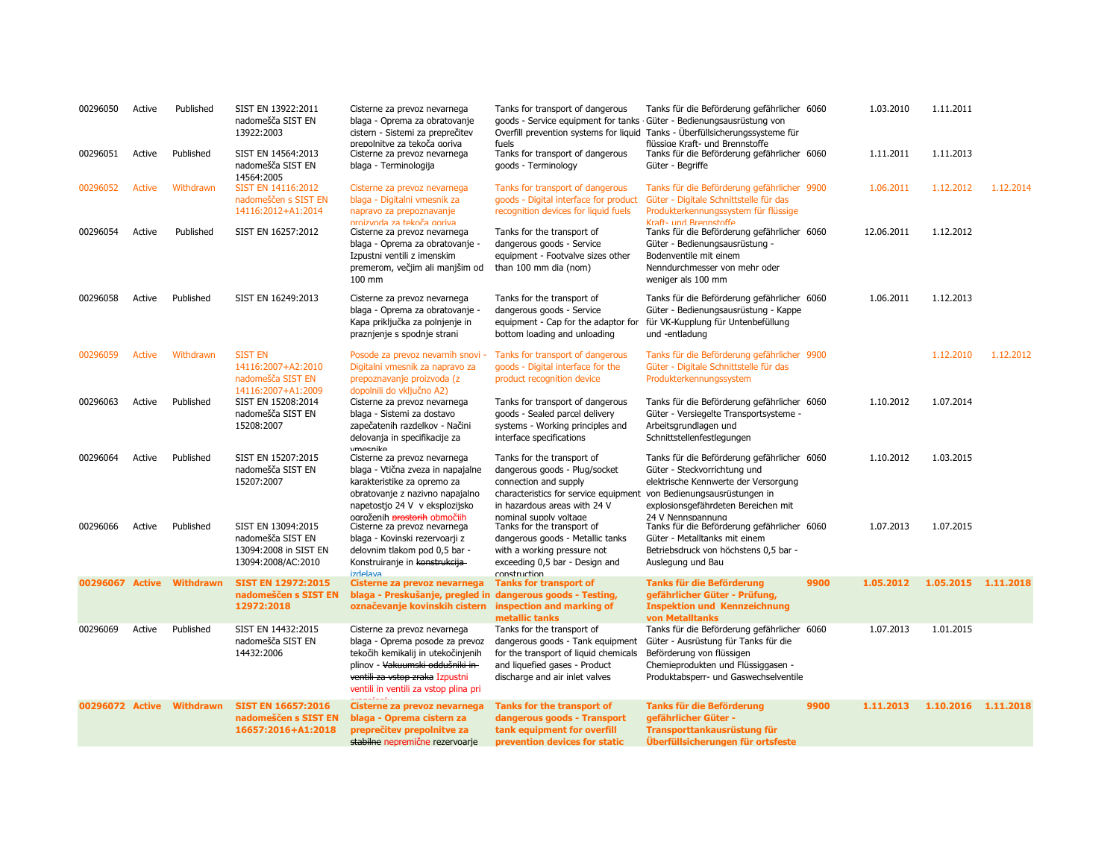| 00296050        | Active        | Published        | SIST EN 13922:2011<br>nadomešča SIST EN<br>13922:2003                                  | Cisterne za prevoz nevarnega<br>blaga - Oprema za obratovanje<br>cistern - Sistemi za preprečitev                                                                                                                     | Tanks for transport of dangerous<br>goods - Service equipment for tanks                                                                                                                 | Tanks für die Beförderung gefährlicher 6060<br>· Güter - Bedienungsausrüstung von<br>Overfill prevention systems for liquid Tanks - Überfüllsicherungssysteme für                                                |      | 1.03.2010  | 1.11.2011           |           |
|-----------------|---------------|------------------|----------------------------------------------------------------------------------------|-----------------------------------------------------------------------------------------------------------------------------------------------------------------------------------------------------------------------|-----------------------------------------------------------------------------------------------------------------------------------------------------------------------------------------|------------------------------------------------------------------------------------------------------------------------------------------------------------------------------------------------------------------|------|------------|---------------------|-----------|
| 00296051        | Active        | Published        | SIST EN 14564:2013<br>nadomešča SIST EN<br>14564:2005                                  | prepolnitve za tekoča goriva<br>Cisterne za prevoz nevarnega<br>blaga - Terminologija                                                                                                                                 | fuels<br>Tanks for transport of dangerous<br>goods - Terminology                                                                                                                        | flüssige Kraft- und Brennstoffe<br>Tanks für die Beförderung gefährlicher 6060<br>Güter - Begriffe                                                                                                               |      | 1.11.2011  | 1.11.2013           |           |
| 00296052        | <b>Active</b> | Withdrawn        | SIST EN 14116:2012<br>nadomeščen s SIST EN<br>14116:2012+A1:2014                       | Cisterne za prevoz nevarnega<br>blaga - Digitalni ymesnik za<br>napravo za prepoznavanje<br>nroizvoda za tekoča goriva                                                                                                | Tanks for transport of dangerous<br>goods - Digital interface for product<br>recognition devices for liquid fuels                                                                       | Tanks für die Beförderung gefährlicher 9900<br>Güter - Digitale Schnittstelle für das<br>Produkterkennungssystem für flüssige<br>Kraft- und Brennstoffe                                                          |      | 1.06.2011  | 1.12.2012           | 1.12.2014 |
| 00296054        | Active        | Published        | SIST EN 16257:2012                                                                     | Cisterne za prevoz nevarnega<br>blaga - Oprema za obratovanje -<br>Izpustni ventili z imenskim<br>premerom, večjim ali manjšim od<br>100 mm                                                                           | Tanks for the transport of<br>dangerous goods - Service<br>equipment - Footvalve sizes other<br>than 100 mm dia (nom)                                                                   | Tanks für die Beförderung gefährlicher 6060<br>Güter - Bedienungsausrüstung -<br>Bodenventile mit einem<br>Nenndurchmesser von mehr oder<br>weniger als 100 mm                                                   |      | 12.06.2011 | 1.12.2012           |           |
| 00296058        | Active        | Published        | SIST EN 16249:2013                                                                     | Cisterne za prevoz nevarnega<br>blaga - Oprema za obratovanje -<br>Kapa priključka za polnjenje in<br>praznjenje s spodnje strani                                                                                     | Tanks for the transport of<br>dangerous goods - Service<br>equipment - Cap for the adaptor for<br>bottom loading and unloading                                                          | Tanks für die Beförderung gefährlicher 6060<br>Güter - Bedienungsausrüstung - Kappe<br>für VK-Kupplung für Untenbefüllung<br>und -entladung                                                                      |      | 1.06.2011  | 1.12.2013           |           |
| 00296059        | <b>Active</b> | Withdrawn        | <b>SIST EN</b><br>14116:2007+A2:2010<br>nadomešča SIST EN<br>14116:2007+A1:2009        | Posode za prevoz nevarnih snovi -<br>Digitalni vmesnik za napravo za<br>prepoznavanje proizvoda (z<br>dopolnili do vključno A2)                                                                                       | Tanks for transport of dangerous<br>goods - Digital interface for the<br>product recognition device                                                                                     | Tanks für die Beförderung gefährlicher 9900<br>Güter - Digitale Schnittstelle für das<br>Produkterkennungssystem                                                                                                 |      |            | 1.12.2010           | 1.12.2012 |
| 00296063        | Active        | Published        | SIST EN 15208:2014<br>nadomešča SIST EN<br>15208:2007                                  | Cisterne za prevoz nevarnega<br>blaga - Sistemi za dostavo<br>zapečatenih razdelkov - Načini<br>delovanja in specifikacije za<br>vmesnike                                                                             | Tanks for transport of dangerous<br>goods - Sealed parcel delivery<br>systems - Working principles and<br>interface specifications                                                      | Tanks für die Beförderung gefährlicher 6060<br>Güter - Versiegelte Transportsysteme -<br>Arbeitsgrundlagen und<br>Schnittstellenfestlegungen                                                                     |      | 1.10.2012  | 1.07.2014           |           |
| 00296064        | Active        | Published        | SIST EN 15207:2015<br>nadomešča SIST EN<br>15207:2007                                  | Cisterne za prevoz nevarnega<br>blaga - Vtična zveza in napajalne<br>karakteristike za opremo za<br>obratovanje z nazivno napajalno<br>napetostjo 24 V v eksplozijsko<br>ogroženih <del>prostorih</del> območiih      | Tanks for the transport of<br>dangerous goods - Plug/socket<br>connection and supply<br>characteristics for service equipment<br>in hazardous areas with 24 V<br>nominal supply voltage | Tanks für die Beförderung gefährlicher 6060<br>Güter - Steckvorrichtung und<br>elektrische Kennwerte der Versorgung<br>von Bedienungsausrüstungen in<br>explosionsgefährdeten Bereichen mit<br>24 V Nennspannung |      | 1.10.2012  | 1.03.2015           |           |
| 00296066        | Active        | Published        | SIST EN 13094:2015<br>nadomešča SIST EN<br>13094:2008 in SIST EN<br>13094:2008/AC:2010 | Cisterne za prevoz nevarnega<br>blaga - Kovinski rezervoarji z<br>delovnim tlakom pod 0,5 bar -<br>Konstruiranje in konstrukcija-<br>svelabti                                                                         | Tanks for the transport of<br>dangerous goods - Metallic tanks<br>with a working pressure not<br>exceeding 0,5 bar - Design and<br>construction                                         | Tanks für die Beförderung gefährlicher 6060<br>Güter - Metalltanks mit einem<br>Betriebsdruck von höchstens 0,5 bar -<br>Auslegung und Bau                                                                       |      | 1.07.2013  | 1.07.2015           |           |
| 00296067 Active |               | <b>Withdrawn</b> | <b>SIST EN 12972:2015</b><br>nadomeščen s SIST EN<br>12972:2018                        | Cisterne za prevoz nevarnega<br>blaga - Preskušanje, pregled in dangerous goods - Testing,<br>označevanje kovinskih cistern                                                                                           | <b>Tanks for transport of</b><br>inspection and marking of<br>metallic tanks                                                                                                            | Tanks für die Beförderung<br>gefährlicher Güter - Prüfung,<br><b>Inspektion und Kennzeichnung</b><br>von Metalltanks                                                                                             | 9900 | 1.05.2012  | 1.05.2015 1.11.2018 |           |
| 00296069        | Active        | Published        | SIST EN 14432:2015<br>nadomešča SIST EN<br>14432:2006                                  | Cisterne za prevoz nevarnega<br>blaga - Oprema posode za prevoz<br>tekočih kemikalij in utekočinjenih<br>plinov - Vakuumski oddušniki in-<br>ventili za vstop zraka Izpustni<br>ventili in ventili za vstop plina pri | Tanks for the transport of<br>dangerous goods - Tank equipment<br>for the transport of liquid chemicals<br>and liquefied gases - Product<br>discharge and air inlet valves              | Tanks für die Beförderung gefährlicher 6060<br>Güter - Ausrüstung für Tanks für die<br>Beförderung von flüssigen<br>Chemieprodukten und Flüssiggasen -<br>Produktabsperr- und Gaswechselventile                  |      | 1.07.2013  | 1.01.2015           |           |
| 00296072 Active |               | <b>Withdrawn</b> | <b>SIST EN 16657:2016</b><br>nadomeščen s SIST EN<br>16657:2016+A1:2018                | Cisterne za prevoz nevarnega<br>blaga - Oprema cistern za<br>preprečitev prepolnitve za<br>stabilne nepremične rezervoarje                                                                                            | <b>Tanks for the transport of</b><br>dangerous goods - Transport<br>tank equipment for overfill<br>prevention devices for static                                                        | Tanks für die Beförderung<br>gefährlicher Güter -<br>Transporttankausrüstung für<br>Überfüllsicherungen für ortsfeste                                                                                            | 9900 | 1.11.2013  | 1.10.2016 1.11.2018 |           |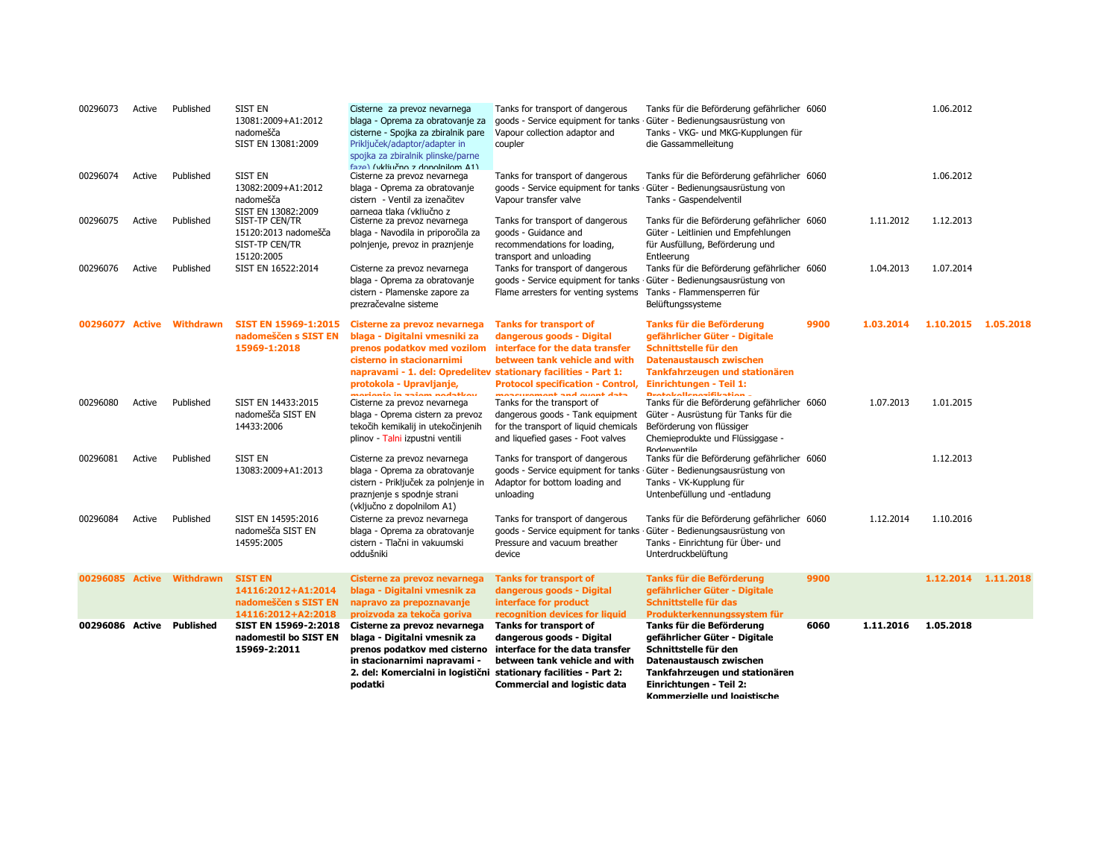| 00296073        | Active | Published                 | <b>SIST EN</b><br>13081:2009+A1:2012<br>nadomešča<br>SIST EN 13081:2009            | Cisterne za prevoz nevarnega<br>blaga - Oprema za obratovanje za<br>cisterne - Spojka za zbiralnik pare<br>Priključek/adaptor/adapter in<br>spojka za zbiralnik plinske/parne                                                                          | Tanks for transport of dangerous<br>goods - Service equipment for tanks<br>Vapour collection adaptor and<br>coupler                                                                                       | Tanks für die Beförderung gefährlicher 6060<br>Güter - Bedienungsausrüstung von<br>Tanks - VKG- und MKG-Kupplungen für<br>die Gassammelleitung                                                                      |      |           | 1.06.2012           |  |
|-----------------|--------|---------------------------|------------------------------------------------------------------------------------|--------------------------------------------------------------------------------------------------------------------------------------------------------------------------------------------------------------------------------------------------------|-----------------------------------------------------------------------------------------------------------------------------------------------------------------------------------------------------------|---------------------------------------------------------------------------------------------------------------------------------------------------------------------------------------------------------------------|------|-----------|---------------------|--|
| 00296074        | Active | Published                 | SIST EN<br>13082:2009+A1:2012<br>nadomešča<br>SIST EN 13082:2009                   | faze) (vkliučno z donolnilom 41)<br>Cisterne za prevoz nevarnega<br>blaga - Oprema za obratovanje<br>cistern - Ventil za izenačitev<br>parnega tlaka (vkliučno z                                                                                       | Tanks for transport of dangerous<br>goods - Service equipment for tanks<br>Vapour transfer valve                                                                                                          | Tanks für die Beförderung gefährlicher 6060<br>Güter - Bedienungsausrüstung von<br>Tanks - Gaspendelventil                                                                                                          |      |           | 1.06.2012           |  |
| 00296075        | Active | Published                 | SIST-TP CEN/TR<br>15120:2013 nadomešča<br>SIST-TP CEN/TR<br>15120:2005             | Cisterne za prevoz nevarnega<br>blaga - Navodila in priporočila za<br>polnjenje, prevoz in praznjenje                                                                                                                                                  | Tanks for transport of dangerous<br>goods - Guidance and<br>recommendations for loading,<br>transport and unloading                                                                                       | Tanks für die Beförderung gefährlicher 6060<br>Güter - Leitlinien und Empfehlungen<br>für Ausfüllung, Beförderung und<br>Entleerung                                                                                 |      | 1.11.2012 | 1.12.2013           |  |
| 00296076        | Active | Published                 | SIST EN 16522:2014                                                                 | Cisterne za prevoz nevarnega<br>blaga - Oprema za obratovanje<br>cistern - Plamenske zapore za<br>prezračevalne sisteme                                                                                                                                | Tanks for transport of dangerous<br>goods - Service equipment for tanks<br>Flame arresters for venting systems                                                                                            | Tanks für die Beförderung gefährlicher 6060<br>Güter - Bedienungsausrüstung von<br>Tanks - Flammensperren für<br>Belüftungssysteme                                                                                  |      | 1.04.2013 | 1.07.2014           |  |
|                 |        | 00296077 Active Withdrawn | <b>SIST EN 15969-1:2015</b><br>nadomeščen s SIST EN<br>15969-1:2018                | Cisterne za prevoz nevarnega<br>blaga - Digitalni vmesniki za<br>prenos podatkov med vozilom<br>cisterno in stacionarnimi<br>napravami - 1. del: Opredelitev stationary facilities - Part 1:<br>protokola - Upravljanje,<br>moriania in saiam nadatkau | <b>Tanks for transport of</b><br>dangerous goods - Digital<br>interface for the data transfer<br>between tank vehicle and with<br><b>Protocol specification - Control,</b><br>monettement and ottent data | Tanks für die Beförderung<br>gefährlicher Güter - Digitale<br>Schnittstelle für den<br><b>Datenaustausch zwischen</b><br>Tankfahrzeugen und stationären<br>Einrichtungen - Teil 1:<br><b>Destaballenssifibation</b> | 9900 | 1.03.2014 | 1.10.2015 1.05.2018 |  |
| 00296080        | Active | Published                 | SIST EN 14433:2015<br>nadomešča SIST EN<br>14433:2006                              | Cisterne za prevoz nevarnega<br>blaga - Oprema cistern za prevoz<br>tekočih kemikalij in utekočinjenih<br>plinov - Talni izpustni ventili                                                                                                              | Tanks for the transport of<br>dangerous goods - Tank equipment<br>for the transport of liquid chemicals<br>and liquefied gases - Foot valves                                                              | Tanks für die Beförderung gefährlicher 6060<br>Güter - Ausrüstung für Tanks für die<br>Beförderung von flüssiger<br>Chemieprodukte und Flüssiggase -<br><b>Bodenventile</b>                                         |      | 1.07.2013 | 1.01.2015           |  |
| 00296081        | Active | Published                 | <b>SIST EN</b><br>13083:2009+A1:2013                                               | Cisterne za prevoz nevarnega<br>blaga - Oprema za obratovanje<br>cistern - Priključek za polnjenje in<br>praznjenje s spodnje strani<br>(vključno z dopolnilom A1)                                                                                     | Tanks for transport of dangerous<br>goods - Service equipment for tanks<br>Adaptor for bottom loading and<br>unloading                                                                                    | Tanks für die Beförderung gefährlicher 6060<br>Güter - Bedienungsausrüstung von<br>Tanks - VK-Kupplung für<br>Untenbefüllung und -entladung                                                                         |      |           | 1.12.2013           |  |
| 00296084        | Active | Published                 | SIST EN 14595:2016<br>nadomešča SIST EN<br>14595:2005                              | Cisterne za prevoz nevarnega<br>blaga - Oprema za obratovanje<br>cistern - Tlačni in vakuumski<br>oddušniki                                                                                                                                            | Tanks for transport of dangerous<br>goods - Service equipment for tanks<br>Pressure and vacuum breather<br>device                                                                                         | Tanks für die Beförderung gefährlicher 6060<br>Güter - Bedienungsausrüstung von<br>Tanks - Einrichtung für Über- und<br>Unterdruckbelüftung                                                                         |      | 1.12.2014 | 1.10.2016           |  |
| 00296085 Active |        | <b>Withdrawn</b>          | <b>SIST EN</b><br>14116:2012+A1:2014<br>nadomeščen s SIST EN<br>14116:2012+A2:2018 | Cisterne za prevoz nevarnega<br>blaga - Digitalni vmesnik za<br>napravo za prepoznavanje<br>proizvoda za tekoča goriva                                                                                                                                 | <b>Tanks for transport of</b><br>dangerous goods - Digital<br>interface for product<br>recognition devices for liquid                                                                                     | Tanks für die Beförderung<br>gefährlicher Güter - Digitale<br>Schnittstelle für das<br>Produkterkennungssystem für                                                                                                  | 9900 |           | 1.12.2014 1.11.2018 |  |
| 00296086 Active |        | Published                 | SIST EN 15969-2:2018<br>nadomestil bo SIST EN<br>15969-2:2011                      | Cisterne za prevoz nevarnega<br>blaga - Digitalni vmesnik za<br>prenos podatkov med cisterno<br>in stacionarnimi napravami -<br>2. del: Komercialni in logistični stationary facilities - Part 2:<br>podatki                                           | Tanks for transport of<br>dangerous goods - Digital<br>interface for the data transfer<br>between tank vehicle and with<br><b>Commercial and logistic data</b>                                            | Tanks für die Beförderung<br>gefährlicher Güter - Digitale<br>Schnittstelle für den<br>Datenaustausch zwischen<br>Tankfahrzeugen und stationären<br>Einrichtungen - Teil 2:<br>Kommerzielle und Ionistische         | 6060 | 1.11.2016 | 1.05.2018           |  |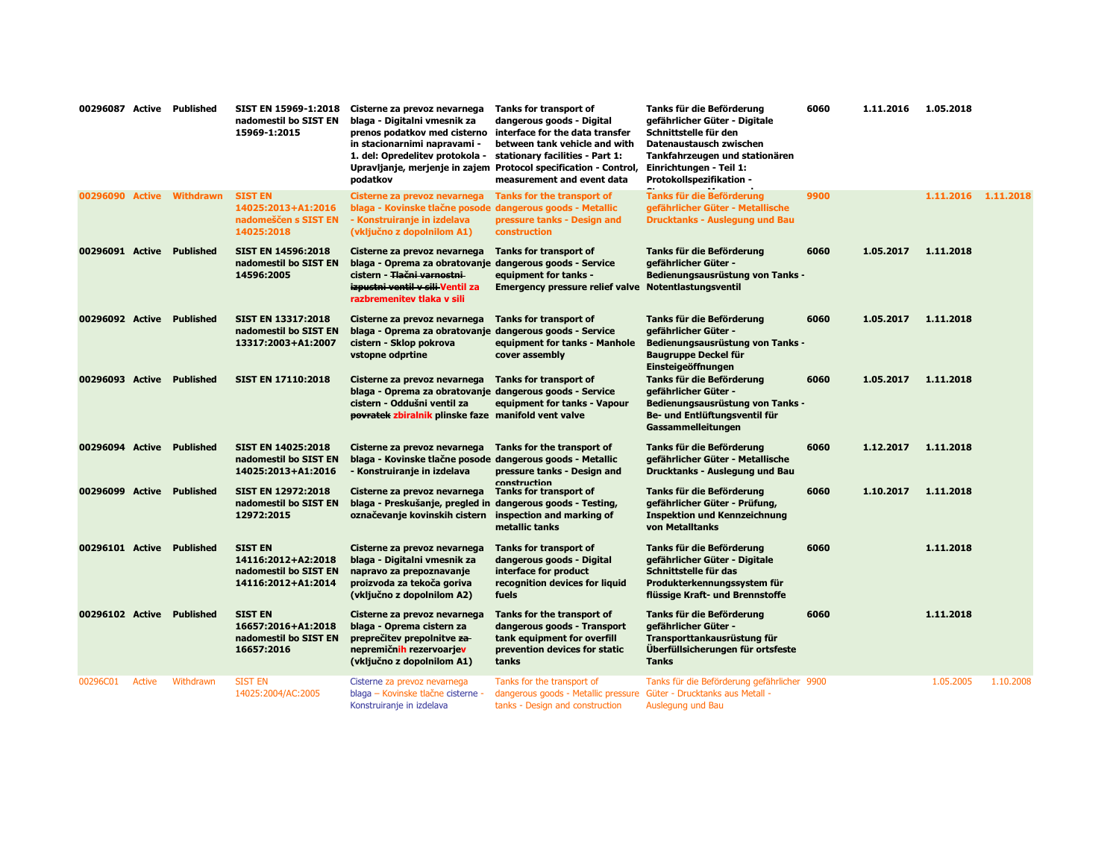| 00296087 Active Published |        |                  | SIST EN 15969-1:2018<br>nadomestil bo SIST EN<br>15969-1:2015                       | Cisterne za prevoz nevarnega<br>blaga - Digitalni vmesnik za<br>prenos podatkov med cisterno<br>in stacionarnimi napravami -<br>1. del: Opredelitev protokola -<br>podatkov                        | Tanks for transport of<br>dangerous goods - Digital<br>interface for the data transfer<br>between tank vehicle and with<br>stationary facilities - Part 1:<br>Upravljanje, merjenje in zajem Protocol specification - Control,<br>measurement and event data | Tanks für die Beförderung<br>gefährlicher Güter - Digitale<br>Schnittstelle für den<br>Datenaustausch zwischen<br>Tankfahrzeugen und stationären<br>Einrichtungen - Teil 1:<br>Protokollspezifikation - | 6060 | 1.11.2016 | 1.05.2018           |           |
|---------------------------|--------|------------------|-------------------------------------------------------------------------------------|----------------------------------------------------------------------------------------------------------------------------------------------------------------------------------------------------|--------------------------------------------------------------------------------------------------------------------------------------------------------------------------------------------------------------------------------------------------------------|---------------------------------------------------------------------------------------------------------------------------------------------------------------------------------------------------------|------|-----------|---------------------|-----------|
| 00296090 Active           |        | Withdrawn        | <b>SIST EN</b><br>14025:2013+A1:2016<br>nadomeščen s SIST EN<br>14025:2018          | Cisterne za prevoz nevarnega<br>blaga - Kovinske tlačne posode dangerous goods - Metallic<br>- Konstruiranje in izdelava<br>(vključno z dopolnilom A1)                                             | Tanks for the transport of<br>pressure tanks - Design and<br><b>construction</b>                                                                                                                                                                             | <b>Tanks für die Beförderung</b><br>gefährlicher Güter - Metallische<br><b>Drucktanks - Auslegung und Bau</b>                                                                                           | 9900 |           | 1.11.2016 1.11.2018 |           |
| 00296091 Active           |        | <b>Published</b> | <b>SIST EN 14596:2018</b><br>nadomestil bo SIST EN<br>14596:2005                    | Cisterne za prevoz nevarnega<br>blaga - Oprema za obratovanje dangerous goods - Service<br>cistern - <del>Tlačni varnostni</del><br>izpustni ventil v sili Ventil za<br>razbremenitev tlaka v sili | Tanks for transport of<br>equipment for tanks -<br><b>Emergency pressure relief valve</b>                                                                                                                                                                    | Tanks für die Beförderung<br>gefährlicher Güter -<br>Bedienungsausrüstung von Tanks -<br>Notentlastungsventil                                                                                           | 6060 | 1.05.2017 | 1.11.2018           |           |
| 00296092 Active           |        | <b>Published</b> | <b>SIST EN 13317:2018</b><br>nadomestil bo SIST EN<br>13317:2003+A1:2007            | Cisterne za prevoz nevarnega<br>blaga - Oprema za obratovanje dangerous goods - Service<br>cistern - Sklop pokrova<br>vstopne odprtine                                                             | <b>Tanks for transport of</b><br>equipment for tanks - Manhole<br>cover assembly                                                                                                                                                                             | Tanks für die Beförderung<br>gefährlicher Güter -<br>Bedienungsausrüstung von Tanks -<br>Baugruppe Deckel für<br>Einsteigeöffnungen                                                                     | 6060 | 1.05.2017 | 1.11.2018           |           |
| 00296093 Active           |        | <b>Published</b> | <b>SIST EN 17110:2018</b>                                                           | Cisterne za prevoz nevarnega<br>blaga - Oprema za obratovanje dangerous goods - Service<br>cistern - Oddušni ventil za<br>povratek zbiralnik plinske faze manifold vent valve                      | <b>Tanks for transport of</b><br>equipment for tanks - Vapour                                                                                                                                                                                                | Tanks für die Beförderung<br>gefährlicher Güter -<br>Bedienungsausrüstung von Tanks -<br>Be- und Entlüftungsventil für<br>Gassammelleitungen                                                            | 6060 | 1.05.2017 | 1.11.2018           |           |
| 00296094 Active Published |        |                  | <b>SIST EN 14025:2018</b><br>nadomestil bo SIST EN<br>14025:2013+A1:2016            | Cisterne za prevoz nevarnega<br>blaga - Kovinske tlačne posode dangerous goods - Metallic<br>- Konstruiranje in izdelava                                                                           | Tanks for the transport of<br>pressure tanks - Design and                                                                                                                                                                                                    | Tanks für die Beförderung<br>gefährlicher Güter - Metallische<br>Drucktanks - Auslegung und Bau                                                                                                         | 6060 | 1.12.2017 | 1.11.2018           |           |
| 00296099 Active Published |        |                  | <b>SIST EN 12972:2018</b><br>nadomestil bo SIST EN<br>12972:2015                    | Cisterne za prevoz nevarnega<br>blaga - Preskušanje, pregled in dangerous goods - Testing,<br>označevanje kovinskih cistern                                                                        | construction<br>Tanks for transport of<br>inspection and marking of<br>metallic tanks                                                                                                                                                                        | Tanks für die Beförderung<br>gefährlicher Güter - Prüfung,<br><b>Inspektion und Kennzeichnung</b><br>von Metalltanks                                                                                    | 6060 | 1.10.2017 | 1.11.2018           |           |
| 00296101 Active Published |        |                  | <b>SIST EN</b><br>14116:2012+A2:2018<br>nadomestil bo SIST EN<br>14116:2012+A1:2014 | Cisterne za prevoz nevarnega<br>blaga - Digitalni vmesnik za<br>napravo za prepoznavanje<br>proizvoda za tekoča goriva<br>(vključno z dopolnilom A2)                                               | <b>Tanks for transport of</b><br>dangerous goods - Digital<br>interface for product<br>recognition devices for liquid<br>fuels                                                                                                                               | Tanks für die Beförderung<br>gefährlicher Güter - Digitale<br>Schnittstelle für das<br>Produkterkennungssystem für<br>flüssige Kraft- und Brennstoffe                                                   | 6060 |           | 1.11.2018           |           |
| 00296102 Active Published |        |                  | <b>SIST EN</b><br>16657:2016+A1:2018<br>nadomestil bo SIST EN<br>16657:2016         | Cisterne za prevoz nevarnega<br>blaga - Oprema cistern za<br>preprečitev prepolnitve za<br>nepremičnih rezervoarjev<br>(vključno z dopolnilom A1)                                                  | Tanks for the transport of<br>dangerous goods - Transport<br>tank equipment for overfill<br>prevention devices for static<br>tanks                                                                                                                           | Tanks für die Beförderung<br>gefährlicher Güter -<br>Transporttankausrüstung für<br>Überfüllsicherungen für ortsfeste<br><b>Tanks</b>                                                                   | 6060 |           | 1.11.2018           |           |
| 00296C01                  | Active | Withdrawn        | <b>SIST EN</b><br>14025:2004/AC:2005                                                | Cisterne za prevoz nevarnega<br>blaga – Kovinske tlačne cisterne -<br>Konstruiranje in izdelava                                                                                                    | Tanks for the transport of<br>dangerous goods - Metallic pressure<br>tanks - Design and construction                                                                                                                                                         | Tanks für die Beförderung gefährlicher 9900<br>Güter - Drucktanks aus Metall -<br>Auslegung und Bau                                                                                                     |      |           | 1.05.2005           | 1.10.2008 |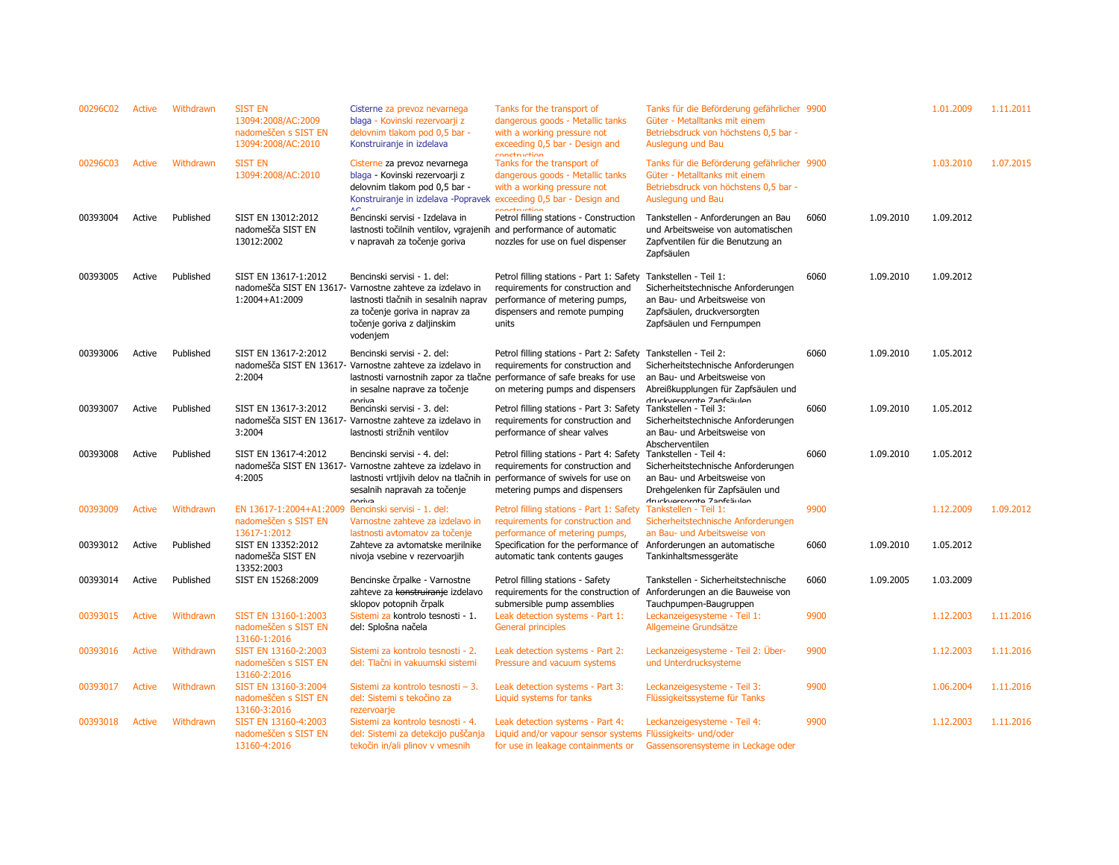| 00296C02 | Active | Withdrawn | <b>SIST EN</b><br>13094:2008/AC:2009<br>nadomeščen s SIST EN<br>13094:2008/AC:2010 | Cisterne za prevoz nevarnega<br>blaga - Kovinski rezervoarji z<br>delovnim tlakom pod 0,5 bar -<br>Konstruiranje in izdelava                                                                                    | Tanks for the transport of<br>dangerous goods - Metallic tanks<br>with a working pressure not<br>exceeding 0,5 bar - Design and<br>conctruction                                              | Tanks für die Beförderung gefährlicher 9900<br>Güter - Metalltanks mit einem<br>Betriebsdruck von höchstens 0,5 bar -<br>Auslegung und Bau                       |      |           | 1.01.2009 | 1.11.2011 |
|----------|--------|-----------|------------------------------------------------------------------------------------|-----------------------------------------------------------------------------------------------------------------------------------------------------------------------------------------------------------------|----------------------------------------------------------------------------------------------------------------------------------------------------------------------------------------------|------------------------------------------------------------------------------------------------------------------------------------------------------------------|------|-----------|-----------|-----------|
| 00296C03 | Active | Withdrawn | <b>SIST EN</b><br>13094:2008/AC:2010                                               | Cisterne za prevoz nevarnega<br>blaga - Kovinski rezervoarji z<br>delovnim tlakom pod 0,5 bar -<br>Konstruiranje in izdelava -Popravek exceeding 0,5 bar - Design and<br>$\Lambda$ C                            | Tanks for the transport of<br>dangerous goods - Metallic tanks<br>with a working pressure not<br>conetruction                                                                                | Tanks für die Beförderung gefährlicher 9900<br>Güter - Metalltanks mit einem<br>Betriebsdruck von höchstens 0,5 bar -<br>Auslegung und Bau                       |      |           | 1.03.2010 | 1.07.2015 |
| 00393004 | Active | Published | SIST EN 13012:2012<br>nadomešča SIST EN<br>13012:2002                              | Bencinski servisi - Izdelava in<br>lastnosti točilnih ventilov, vgrajenih and performance of automatic<br>v napravah za točenje goriva                                                                          | Petrol filling stations - Construction<br>nozzles for use on fuel dispenser                                                                                                                  | Tankstellen - Anforderungen an Bau<br>und Arbeitsweise von automatischen<br>Zapfventilen für die Benutzung an<br>Zapfsäulen                                      | 6060 | 1.09.2010 | 1.09.2012 |           |
| 00393005 | Active | Published | SIST EN 13617-1:2012<br>1:2004+A1:2009                                             | Bencinski servisi - 1. del:<br>nadomešča SIST EN 13617- Varnostne zahteve za izdelavo in<br>lastnosti tlačnih in sesalnih naprav<br>za točenje goriva in naprav za<br>točenje goriva z daljinskim<br>vodenjem   | Petrol filling stations - Part 1: Safety<br>requirements for construction and<br>performance of metering pumps,<br>dispensers and remote pumping<br>units                                    | Tankstellen - Teil 1:<br>Sicherheitstechnische Anforderungen<br>an Bau- und Arbeitsweise von<br>Zapfsäulen, druckversorgten<br>Zapfsäulen und Fernpumpen         | 6060 | 1.09.2010 | 1.09.2012 |           |
| 00393006 | Active | Published | SIST EN 13617-2:2012<br>2:2004                                                     | Bencinski servisi - 2. del:<br>nadomešča SIST EN 13617- Varnostne zahteve za izdelavo in<br>in sesalne naprave za točenje<br><b>OOTIVA</b>                                                                      | Petrol filling stations - Part 2: Safety<br>requirements for construction and<br>lastnosti varnostnih zapor za tlačne performance of safe breaks for use<br>on metering pumps and dispensers | Tankstellen - Teil 2:<br>Sicherheitstechnische Anforderungen<br>an Bau- und Arbeitsweise von<br>Abreißkupplungen für Zapfsäulen und<br>druckvereorate Zanfeäulen | 6060 | 1.09.2010 | 1.05.2012 |           |
| 00393007 | Active | Published | SIST EN 13617-3:2012<br>3:2004                                                     | Bencinski servisi - 3. del:<br>nadomešča SIST EN 13617- Varnostne zahteve za izdelavo in<br>lastnosti strižnih ventilov                                                                                         | Petrol filling stations - Part 3: Safety<br>requirements for construction and<br>performance of shear valves                                                                                 | Tankstellen - Teil 3:<br>Sicherheitstechnische Anforderungen<br>an Bau- und Arbeitsweise von<br>Abscherventilen                                                  | 6060 | 1.09.2010 | 1.05.2012 |           |
| 00393008 | Active | Published | SIST EN 13617-4:2012<br>4:2005                                                     | Bencinski servisi - 4. del:<br>nadomešča SIST EN 13617- Varnostne zahteve za izdelavo in<br>lastnosti vrtljivih delov na tlačnih in performance of swivels for use on<br>sesalnih napravah za točenje<br>noriva | Petrol filling stations - Part 4: Safety<br>requirements for construction and<br>metering pumps and dispensers                                                                               | Tankstellen - Teil 4:<br>Sicherheitstechnische Anforderungen<br>an Bau- und Arbeitsweise von<br>Drehgelenken für Zapfsäulen und<br>druckvercorate Zanfcäulen     | 6060 | 1.09.2010 | 1.05.2012 |           |
| 00393009 | Active | Withdrawn | EN 13617-1:2004+A1:2009<br>nadomeščen s SIST EN<br>13617-1:2012                    | Bencinski servisi - 1. del:<br>Varnostne zahteve za izdelavo in<br>lastnosti avtomatov za točenje                                                                                                               | Petrol filling stations - Part 1: Safety<br>requirements for construction and<br>performance of metering pumps,                                                                              | Tankstellen - Teil 1:<br>Sicherheitstechnische Anforderungen<br>an Bau- und Arbeitsweise von                                                                     | 9900 |           | 1.12.2009 | 1.09.2012 |
| 00393012 | Active | Published | SIST EN 13352:2012<br>nadomešča SIST EN<br>13352:2003                              | Zahteve za avtomatske merilnike<br>nivoja vsebine v rezervoarjih                                                                                                                                                | Specification for the performance of<br>automatic tank contents gauges                                                                                                                       | Anforderungen an automatische<br>Tankinhaltsmessgeräte                                                                                                           | 6060 | 1.09.2010 | 1.05.2012 |           |
| 00393014 | Active | Published | SIST EN 15268:2009                                                                 | Bencinske črpalke - Varnostne<br>zahteve za konstruiranje izdelavo<br>sklopov potopnih črpalk                                                                                                                   | Petrol filling stations - Safety<br>requirements for the construction of<br>submersible pump assemblies                                                                                      | Tankstellen - Sicherheitstechnische<br>Anforderungen an die Bauweise von<br>Tauchpumpen-Baugruppen                                                               | 6060 | 1.09.2005 | 1.03.2009 |           |
| 00393015 | Active | Withdrawn | SIST EN 13160-1:2003<br>nadomeščen s SIST EN<br>13160-1:2016                       | Sistemi za kontrolo tesnosti - 1.<br>del: Splošna načela                                                                                                                                                        | Leak detection systems - Part 1:<br><b>General principles</b>                                                                                                                                | Leckanzeigesysteme - Teil 1:<br>Allgemeine Grundsätze                                                                                                            | 9900 |           | 1.12.2003 | 1.11.2016 |
| 00393016 | Active | Withdrawn | SIST EN 13160-2:2003<br>nadomeščen s SIST EN<br>13160-2:2016                       | Sistemi za kontrolo tesnosti - 2.<br>del: Tlačni in vakuumski sistemi                                                                                                                                           | Leak detection systems - Part 2:<br>Pressure and vacuum systems                                                                                                                              | Leckanzeigesysteme - Teil 2: Uber-<br>und Unterdrucksysteme                                                                                                      | 9900 |           | 1.12.2003 | 1.11.2016 |
| 00393017 | Active | Withdrawn | SIST EN 13160-3:2004<br>nadomeščen s SIST EN<br>13160-3:2016                       | Sistemi za kontrolo tesnosti - 3.<br>del: Sistemi s tekočino za<br>rezervoarje                                                                                                                                  | Leak detection systems - Part 3:<br>Liquid systems for tanks                                                                                                                                 | Leckanzeigesysteme - Teil 3:<br>Flüssigkeitssysteme für Tanks                                                                                                    | 9900 |           | 1.06.2004 | 1.11.2016 |
| 00393018 | Active | Withdrawn | SIST EN 13160-4:2003<br>nadomeščen s SIST EN<br>13160-4:2016                       | Sistemi za kontrolo tesnosti - 4.<br>del: Sistemi za detekcijo puščanja<br>tekočin in/ali plinov v vmesnih                                                                                                      | Leak detection systems - Part 4:<br>Liquid and/or vapour sensor systems Flüssigkeits- und/oder<br>for use in leakage containments or                                                         | Leckanzeigesysteme - Teil 4:<br>Gassensorensysteme in Leckage oder                                                                                               | 9900 |           | 1.12.2003 | 1.11.2016 |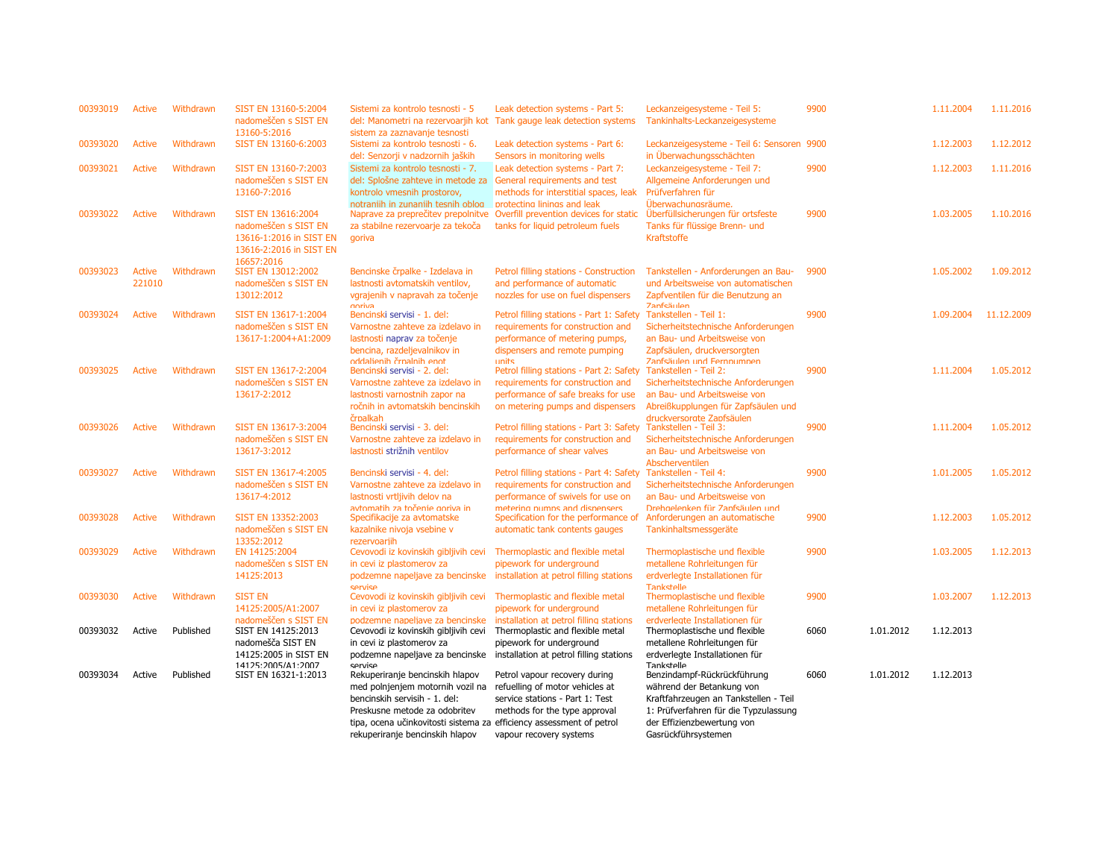| 00393019 | Active        | Withdrawn | SIST EN 13160-5:2004<br>nadomeščen s SIST EN<br>13160-5:2016 | Sistemi za kontrolo tesnosti - 5<br>sistem za zaznavanje tesnosti                                       | Leak detection systems - Part 5:<br>del: Manometri na rezervoarjih kot Tank gauge leak detection systems | Leckanzeigesysteme - Teil 5:<br>Tankinhalts-Leckanzeigesysteme         | 9900 |           | 1.11.2004 | 1.11.2016  |
|----------|---------------|-----------|--------------------------------------------------------------|---------------------------------------------------------------------------------------------------------|----------------------------------------------------------------------------------------------------------|------------------------------------------------------------------------|------|-----------|-----------|------------|
| 00393020 | <b>Active</b> | Withdrawn | SIST EN 13160-6:2003                                         | Sistemi za kontrolo tesnosti - 6.<br>del: Senzorji v nadzornih jaških                                   | Leak detection systems - Part 6:<br>Sensors in monitoring wells                                          | Leckanzeigesysteme - Teil 6: Sensoren 9900<br>in Überwachungsschächten |      |           | 1.12.2003 | 1.12.2012  |
| 00393021 | Active        | Withdrawn | SIST EN 13160-7:2003                                         | Sistemi za kontrolo tesnosti - 7.                                                                       | Leak detection systems - Part 7:                                                                         | Leckanzeigesysteme - Teil 7:                                           | 9900 |           | 1.12.2003 | 1.11.2016  |
|          |               |           | nadomeščen s SIST EN                                         | del: Splošne zahteve in metode za                                                                       | General requirements and test                                                                            | Allgemeine Anforderungen und                                           |      |           |           |            |
|          |               |           | 13160-7:2016                                                 | kontrolo vmesnih prostorov,                                                                             | methods for interstitial spaces, leak                                                                    | Prüfverfahren für                                                      |      |           |           |            |
|          |               |           |                                                              | notraniih in zunaniih tesnih oblog                                                                      | protecting linings and leak                                                                              | Überwachungsräume.                                                     |      |           |           |            |
| 00393022 | Active        | Withdrawn | SIST EN 13616:2004                                           |                                                                                                         | Naprave za preprečitev prepolnitve Overfill prevention devices for static                                | Uberfüllsicherungen für ortsfeste                                      | 9900 |           | 1.03.2005 | 1.10.2016  |
|          |               |           | nadomeščen s SIST EN                                         | za stabilne rezervoarje za tekoča                                                                       | tanks for liquid petroleum fuels                                                                         | Tanks für flüssige Brenn- und                                          |      |           |           |            |
|          |               |           | 13616-1:2016 in SIST EN                                      | goriva                                                                                                  |                                                                                                          | Kraftstoffe                                                            |      |           |           |            |
|          |               |           | 13616-2:2016 in SIST EN                                      |                                                                                                         |                                                                                                          |                                                                        |      |           |           |            |
| 00393023 | Active        | Withdrawn | 16657:2016<br>SIST EN 13012:2002                             | Bencinske črpalke - Izdelava in                                                                         | Petrol filling stations - Construction                                                                   | Tankstellen - Anforderungen an Bau-                                    | 9900 |           | 1.05.2002 | 1.09.2012  |
|          | 221010        |           | nadomeščen s SIST EN                                         | lastnosti avtomatskih ventilov,                                                                         | and performance of automatic                                                                             | und Arbeitsweise von automatischen                                     |      |           |           |            |
|          |               |           | 13012:2012                                                   | vgrajenih v napravah za točenje                                                                         | nozzles for use on fuel dispensers                                                                       | Zapfventilen für die Benutzung an                                      |      |           |           |            |
|          |               |           |                                                              | curing                                                                                                  |                                                                                                          | <b>Zanfeäulan</b>                                                      |      |           |           |            |
| 00393024 | Active        | Withdrawn | SIST EN 13617-1:2004                                         | Bencinski servisi - 1. del:                                                                             | Petrol filling stations - Part 1: Safety                                                                 | Tankstellen - Teil 1:                                                  | 9900 |           | 1.09.2004 | 11.12.2009 |
|          |               |           | nadomeščen s SIST EN                                         | Varnostne zahteve za izdelavo in                                                                        | requirements for construction and                                                                        | Sicherheitstechnische Anforderungen                                    |      |           |           |            |
|          |               |           | 13617-1:2004+A1:2009                                         | lastnosti naprav za točenje                                                                             | performance of metering pumps,                                                                           | an Bau- und Arbeitsweise von                                           |      |           |           |            |
|          |               |           |                                                              | bencina, razdeljevalnikov in<br>oddalienih črnalnih enot                                                | dispensers and remote pumping<br>units                                                                   | Zapfsäulen, druckversorgten<br>Zanfsäulen und Fernnumnen               |      |           |           |            |
| 00393025 | Active        | Withdrawn | SIST EN 13617-2:2004                                         | Bencinski servisi - 2. del:                                                                             | Petrol filling stations - Part 2: Safety                                                                 | Tankstellen - Teil 2:                                                  | 9900 |           | 1.11.2004 | 1.05.2012  |
|          |               |           | nadomeščen s SIST EN                                         | Varnostne zahteve za izdelavo in                                                                        | requirements for construction and                                                                        | Sicherheitstechnische Anforderungen                                    |      |           |           |            |
|          |               |           | 13617-2:2012                                                 | lastnosti varnostnih zapor na                                                                           | performance of safe breaks for use                                                                       | an Bau- und Arbeitsweise von                                           |      |           |           |            |
|          |               |           |                                                              | ročnih in avtomatskih bencinskih                                                                        | on metering pumps and dispensers                                                                         | Abreißkupplungen für Zapfsäulen und                                    |      |           |           |            |
|          |               |           |                                                              | črpalkah                                                                                                |                                                                                                          | druckversorate Zanfsäulen                                              |      |           |           |            |
| 00393026 | Active        | Withdrawn | SIST EN 13617-3:2004                                         | Bencinski servisi - 3. del:                                                                             | Petrol filling stations - Part 3: Safety Tankstellen - Teil 3:                                           |                                                                        | 9900 |           | 1.11.2004 | 1.05.2012  |
|          |               |           | nadomeščen s SIST EN                                         | Varnostne zahteve za izdelavo in                                                                        | requirements for construction and                                                                        | Sicherheitstechnische Anforderungen                                    |      |           |           |            |
|          |               |           | 13617-3:2012                                                 | lastnosti strižnih ventilov                                                                             | performance of shear valves                                                                              | an Bau- und Arbeitsweise von<br>Abscherventilen                        |      |           |           |            |
| 00393027 | Active        | Withdrawn | SIST EN 13617-4:2005                                         | Bencinski servisi - 4. del:                                                                             | Petrol filling stations - Part 4: Safety                                                                 | Tankstellen - Teil 4:                                                  | 9900 |           | 1.01.2005 | 1.05.2012  |
|          |               |           | nadomeščen s SIST EN                                         | Varnostne zahteve za izdelavo in                                                                        | requirements for construction and                                                                        | Sicherheitstechnische Anforderungen                                    |      |           |           |            |
|          |               |           | 13617-4:2012                                                 | lastnosti vrtljivih delov na                                                                            | performance of swivels for use on                                                                        | an Bau- und Arbeitsweise von                                           |      |           |           |            |
|          |               |           |                                                              | avtomatih za točenie goriva in                                                                          | metering pumps and dispensers                                                                            | Drehgelenken für Zapfsäulen und                                        |      |           |           |            |
| 00393028 | Active        | Withdrawn | SIST EN 13352:2003                                           | Specifikacije za avtomatske                                                                             | Specification for the performance of                                                                     | Anforderungen an automatische                                          | 9900 |           | 1.12.2003 | 1.05.2012  |
|          |               |           | nadomeščen s SIST EN                                         | kazalnike nivoja vsebine v                                                                              | automatic tank contents gauges                                                                           | Tankinhaltsmessgeräte                                                  |      |           |           |            |
| 00393029 | <b>Active</b> | Withdrawn | 13352:2012<br>EN 14125:2004                                  | rezervoariih<br>Cevovodi iz kovinskih gibljivih cevi                                                    | Thermoplastic and flexible metal                                                                         | Thermoplastische und flexible                                          | 9900 |           | 1.03.2005 | 1.12.2013  |
|          |               |           | nadomeščen s SIST EN                                         | in cevi iz plastomerov za                                                                               | pipework for underground                                                                                 | metallene Rohrleitungen für                                            |      |           |           |            |
|          |               |           | 14125:2013                                                   | podzemne napeljave za bencinske                                                                         | installation at petrol filling stations                                                                  | erdverlegte Installationen für                                         |      |           |           |            |
|          |               |           |                                                              | servise                                                                                                 |                                                                                                          | <b>Tankstelle</b>                                                      |      |           |           |            |
| 00393030 | <b>Active</b> | Withdrawn | <b>SIST EN</b>                                               | Cevovodi iz kovinskih gibljivih cevi                                                                    | Thermoplastic and flexible metal                                                                         | Thermoplastische und flexible                                          | 9900 |           | 1.03.2007 | 1.12.2013  |
|          |               |           | 14125:2005/A1:2007                                           | in cevi iz plastomerov za                                                                               | pipework for underground                                                                                 | metallene Rohrleitungen für                                            |      |           |           |            |
| 00393032 | Active        | Published | nadomeščen s SIST EN<br>SIST EN 14125:2013                   | podzemne napeliave za bencinske<br>Cevovodi iz kovinskih gibljivih cevi                                 | installation at petrol filling stations<br>Thermoplastic and flexible metal                              | erdverlegte Installationen für<br>Thermoplastische und flexible        | 6060 | 1.01.2012 | 1.12.2013 |            |
|          |               |           | nadomešča SIST EN                                            | in cevi iz plastomerov za                                                                               | pipework for underground                                                                                 | metallene Rohrleitungen für                                            |      |           |           |            |
|          |               |           | 14125:2005 in SIST EN                                        | podzemne napeljave za bencinske                                                                         | installation at petrol filling stations                                                                  | erdverlegte Installationen für                                         |      |           |           |            |
|          |               |           | 14125:2005/A1:2007                                           | servise                                                                                                 |                                                                                                          | Tankstelle                                                             |      |           |           |            |
| 00393034 | Active        | Published | SIST EN 16321-1:2013                                         | Rekuperiranje bencinskih hlapov                                                                         | Petrol vapour recovery during                                                                            | Benzindampf-Rückrückführung                                            | 6060 | 1.01.2012 | 1.12.2013 |            |
|          |               |           |                                                              | med polnjenjem motornih vozil na                                                                        | refuelling of motor vehicles at                                                                          | während der Betankung von                                              |      |           |           |            |
|          |               |           |                                                              | bencinskih servisih - 1. del:                                                                           | service stations - Part 1: Test                                                                          | Kraftfahrzeugen an Tankstellen - Teil                                  |      |           |           |            |
|          |               |           |                                                              | Preskusne metode za odobritev                                                                           | methods for the type approval                                                                            | 1: Prüfverfahren für die Typzulassung                                  |      |           |           |            |
|          |               |           |                                                              | tipa, ocena učinkovitosti sistema za efficiency assessment of petrol<br>rekuperiranje bencinskih hlapov | vapour recovery systems                                                                                  | der Effizienzbewertung von<br>Gasrückführsystemen                      |      |           |           |            |
|          |               |           |                                                              |                                                                                                         |                                                                                                          |                                                                        |      |           |           |            |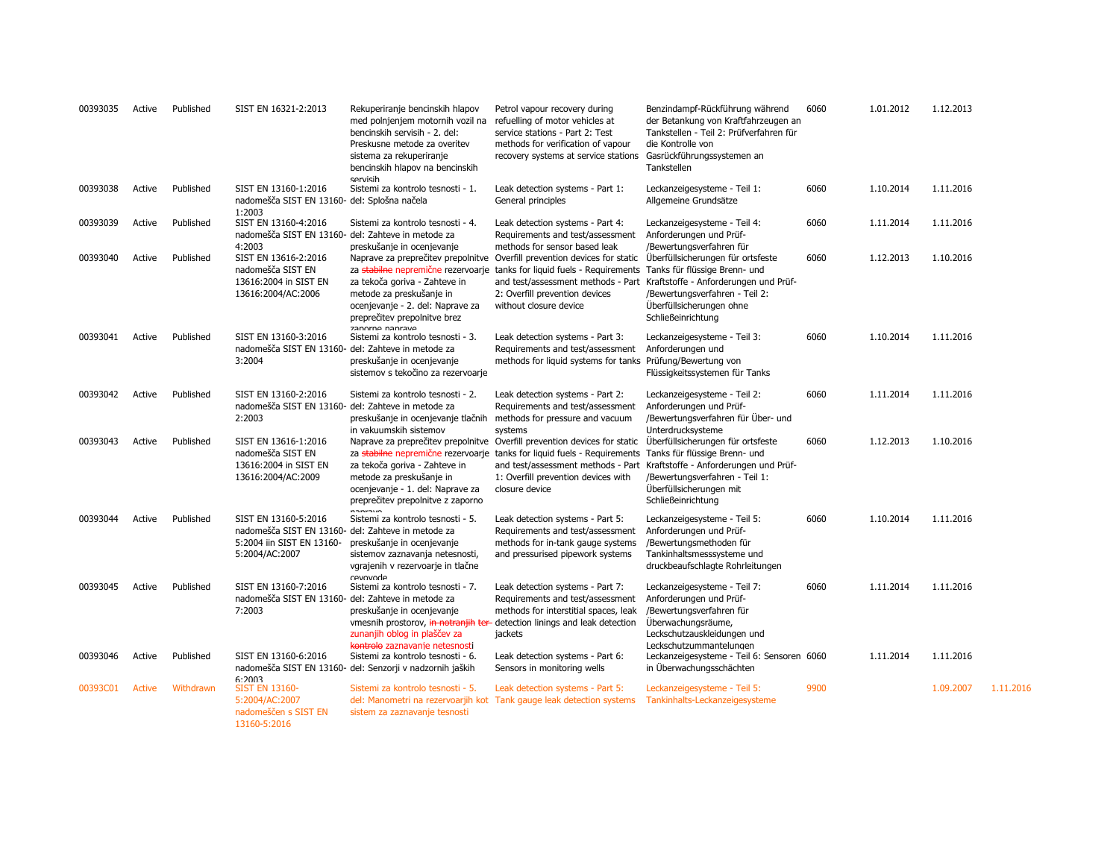| 00393035 | Active        | Published | SIST EN 16321-2:2013                                                                                                      | Rekuperiranje bencinskih hlapov<br>med polnjenjem motornih vozil na<br>bencinskih servisih - 2. del:<br>Preskusne metode za overitev<br>sistema za rekuperiranje<br>bencinskih hlapov na bencinskih<br>servisih | Petrol vapour recovery during<br>refuelling of motor vehicles at<br>service stations - Part 2: Test<br>methods for verification of vapour<br>recovery systems at service stations                                                                                                      | Benzindampf-Rückführung während<br>der Betankung von Kraftfahrzeugen an<br>Tankstellen - Teil 2: Prüfverfahren für<br>die Kontrolle von<br>Gasrückführungssystemen an<br>Tankstellen                                               | 6060 | 1.01.2012 | 1.12.2013 |           |
|----------|---------------|-----------|---------------------------------------------------------------------------------------------------------------------------|-----------------------------------------------------------------------------------------------------------------------------------------------------------------------------------------------------------------|----------------------------------------------------------------------------------------------------------------------------------------------------------------------------------------------------------------------------------------------------------------------------------------|------------------------------------------------------------------------------------------------------------------------------------------------------------------------------------------------------------------------------------|------|-----------|-----------|-----------|
| 00393038 | Active        | Published | SIST EN 13160-1:2016<br>nadomešča SIST EN 13160- del: Splošna načela<br>1:2003                                            | Sistemi za kontrolo tesnosti - 1.                                                                                                                                                                               | Leak detection systems - Part 1:<br>General principles                                                                                                                                                                                                                                 | Leckanzeigesysteme - Teil 1:<br>Allgemeine Grundsätze                                                                                                                                                                              | 6060 | 1.10.2014 | 1.11.2016 |           |
| 00393039 | Active        | Published | SIST EN 13160-4:2016<br>nadomešča SIST EN 13160- del: Zahteve in metode za<br>4:2003                                      | Sistemi za kontrolo tesnosti - 4.<br>preskušanie in ocenievanie                                                                                                                                                 | Leak detection systems - Part 4:<br>Requirements and test/assessment<br>methods for sensor based leak                                                                                                                                                                                  | Leckanzeigesysteme - Teil 4:<br>Anforderungen und Prüf-<br>/Bewertungsverfahren für                                                                                                                                                | 6060 | 1.11.2014 | 1.11.2016 |           |
| 00393040 | Active        | Published | SIST EN 13616-2:2016<br>nadomešča SIST EN<br>13616:2004 in SIST EN<br>13616:2004/AC:2006                                  | za tekoča goriva - Zahteve in<br>metode za preskušanje in<br>ocenjevanje - 2. del: Naprave za<br>preprečitev prepolnitve brez<br>zanorne nanrave                                                                | Naprave za preprečitev prepolnitve Overfill prevention devices for static<br>za stabilne nepremične rezervoarje tanks for liquid fuels - Requirements<br>2: Overfill prevention devices<br>without closure device                                                                      | Überfüllsicherungen für ortsfeste<br>Tanks für flüssige Brenn- und<br>and test/assessment methods - Part Kraftstoffe - Anforderungen und Prüf-<br>/Bewertungsverfahren - Teil 2:<br>Überfüllsicherungen ohne<br>Schließeinrichtung | 6060 | 1.12.2013 | 1.10.2016 |           |
| 00393041 | Active        | Published | SIST EN 13160-3:2016<br>nadomešča SIST EN 13160- del: Zahteve in metode za<br>3:2004                                      | Sistemi za kontrolo tesnosti - 3.<br>preskušanje in ocenjevanje<br>sistemov s tekočino za rezervoarje                                                                                                           | Leak detection systems - Part 3:<br>Requirements and test/assessment<br>methods for liquid systems for tanks                                                                                                                                                                           | Leckanzeigesysteme - Teil 3:<br>Anforderungen und<br>Prüfung/Bewertung von<br>Flüssigkeitssystemen für Tanks                                                                                                                       | 6060 | 1.10.2014 | 1.11.2016 |           |
| 00393042 | Active        | Published | SIST EN 13160-2:2016<br>nadomešča SIST EN 13160- del: Zahteve in metode za<br>2:2003                                      | Sistemi za kontrolo tesnosti - 2.<br>preskušanje in ocenjevanje tlačnih<br>in vakuumskih sistemov                                                                                                               | Leak detection systems - Part 2:<br>Requirements and test/assessment<br>methods for pressure and vacuum<br>systems                                                                                                                                                                     | Leckanzeigesysteme - Teil 2:<br>Anforderungen und Prüf-<br>/Bewertungsverfahren für Über- und<br>Unterdrucksysteme                                                                                                                 | 6060 | 1.11.2014 | 1.11.2016 |           |
| 00393043 | Active        | Published | SIST EN 13616-1:2016<br>nadomešča SIST EN<br>13616:2004 in SIST EN<br>13616:2004/AC:2009                                  | za tekoča goriva - Zahteve in<br>metode za preskušanje in<br>ocenjevanje - 1. del: Naprave za<br>preprečitev prepolnitve z zaporno                                                                              | Naprave za preprečitev prepolnitve Overfill prevention devices for static Überfüllsicherungen für ortsfeste<br>za stabilne nepremične rezervoarje tanks for liquid fuels - Requirements<br>and test/assessment methods - Part<br>1: Overfill prevention devices with<br>closure device | Tanks für flüssige Brenn- und<br>Kraftstoffe - Anforderungen und Prüf-<br>/Bewertungsverfahren - Teil 1:<br>Überfüllsicherungen mit<br>Schließeinrichtung                                                                          | 6060 | 1.12.2013 | 1.10.2016 |           |
| 00393044 | Active        | Published | SIST EN 13160-5:2016<br>nadomešča SIST EN 13160- del: Zahteve in metode za<br>5:2004 iin SIST EN 13160-<br>5:2004/AC:2007 | Sistemi za kontrolo tesnosti - 5.<br>preskušanje in ocenjevanje<br>sistemov zaznavanja netesnosti,<br>vgrajenih v rezervoarje in tlačne<br>revovode                                                             | Leak detection systems - Part 5:<br>Requirements and test/assessment<br>methods for in-tank gauge systems<br>and pressurised pipework systems                                                                                                                                          | Leckanzeigesysteme - Teil 5:<br>Anforderungen und Prüf-<br>/Bewertungsmethoden für<br>Tankinhaltsmesssysteme und<br>druckbeaufschlagte Rohrleitungen                                                                               | 6060 | 1.10.2014 | 1.11.2016 |           |
| 00393045 | Active        | Published | SIST EN 13160-7:2016<br>nadomešča SIST EN 13160- del: Zahteve in metode za<br>7:2003                                      | Sistemi za kontrolo tesnosti - 7.<br>preskušanje in ocenjevanje<br>vmesnih prostorov, in notranjih ter<br>zunanjih oblog in plaščev za<br>kontrolo zaznavanie netesnosti                                        | Leak detection systems - Part 7:<br>Requirements and test/assessment<br>methods for interstitial spaces, leak<br>detection linings and leak detection<br>jackets                                                                                                                       | Leckanzeigesysteme - Teil 7:<br>Anforderungen und Prüf-<br>/Bewertungsverfahren für<br>Überwachungsräume,<br>Leckschutzauskleidungen und<br>Leckschutzummantelungen                                                                | 6060 | 1.11.2014 | 1.11.2016 |           |
| 00393046 | Active        | Published | SIST EN 13160-6:2016<br>6:2003                                                                                            | Sistemi za kontrolo tesnosti - 6.<br>nadomešča SIST EN 13160- del: Senzorji v nadzornih jaških                                                                                                                  | Leak detection systems - Part 6:<br>Sensors in monitoring wells                                                                                                                                                                                                                        | Leckanzeigesysteme - Teil 6: Sensoren 6060<br>in Überwachungsschächten                                                                                                                                                             |      | 1.11.2014 | 1.11.2016 |           |
| 00393C01 | <b>Active</b> | Withdrawn | <b>SIST EN 13160-</b><br>5:2004/AC:2007<br>nadomeščen s SIST EN<br>13160-5:2016                                           | Sistemi za kontrolo tesnosti - 5.<br>sistem za zaznavanje tesnosti                                                                                                                                              | Leak detection systems - Part 5:<br>del: Manometri na rezervoarjih kot Tank gauge leak detection systems                                                                                                                                                                               | Leckanzeigesysteme - Teil 5:<br>Tankinhalts-Leckanzeigesysteme                                                                                                                                                                     | 9900 |           | 1.09.2007 | 1.11.2016 |